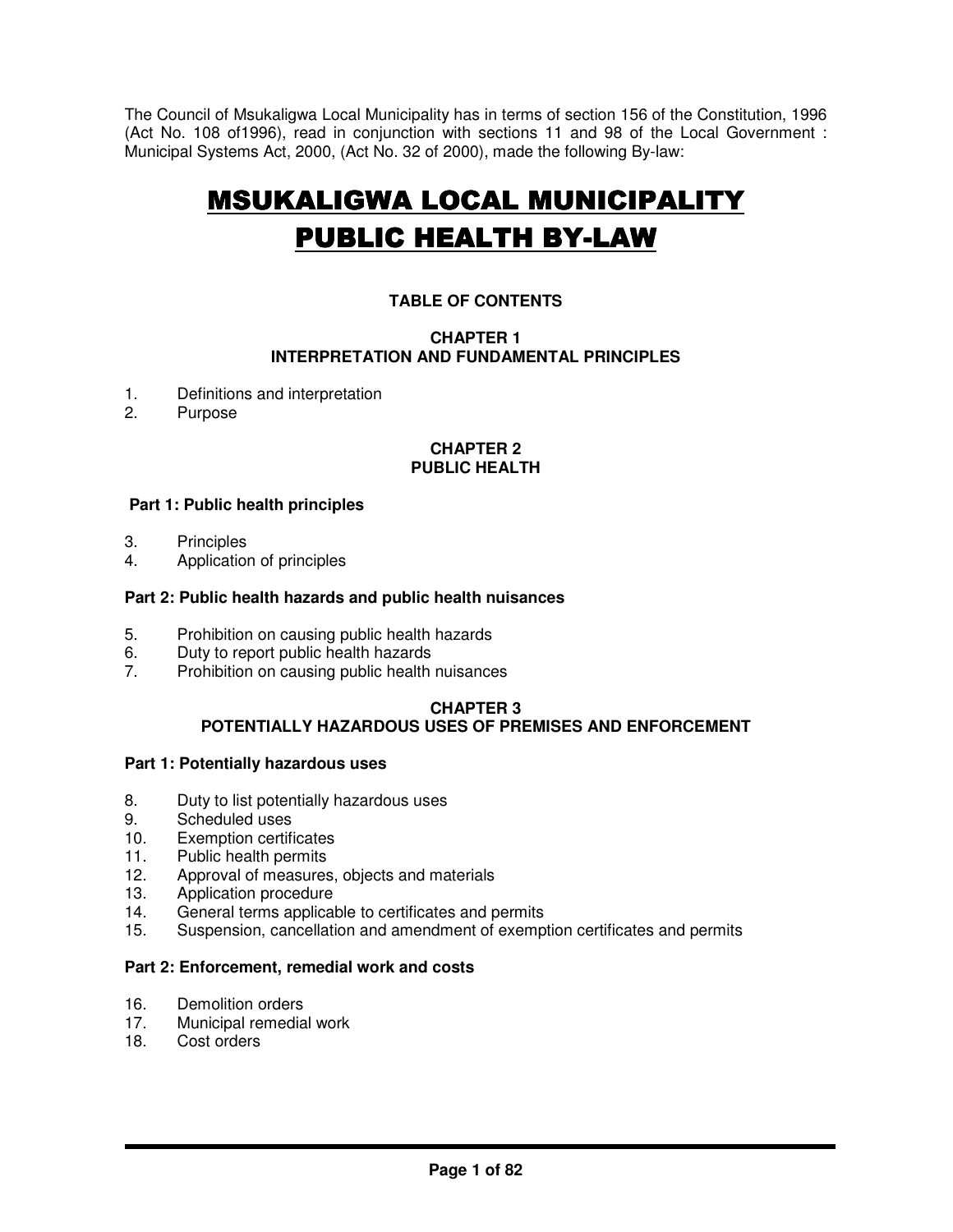The Council of Msukaligwa Local Municipality has in terms of section 156 of the Constitution, 1996 (Act No. 108 of1996), read in conjunction with sections 11 and 98 of the Local Government : Municipal Systems Act, 2000, (Act No. 32 of 2000), made the following By-law:

# **MSUKALIGWA LOCAL MUNICIPALITY PUBLIC HEALTH BY-LAW**

# **TABLE OF CONTENTS**

# **CHAPTER 1 INTERPRETATION AND FUNDAMENTAL PRINCIPLES**

- 1. Definitions and interpretation<br>2 Purpose
- **Purpose**

## **CHAPTER 2 PUBLIC HEALTH**

# **Part 1: Public health principles**

- 3. Principles
- 4. Application of principles

## **Part 2: Public health hazards and public health nuisances**

- 5. Prohibition on causing public health hazards
- 6. Duty to report public health hazards<br>
7 Probibition on causing public health
- Prohibition on causing public health nuisances

# **CHAPTER 3**

# **POTENTIALLY HAZARDOUS USES OF PREMISES AND ENFORCEMENT**

#### **Part 1: Potentially hazardous uses**

- 8. Duty to list potentially hazardous uses
- 9. Scheduled uses
- 10. Exemption certificates
- 11. Public health permits
- 12. Approval of measures, objects and materials
- 13. Application procedure
- 14. General terms applicable to certificates and permits
- 15. Suspension, cancellation and amendment of exemption certificates and permits

# **Part 2: Enforcement, remedial work and costs**

- 16. Demolition orders
- 17. Municipal remedial work
- 18. Cost orders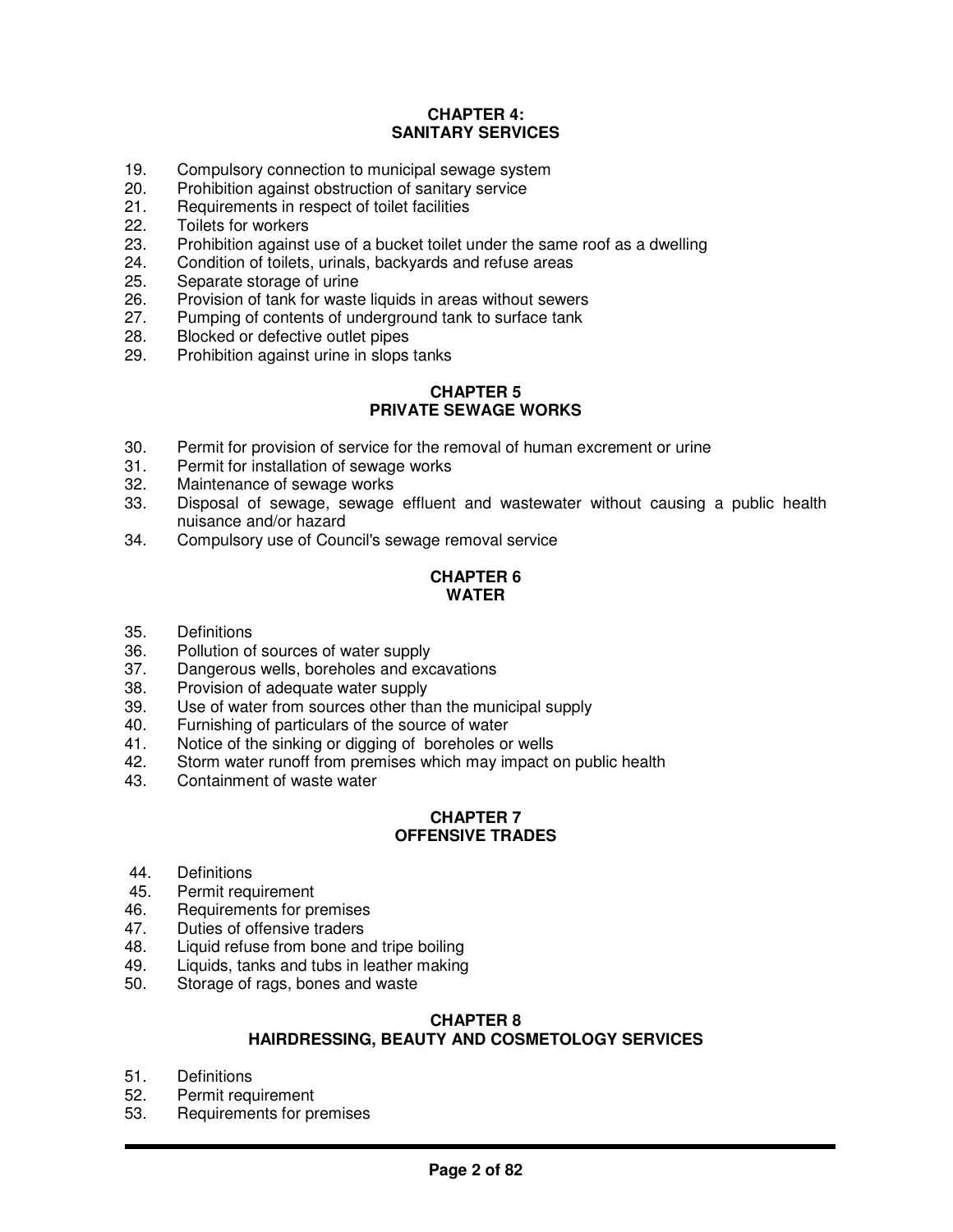# **CHAPTER 4: SANITARY SERVICES**

- 19. Compulsory connection to municipal sewage system
- 20. Prohibition against obstruction of sanitary service
- 21. Requirements in respect of toilet facilities
- 22. Toilets for workers
- 23. Prohibition against use of a bucket toilet under the same roof as a dwelling
- 24. Condition of toilets, urinals, backyards and refuse areas
- 25. Separate storage of urine
- 26. Provision of tank for waste liquids in areas without sewers
- 27. Pumping of contents of underground tank to surface tank<br>28. Blocked or defective outlet pipes
- 28. Blocked or defective outlet pipes
- 29. Prohibition against urine in slops tanks

## **CHAPTER 5 PRIVATE SEWAGE WORKS**

- 30. Permit for provision of service for the removal of human excrement or urine
- 31. Permit for installation of sewage works<br>32. Maintenance of sewage works
- 32. Maintenance of sewage works<br>33. Disposal of sewage. sewage
- Disposal of sewage, sewage effluent and wastewater without causing a public health nuisance and/or hazard
- 34. Compulsory use of Council's sewage removal service

# **CHAPTER 6 WATER**

- 35. Definitions
- Pollution of sources of water supply
- 37. Dangerous wells, boreholes and excavations
- 38. Provision of adequate water supply
- 39. Use of water from sources other than the municipal supply
- 40. Furnishing of particulars of the source of water
- 41. Notice of the sinking or digging of boreholes or wells<br>42. Storm water runoff from premises which may impact of
- Storm water runoff from premises which may impact on public health
- 43. Containment of waste water

## **CHAPTER 7 OFFENSIVE TRADES**

- 44. Definitions
- 45. Permit requirement
- 46. Requirements for premises
- 47. Duties of offensive traders<br>48. Liquid refuse from bone an
- Liquid refuse from bone and tripe boiling
- 49. Liquids, tanks and tubs in leather making<br>50. Storage of rags, bones and waste
- Storage of rags, bones and waste

#### **CHAPTER 8 HAIRDRESSING, BEAUTY AND COSMETOLOGY SERVICES**

- 51. Definitions<br>52. Permit requ
- Permit requirement
- 53. Requirements for premises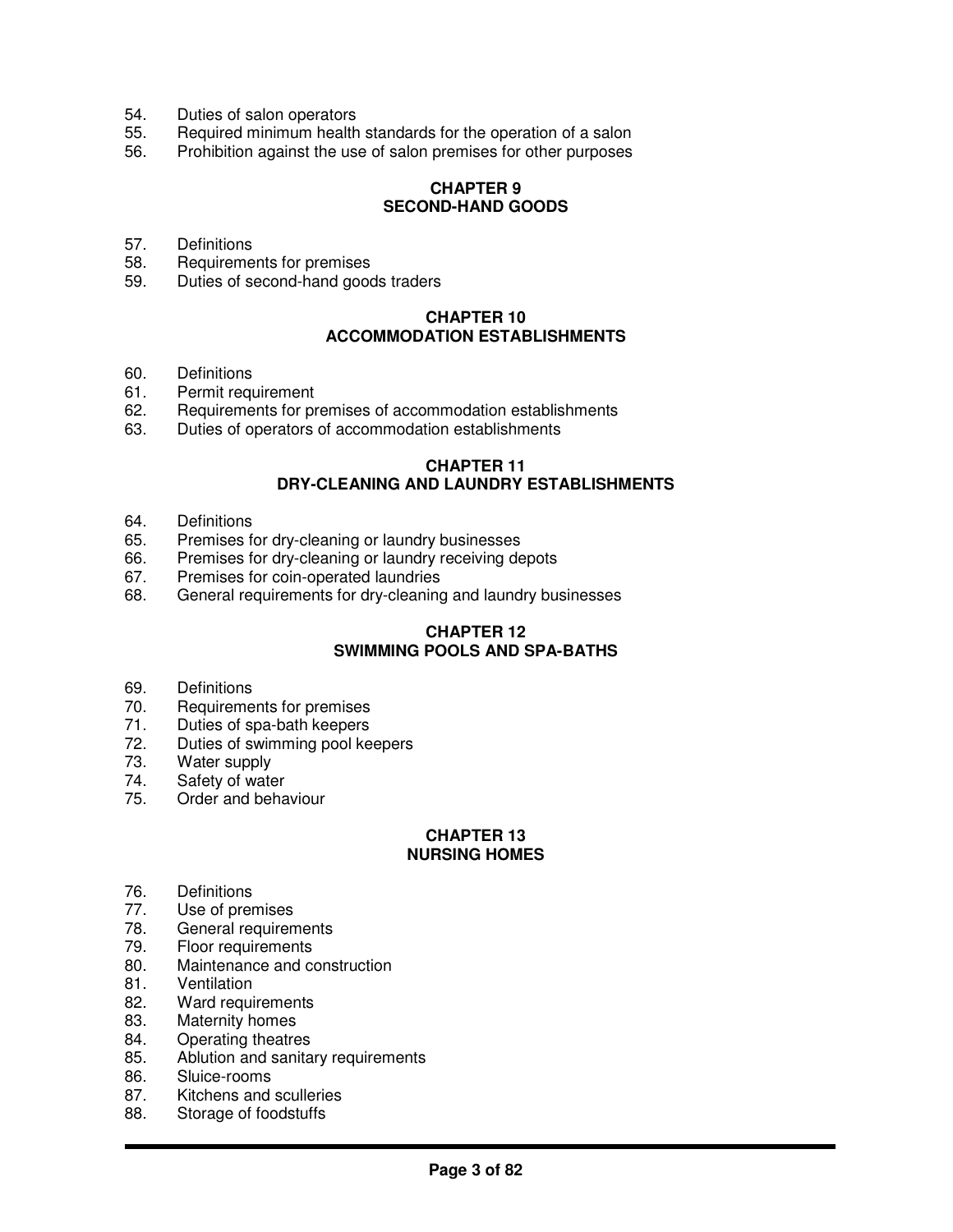- 54. Duties of salon operators
- 55. Required minimum health standards for the operation of a salon
- 56. Prohibition against the use of salon premises for other purposes

# **CHAPTER 9 SECOND-HAND GOODS**

- 57. Definitions
- 58. Requirements for premises
- 59. Duties of second-hand goods traders

## **CHAPTER 10 ACCOMMODATION ESTABLISHMENTS**

- 60. Definitions
- 61. Permit requirement
- 62. Requirements for premises of accommodation establishments
- 63. Duties of operators of accommodation establishments

## **CHAPTER 11 DRY-CLEANING AND LAUNDRY ESTABLISHMENTS**

- 64. Definitions<br>65. Premises f
- Premises for dry-cleaning or laundry businesses
- 66. Premises for dry-cleaning or laundry receiving depots
- 67. Premises for coin-operated laundries
- 68. General requirements for dry-cleaning and laundry businesses

# **CHAPTER 12 SWIMMING POOLS AND SPA-BATHS**

- 69. Definitions
- 70. Requirements for premises
- 71. Duties of spa-bath keepers<br>72. Duties of swimming pool ke
- 72. Duties of swimming pool keepers<br>73. Water supply
- 73. Water supply<br>74. Safety of wate
- Safety of water
- 75. Order and behaviour

# **CHAPTER 13 NURSING HOMES**

- 76. Definitions
- 77. Use of premises
- 78. General requirements
- 79. Floor requirements
- 80. Maintenance and construction<br>81. Ventilation
- **Ventilation**
- 82. Ward requirements
- 83. Maternity homes
- 84. Operating theatres
- 85. Ablution and sanitary requirements
- 86. Sluice-rooms<br>87. Kitchens and
- Kitchens and sculleries
- 88. Storage of foodstuffs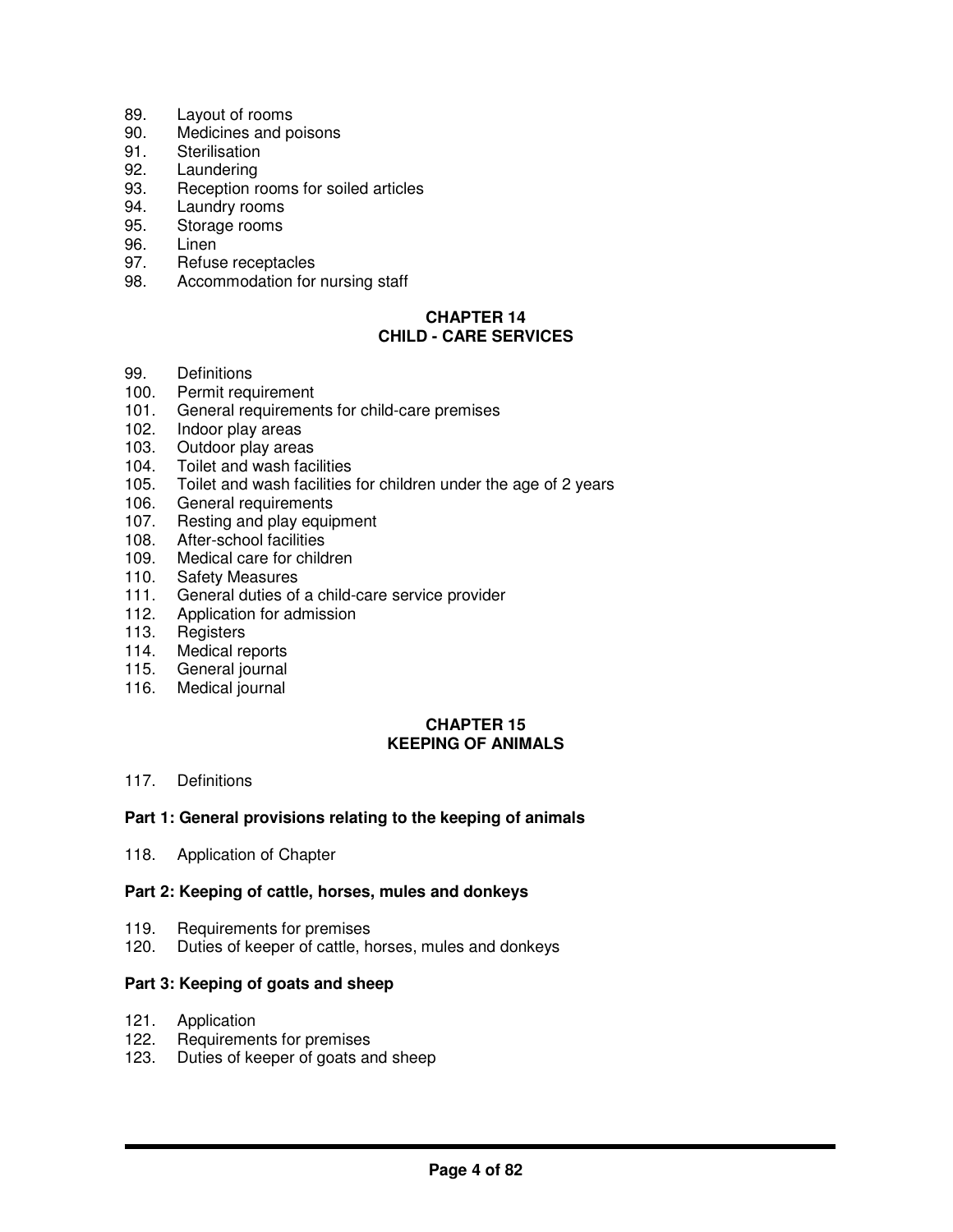- 89. Layout of rooms
- 90. Medicines and poisons
- 91. Sterilisation
- 92. Laundering
- 93. Reception rooms for soiled articles
- 94. Laundry rooms
- 95. Storage rooms
- 96. Linen
- 97. Refuse receptacles
- 98. Accommodation for nursing staff

# **CHAPTER 14 CHILD - CARE SERVICES**

- 99. Definitions
- 100. Permit requirement
- 101. General requirements for child-care premises
- 102. Indoor play areas
- 103. Outdoor play areas
- 104. Toilet and wash facilities<br>105. Toilet and wash facilities
- 105. Toilet and wash facilities for children under the age of 2 years 106. General requirements
- General requirements
- 107. Resting and play equipment
- 108. After-school facilities
- 109. Medical care for children
- 110. Safety Measures
- 111. General duties of a child-care service provider
- 112. Application for admission
- 113. Registers<br>114. Medical re
- Medical reports
- 115. General journal
- 116. Medical journal

# **CHAPTER 15 KEEPING OF ANIMALS**

## 117. Definitions

#### **Part 1: General provisions relating to the keeping of animals**

118. Application of Chapter

#### **Part 2: Keeping of cattle, horses, mules and donkeys**

- 119. Requirements for premises
- 120. Duties of keeper of cattle, horses, mules and donkeys

#### **Part 3: Keeping of goats and sheep**

- 121. Application
- 122. Requirements for premises
- 123. Duties of keeper of goats and sheep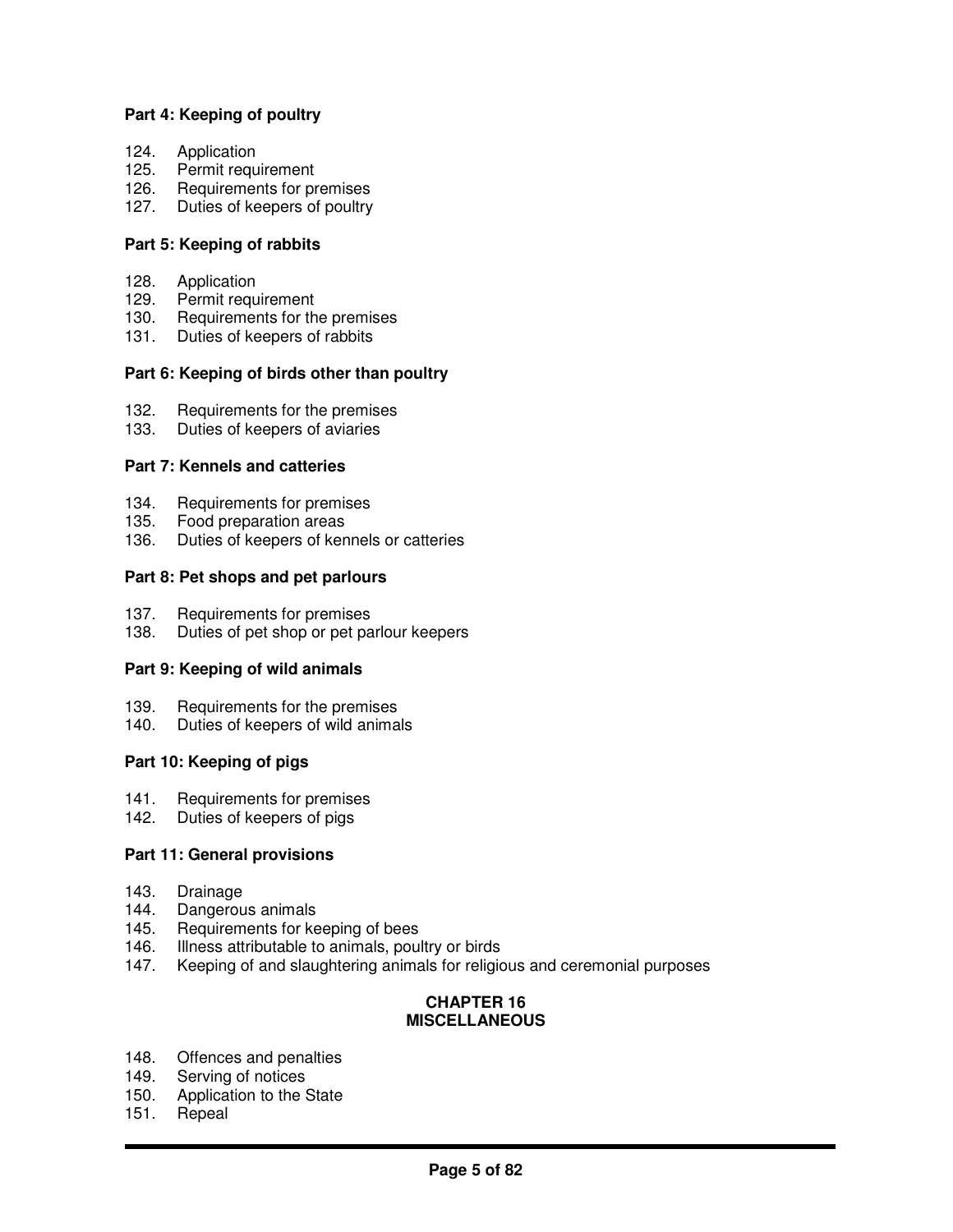# **Part 4: Keeping of poultry**

- 124. Application
- 125. Permit requirement
- 126. Requirements for premises
- 127. Duties of keepers of poultry

## **Part 5: Keeping of rabbits**

- 128. Application
- 129. Permit requirement
- 130. Requirements for the premises
- 131. Duties of keepers of rabbits

## **Part 6: Keeping of birds other than poultry**

- 132. Requirements for the premises
- 133. Duties of keepers of aviaries

## **Part 7: Kennels and catteries**

- 134. Requirements for premises
- 135. Food preparation areas<br>136. Duties of keepers of ker
- Duties of keepers of kennels or catteries

## **Part 8: Pet shops and pet parlours**

- 137. Requirements for premises
- 138. Duties of pet shop or pet parlour keepers

#### **Part 9: Keeping of wild animals**

- 139. Requirements for the premises
- 140. Duties of keepers of wild animals

# **Part 10: Keeping of pigs**

- 141. Requirements for premises
- 142. Duties of keepers of pigs

#### **Part 11: General provisions**

- 143. Drainage
- 144. Dangerous animals
- 145. Requirements for keeping of bees
- 146. Illness attributable to animals, poultry or birds
- 147. Keeping of and slaughtering animals for religious and ceremonial purposes

#### **CHAPTER 16 MISCELLANEOUS**

- 148. Offences and penalties
- 149. Serving of notices<br>150. Application to the
- Application to the State
- 151. Repeal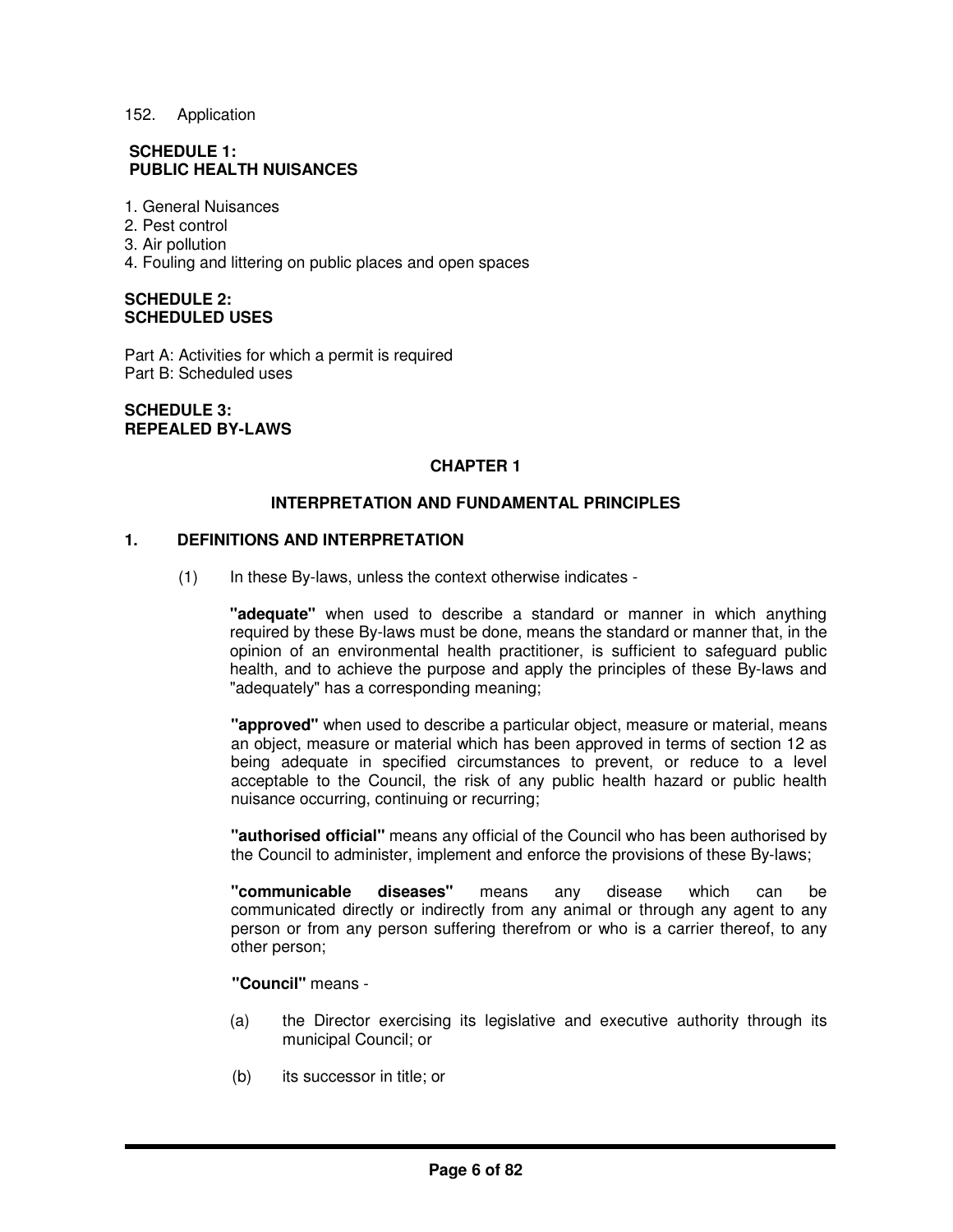## 152. Application

# **SCHEDULE 1: PUBLIC HEALTH NUISANCES**

- 1. General Nuisances
- 2. Pest control
- 3. Air pollution
- 4. Fouling and littering on public places and open spaces

#### **SCHEDULE 2: SCHEDULED USES**

Part A: Activities for which a permit is required Part B: Scheduled uses

**SCHEDULE 3: REPEALED BY-LAWS**

# **CHAPTER 1**

## **INTERPRETATION AND FUNDAMENTAL PRINCIPLES**

## **1. DEFINITIONS AND INTERPRETATION**

(1) In these By-laws, unless the context otherwise indicates -

**"adequate"** when used to describe a standard or manner in which anything required by these By-laws must be done, means the standard or manner that, in the opinion of an environmental health practitioner, is sufficient to safeguard public health, and to achieve the purpose and apply the principles of these By-laws and "adequately" has a corresponding meaning;

**"approved"** when used to describe a particular object, measure or material, means an object, measure or material which has been approved in terms of section 12 as being adequate in specified circumstances to prevent, or reduce to a level acceptable to the Council, the risk of any public health hazard or public health nuisance occurring, continuing or recurring;

**"authorised official"** means any official of the Council who has been authorised by the Council to administer, implement and enforce the provisions of these By-laws;

**"communicable diseases"** means any disease which can be communicated directly or indirectly from any animal or through any agent to any person or from any person suffering therefrom or who is a carrier thereof, to any other person;

**"Council"** means -

- (a) the Director exercising its legislative and executive authority through its municipal Council; or
- (b) its successor in title; or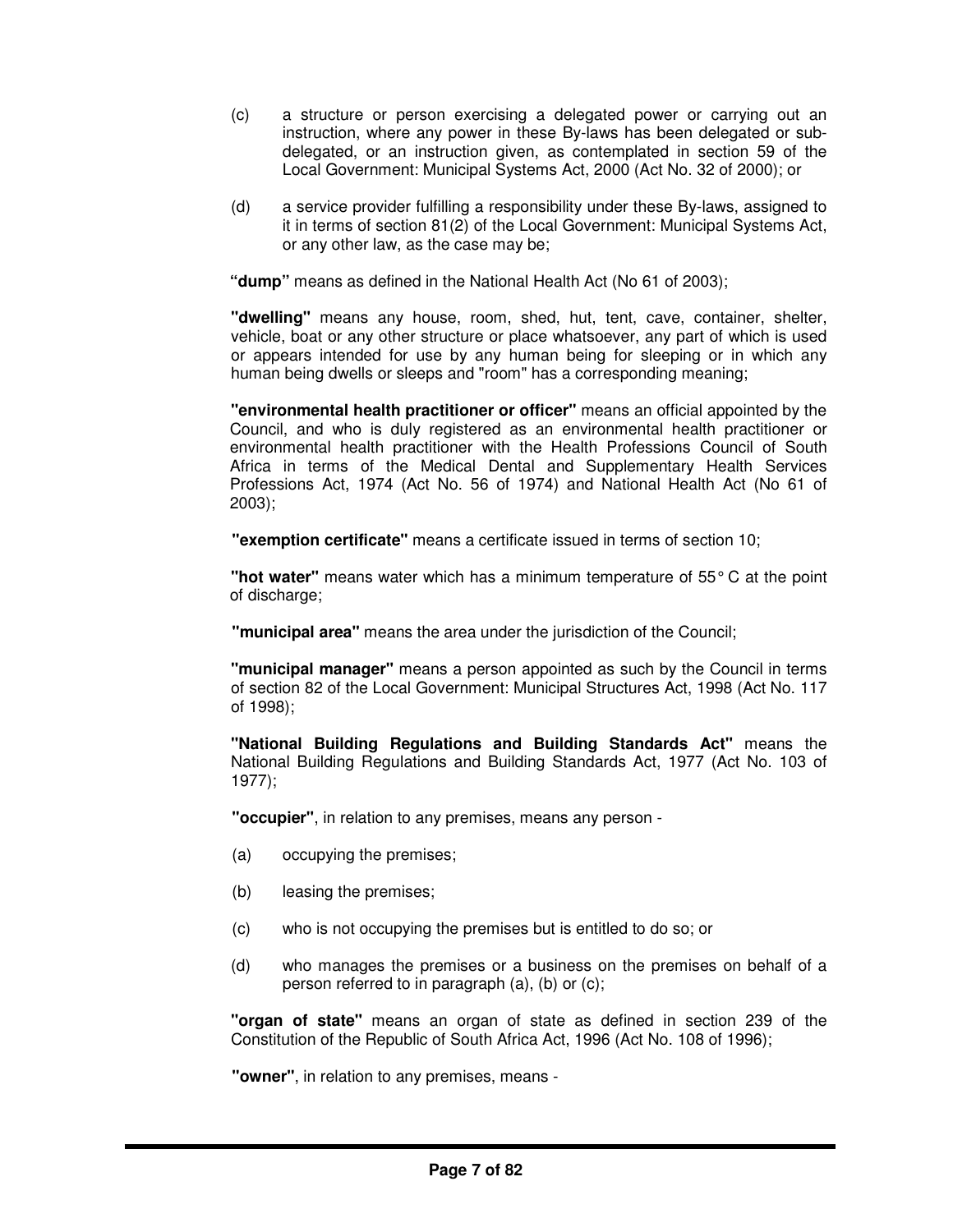- (c) a structure or person exercising a delegated power or carrying out an instruction, where any power in these By-laws has been delegated or subdelegated, or an instruction given, as contemplated in section 59 of the Local Government: Municipal Systems Act, 2000 (Act No. 32 of 2000); or
- (d) a service provider fulfilling a responsibility under these By-laws, assigned to it in terms of section 81(2) of the Local Government: Municipal Systems Act, or any other law, as the case may be;

**"dump"** means as defined in the National Health Act (No 61 of 2003);

**"dwelling"** means any house, room, shed, hut, tent, cave, container, shelter, vehicle, boat or any other structure or place whatsoever, any part of which is used or appears intended for use by any human being for sleeping or in which any human being dwells or sleeps and "room" has a corresponding meaning;

**"environmental health practitioner or officer"** means an official appointed by the Council, and who is duly registered as an environmental health practitioner or environmental health practitioner with the Health Professions Council of South Africa in terms of the Medical Dental and Supplementary Health Services Professions Act, 1974 (Act No. 56 of 1974) and National Health Act (No 61 of 2003);

**"exemption certificate"** means a certificate issued in terms of section 10;

**"hot water"** means water which has a minimum temperature of 55°C at the point of discharge;

**"municipal area"** means the area under the jurisdiction of the Council;

**"municipal manager"** means a person appointed as such by the Council in terms of section 82 of the Local Government: Municipal Structures Act, 1998 (Act No. 117 of 1998);

**"National Building Regulations and Building Standards Act"** means the National Building Regulations and Building Standards Act, 1977 (Act No. 103 of 1977);

**"occupier"**, in relation to any premises, means any person -

- (a) occupying the premises;
- (b) leasing the premises;
- (c) who is not occupying the premises but is entitled to do so; or
- (d) who manages the premises or a business on the premises on behalf of a person referred to in paragraph (a), (b) or (c);

**"organ of state"** means an organ of state as defined in section 239 of the Constitution of the Republic of South Africa Act, 1996 (Act No. 108 of 1996);

**"owner"**, in relation to any premises, means -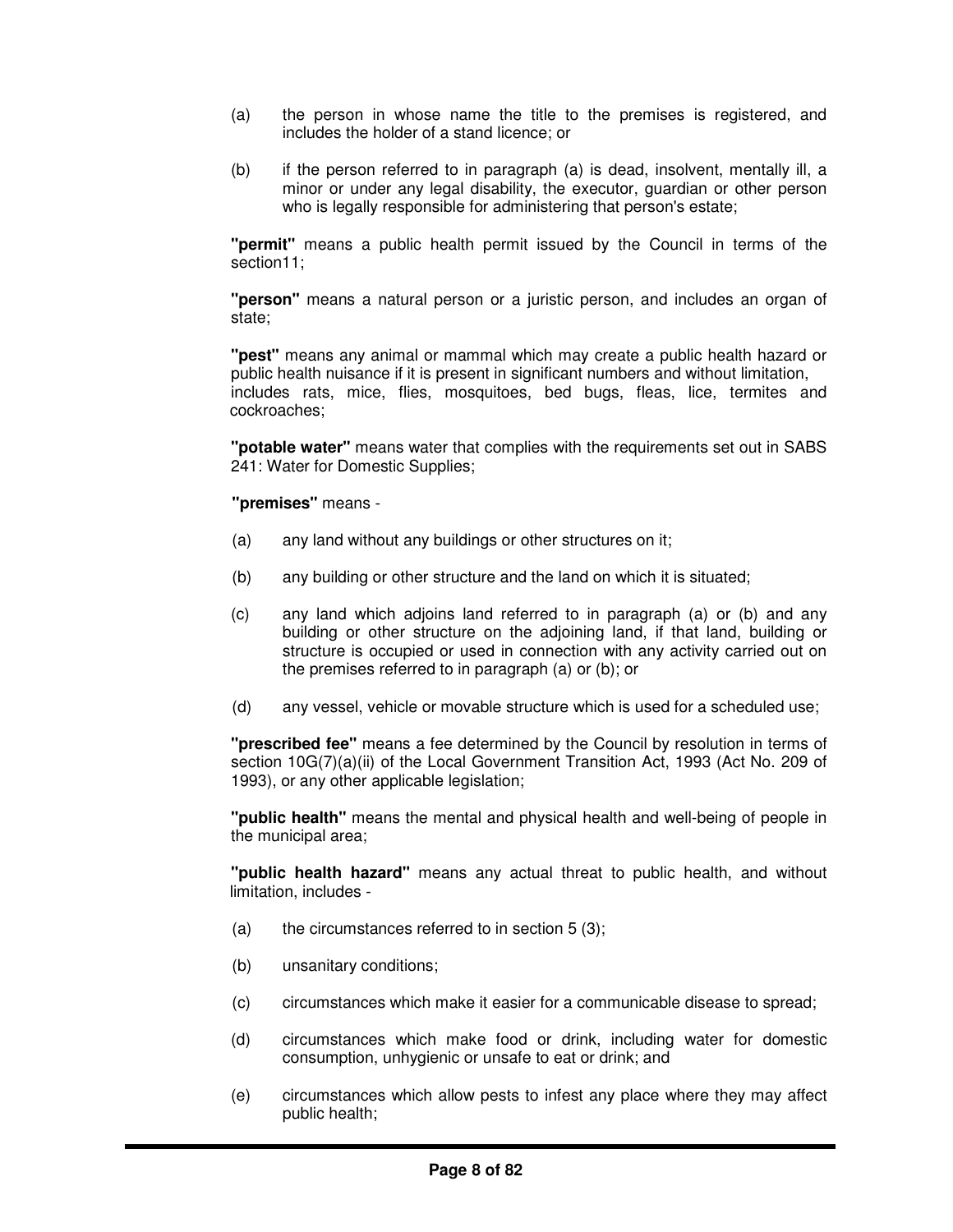- (a) the person in whose name the title to the premises is registered, and includes the holder of a stand licence; or
- (b) if the person referred to in paragraph (a) is dead, insolvent, mentally ill, a minor or under any legal disability, the executor, guardian or other person who is legally responsible for administering that person's estate;

**"permit"** means a public health permit issued by the Council in terms of the section11;

**"person"** means a natural person or a juristic person, and includes an organ of state;

**"pest"** means any animal or mammal which may create a public health hazard or public health nuisance if it is present in significant numbers and without limitation, includes rats, mice, flies, mosquitoes, bed bugs, fleas, lice, termites and cockroaches;

**"potable water"** means water that complies with the requirements set out in SABS 241: Water for Domestic Supplies;

**"premises"** means -

- (a) any land without any buildings or other structures on it;
- (b) any building or other structure and the land on which it is situated;
- (c) any land which adjoins land referred to in paragraph (a) or (b) and any building or other structure on the adjoining land, if that land, building or structure is occupied or used in connection with any activity carried out on the premises referred to in paragraph (a) or (b); or
- (d) any vessel, vehicle or movable structure which is used for a scheduled use;

**"prescribed fee"** means a fee determined by the Council by resolution in terms of section 10G(7)(a)(ii) of the Local Government Transition Act, 1993 (Act No. 209 of 1993), or any other applicable legislation;

**"public health"** means the mental and physical health and well-being of people in the municipal area;

**"public health hazard"** means any actual threat to public health, and without limitation, includes -

- (a) the circumstances referred to in section  $5(3)$ ;
- (b) unsanitary conditions;
- (c) circumstances which make it easier for a communicable disease to spread;
- (d) circumstances which make food or drink, including water for domestic consumption, unhygienic or unsafe to eat or drink; and
- (e) circumstances which allow pests to infest any place where they may affect public health;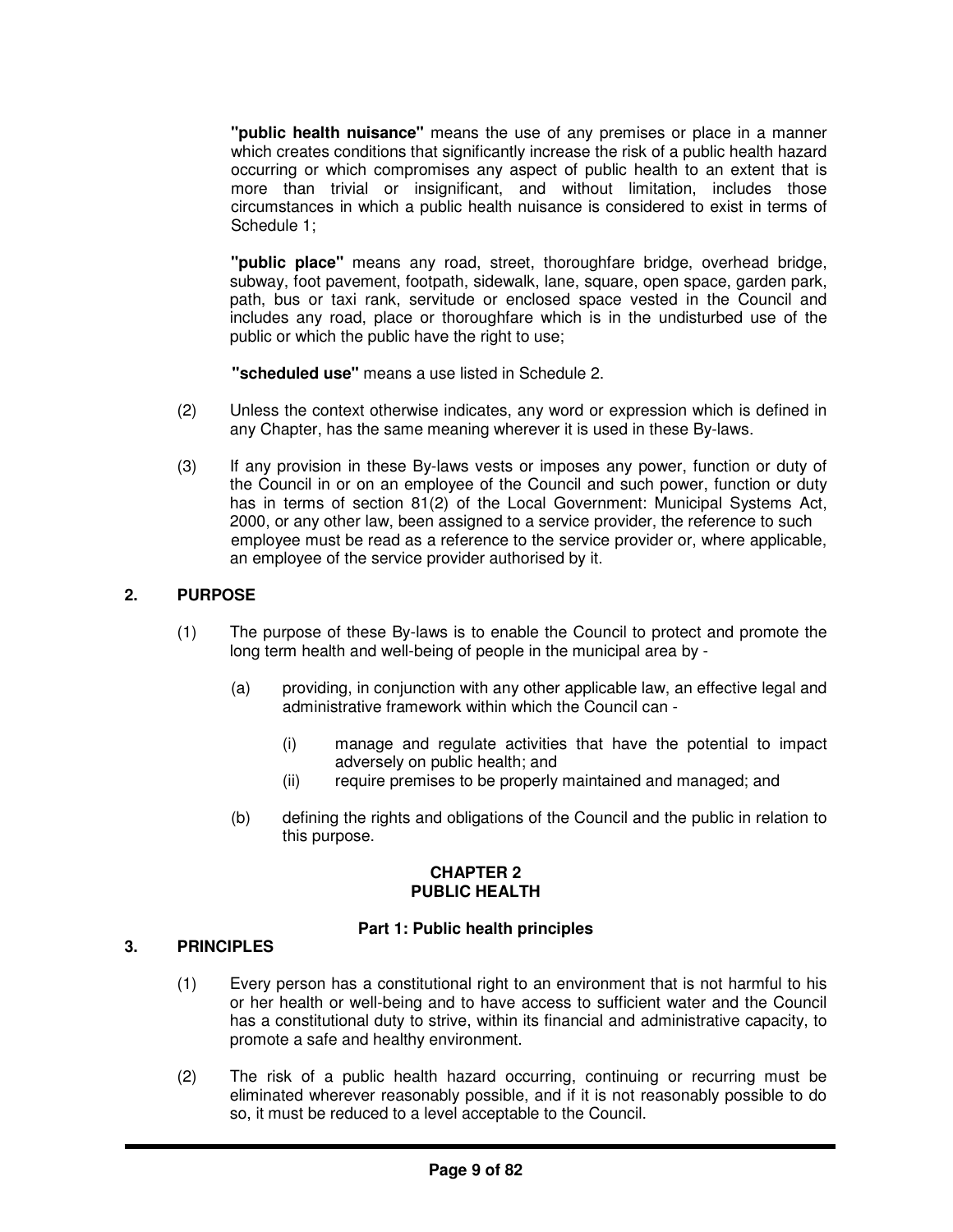**"public health nuisance"** means the use of any premises or place in a manner which creates conditions that significantly increase the risk of a public health hazard occurring or which compromises any aspect of public health to an extent that is more than trivial or insignificant, and without limitation, includes those circumstances in which a public health nuisance is considered to exist in terms of Schedule 1;

**"public place"** means any road, street, thoroughfare bridge, overhead bridge, subway, foot pavement, footpath, sidewalk, lane, square, open space, garden park, path, bus or taxi rank, servitude or enclosed space vested in the Council and includes any road, place or thoroughfare which is in the undisturbed use of the public or which the public have the right to use;

**"scheduled use"** means a use listed in Schedule 2.

- (2) Unless the context otherwise indicates, any word or expression which is defined in any Chapter, has the same meaning wherever it is used in these By-laws.
- (3) If any provision in these By-laws vests or imposes any power, function or duty of the Council in or on an employee of the Council and such power, function or duty has in terms of section 81(2) of the Local Government: Municipal Systems Act, 2000, or any other law, been assigned to a service provider, the reference to such employee must be read as a reference to the service provider or, where applicable, an employee of the service provider authorised by it.

# **2. PURPOSE**

- (1) The purpose of these By-laws is to enable the Council to protect and promote the long term health and well-being of people in the municipal area by -
	- (a) providing, in conjunction with any other applicable law, an effective legal and administrative framework within which the Council can -
		- (i) manage and regulate activities that have the potential to impact adversely on public health; and
		- (ii) require premises to be properly maintained and managed; and
	- (b) defining the rights and obligations of the Council and the public in relation to this purpose.

#### **CHAPTER 2 PUBLIC HEALTH**

# **Part 1: Public health principles**

## **3. PRINCIPLES**

- (1) Every person has a constitutional right to an environment that is not harmful to his or her health or well-being and to have access to sufficient water and the Council has a constitutional duty to strive, within its financial and administrative capacity, to promote a safe and healthy environment.
- (2) The risk of a public health hazard occurring, continuing or recurring must be eliminated wherever reasonably possible, and if it is not reasonably possible to do so, it must be reduced to a level acceptable to the Council.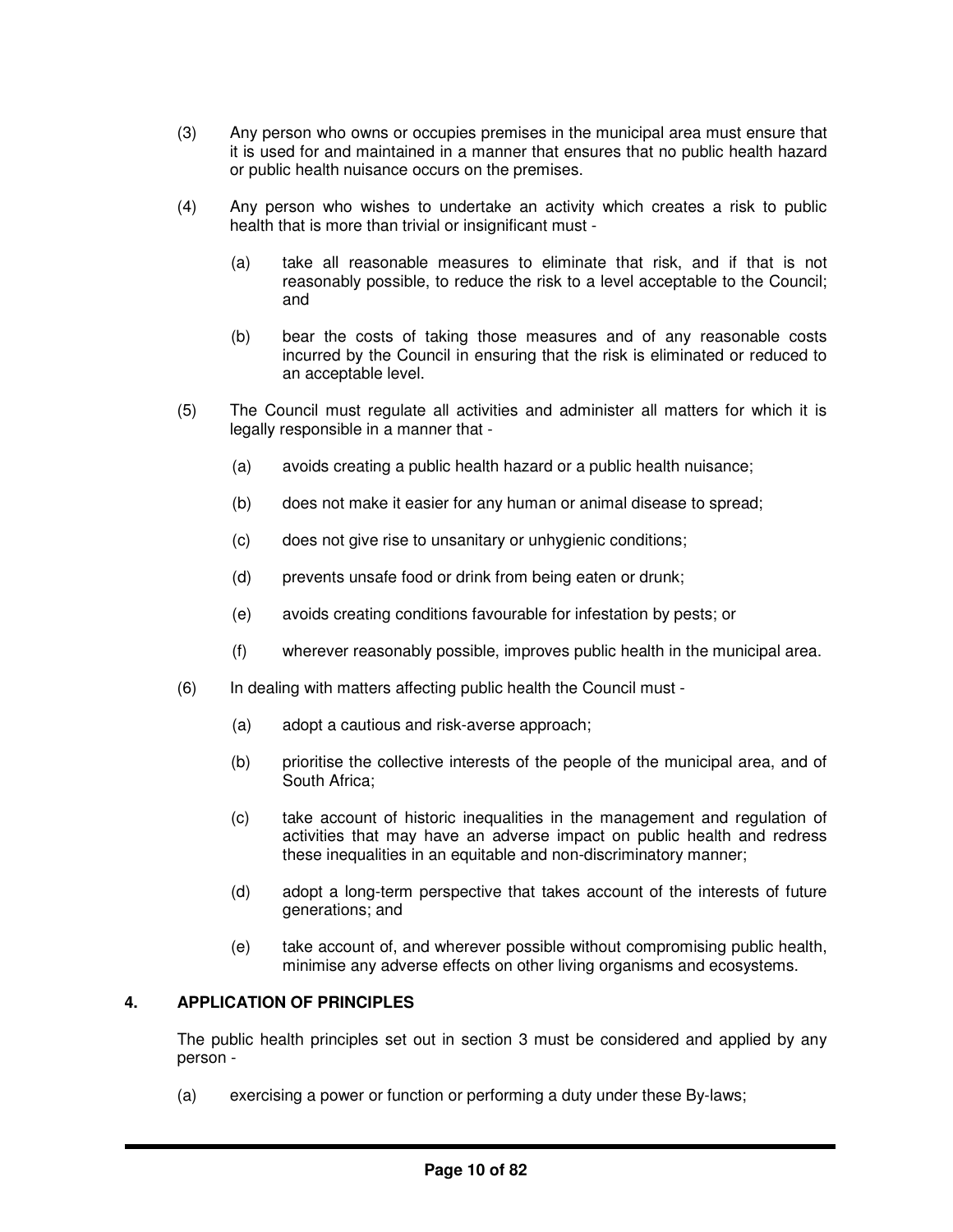- (3) Any person who owns or occupies premises in the municipal area must ensure that it is used for and maintained in a manner that ensures that no public health hazard or public health nuisance occurs on the premises.
- (4) Any person who wishes to undertake an activity which creates a risk to public health that is more than trivial or insignificant must -
	- (a) take all reasonable measures to eliminate that risk, and if that is not reasonably possible, to reduce the risk to a level acceptable to the Council; and
	- (b) bear the costs of taking those measures and of any reasonable costs incurred by the Council in ensuring that the risk is eliminated or reduced to an acceptable level.
- (5) The Council must regulate all activities and administer all matters for which it is legally responsible in a manner that -
	- (a) avoids creating a public health hazard or a public health nuisance;
	- (b) does not make it easier for any human or animal disease to spread;
	- (c) does not give rise to unsanitary or unhygienic conditions;
	- (d) prevents unsafe food or drink from being eaten or drunk;
	- (e) avoids creating conditions favourable for infestation by pests; or
	- (f) wherever reasonably possible, improves public health in the municipal area.
- (6) In dealing with matters affecting public health the Council must
	- (a) adopt a cautious and risk-averse approach;
	- (b) prioritise the collective interests of the people of the municipal area, and of South Africa;
	- (c) take account of historic inequalities in the management and regulation of activities that may have an adverse impact on public health and redress these inequalities in an equitable and non-discriminatory manner;
	- (d) adopt a long-term perspective that takes account of the interests of future generations; and
	- (e) take account of, and wherever possible without compromising public health, minimise any adverse effects on other living organisms and ecosystems.

# **4. APPLICATION OF PRINCIPLES**

The public health principles set out in section 3 must be considered and applied by any person -

(a) exercising a power or function or performing a duty under these By-laws;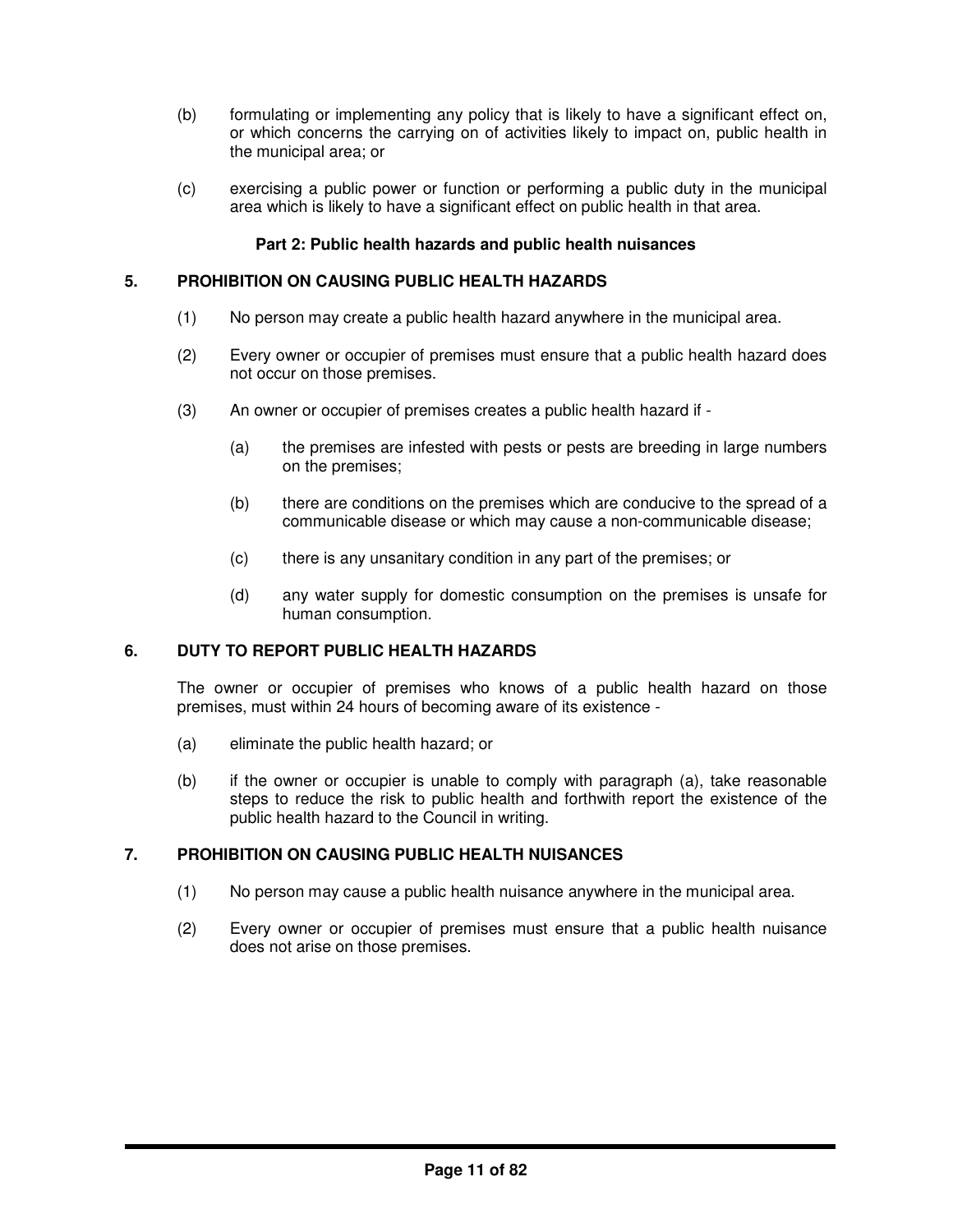- (b) formulating or implementing any policy that is likely to have a significant effect on, or which concerns the carrying on of activities likely to impact on, public health in the municipal area; or
- (c) exercising a public power or function or performing a public duty in the municipal area which is likely to have a significant effect on public health in that area.

# **Part 2: Public health hazards and public health nuisances**

## **5. PROHIBITION ON CAUSING PUBLIC HEALTH HAZARDS**

- (1) No person may create a public health hazard anywhere in the municipal area.
- (2) Every owner or occupier of premises must ensure that a public health hazard does not occur on those premises.
- (3) An owner or occupier of premises creates a public health hazard if
	- (a) the premises are infested with pests or pests are breeding in large numbers on the premises;
	- (b) there are conditions on the premises which are conducive to the spread of a communicable disease or which may cause a non-communicable disease;
	- (c) there is any unsanitary condition in any part of the premises; or
	- (d) any water supply for domestic consumption on the premises is unsafe for human consumption.

# **6. DUTY TO REPORT PUBLIC HEALTH HAZARDS**

The owner or occupier of premises who knows of a public health hazard on those premises, must within 24 hours of becoming aware of its existence -

- (a) eliminate the public health hazard; or
- (b) if the owner or occupier is unable to comply with paragraph (a), take reasonable steps to reduce the risk to public health and forthwith report the existence of the public health hazard to the Council in writing.

# **7. PROHIBITION ON CAUSING PUBLIC HEALTH NUISANCES**

- (1) No person may cause a public health nuisance anywhere in the municipal area.
- (2) Every owner or occupier of premises must ensure that a public health nuisance does not arise on those premises.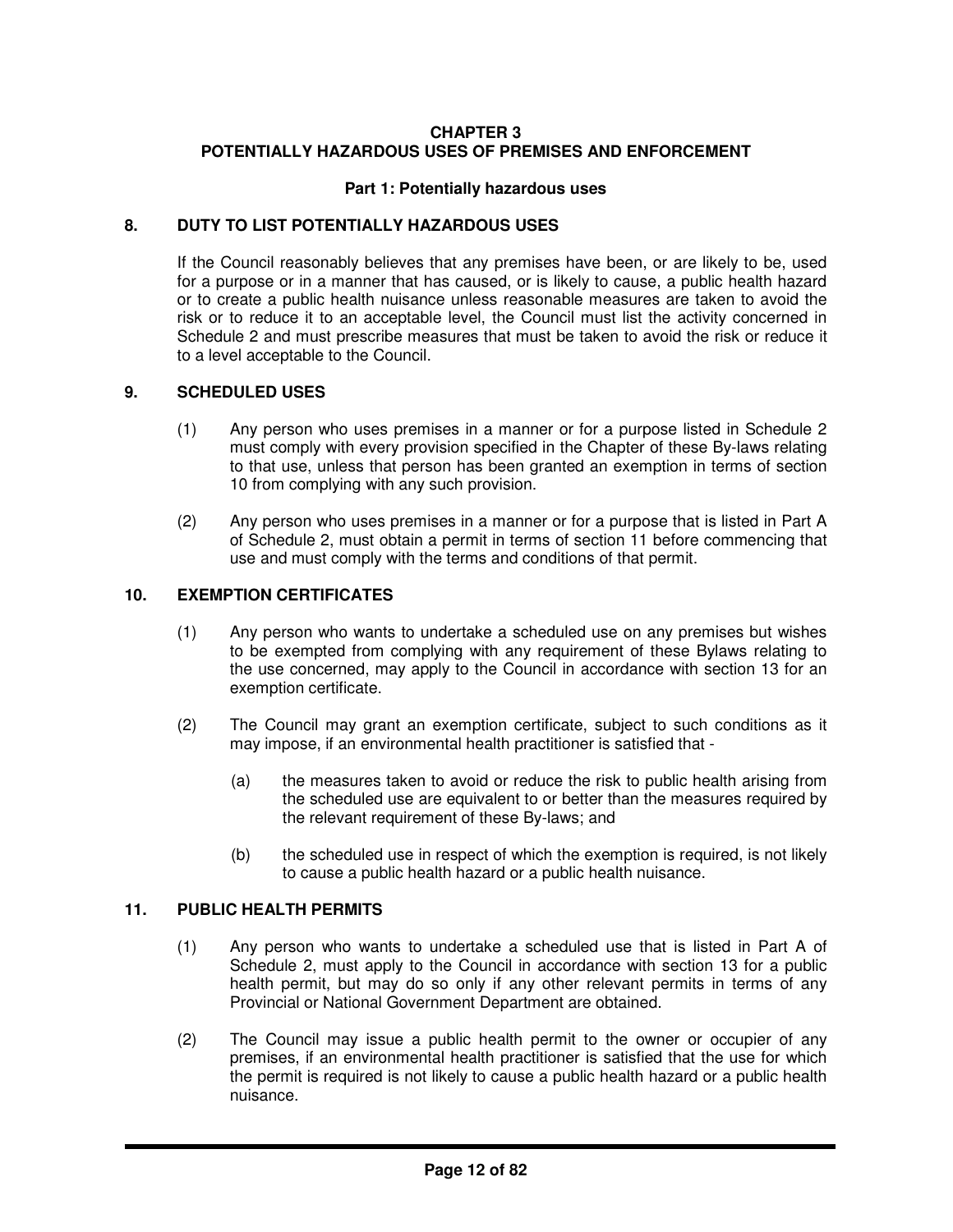# **CHAPTER 3 POTENTIALLY HAZARDOUS USES OF PREMISES AND ENFORCEMENT**

## **Part 1: Potentially hazardous uses**

## **8. DUTY TO LIST POTENTIALLY HAZARDOUS USES**

If the Council reasonably believes that any premises have been, or are likely to be, used for a purpose or in a manner that has caused, or is likely to cause, a public health hazard or to create a public health nuisance unless reasonable measures are taken to avoid the risk or to reduce it to an acceptable level, the Council must list the activity concerned in Schedule 2 and must prescribe measures that must be taken to avoid the risk or reduce it to a level acceptable to the Council.

#### **9. SCHEDULED USES**

- (1) Any person who uses premises in a manner or for a purpose listed in Schedule 2 must comply with every provision specified in the Chapter of these By-laws relating to that use, unless that person has been granted an exemption in terms of section 10 from complying with any such provision.
- (2) Any person who uses premises in a manner or for a purpose that is listed in Part A of Schedule 2, must obtain a permit in terms of section 11 before commencing that use and must comply with the terms and conditions of that permit.

# **10. EXEMPTION CERTIFICATES**

- (1) Any person who wants to undertake a scheduled use on any premises but wishes to be exempted from complying with any requirement of these Bylaws relating to the use concerned, may apply to the Council in accordance with section 13 for an exemption certificate.
- (2) The Council may grant an exemption certificate, subject to such conditions as it may impose, if an environmental health practitioner is satisfied that -
	- (a) the measures taken to avoid or reduce the risk to public health arising from the scheduled use are equivalent to or better than the measures required by the relevant requirement of these By-laws; and
	- (b) the scheduled use in respect of which the exemption is required, is not likely to cause a public health hazard or a public health nuisance.

# **11. PUBLIC HEALTH PERMITS**

- (1) Any person who wants to undertake a scheduled use that is listed in Part A of Schedule 2, must apply to the Council in accordance with section 13 for a public health permit, but may do so only if any other relevant permits in terms of any Provincial or National Government Department are obtained.
- (2) The Council may issue a public health permit to the owner or occupier of any premises, if an environmental health practitioner is satisfied that the use for which the permit is required is not likely to cause a public health hazard or a public health nuisance.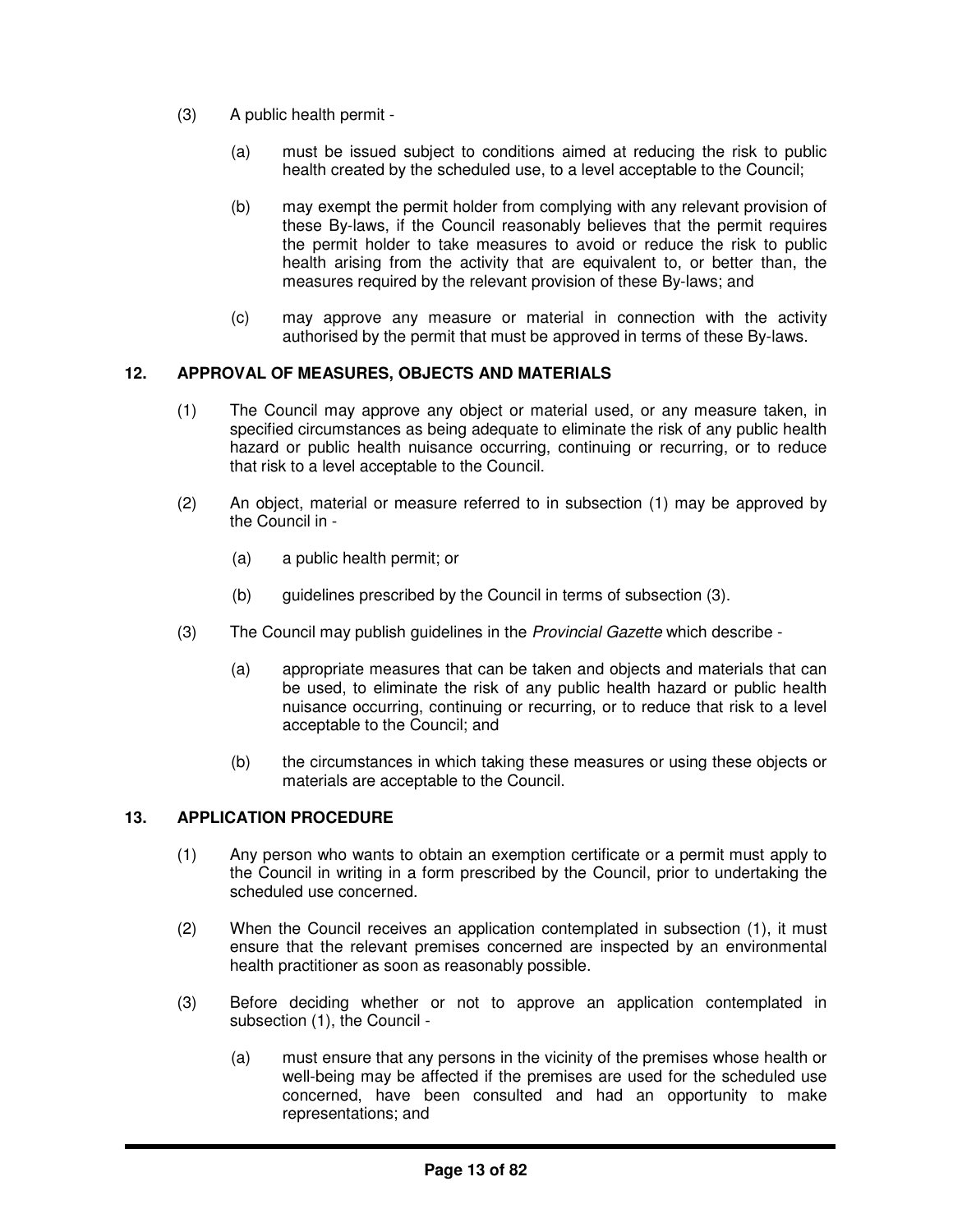- (3) A public health permit
	- (a) must be issued subject to conditions aimed at reducing the risk to public health created by the scheduled use, to a level acceptable to the Council;
	- (b) may exempt the permit holder from complying with any relevant provision of these By-laws, if the Council reasonably believes that the permit requires the permit holder to take measures to avoid or reduce the risk to public health arising from the activity that are equivalent to, or better than, the measures required by the relevant provision of these By-laws; and
	- (c) may approve any measure or material in connection with the activity authorised by the permit that must be approved in terms of these By-laws.

# **12. APPROVAL OF MEASURES, OBJECTS AND MATERIALS**

- (1) The Council may approve any object or material used, or any measure taken, in specified circumstances as being adequate to eliminate the risk of any public health hazard or public health nuisance occurring, continuing or recurring, or to reduce that risk to a level acceptable to the Council.
- (2) An object, material or measure referred to in subsection (1) may be approved by the Council in -
	- (a) a public health permit; or
	- (b) guidelines prescribed by the Council in terms of subsection (3).
- (3) The Council may publish guidelines in the *Provincial Gazette* which describe
	- (a) appropriate measures that can be taken and objects and materials that can be used, to eliminate the risk of any public health hazard or public health nuisance occurring, continuing or recurring, or to reduce that risk to a level acceptable to the Council; and
	- (b) the circumstances in which taking these measures or using these objects or materials are acceptable to the Council.

# **13. APPLICATION PROCEDURE**

- (1) Any person who wants to obtain an exemption certificate or a permit must apply to the Council in writing in a form prescribed by the Council, prior to undertaking the scheduled use concerned.
- (2) When the Council receives an application contemplated in subsection (1), it must ensure that the relevant premises concerned are inspected by an environmental health practitioner as soon as reasonably possible.
- (3) Before deciding whether or not to approve an application contemplated in subsection (1), the Council -
	- (a) must ensure that any persons in the vicinity of the premises whose health or well-being may be affected if the premises are used for the scheduled use concerned, have been consulted and had an opportunity to make representations; and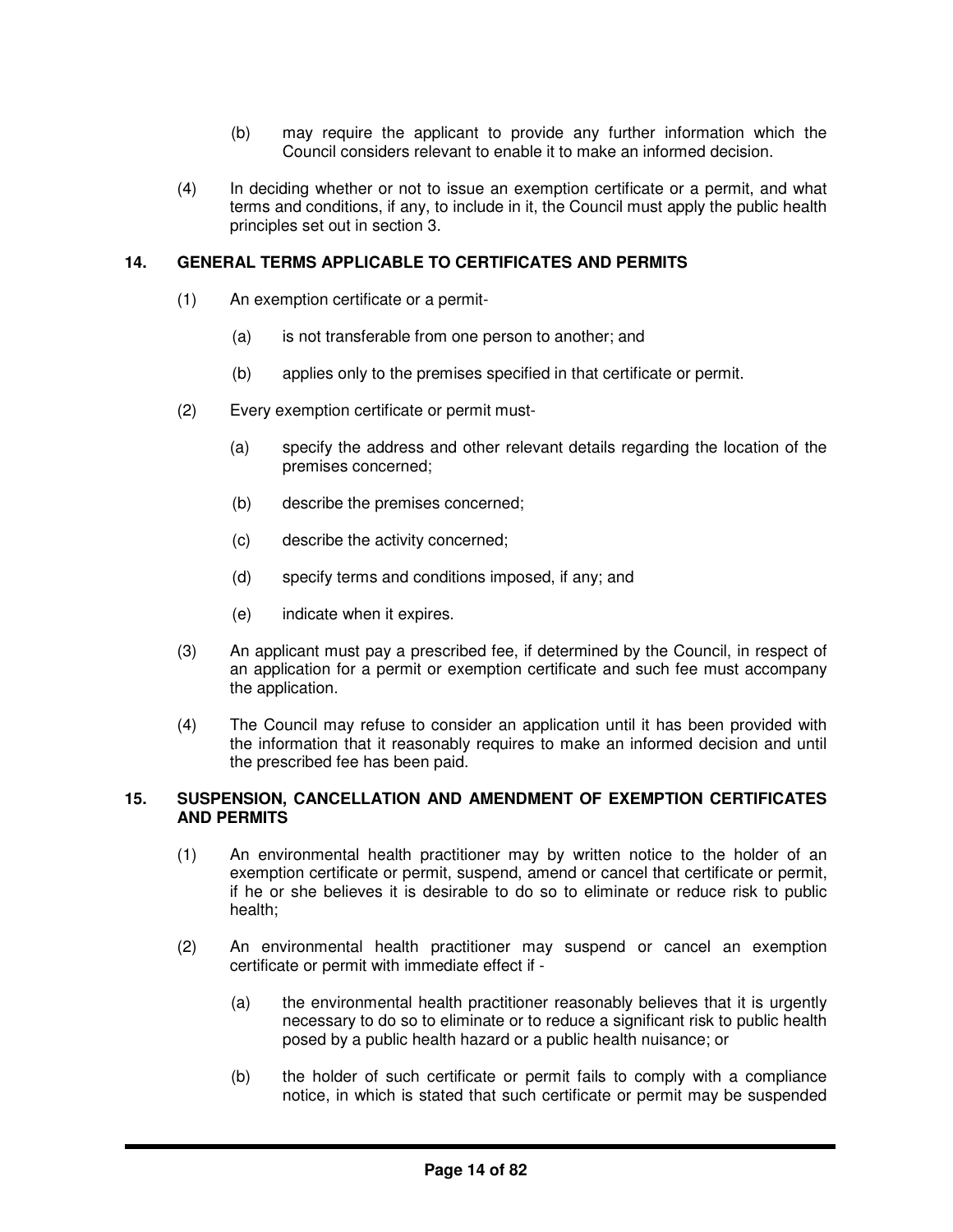- (b) may require the applicant to provide any further information which the Council considers relevant to enable it to make an informed decision.
- (4) In deciding whether or not to issue an exemption certificate or a permit, and what terms and conditions, if any, to include in it, the Council must apply the public health principles set out in section 3.

## **14. GENERAL TERMS APPLICABLE TO CERTIFICATES AND PERMITS**

- (1) An exemption certificate or a permit-
	- (a) is not transferable from one person to another; and
	- (b) applies only to the premises specified in that certificate or permit.
- (2) Every exemption certificate or permit must-
	- (a) specify the address and other relevant details regarding the location of the premises concerned;
	- (b) describe the premises concerned;
	- (c) describe the activity concerned;
	- (d) specify terms and conditions imposed, if any; and
	- (e) indicate when it expires.
- (3) An applicant must pay a prescribed fee, if determined by the Council, in respect of an application for a permit or exemption certificate and such fee must accompany the application.
- (4) The Council may refuse to consider an application until it has been provided with the information that it reasonably requires to make an informed decision and until the prescribed fee has been paid.

## **15. SUSPENSION, CANCELLATION AND AMENDMENT OF EXEMPTION CERTIFICATES AND PERMITS**

- (1) An environmental health practitioner may by written notice to the holder of an exemption certificate or permit, suspend, amend or cancel that certificate or permit, if he or she believes it is desirable to do so to eliminate or reduce risk to public health;
- (2) An environmental health practitioner may suspend or cancel an exemption certificate or permit with immediate effect if -
	- (a) the environmental health practitioner reasonably believes that it is urgently necessary to do so to eliminate or to reduce a significant risk to public health posed by a public health hazard or a public health nuisance; or
	- (b) the holder of such certificate or permit fails to comply with a compliance notice, in which is stated that such certificate or permit may be suspended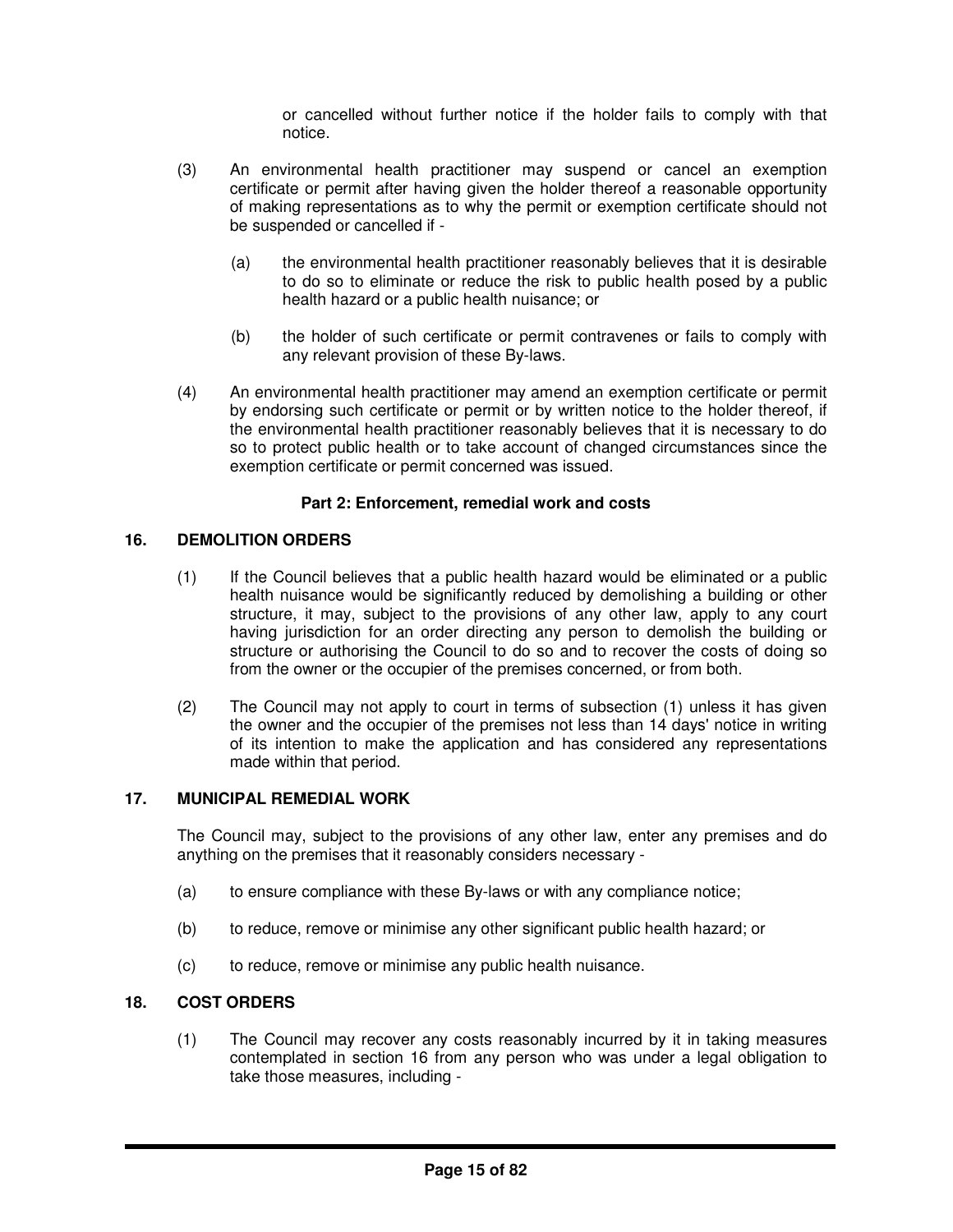or cancelled without further notice if the holder fails to comply with that notice.

- (3) An environmental health practitioner may suspend or cancel an exemption certificate or permit after having given the holder thereof a reasonable opportunity of making representations as to why the permit or exemption certificate should not be suspended or cancelled if -
	- (a) the environmental health practitioner reasonably believes that it is desirable to do so to eliminate or reduce the risk to public health posed by a public health hazard or a public health nuisance; or
	- (b) the holder of such certificate or permit contravenes or fails to comply with any relevant provision of these By-laws.
- (4) An environmental health practitioner may amend an exemption certificate or permit by endorsing such certificate or permit or by written notice to the holder thereof, if the environmental health practitioner reasonably believes that it is necessary to do so to protect public health or to take account of changed circumstances since the exemption certificate or permit concerned was issued.

# **Part 2: Enforcement, remedial work and costs**

# **16. DEMOLITION ORDERS**

- (1) If the Council believes that a public health hazard would be eliminated or a public health nuisance would be significantly reduced by demolishing a building or other structure, it may, subject to the provisions of any other law, apply to any court having jurisdiction for an order directing any person to demolish the building or structure or authorising the Council to do so and to recover the costs of doing so from the owner or the occupier of the premises concerned, or from both.
- (2) The Council may not apply to court in terms of subsection (1) unless it has given the owner and the occupier of the premises not less than 14 days' notice in writing of its intention to make the application and has considered any representations made within that period.

# **17. MUNICIPAL REMEDIAL WORK**

The Council may, subject to the provisions of any other law, enter any premises and do anything on the premises that it reasonably considers necessary -

- (a) to ensure compliance with these By-laws or with any compliance notice;
- (b) to reduce, remove or minimise any other significant public health hazard; or
- (c) to reduce, remove or minimise any public health nuisance.

# **18. COST ORDERS**

(1) The Council may recover any costs reasonably incurred by it in taking measures contemplated in section 16 from any person who was under a legal obligation to take those measures, including -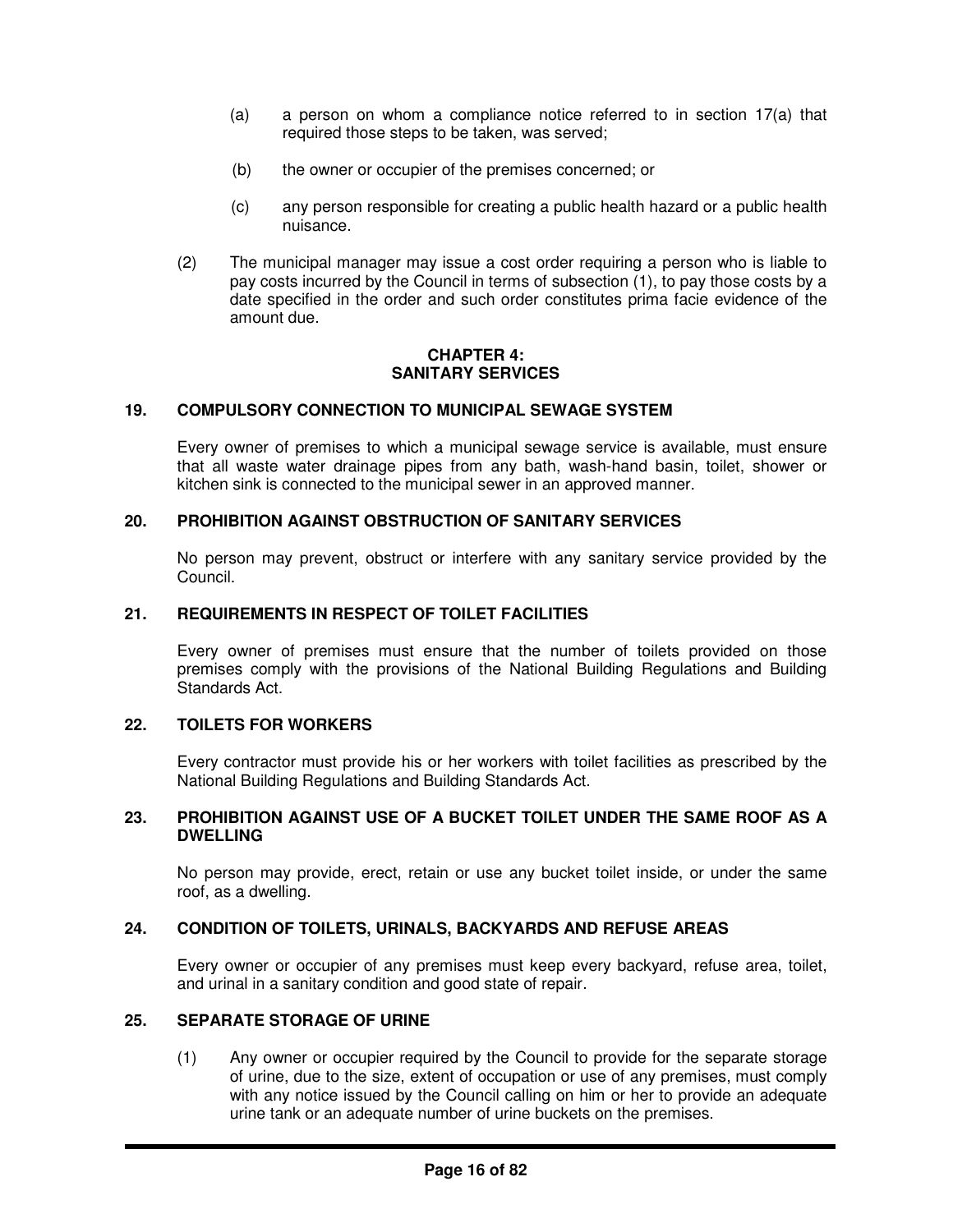- (a) a person on whom a compliance notice referred to in section  $17(a)$  that required those steps to be taken, was served;
- (b) the owner or occupier of the premises concerned; or
- (c) any person responsible for creating a public health hazard or a public health nuisance.
- (2) The municipal manager may issue a cost order requiring a person who is liable to pay costs incurred by the Council in terms of subsection (1), to pay those costs by a date specified in the order and such order constitutes prima facie evidence of the amount due.

#### **CHAPTER 4: SANITARY SERVICES**

## **19. COMPULSORY CONNECTION TO MUNICIPAL SEWAGE SYSTEM**

Every owner of premises to which a municipal sewage service is available, must ensure that all waste water drainage pipes from any bath, wash-hand basin, toilet, shower or kitchen sink is connected to the municipal sewer in an approved manner.

## **20. PROHIBITION AGAINST OBSTRUCTION OF SANITARY SERVICES**

No person may prevent, obstruct or interfere with any sanitary service provided by the Council.

## **21. REQUIREMENTS IN RESPECT OF TOILET FACILITIES**

Every owner of premises must ensure that the number of toilets provided on those premises comply with the provisions of the National Building Regulations and Building Standards Act.

## **22. TOILETS FOR WORKERS**

Every contractor must provide his or her workers with toilet facilities as prescribed by the National Building Regulations and Building Standards Act.

# **23. PROHIBITION AGAINST USE OF A BUCKET TOILET UNDER THE SAME ROOF AS A DWELLING**

No person may provide, erect, retain or use any bucket toilet inside, or under the same roof, as a dwelling.

#### **24. CONDITION OF TOILETS, URINALS, BACKYARDS AND REFUSE AREAS**

Every owner or occupier of any premises must keep every backyard, refuse area, toilet, and urinal in a sanitary condition and good state of repair.

## **25. SEPARATE STORAGE OF URINE**

(1) Any owner or occupier required by the Council to provide for the separate storage of urine, due to the size, extent of occupation or use of any premises, must comply with any notice issued by the Council calling on him or her to provide an adequate urine tank or an adequate number of urine buckets on the premises.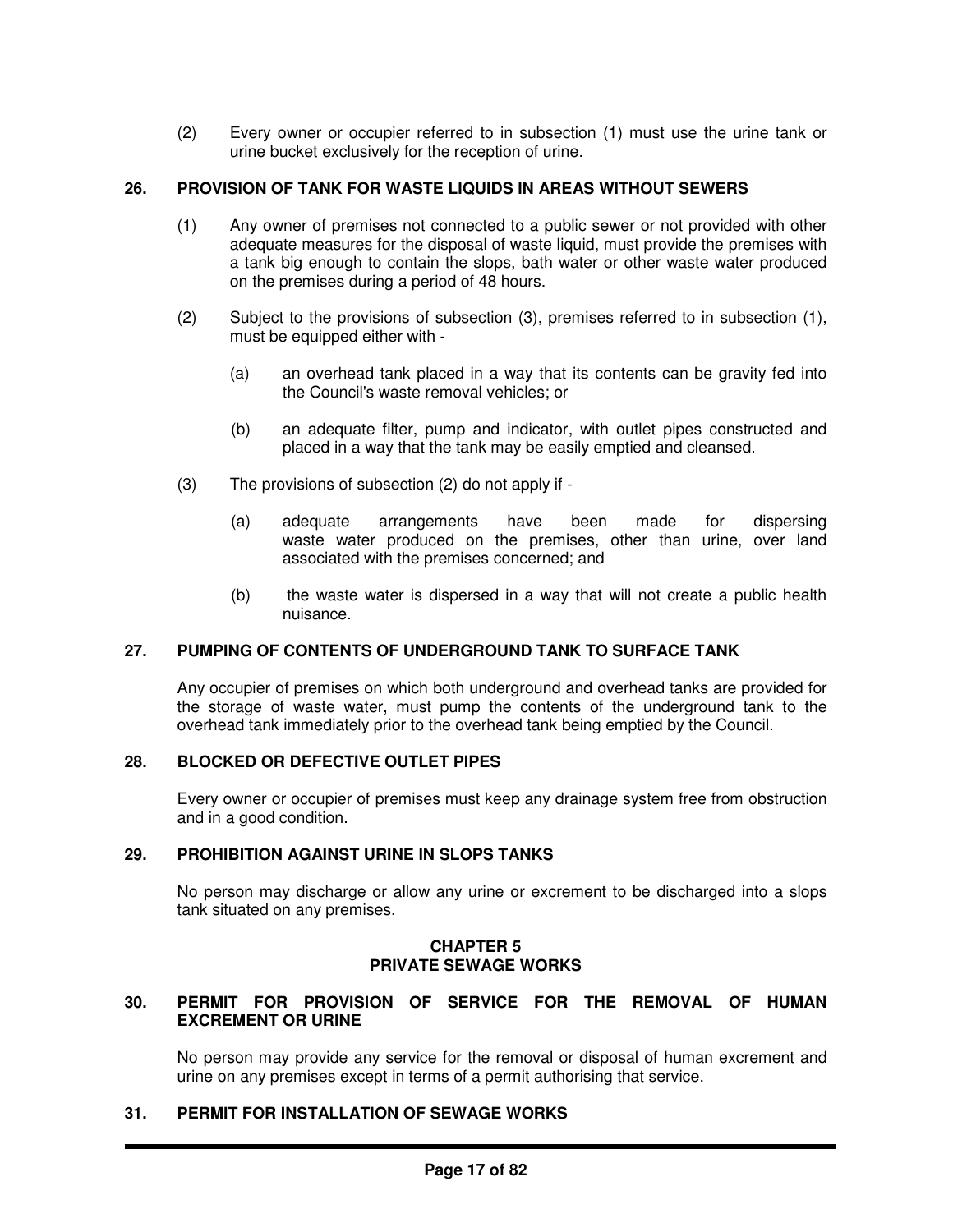(2) Every owner or occupier referred to in subsection (1) must use the urine tank or urine bucket exclusively for the reception of urine.

## **26. PROVISION OF TANK FOR WASTE LIQUIDS IN AREAS WITHOUT SEWERS**

- (1) Any owner of premises not connected to a public sewer or not provided with other adequate measures for the disposal of waste liquid, must provide the premises with a tank big enough to contain the slops, bath water or other waste water produced on the premises during a period of 48 hours.
- (2) Subject to the provisions of subsection (3), premises referred to in subsection (1), must be equipped either with -
	- (a) an overhead tank placed in a way that its contents can be gravity fed into the Council's waste removal vehicles; or
	- (b) an adequate filter, pump and indicator, with outlet pipes constructed and placed in a way that the tank may be easily emptied and cleansed.
- (3) The provisions of subsection (2) do not apply if
	- (a) adequate arrangements have been made for dispersing waste water produced on the premises, other than urine, over land associated with the premises concerned; and
	- (b) the waste water is dispersed in a way that will not create a public health nuisance.

# **27. PUMPING OF CONTENTS OF UNDERGROUND TANK TO SURFACE TANK**

Any occupier of premises on which both underground and overhead tanks are provided for the storage of waste water, must pump the contents of the underground tank to the overhead tank immediately prior to the overhead tank being emptied by the Council.

#### **28. BLOCKED OR DEFECTIVE OUTLET PIPES**

Every owner or occupier of premises must keep any drainage system free from obstruction and in a good condition.

#### **29. PROHIBITION AGAINST URINE IN SLOPS TANKS**

No person may discharge or allow any urine or excrement to be discharged into a slops tank situated on any premises.

#### **CHAPTER 5 PRIVATE SEWAGE WORKS**

## **30. PERMIT FOR PROVISION OF SERVICE FOR THE REMOVAL OF HUMAN EXCREMENT OR URINE**

No person may provide any service for the removal or disposal of human excrement and urine on any premises except in terms of a permit authorising that service.

# **31. PERMIT FOR INSTALLATION OF SEWAGE WORKS**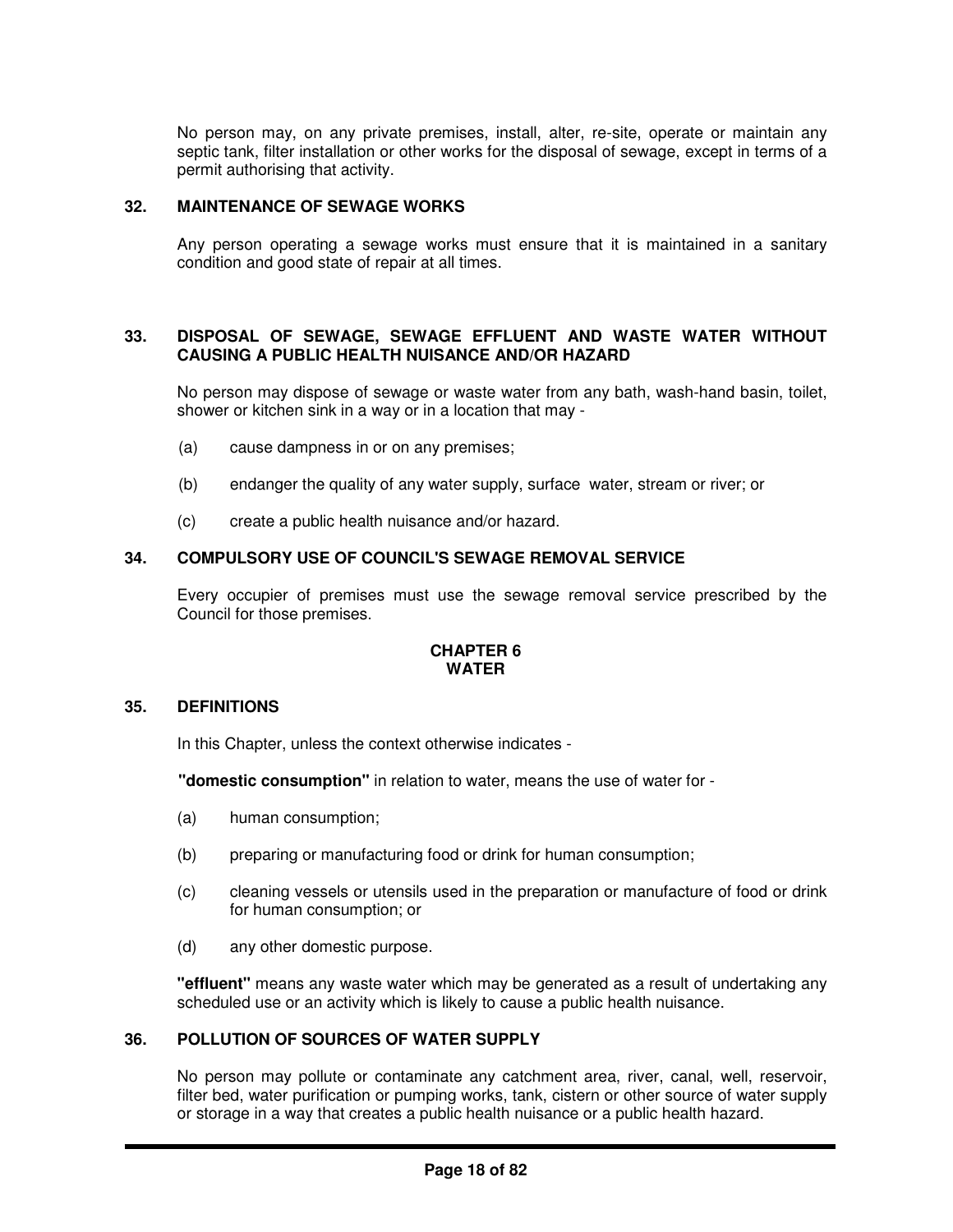No person may, on any private premises, install, alter, re-site, operate or maintain any septic tank, filter installation or other works for the disposal of sewage, except in terms of a permit authorising that activity.

## **32. MAINTENANCE OF SEWAGE WORKS**

Any person operating a sewage works must ensure that it is maintained in a sanitary condition and good state of repair at all times.

#### **33. DISPOSAL OF SEWAGE, SEWAGE EFFLUENT AND WASTE WATER WITHOUT CAUSING A PUBLIC HEALTH NUISANCE AND/OR HAZARD**

No person may dispose of sewage or waste water from any bath, wash-hand basin, toilet, shower or kitchen sink in a way or in a location that may -

- (a) cause dampness in or on any premises;
- (b) endanger the quality of any water supply, surface water, stream or river; or
- (c) create a public health nuisance and/or hazard.

# **34. COMPULSORY USE OF COUNCIL'S SEWAGE REMOVAL SERVICE**

Every occupier of premises must use the sewage removal service prescribed by the Council for those premises.

## **CHAPTER 6 WATER**

#### **35. DEFINITIONS**

In this Chapter, unless the context otherwise indicates -

**"domestic consumption"** in relation to water, means the use of water for -

- (a) human consumption;
- (b) preparing or manufacturing food or drink for human consumption;
- (c) cleaning vessels or utensils used in the preparation or manufacture of food or drink for human consumption; or
- (d) any other domestic purpose.

**"effluent"** means any waste water which may be generated as a result of undertaking any scheduled use or an activity which is likely to cause a public health nuisance.

#### **36. POLLUTION OF SOURCES OF WATER SUPPLY**

No person may pollute or contaminate any catchment area, river, canal, well, reservoir, filter bed, water purification or pumping works, tank, cistern or other source of water supply or storage in a way that creates a public health nuisance or a public health hazard.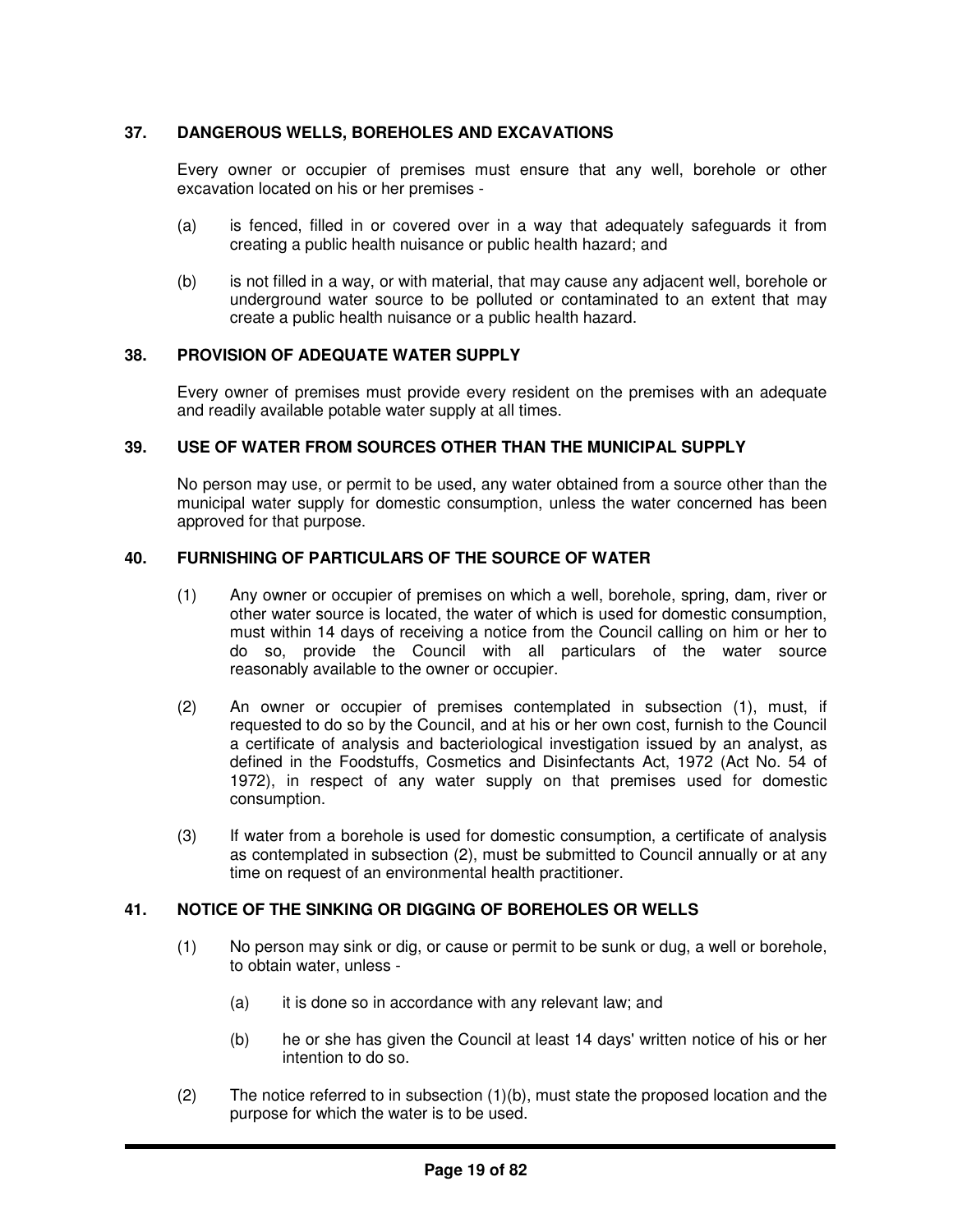# **37. DANGEROUS WELLS, BOREHOLES AND EXCAVATIONS**

Every owner or occupier of premises must ensure that any well, borehole or other excavation located on his or her premises -

- (a) is fenced, filled in or covered over in a way that adequately safeguards it from creating a public health nuisance or public health hazard; and
- (b) is not filled in a way, or with material, that may cause any adjacent well, borehole or underground water source to be polluted or contaminated to an extent that may create a public health nuisance or a public health hazard.

## **38. PROVISION OF ADEQUATE WATER SUPPLY**

Every owner of premises must provide every resident on the premises with an adequate and readily available potable water supply at all times.

## **39. USE OF WATER FROM SOURCES OTHER THAN THE MUNICIPAL SUPPLY**

No person may use, or permit to be used, any water obtained from a source other than the municipal water supply for domestic consumption, unless the water concerned has been approved for that purpose.

## **40. FURNISHING OF PARTICULARS OF THE SOURCE OF WATER**

- (1) Any owner or occupier of premises on which a well, borehole, spring, dam, river or other water source is located, the water of which is used for domestic consumption, must within 14 days of receiving a notice from the Council calling on him or her to do so, provide the Council with all particulars of the water source reasonably available to the owner or occupier.
- (2) An owner or occupier of premises contemplated in subsection (1), must, if requested to do so by the Council, and at his or her own cost, furnish to the Council a certificate of analysis and bacteriological investigation issued by an analyst, as defined in the Foodstuffs, Cosmetics and Disinfectants Act, 1972 (Act No. 54 of 1972), in respect of any water supply on that premises used for domestic consumption.
- (3) If water from a borehole is used for domestic consumption, a certificate of analysis as contemplated in subsection (2), must be submitted to Council annually or at any time on request of an environmental health practitioner.

# **41. NOTICE OF THE SINKING OR DIGGING OF BOREHOLES OR WELLS**

- (1) No person may sink or dig, or cause or permit to be sunk or dug, a well or borehole, to obtain water, unless -
	- (a) it is done so in accordance with any relevant law; and
	- (b) he or she has given the Council at least 14 days' written notice of his or her intention to do so.
- (2) The notice referred to in subsection (1)(b), must state the proposed location and the purpose for which the water is to be used.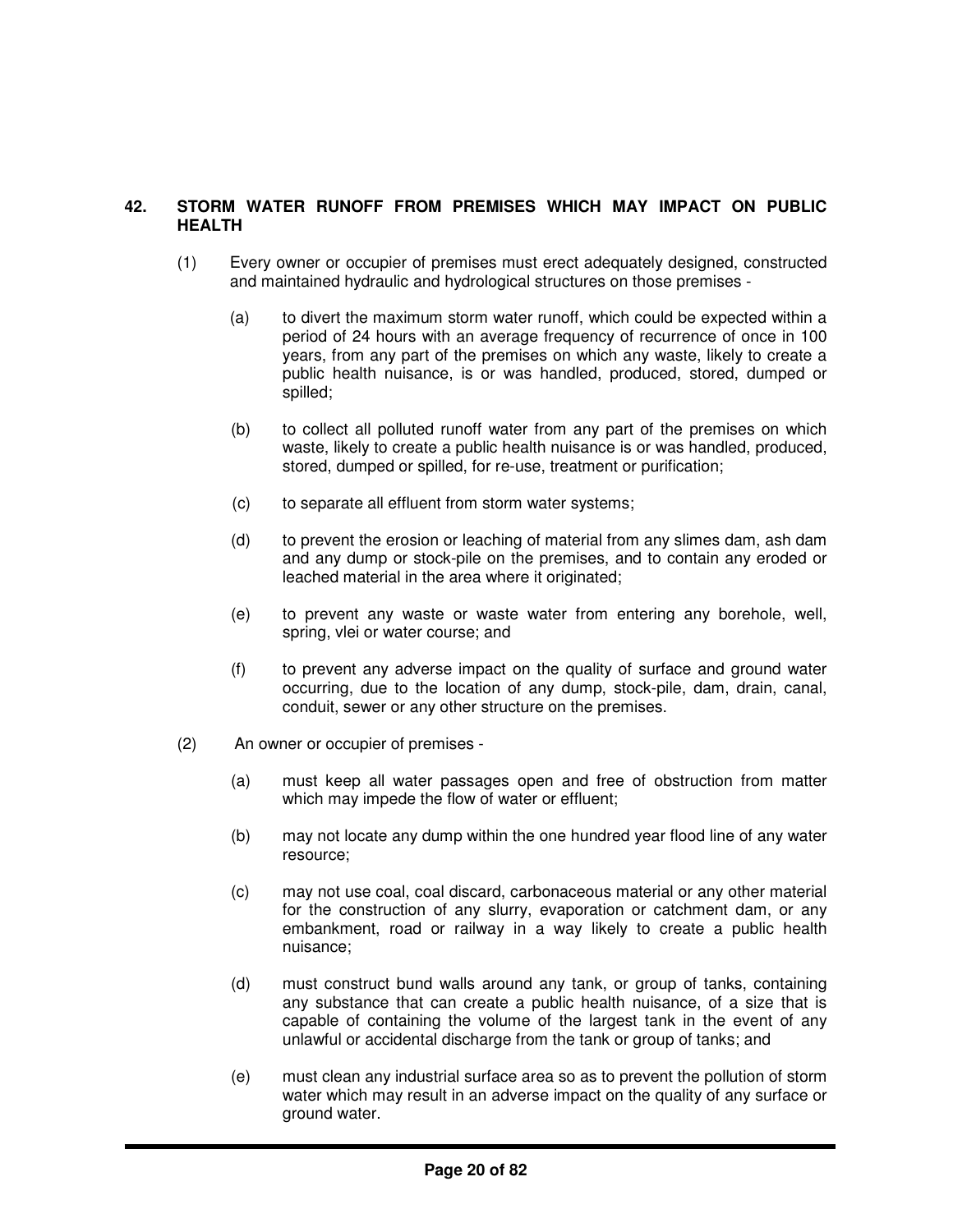# **42. STORM WATER RUNOFF FROM PREMISES WHICH MAY IMPACT ON PUBLIC HEALTH**

- (1) Every owner or occupier of premises must erect adequately designed, constructed and maintained hydraulic and hydrological structures on those premises -
	- (a) to divert the maximum storm water runoff, which could be expected within a period of 24 hours with an average frequency of recurrence of once in 100 years, from any part of the premises on which any waste, likely to create a public health nuisance, is or was handled, produced, stored, dumped or spilled;
	- (b) to collect all polluted runoff water from any part of the premises on which waste, likely to create a public health nuisance is or was handled, produced, stored, dumped or spilled, for re-use, treatment or purification;
	- (c) to separate all effluent from storm water systems;
	- (d) to prevent the erosion or leaching of material from any slimes dam, ash dam and any dump or stock-pile on the premises, and to contain any eroded or leached material in the area where it originated;
	- (e) to prevent any waste or waste water from entering any borehole, well, spring, vlei or water course; and
	- (f) to prevent any adverse impact on the quality of surface and ground water occurring, due to the location of any dump, stock-pile, dam, drain, canal, conduit, sewer or any other structure on the premises.
- (2) An owner or occupier of premises
	- (a) must keep all water passages open and free of obstruction from matter which may impede the flow of water or effluent;
	- (b) may not locate any dump within the one hundred year flood line of any water resource;
	- (c) may not use coal, coal discard, carbonaceous material or any other material for the construction of any slurry, evaporation or catchment dam, or any embankment, road or railway in a way likely to create a public health nuisance;
	- (d) must construct bund walls around any tank, or group of tanks, containing any substance that can create a public health nuisance, of a size that is capable of containing the volume of the largest tank in the event of any unlawful or accidental discharge from the tank or group of tanks; and
	- (e) must clean any industrial surface area so as to prevent the pollution of storm water which may result in an adverse impact on the quality of any surface or ground water.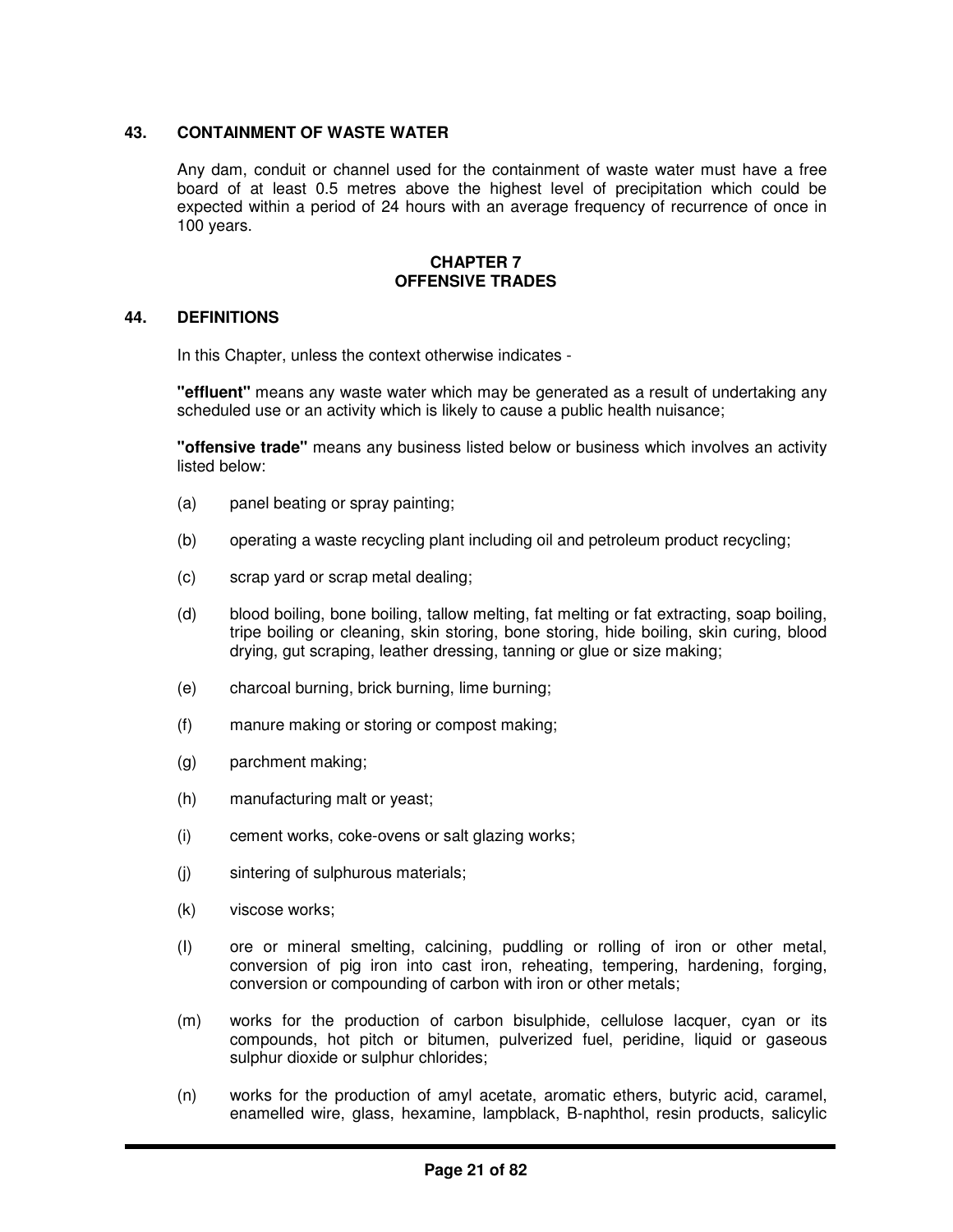# **43. CONTAINMENT OF WASTE WATER**

Any dam, conduit or channel used for the containment of waste water must have a free board of at least 0.5 metres above the highest level of precipitation which could be expected within a period of 24 hours with an average frequency of recurrence of once in 100 years.

#### **CHAPTER 7 OFFENSIVE TRADES**

## **44. DEFINITIONS**

In this Chapter, unless the context otherwise indicates -

**"effluent"** means any waste water which may be generated as a result of undertaking any scheduled use or an activity which is likely to cause a public health nuisance;

**"offensive trade"** means any business listed below or business which involves an activity listed below:

- (a) panel beating or spray painting;
- (b) operating a waste recycling plant including oil and petroleum product recycling;
- (c) scrap yard or scrap metal dealing;
- (d) blood boiling, bone boiling, tallow melting, fat melting or fat extracting, soap boiling, tripe boiling or cleaning, skin storing, bone storing, hide boiling, skin curing, blood drying, gut scraping, leather dressing, tanning or glue or size making;
- (e) charcoal burning, brick burning, lime burning;
- (f) manure making or storing or compost making;
- (g) parchment making;
- (h) manufacturing malt or yeast;
- (i) cement works, coke-ovens or salt glazing works;
- (j) sintering of sulphurous materials;
- (k) viscose works;
- (I) ore or mineral smelting, calcining, puddling or rolling of iron or other metal, conversion of pig iron into cast iron, reheating, tempering, hardening, forging, conversion or compounding of carbon with iron or other metals;
- (m) works for the production of carbon bisulphide, cellulose lacquer, cyan or its compounds, hot pitch or bitumen, pulverized fuel, peridine, liquid or gaseous sulphur dioxide or sulphur chlorides;
- (n) works for the production of amyl acetate, aromatic ethers, butyric acid, caramel, enamelled wire, glass, hexamine, lampblack, B-naphthol, resin products, salicylic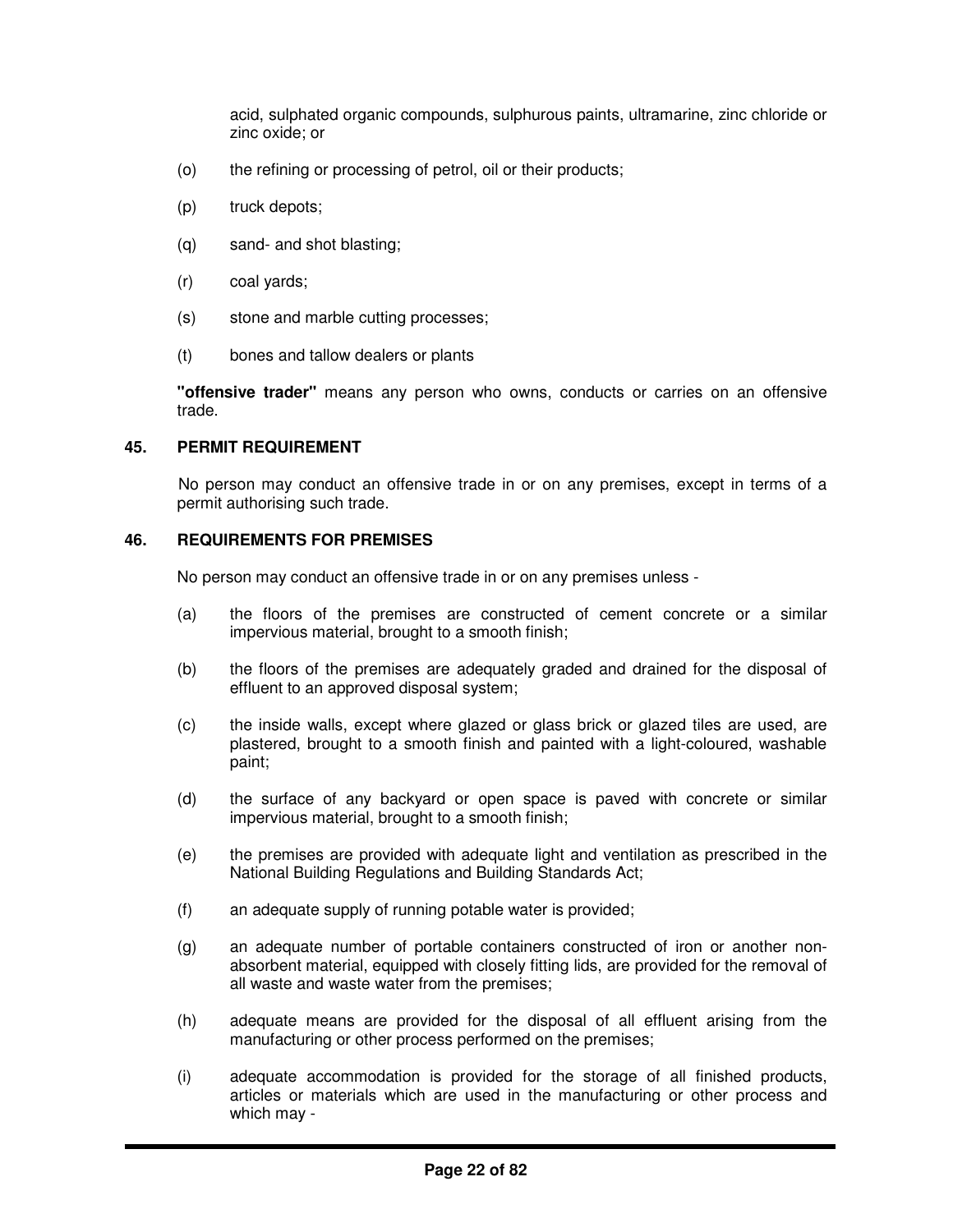acid, sulphated organic compounds, sulphurous paints, ultramarine, zinc chloride or zinc oxide; or

- (o) the refining or processing of petrol, oil or their products;
- (p) truck depots;
- (q) sand- and shot blasting;
- (r) coal yards;
- (s) stone and marble cutting processes;
- (t) bones and tallow dealers or plants

**"offensive trader"** means any person who owns, conducts or carries on an offensive trade.

#### **45. PERMIT REQUIREMENT**

No person may conduct an offensive trade in or on any premises, except in terms of a permit authorising such trade.

## **46. REQUIREMENTS FOR PREMISES**

No person may conduct an offensive trade in or on any premises unless -

- (a) the floors of the premises are constructed of cement concrete or a similar impervious material, brought to a smooth finish;
- (b) the floors of the premises are adequately graded and drained for the disposal of effluent to an approved disposal system;
- (c) the inside walls, except where glazed or glass brick or glazed tiles are used, are plastered, brought to a smooth finish and painted with a light-coloured, washable paint;
- (d) the surface of any backyard or open space is paved with concrete or similar impervious material, brought to a smooth finish;
- (e) the premises are provided with adequate light and ventilation as prescribed in the National Building Regulations and Building Standards Act;
- (f) an adequate supply of running potable water is provided;
- (g) an adequate number of portable containers constructed of iron or another nonabsorbent material, equipped with closely fitting lids, are provided for the removal of all waste and waste water from the premises;
- (h) adequate means are provided for the disposal of all effluent arising from the manufacturing or other process performed on the premises;
- (i) adequate accommodation is provided for the storage of all finished products, articles or materials which are used in the manufacturing or other process and which may -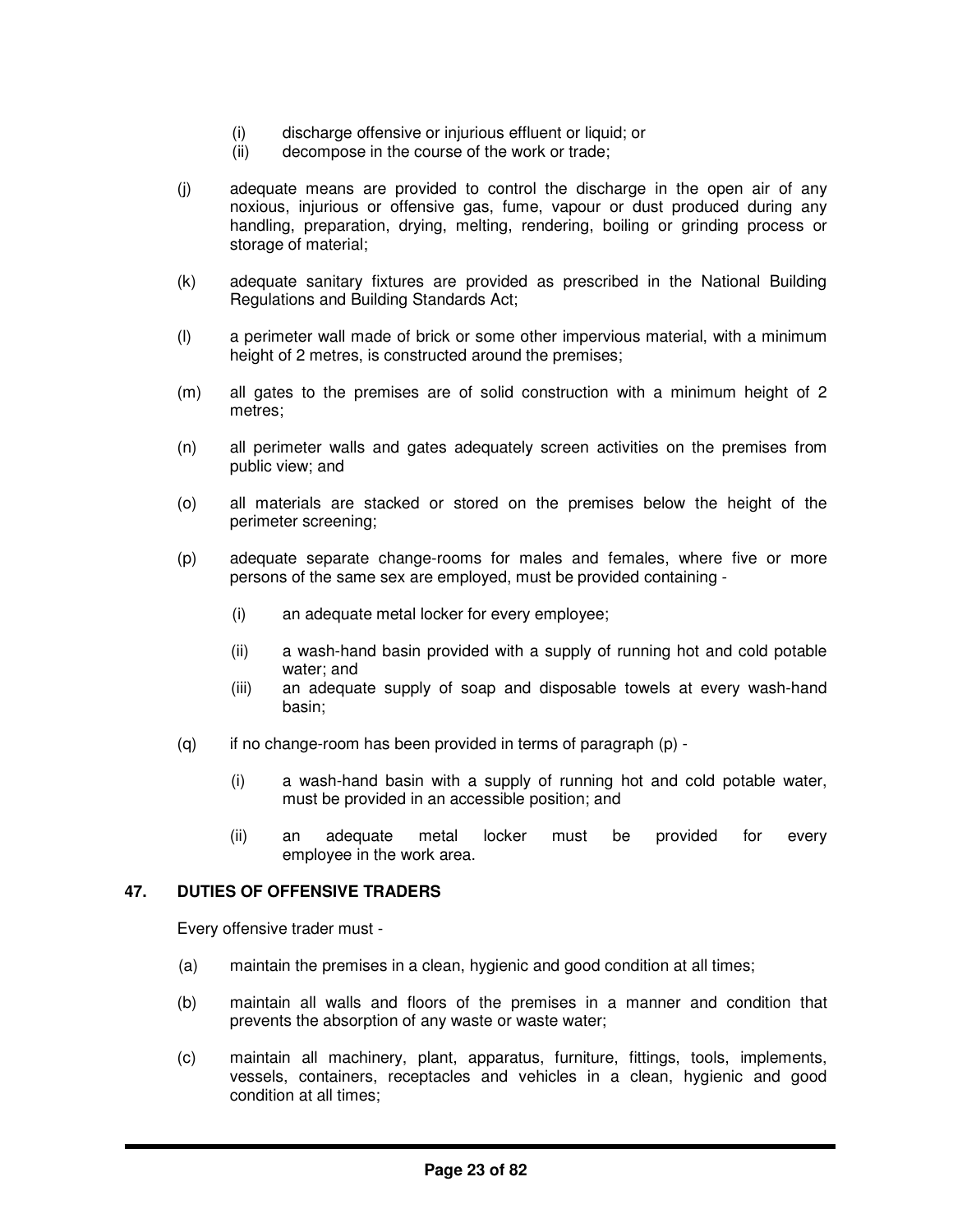- (i) discharge offensive or injurious effluent or liquid; or
- (ii) decompose in the course of the work or trade;
- (j) adequate means are provided to control the discharge in the open air of any noxious, injurious or offensive gas, fume, vapour or dust produced during any handling, preparation, drying, melting, rendering, boiling or grinding process or storage of material;
- (k) adequate sanitary fixtures are provided as prescribed in the National Building Regulations and Building Standards Act;
- (l) a perimeter wall made of brick or some other impervious material, with a minimum height of 2 metres, is constructed around the premises;
- (m) all gates to the premises are of solid construction with a minimum height of 2 metres;
- (n) all perimeter walls and gates adequately screen activities on the premises from public view; and
- (o) all materials are stacked or stored on the premises below the height of the perimeter screening;
- (p) adequate separate change-rooms for males and females, where five or more persons of the same sex are employed, must be provided containing -
	- (i) an adequate metal locker for every employee;
	- (ii) a wash-hand basin provided with a supply of running hot and cold potable water; and
	- (iii) an adequate supply of soap and disposable towels at every wash-hand basin;
- $(q)$  if no change-room has been provided in terms of paragraph  $(p)$  -
	- (i) a wash-hand basin with a supply of running hot and cold potable water, must be provided in an accessible position; and
	- (ii) an adequate metal locker must be provided for every employee in the work area.

# **47. DUTIES OF OFFENSIVE TRADERS**

Every offensive trader must -

- (a) maintain the premises in a clean, hygienic and good condition at all times;
- (b) maintain all walls and floors of the premises in a manner and condition that prevents the absorption of any waste or waste water;
- (c) maintain all machinery, plant, apparatus, furniture, fittings, tools, implements, vessels, containers, receptacles and vehicles in a clean, hygienic and good condition at all times;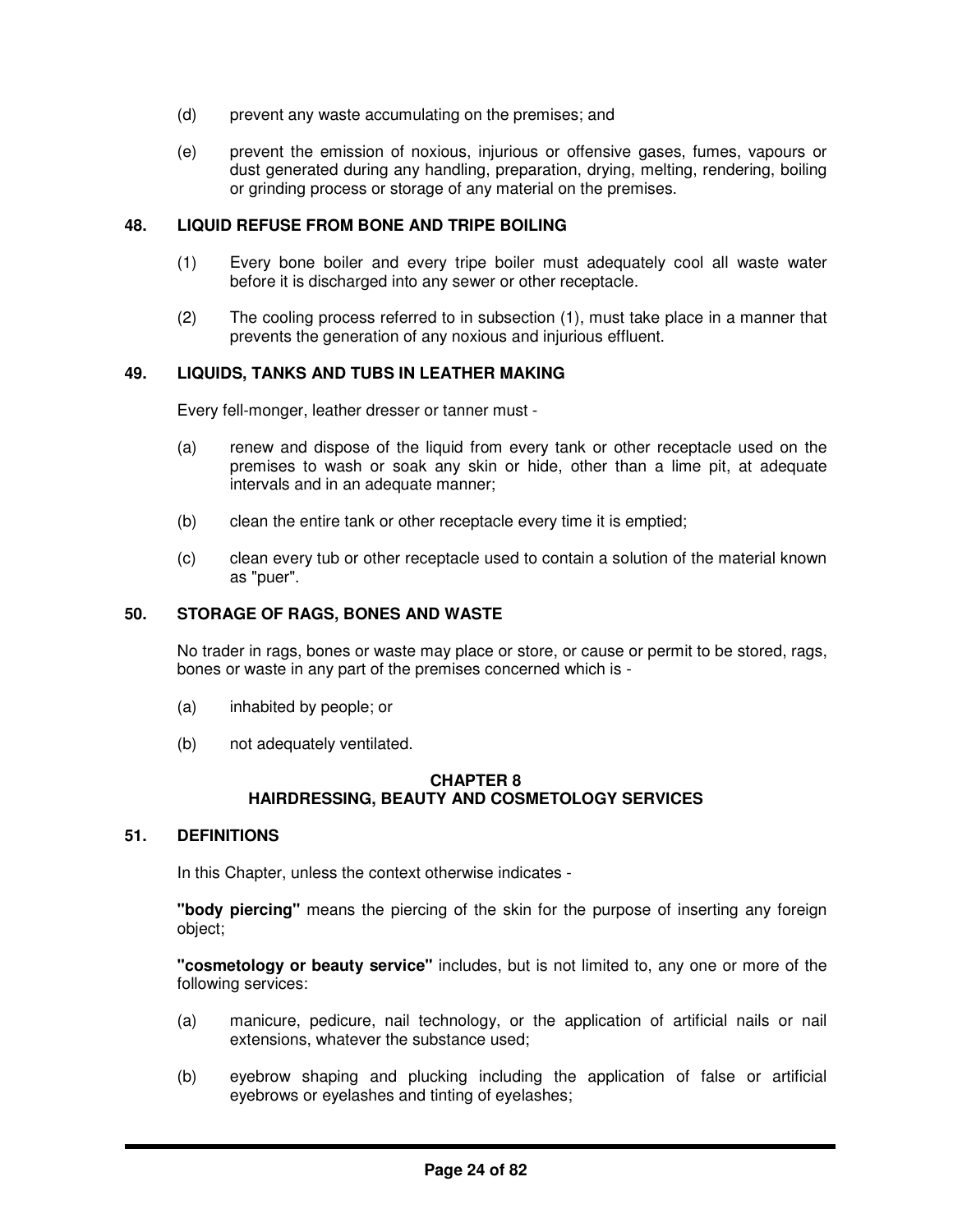- (d) prevent any waste accumulating on the premises; and
- (e) prevent the emission of noxious, injurious or offensive gases, fumes, vapours or dust generated during any handling, preparation, drying, melting, rendering, boiling or grinding process or storage of any material on the premises.

## **48. LIQUID REFUSE FROM BONE AND TRIPE BOILING**

- (1) Every bone boiler and every tripe boiler must adequately cool all waste water before it is discharged into any sewer or other receptacle.
- (2) The cooling process referred to in subsection (1), must take place in a manner that prevents the generation of any noxious and injurious effluent.

## **49. LIQUIDS, TANKS AND TUBS IN LEATHER MAKING**

Every fell-monger, leather dresser or tanner must -

- (a) renew and dispose of the liquid from every tank or other receptacle used on the premises to wash or soak any skin or hide, other than a lime pit, at adequate intervals and in an adequate manner;
- (b) clean the entire tank or other receptacle every time it is emptied;
- (c) clean every tub or other receptacle used to contain a solution of the material known as "puer".

#### **50. STORAGE OF RAGS, BONES AND WASTE**

No trader in rags, bones or waste may place or store, or cause or permit to be stored, rags, bones or waste in any part of the premises concerned which is -

- (a) inhabited by people; or
- (b) not adequately ventilated.

## **CHAPTER 8 HAIRDRESSING, BEAUTY AND COSMETOLOGY SERVICES**

#### **51. DEFINITIONS**

In this Chapter, unless the context otherwise indicates -

**"body piercing"** means the piercing of the skin for the purpose of inserting any foreign object;

**"cosmetology or beauty service"** includes, but is not limited to, any one or more of the following services:

- (a) manicure, pedicure, nail technology, or the application of artificial nails or nail extensions, whatever the substance used;
- (b) eyebrow shaping and plucking including the application of false or artificial eyebrows or eyelashes and tinting of eyelashes;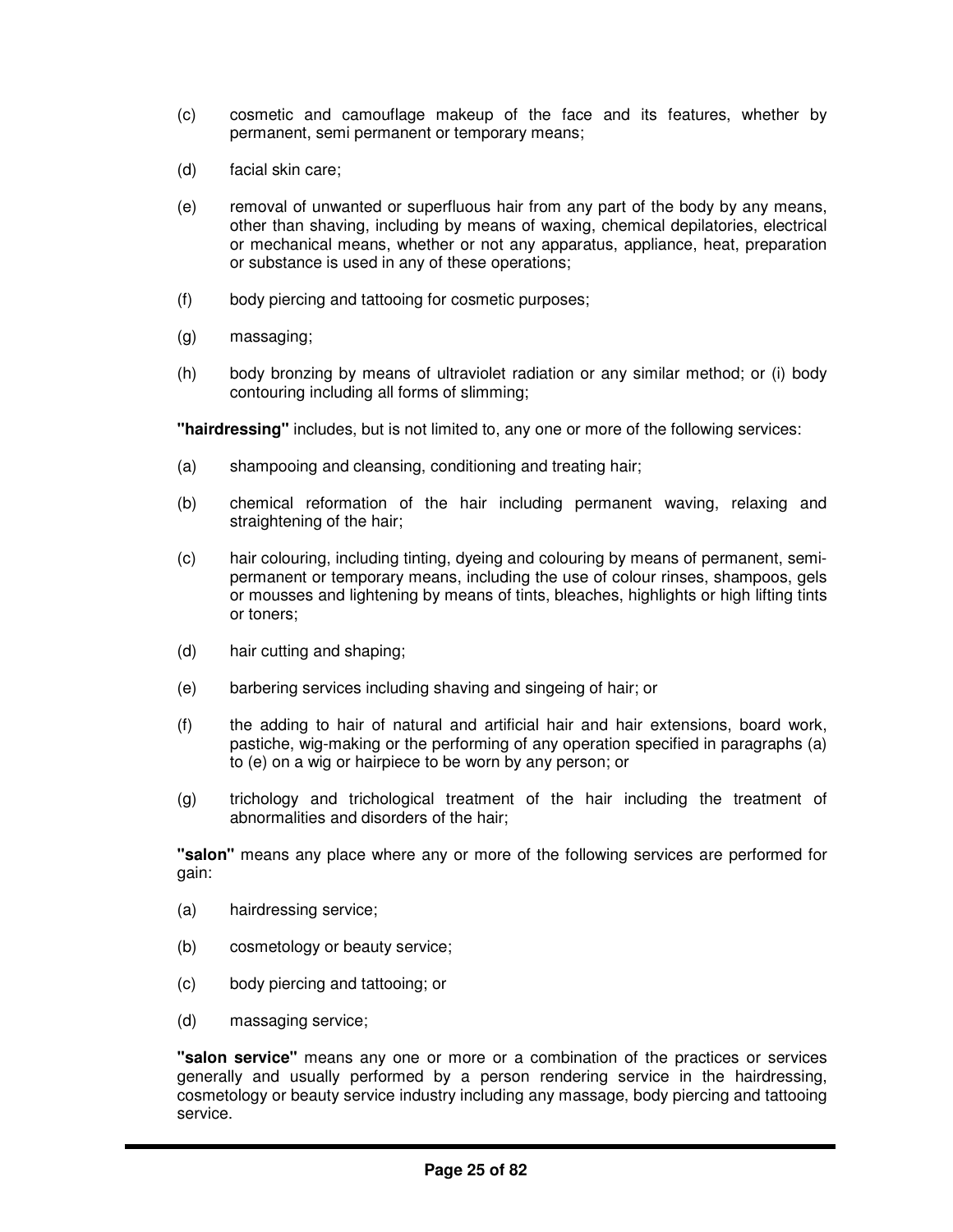- (c) cosmetic and camouflage makeup of the face and its features, whether by permanent, semi permanent or temporary means;
- (d) facial skin care;
- (e) removal of unwanted or superfluous hair from any part of the body by any means, other than shaving, including by means of waxing, chemical depilatories, electrical or mechanical means, whether or not any apparatus, appliance, heat, preparation or substance is used in any of these operations;
- (f) body piercing and tattooing for cosmetic purposes;
- (g) massaging;
- (h) body bronzing by means of ultraviolet radiation or any similar method; or (i) body contouring including all forms of slimming;

**"hairdressing"** includes, but is not limited to, any one or more of the following services:

- (a) shampooing and cleansing, conditioning and treating hair;
- (b) chemical reformation of the hair including permanent waving, relaxing and straightening of the hair;
- (c) hair colouring, including tinting, dyeing and colouring by means of permanent, semipermanent or temporary means, including the use of colour rinses, shampoos, gels or mousses and lightening by means of tints, bleaches, highlights or high lifting tints or toners;
- (d) hair cutting and shaping;
- (e) barbering services including shaving and singeing of hair; or
- (f) the adding to hair of natural and artificial hair and hair extensions, board work, pastiche, wig-making or the performing of any operation specified in paragraphs (a) to (e) on a wig or hairpiece to be worn by any person; or
- (g) trichology and trichological treatment of the hair including the treatment of abnormalities and disorders of the hair;

**"salon"** means any place where any or more of the following services are performed for gain:

- (a) hairdressing service;
- (b) cosmetology or beauty service;
- (c) body piercing and tattooing; or
- (d) massaging service;

**"salon service"** means any one or more or a combination of the practices or services generally and usually performed by a person rendering service in the hairdressing, cosmetology or beauty service industry including any massage, body piercing and tattooing service.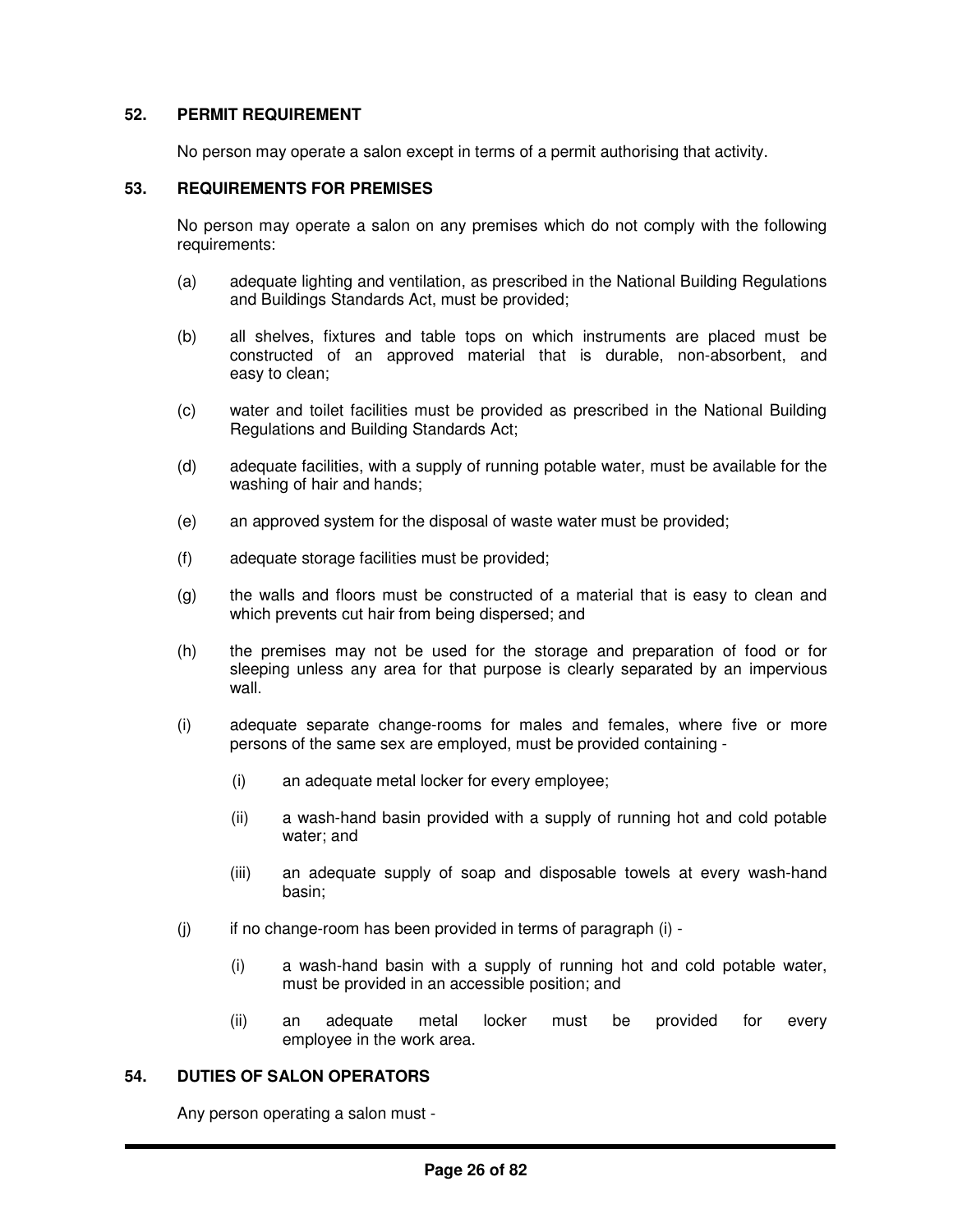## **52. PERMIT REQUIREMENT**

No person may operate a salon except in terms of a permit authorising that activity.

# **53. REQUIREMENTS FOR PREMISES**

No person may operate a salon on any premises which do not comply with the following requirements:

- (a) adequate lighting and ventilation, as prescribed in the National Building Regulations and Buildings Standards Act, must be provided;
- (b) all shelves, fixtures and table tops on which instruments are placed must be constructed of an approved material that is durable, non-absorbent, and easy to clean;
- (c) water and toilet facilities must be provided as prescribed in the National Building Regulations and Building Standards Act;
- (d) adequate facilities, with a supply of running potable water, must be available for the washing of hair and hands;
- (e) an approved system for the disposal of waste water must be provided;
- (f) adequate storage facilities must be provided;
- (g) the walls and floors must be constructed of a material that is easy to clean and which prevents cut hair from being dispersed; and
- (h) the premises may not be used for the storage and preparation of food or for sleeping unless any area for that purpose is clearly separated by an impervious wall.
- (i) adequate separate change-rooms for males and females, where five or more persons of the same sex are employed, must be provided containing -
	- (i) an adequate metal locker for every employee;
	- (ii) a wash-hand basin provided with a supply of running hot and cold potable water; and
	- (iii) an adequate supply of soap and disposable towels at every wash-hand basin;
- (j) if no change-room has been provided in terms of paragraph (i)
	- (i) a wash-hand basin with a supply of running hot and cold potable water, must be provided in an accessible position; and
	- (ii) an adequate metal locker must be provided for every employee in the work area.

#### **54. DUTIES OF SALON OPERATORS**

Any person operating a salon must -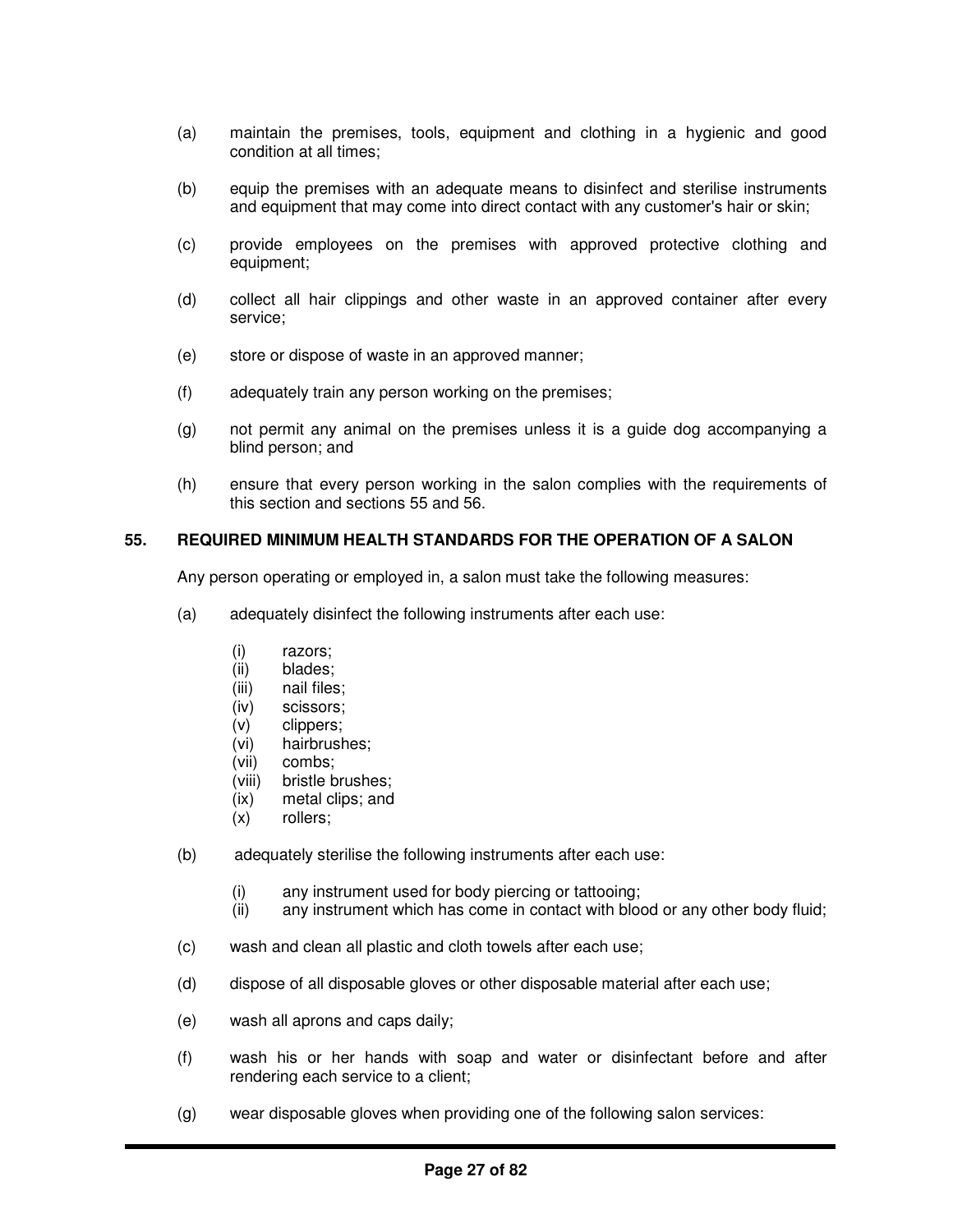- (a) maintain the premises, tools, equipment and clothing in a hygienic and good condition at all times;
- (b) equip the premises with an adequate means to disinfect and sterilise instruments and equipment that may come into direct contact with any customer's hair or skin;
- (c) provide employees on the premises with approved protective clothing and equipment;
- (d) collect all hair clippings and other waste in an approved container after every service;
- (e) store or dispose of waste in an approved manner;
- (f) adequately train any person working on the premises;
- (g) not permit any animal on the premises unless it is a guide dog accompanying a blind person; and
- (h) ensure that every person working in the salon complies with the requirements of this section and sections 55 and 56.

#### **55. REQUIRED MINIMUM HEALTH STANDARDS FOR THE OPERATION OF A SALON**

Any person operating or employed in, a salon must take the following measures:

- (a) adequately disinfect the following instruments after each use:
	- (i) razors;
	- (ii) blades;
	- (iii) nail files;
	- (iv) scissors;
	- (v) clippers;
	- (vi) hairbrushes;
	- (vii) combs;<br>(viii) bristle b
	- bristle brushes:
	- (ix) metal clips; and
	- (x) rollers;
- (b) adequately sterilise the following instruments after each use:
	- (i) any instrument used for body piercing or tattooing;
	- (ii) any instrument which has come in contact with blood or any other body fluid;
- (c) wash and clean all plastic and cloth towels after each use;
- (d) dispose of all disposable gloves or other disposable material after each use;
- (e) wash all aprons and caps daily;
- (f) wash his or her hands with soap and water or disinfectant before and after rendering each service to a client;
- (g) wear disposable gloves when providing one of the following salon services: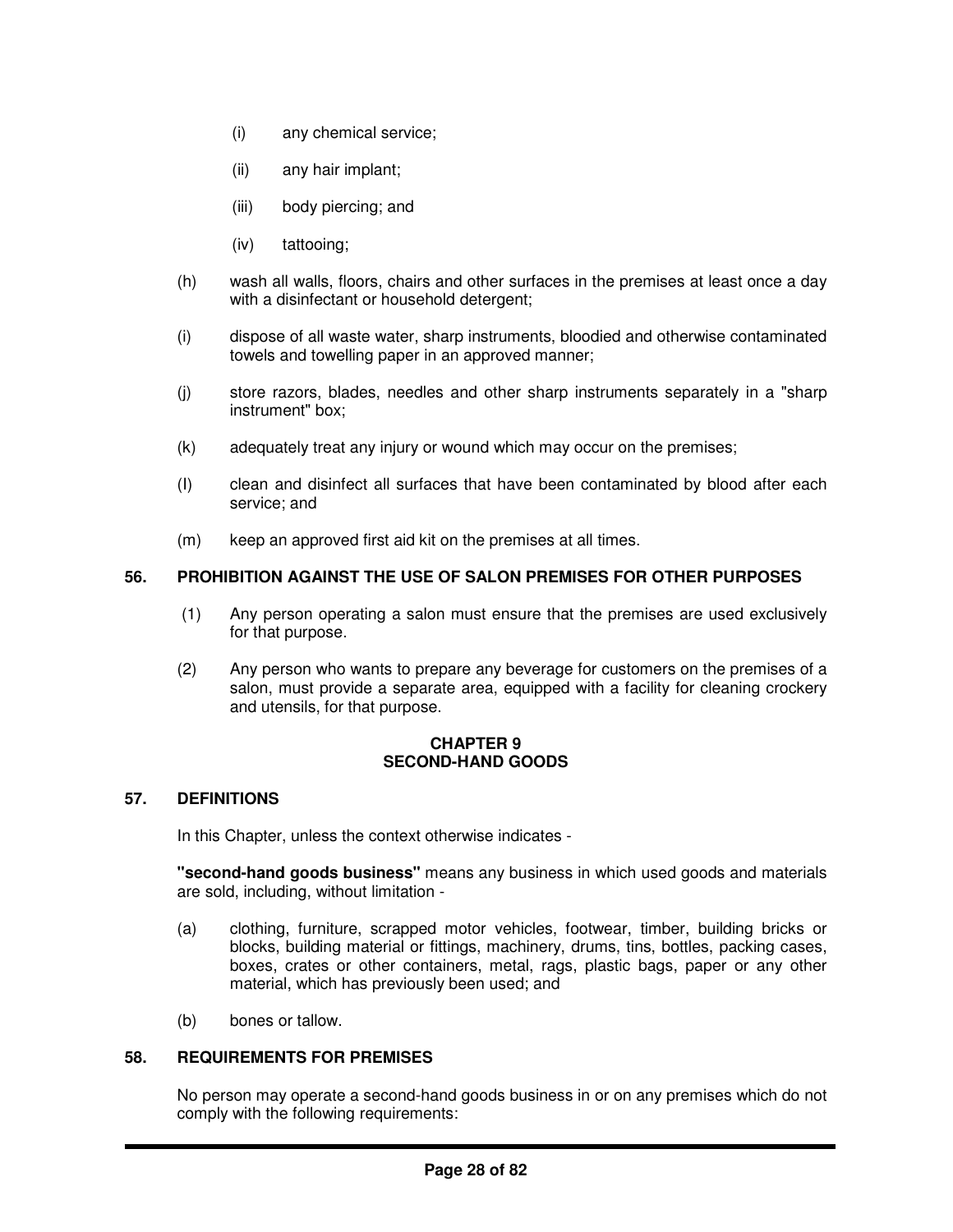- (i) any chemical service;
- (ii) any hair implant;
- (iii) body piercing; and
- (iv) tattooing;
- (h) wash all walls, floors, chairs and other surfaces in the premises at least once a day with a disinfectant or household detergent;
- (i) dispose of all waste water, sharp instruments, bloodied and otherwise contaminated towels and towelling paper in an approved manner;
- (j) store razors, blades, needles and other sharp instruments separately in a "sharp instrument" box;
- (k) adequately treat any injury or wound which may occur on the premises;
- (I) clean and disinfect all surfaces that have been contaminated by blood after each service; and
- (m) keep an approved first aid kit on the premises at all times.

# **56. PROHIBITION AGAINST THE USE OF SALON PREMISES FOR OTHER PURPOSES**

- (1) Any person operating a salon must ensure that the premises are used exclusively for that purpose.
- (2) Any person who wants to prepare any beverage for customers on the premises of a salon, must provide a separate area, equipped with a facility for cleaning crockery and utensils, for that purpose.

## **CHAPTER 9 SECOND-HAND GOODS**

# **57. DEFINITIONS**

In this Chapter, unless the context otherwise indicates -

**"second-hand goods business"** means any business in which used goods and materials are sold, including, without limitation -

- (a) clothing, furniture, scrapped motor vehicles, footwear, timber, building bricks or blocks, building material or fittings, machinery, drums, tins, bottles, packing cases, boxes, crates or other containers, metal, rags, plastic bags, paper or any other material, which has previously been used; and
- (b) bones or tallow.

#### **58. REQUIREMENTS FOR PREMISES**

No person may operate a second-hand goods business in or on any premises which do not comply with the following requirements: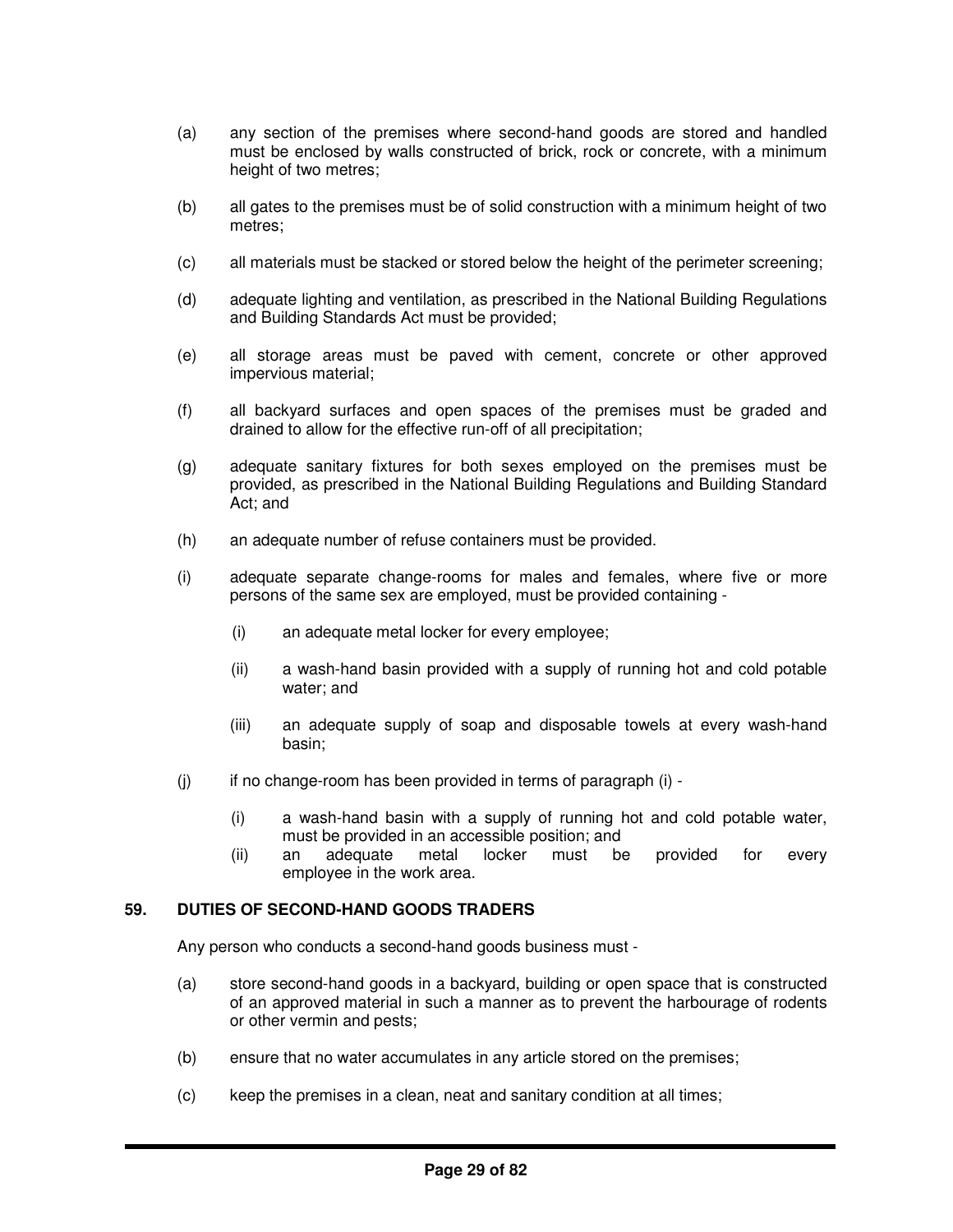- (a) any section of the premises where second-hand goods are stored and handled must be enclosed by walls constructed of brick, rock or concrete, with a minimum height of two metres;
- (b) all gates to the premises must be of solid construction with a minimum height of two metres;
- (c) all materials must be stacked or stored below the height of the perimeter screening;
- (d) adequate lighting and ventilation, as prescribed in the National Building Regulations and Building Standards Act must be provided;
- (e) all storage areas must be paved with cement, concrete or other approved impervious material;
- (f) all backyard surfaces and open spaces of the premises must be graded and drained to allow for the effective run-off of all precipitation;
- (g) adequate sanitary fixtures for both sexes employed on the premises must be provided, as prescribed in the National Building Regulations and Building Standard Act; and
- (h) an adequate number of refuse containers must be provided.
- (i) adequate separate change-rooms for males and females, where five or more persons of the same sex are employed, must be provided containing -
	- (i) an adequate metal locker for every employee;
	- (ii) a wash-hand basin provided with a supply of running hot and cold potable water; and
	- (iii) an adequate supply of soap and disposable towels at every wash-hand basin;
- $(i)$  if no change-room has been provided in terms of paragraph  $(i)$  -
	- (i) a wash-hand basin with a supply of running hot and cold potable water, must be provided in an accessible position; and
	- (ii) an adequate metal locker must be provided for every employee in the work area.

# **59. DUTIES OF SECOND-HAND GOODS TRADERS**

Any person who conducts a second-hand goods business must -

- (a) store second-hand goods in a backyard, building or open space that is constructed of an approved material in such a manner as to prevent the harbourage of rodents or other vermin and pests;
- (b) ensure that no water accumulates in any article stored on the premises;
- (c) keep the premises in a clean, neat and sanitary condition at all times;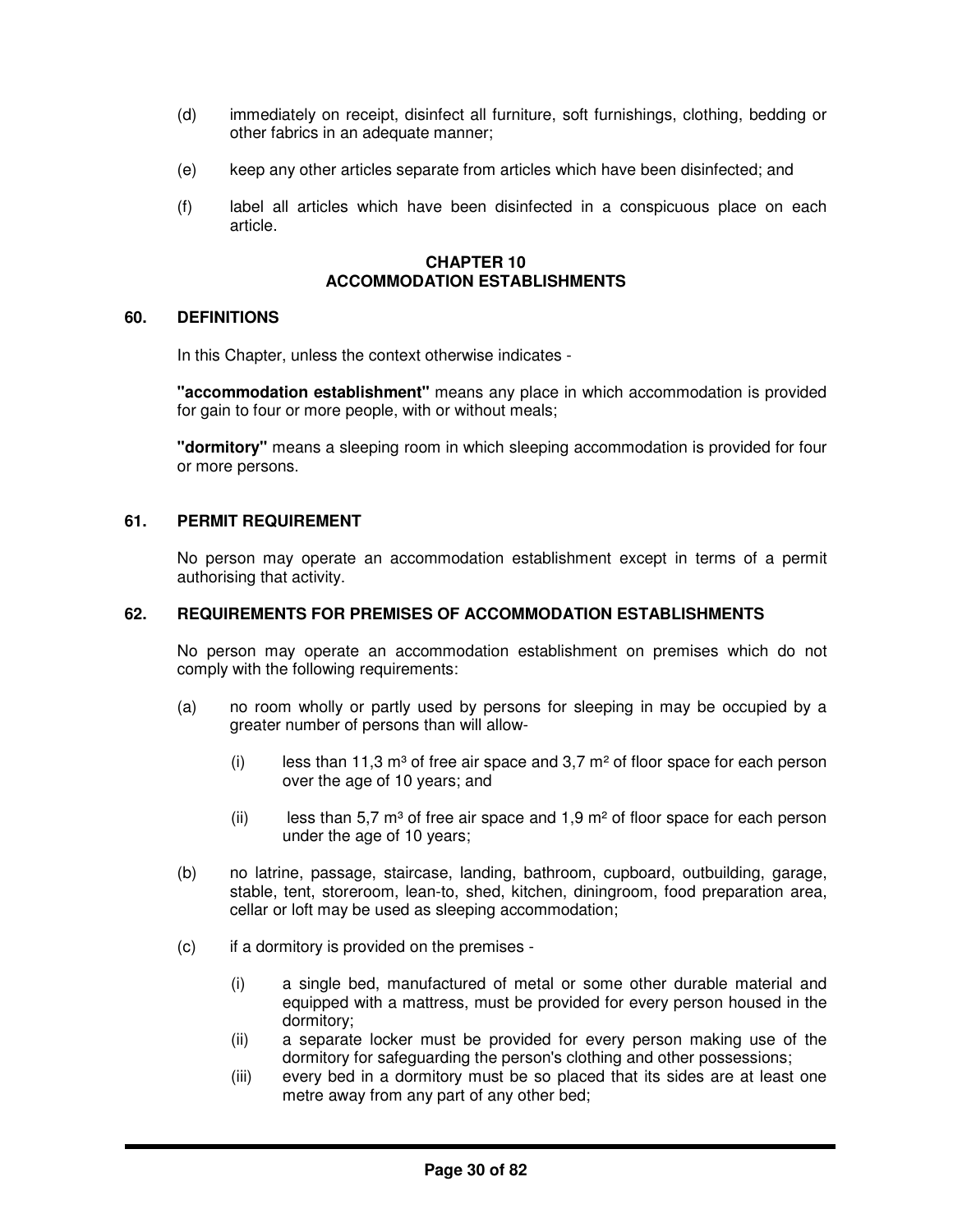- (d) immediately on receipt, disinfect all furniture, soft furnishings, clothing, bedding or other fabrics in an adequate manner;
- (e) keep any other articles separate from articles which have been disinfected; and
- (f) label all articles which have been disinfected in a conspicuous place on each article.

#### **CHAPTER 10 ACCOMMODATION ESTABLISHMENTS**

## **60. DEFINITIONS**

In this Chapter, unless the context otherwise indicates -

**"accommodation establishment"** means any place in which accommodation is provided for gain to four or more people, with or without meals;

**"dormitory"** means a sleeping room in which sleeping accommodation is provided for four or more persons.

## **61. PERMIT REQUIREMENT**

No person may operate an accommodation establishment except in terms of a permit authorising that activity.

#### **62. REQUIREMENTS FOR PREMISES OF ACCOMMODATION ESTABLISHMENTS**

No person may operate an accommodation establishment on premises which do not comply with the following requirements:

- (a) no room wholly or partly used by persons for sleeping in may be occupied by a greater number of persons than will allow-
	- (i) less than 11,3 m<sup>3</sup> of free air space and 3,7 m<sup>2</sup> of floor space for each person over the age of 10 years; and
	- (ii) less than 5.7 m<sup>3</sup> of free air space and 1.9 m<sup>2</sup> of floor space for each person under the age of 10 years;
- (b) no latrine, passage, staircase, landing, bathroom, cupboard, outbuilding, garage, stable, tent, storeroom, lean-to, shed, kitchen, diningroom, food preparation area, cellar or loft may be used as sleeping accommodation;
- (c) if a dormitory is provided on the premises
	- (i) a single bed, manufactured of metal or some other durable material and equipped with a mattress, must be provided for every person housed in the dormitory;
	- (ii) a separate locker must be provided for every person making use of the dormitory for safeguarding the person's clothing and other possessions;
	- (iii) every bed in a dormitory must be so placed that its sides are at least one metre away from any part of any other bed;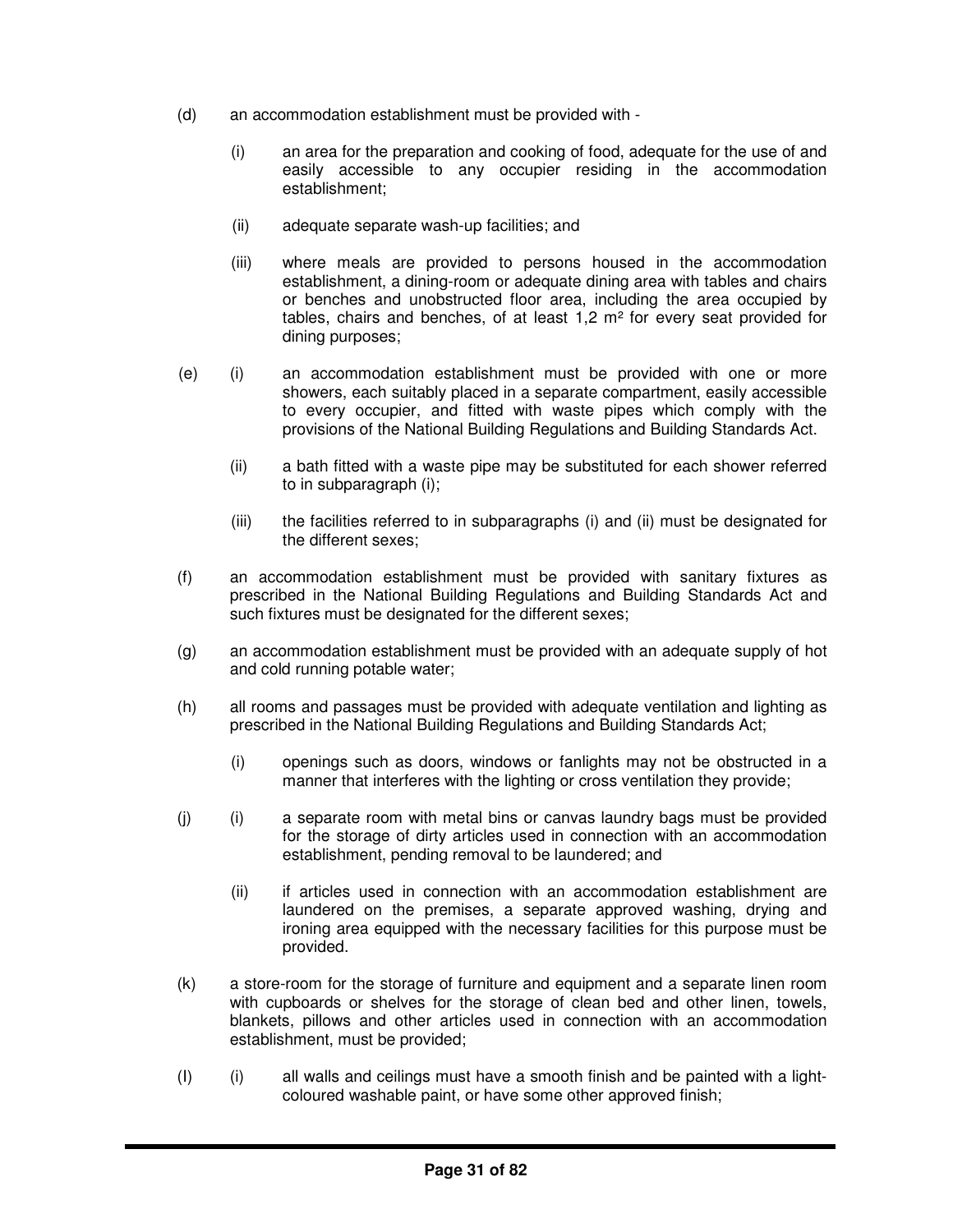- (d) an accommodation establishment must be provided with
	- (i) an area for the preparation and cooking of food, adequate for the use of and easily accessible to any occupier residing in the accommodation establishment;
	- (ii) adequate separate wash-up facilities; and
	- (iii) where meals are provided to persons housed in the accommodation establishment, a dining-room or adequate dining area with tables and chairs or benches and unobstructed floor area, including the area occupied by tables, chairs and benches, of at least 1,2 m² for every seat provided for dining purposes;
- (e) (i) an accommodation establishment must be provided with one or more showers, each suitably placed in a separate compartment, easily accessible to every occupier, and fitted with waste pipes which comply with the provisions of the National Building Regulations and Building Standards Act.
	- (ii) a bath fitted with a waste pipe may be substituted for each shower referred to in subparagraph (i);
	- (iii) the facilities referred to in subparagraphs (i) and (ii) must be designated for the different sexes;
- (f) an accommodation establishment must be provided with sanitary fixtures as prescribed in the National Building Regulations and Building Standards Act and such fixtures must be designated for the different sexes;
- (g) an accommodation establishment must be provided with an adequate supply of hot and cold running potable water;
- (h) all rooms and passages must be provided with adequate ventilation and lighting as prescribed in the National Building Regulations and Building Standards Act;
	- (i) openings such as doors, windows or fanlights may not be obstructed in a manner that interferes with the lighting or cross ventilation they provide;
- (j) (i) a separate room with metal bins or canvas laundry bags must be provided for the storage of dirty articles used in connection with an accommodation establishment, pending removal to be laundered; and
	- (ii) if articles used in connection with an accommodation establishment are laundered on the premises, a separate approved washing, drying and ironing area equipped with the necessary facilities for this purpose must be provided.
- (k) a store-room for the storage of furniture and equipment and a separate linen room with cupboards or shelves for the storage of clean bed and other linen, towels, blankets, pillows and other articles used in connection with an accommodation establishment, must be provided;
- (I) (i) all walls and ceilings must have a smooth finish and be painted with a lightcoloured washable paint, or have some other approved finish;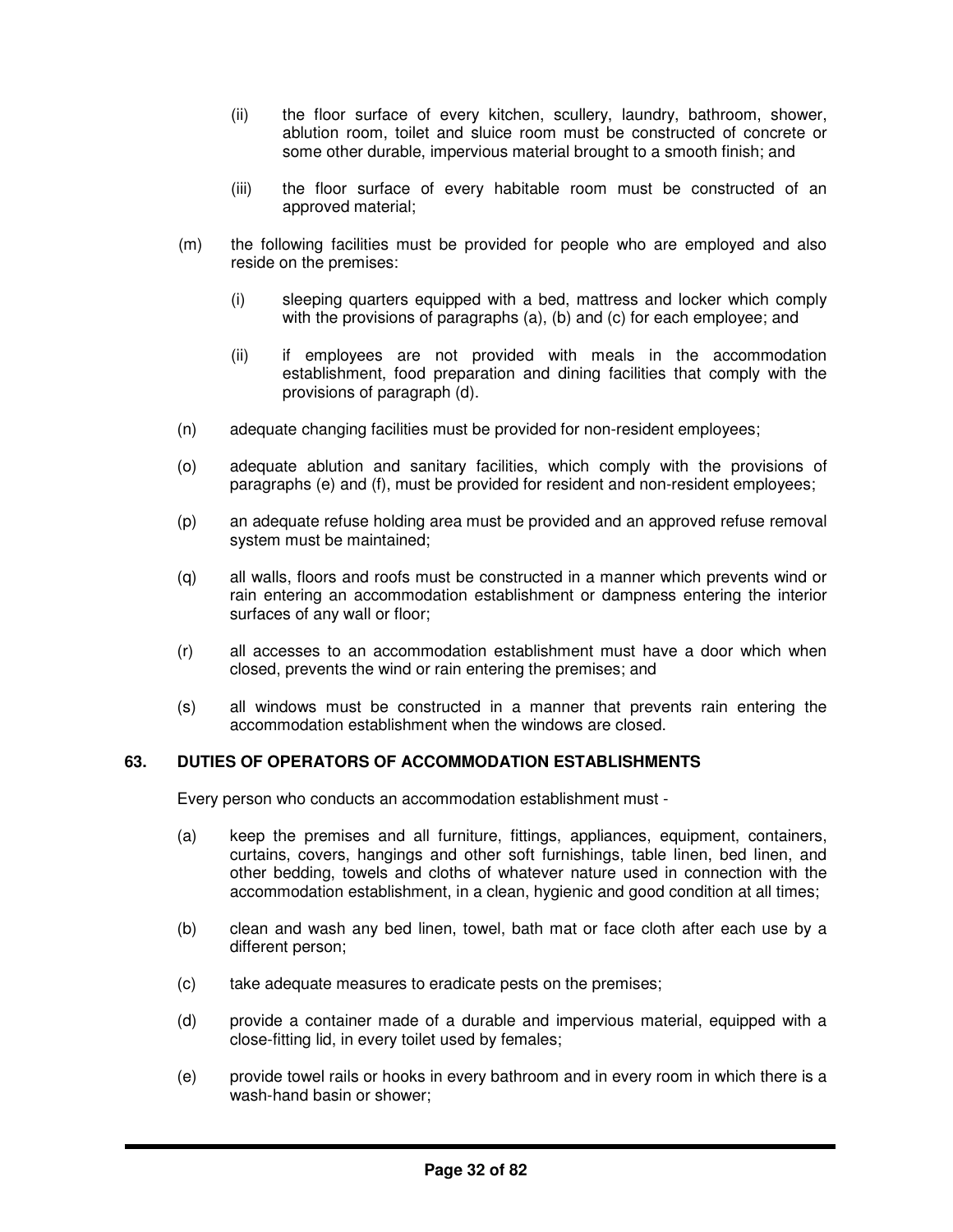- (ii) the floor surface of every kitchen, scullery, laundry, bathroom, shower, ablution room, toilet and sluice room must be constructed of concrete or some other durable, impervious material brought to a smooth finish; and
- (iii) the floor surface of every habitable room must be constructed of an approved material;
- (m) the following facilities must be provided for people who are employed and also reside on the premises:
	- (i) sleeping quarters equipped with a bed, mattress and locker which comply with the provisions of paragraphs (a), (b) and (c) for each employee; and
	- (ii) if employees are not provided with meals in the accommodation establishment, food preparation and dining facilities that comply with the provisions of paragraph (d).
- (n) adequate changing facilities must be provided for non-resident employees;
- (o) adequate ablution and sanitary facilities, which comply with the provisions of paragraphs (e) and (f), must be provided for resident and non-resident employees;
- (p) an adequate refuse holding area must be provided and an approved refuse removal system must be maintained;
- (q) all walls, floors and roofs must be constructed in a manner which prevents wind or rain entering an accommodation establishment or dampness entering the interior surfaces of any wall or floor;
- (r) all accesses to an accommodation establishment must have a door which when closed, prevents the wind or rain entering the premises; and
- (s) all windows must be constructed in a manner that prevents rain entering the accommodation establishment when the windows are closed.

# **63. DUTIES OF OPERATORS OF ACCOMMODATION ESTABLISHMENTS**

Every person who conducts an accommodation establishment must -

- (a) keep the premises and all furniture, fittings, appliances, equipment, containers, curtains, covers, hangings and other soft furnishings, table linen, bed linen, and other bedding, towels and cloths of whatever nature used in connection with the accommodation establishment, in a clean, hygienic and good condition at all times;
- (b) clean and wash any bed linen, towel, bath mat or face cloth after each use by a different person;
- (c) take adequate measures to eradicate pests on the premises;
- (d) provide a container made of a durable and impervious material, equipped with a close-fitting lid, in every toilet used by females;
- (e) provide towel rails or hooks in every bathroom and in every room in which there is a wash-hand basin or shower;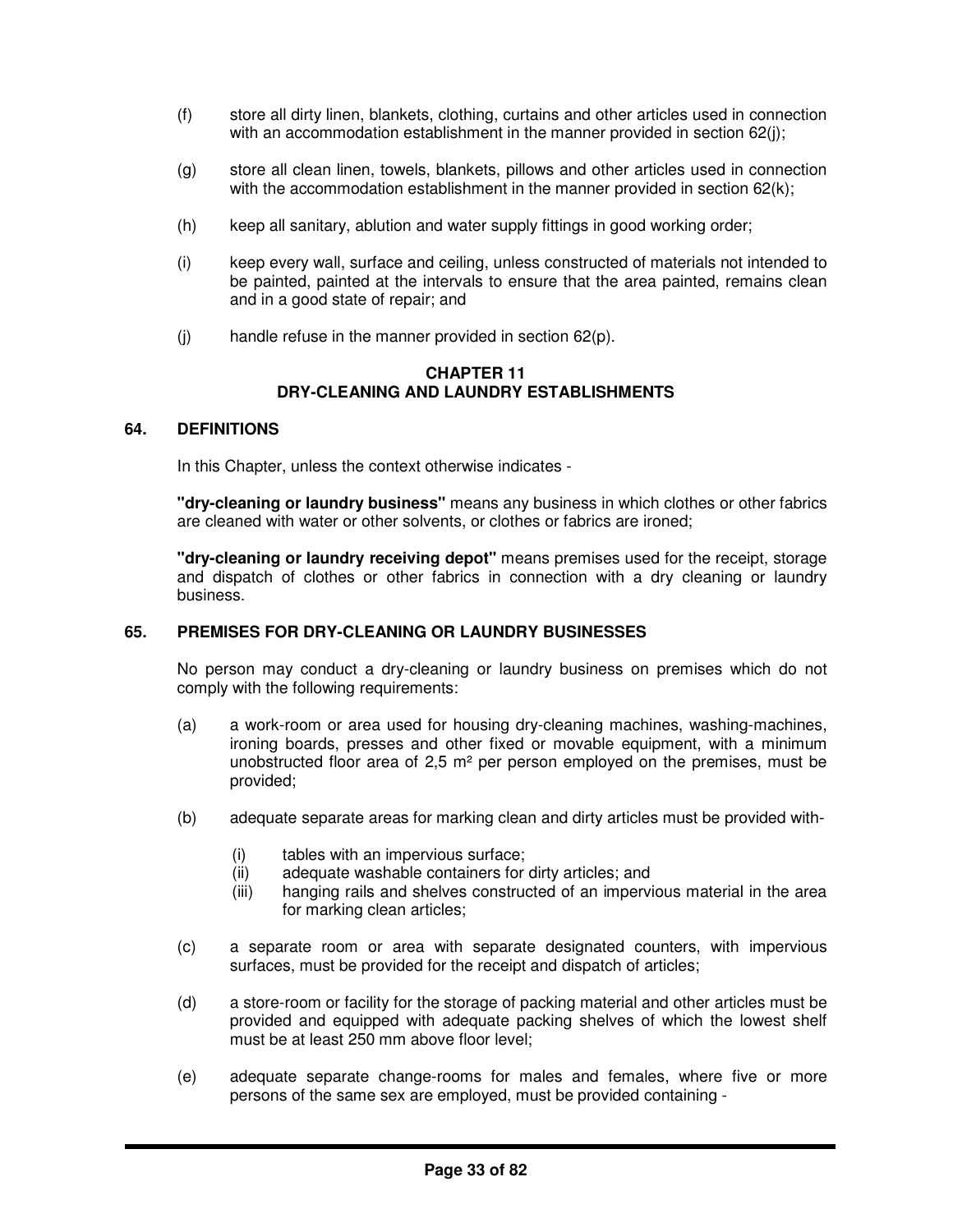- (f) store all dirty linen, blankets, clothing, curtains and other articles used in connection with an accommodation establishment in the manner provided in section 62(j);
- (g) store all clean linen, towels, blankets, pillows and other articles used in connection with the accommodation establishment in the manner provided in section 62(k);
- (h) keep all sanitary, ablution and water supply fittings in good working order;
- (i) keep every wall, surface and ceiling, unless constructed of materials not intended to be painted, painted at the intervals to ensure that the area painted, remains clean and in a good state of repair; and
- $(i)$  handle refuse in the manner provided in section 62 $(p)$ .

#### **CHAPTER 11 DRY-CLEANING AND LAUNDRY ESTABLISHMENTS**

## **64. DEFINITIONS**

In this Chapter, unless the context otherwise indicates -

**"dry-cleaning or laundry business"** means any business in which clothes or other fabrics are cleaned with water or other solvents, or clothes or fabrics are ironed;

**"dry-cleaning or laundry receiving depot"** means premises used for the receipt, storage and dispatch of clothes or other fabrics in connection with a dry cleaning or laundry business.

# **65. PREMISES FOR DRY-CLEANING OR LAUNDRY BUSINESSES**

No person may conduct a dry-cleaning or laundry business on premises which do not comply with the following requirements:

- (a) a work-room or area used for housing dry-cleaning machines, washing-machines, ironing boards, presses and other fixed or movable equipment, with a minimum unobstructed floor area of 2,5 m² per person employed on the premises, must be provided;
- (b) adequate separate areas for marking clean and dirty articles must be provided with-
	- (i) tables with an impervious surface;
	- (ii) adequate washable containers for dirty articles; and
	- (iii) hanging rails and shelves constructed of an impervious material in the area for marking clean articles;
- (c) a separate room or area with separate designated counters, with impervious surfaces, must be provided for the receipt and dispatch of articles;
- (d) a store-room or facility for the storage of packing material and other articles must be provided and equipped with adequate packing shelves of which the lowest shelf must be at least 250 mm above floor level;
- (e) adequate separate change-rooms for males and females, where five or more persons of the same sex are employed, must be provided containing -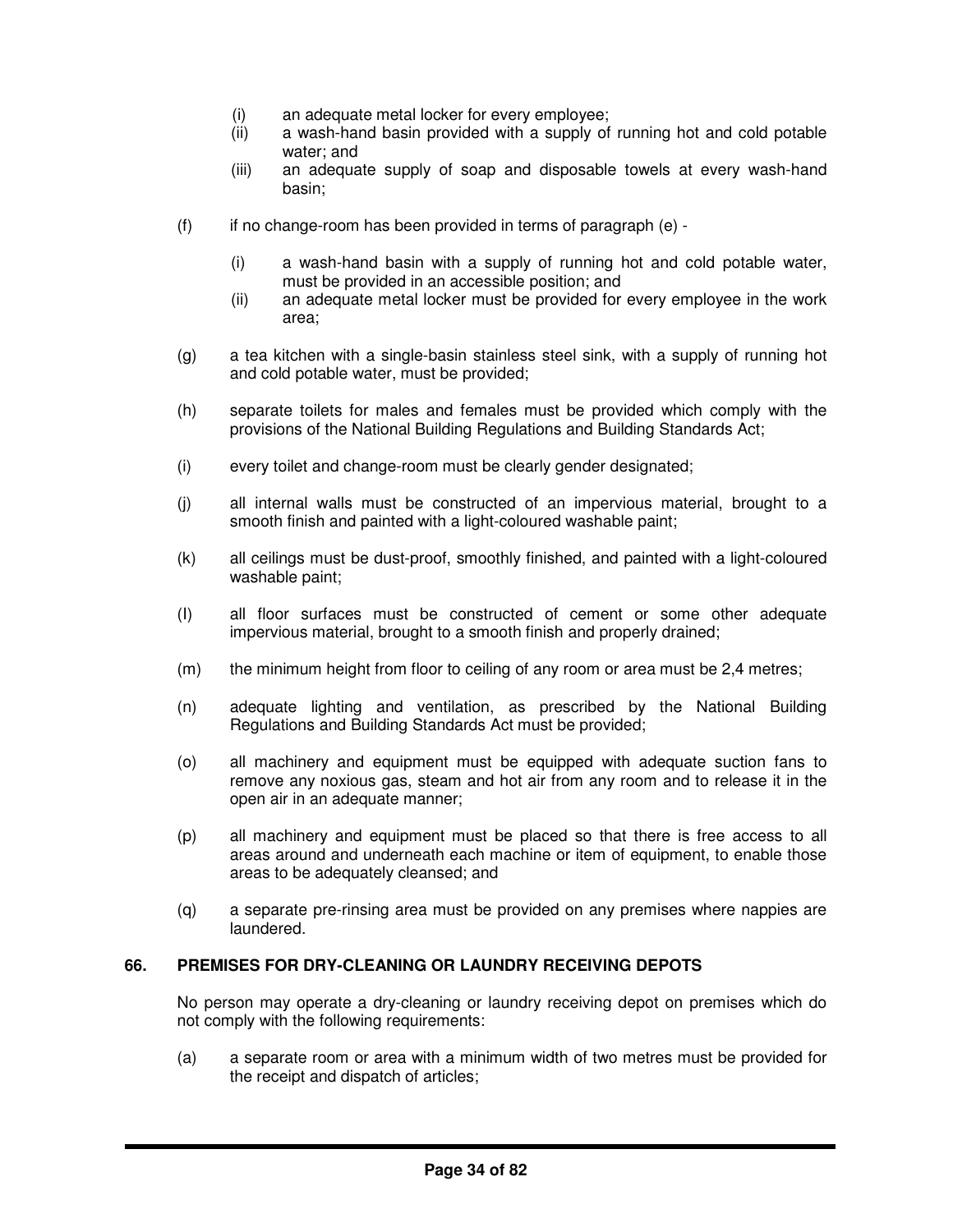- (i) an adequate metal locker for every employee;
- (ii) a wash-hand basin provided with a supply of running hot and cold potable water; and
- (iii) an adequate supply of soap and disposable towels at every wash-hand basin;
- $(f)$  if no change-room has been provided in terms of paragraph  $(e)$  -
	- (i) a wash-hand basin with a supply of running hot and cold potable water, must be provided in an accessible position; and
	- (ii) an adequate metal locker must be provided for every employee in the work area;
- (g) a tea kitchen with a single-basin stainless steel sink, with a supply of running hot and cold potable water, must be provided;
- (h) separate toilets for males and females must be provided which comply with the provisions of the National Building Regulations and Building Standards Act;
- (i) every toilet and change-room must be clearly gender designated;
- (j) all internal walls must be constructed of an impervious material, brought to a smooth finish and painted with a light-coloured washable paint;
- (k) all ceilings must be dust-proof, smoothly finished, and painted with a light-coloured washable paint;
- (I) all floor surfaces must be constructed of cement or some other adequate impervious material, brought to a smooth finish and properly drained;
- (m) the minimum height from floor to ceiling of any room or area must be 2,4 metres;
- (n) adequate lighting and ventilation, as prescribed by the National Building Regulations and Building Standards Act must be provided;
- (o) all machinery and equipment must be equipped with adequate suction fans to remove any noxious gas, steam and hot air from any room and to release it in the open air in an adequate manner;
- (p) all machinery and equipment must be placed so that there is free access to all areas around and underneath each machine or item of equipment, to enable those areas to be adequately cleansed; and
- (q) a separate pre-rinsing area must be provided on any premises where nappies are laundered.

#### **66. PREMISES FOR DRY-CLEANING OR LAUNDRY RECEIVING DEPOTS**

No person may operate a dry-cleaning or laundry receiving depot on premises which do not comply with the following requirements:

(a) a separate room or area with a minimum width of two metres must be provided for the receipt and dispatch of articles;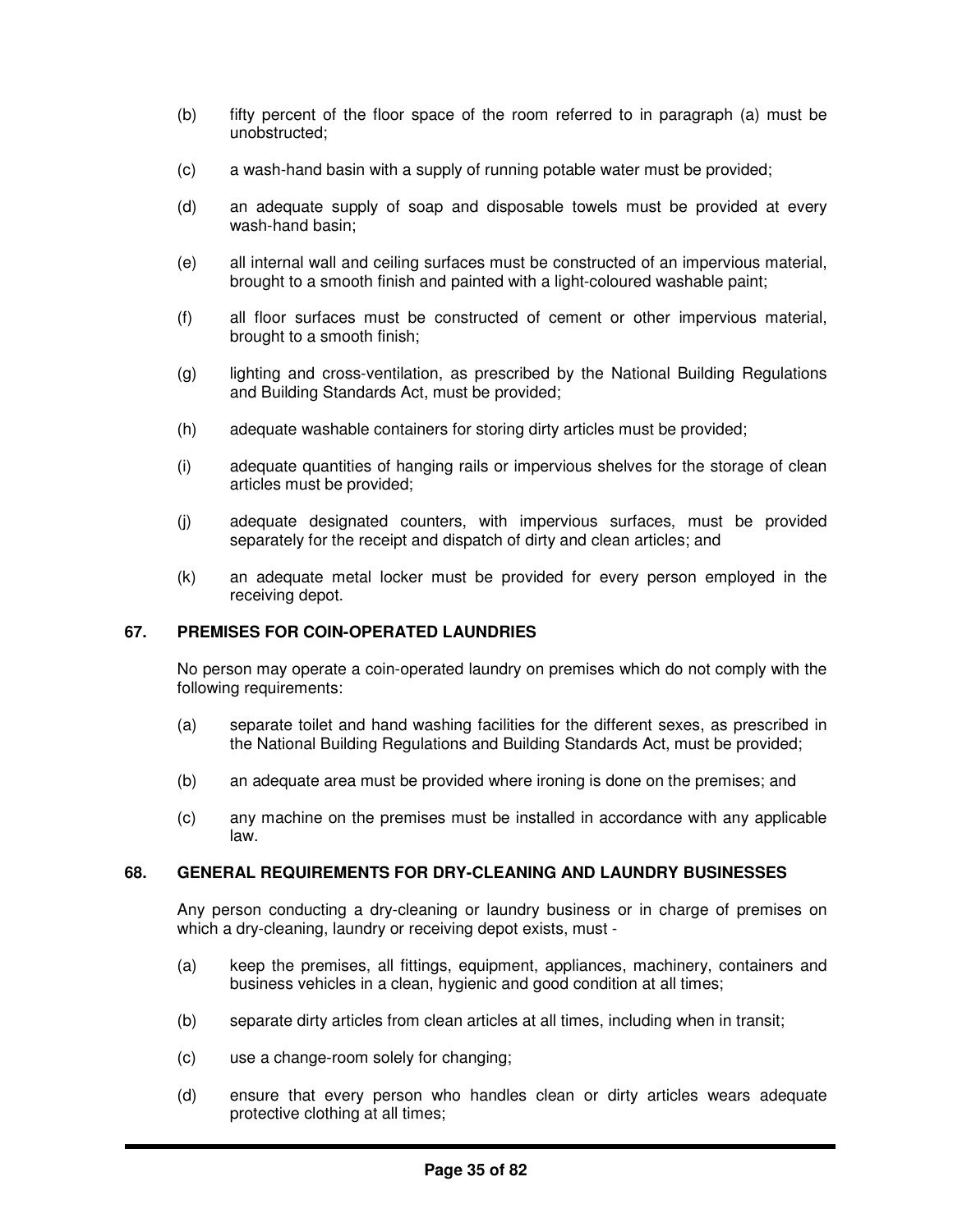- (b) fifty percent of the floor space of the room referred to in paragraph (a) must be unobstructed;
- (c) a wash-hand basin with a supply of running potable water must be provided;
- (d) an adequate supply of soap and disposable towels must be provided at every wash-hand basin;
- (e) all internal wall and ceiling surfaces must be constructed of an impervious material, brought to a smooth finish and painted with a light-coloured washable paint;
- (f) all floor surfaces must be constructed of cement or other impervious material, brought to a smooth finish;
- (g) lighting and cross-ventilation, as prescribed by the National Building Regulations and Building Standards Act, must be provided;
- (h) adequate washable containers for storing dirty articles must be provided;
- (i) adequate quantities of hanging rails or impervious shelves for the storage of clean articles must be provided;
- (j) adequate designated counters, with impervious surfaces, must be provided separately for the receipt and dispatch of dirty and clean articles; and
- (k) an adequate metal locker must be provided for every person employed in the receiving depot.

# **67. PREMISES FOR COIN-OPERATED LAUNDRIES**

No person may operate a coin-operated laundry on premises which do not comply with the following requirements:

- (a) separate toilet and hand washing facilities for the different sexes, as prescribed in the National Building Regulations and Building Standards Act, must be provided;
- (b) an adequate area must be provided where ironing is done on the premises; and
- (c) any machine on the premises must be installed in accordance with any applicable law.

## **68. GENERAL REQUIREMENTS FOR DRY-CLEANING AND LAUNDRY BUSINESSES**

Any person conducting a dry-cleaning or laundry business or in charge of premises on which a dry-cleaning, laundry or receiving depot exists, must -

- (a) keep the premises, all fittings, equipment, appliances, machinery, containers and business vehicles in a clean, hygienic and good condition at all times;
- (b) separate dirty articles from clean articles at all times, including when in transit;
- (c) use a change-room solely for changing;
- (d) ensure that every person who handles clean or dirty articles wears adequate protective clothing at all times;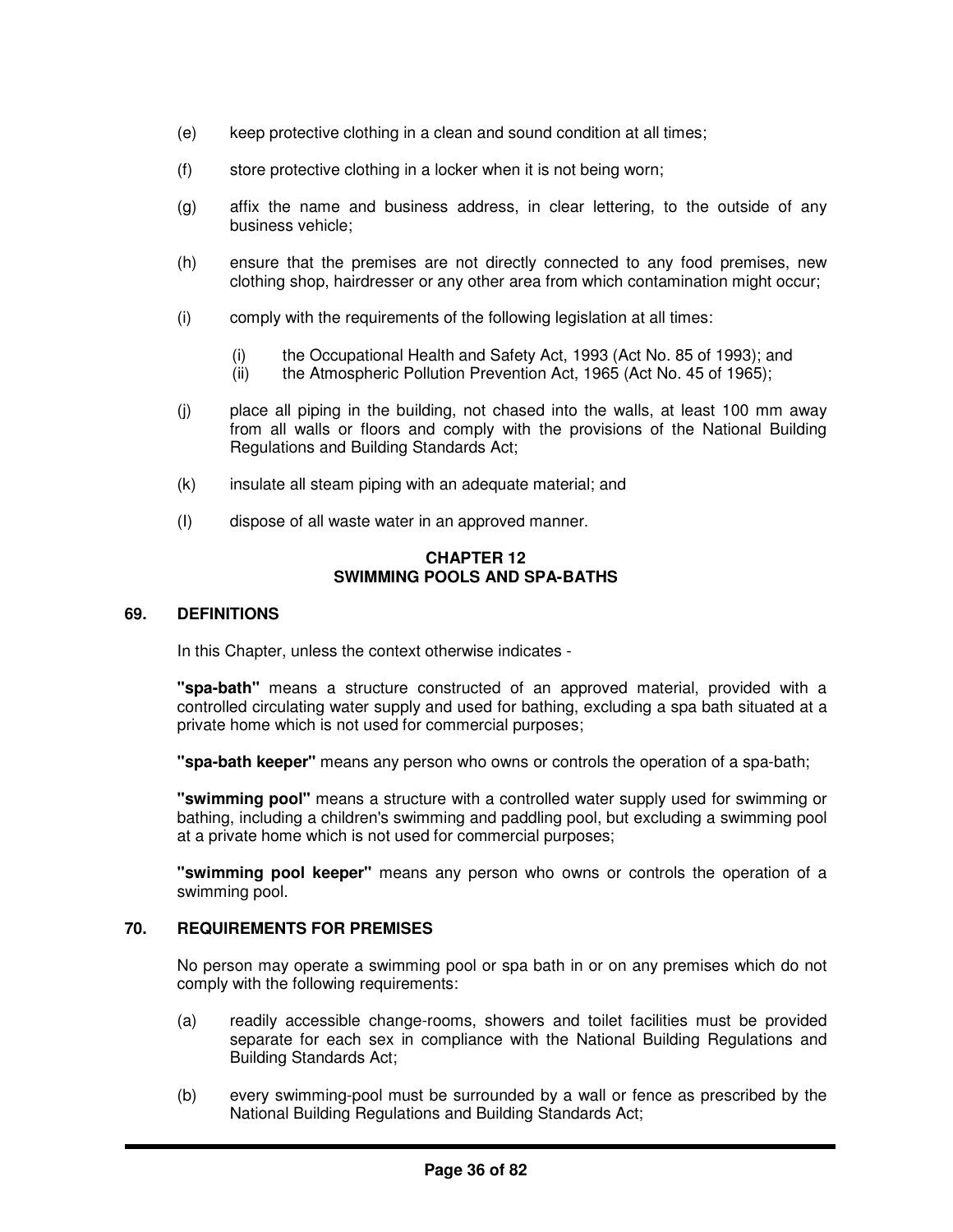- (e) keep protective clothing in a clean and sound condition at all times;
- (f) store protective clothing in a locker when it is not being worn;
- (g) affix the name and business address, in clear lettering, to the outside of any business vehicle;
- (h) ensure that the premises are not directly connected to any food premises, new clothing shop, hairdresser or any other area from which contamination might occur;
- (i) comply with the requirements of the following legislation at all times:
	- (i) the Occupational Health and Safety Act, 1993 (Act No. 85 of 1993); and
	- (ii) the Atmospheric Pollution Prevention Act, 1965 (Act No. 45 of 1965);
- (j) place all piping in the building, not chased into the walls, at least 100 mm away from all walls or floors and comply with the provisions of the National Building Regulations and Building Standards Act;
- (k) insulate all steam piping with an adequate material; and
- (I) dispose of all waste water in an approved manner.

#### **CHAPTER 12 SWIMMING POOLS AND SPA-BATHS**

#### **69. DEFINITIONS**

In this Chapter, unless the context otherwise indicates -

**"spa-bath"** means a structure constructed of an approved material, provided with a controlled circulating water supply and used for bathing, excluding a spa bath situated at a private home which is not used for commercial purposes;

**"spa-bath keeper"** means any person who owns or controls the operation of a spa-bath;

**"swimming pool"** means a structure with a controlled water supply used for swimming or bathing, including a children's swimming and paddling pool, but excluding a swimming pool at a private home which is not used for commercial purposes;

**"swimming pool keeper"** means any person who owns or controls the operation of a swimming pool.

# **70. REQUIREMENTS FOR PREMISES**

No person may operate a swimming pool or spa bath in or on any premises which do not comply with the following requirements:

- (a) readily accessible change-rooms, showers and toilet facilities must be provided separate for each sex in compliance with the National Building Regulations and Building Standards Act;
- (b) every swimming-pool must be surrounded by a wall or fence as prescribed by the National Building Regulations and Building Standards Act;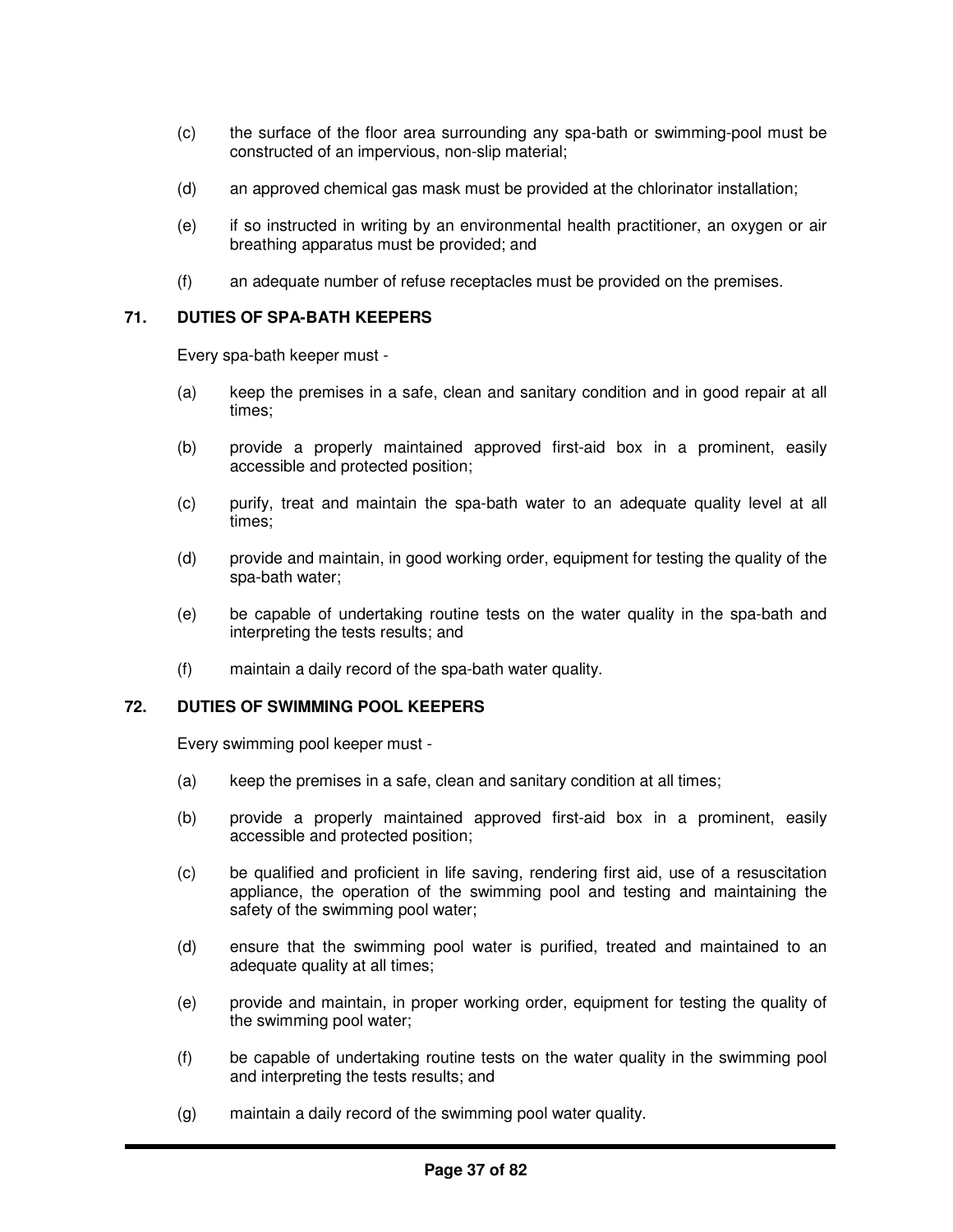- (c) the surface of the floor area surrounding any spa-bath or swimming-pool must be constructed of an impervious, non-slip material;
- (d) an approved chemical gas mask must be provided at the chlorinator installation;
- (e) if so instructed in writing by an environmental health practitioner, an oxygen or air breathing apparatus must be provided; and
- (f) an adequate number of refuse receptacles must be provided on the premises.

## **71. DUTIES OF SPA-BATH KEEPERS**

Every spa-bath keeper must -

- (a) keep the premises in a safe, clean and sanitary condition and in good repair at all times;
- (b) provide a properly maintained approved first-aid box in a prominent, easily accessible and protected position;
- (c) purify, treat and maintain the spa-bath water to an adequate quality level at all times;
- (d) provide and maintain, in good working order, equipment for testing the quality of the spa-bath water;
- (e) be capable of undertaking routine tests on the water quality in the spa-bath and interpreting the tests results; and
- (f) maintain a daily record of the spa-bath water quality.

#### **72. DUTIES OF SWIMMING POOL KEEPERS**

Every swimming pool keeper must -

- (a) keep the premises in a safe, clean and sanitary condition at all times;
- (b) provide a properly maintained approved first-aid box in a prominent, easily accessible and protected position;
- (c) be qualified and proficient in life saving, rendering first aid, use of a resuscitation appliance, the operation of the swimming pool and testing and maintaining the safety of the swimming pool water;
- (d) ensure that the swimming pool water is purified, treated and maintained to an adequate quality at all times;
- (e) provide and maintain, in proper working order, equipment for testing the quality of the swimming pool water;
- (f) be capable of undertaking routine tests on the water quality in the swimming pool and interpreting the tests results; and
- (g) maintain a daily record of the swimming pool water quality.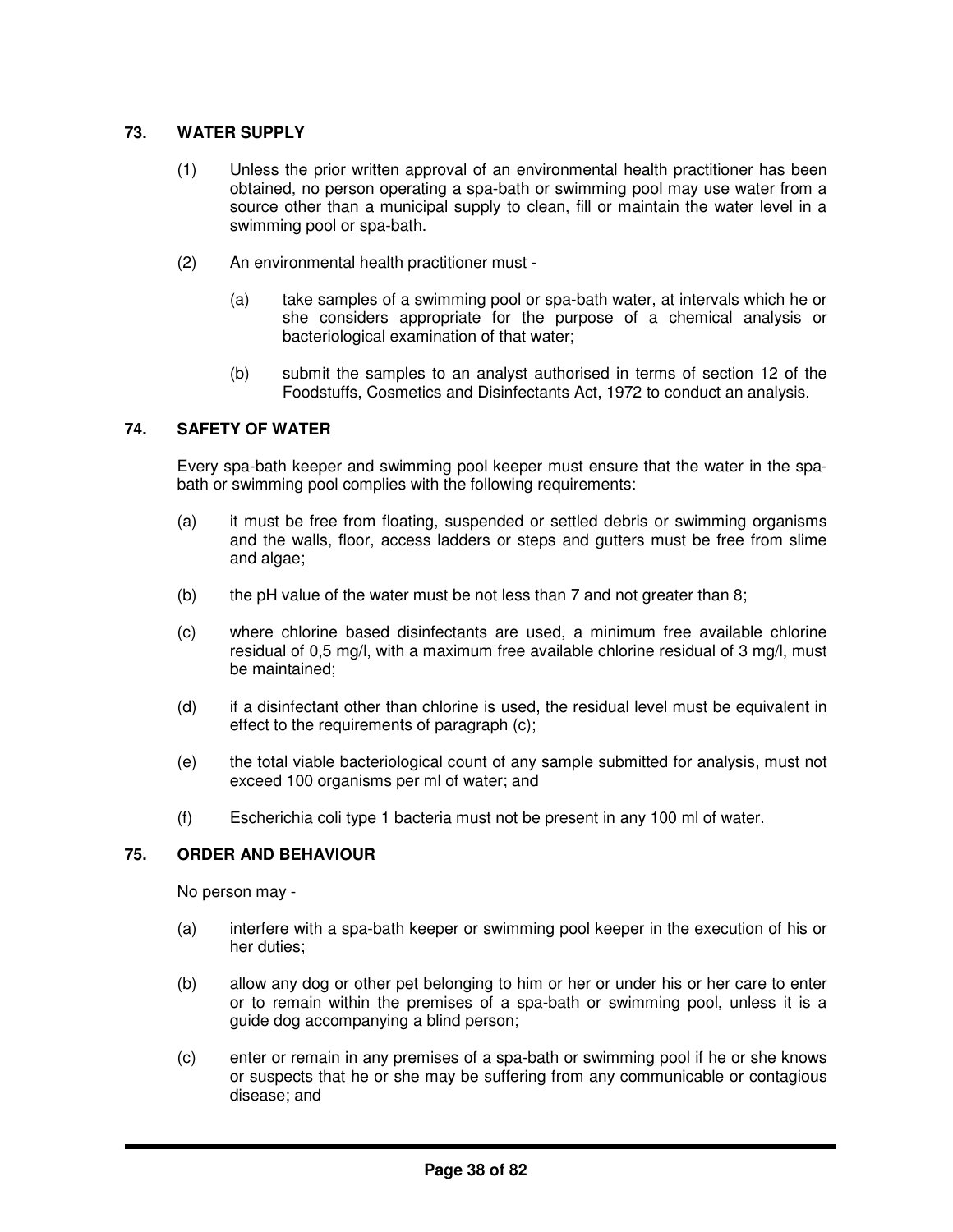# **73. WATER SUPPLY**

- (1) Unless the prior written approval of an environmental health practitioner has been obtained, no person operating a spa-bath or swimming pool may use water from a source other than a municipal supply to clean, fill or maintain the water level in a swimming pool or spa-bath.
- (2) An environmental health practitioner must
	- (a) take samples of a swimming pool or spa-bath water, at intervals which he or she considers appropriate for the purpose of a chemical analysis or bacteriological examination of that water:
	- (b) submit the samples to an analyst authorised in terms of section 12 of the Foodstuffs, Cosmetics and Disinfectants Act, 1972 to conduct an analysis.

# **74. SAFETY OF WATER**

Every spa-bath keeper and swimming pool keeper must ensure that the water in the spabath or swimming pool complies with the following requirements:

- (a) it must be free from floating, suspended or settled debris or swimming organisms and the walls, floor, access ladders or steps and gutters must be free from slime and algae;
- (b) the pH value of the water must be not less than  $7$  and not greater than  $8$ ;
- (c) where chlorine based disinfectants are used, a minimum free available chlorine residual of 0,5 mg/l, with a maximum free available chlorine residual of 3 mg/l, must be maintained;
- (d) if a disinfectant other than chlorine is used, the residual level must be equivalent in effect to the requirements of paragraph (c);
- (e) the total viable bacteriological count of any sample submitted for analysis, must not exceed 100 organisms per ml of water; and
- (f) Escherichia coli type 1 bacteria must not be present in any 100 ml of water.

# **75. ORDER AND BEHAVIOUR**

No person may -

- (a) interfere with a spa-bath keeper or swimming pool keeper in the execution of his or her duties;
- (b) allow any dog or other pet belonging to him or her or under his or her care to enter or to remain within the premises of a spa-bath or swimming pool, unless it is a guide dog accompanying a blind person;
- (c) enter or remain in any premises of a spa-bath or swimming pool if he or she knows or suspects that he or she may be suffering from any communicable or contagious disease; and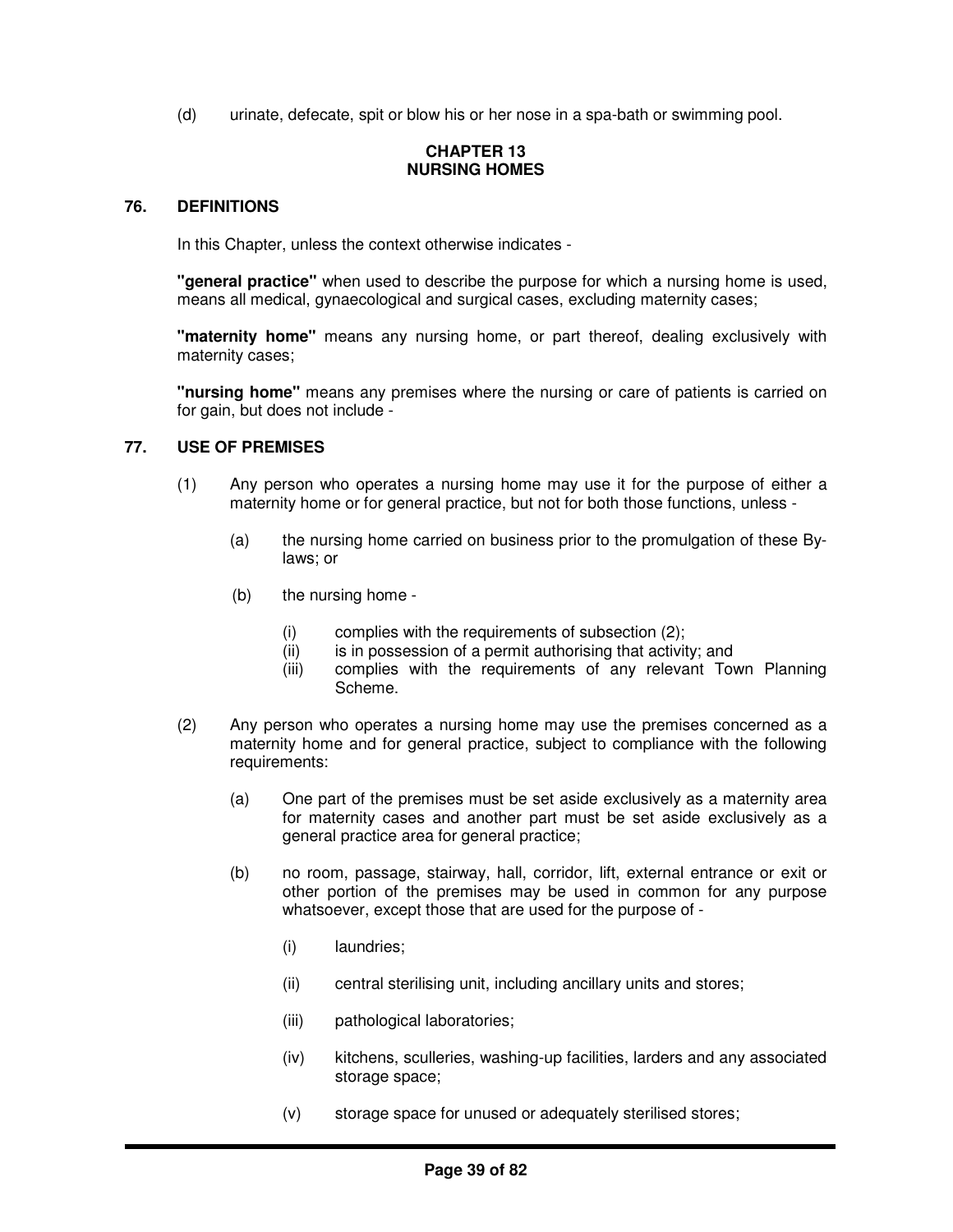(d) urinate, defecate, spit or blow his or her nose in a spa-bath or swimming pool.

# **CHAPTER 13 NURSING HOMES**

## **76. DEFINITIONS**

In this Chapter, unless the context otherwise indicates -

**"general practice"** when used to describe the purpose for which a nursing home is used, means all medical, gynaecological and surgical cases, excluding maternity cases;

**"maternity home"** means any nursing home, or part thereof, dealing exclusively with maternity cases;

**"nursing home"** means any premises where the nursing or care of patients is carried on for gain, but does not include -

## **77. USE OF PREMISES**

- (1) Any person who operates a nursing home may use it for the purpose of either a maternity home or for general practice, but not for both those functions, unless -
	- (a) the nursing home carried on business prior to the promulgation of these Bylaws; or
	- (b) the nursing home
		- (i) complies with the requirements of subsection (2);
		- (ii) is in possession of a permit authorising that activity; and
		- (iii) complies with the requirements of any relevant Town Planning Scheme.
- (2) Any person who operates a nursing home may use the premises concerned as a maternity home and for general practice, subject to compliance with the following requirements:
	- (a) One part of the premises must be set aside exclusively as a maternity area for maternity cases and another part must be set aside exclusively as a general practice area for general practice;
	- (b) no room, passage, stairway, hall, corridor, lift, external entrance or exit or other portion of the premises may be used in common for any purpose whatsoever, except those that are used for the purpose of -
		- (i) laundries;
		- (ii) central sterilising unit, including ancillary units and stores;
		- (iii) pathological laboratories;
		- (iv) kitchens, sculleries, washing-up facilities, larders and any associated storage space;
		- (v) storage space for unused or adequately sterilised stores;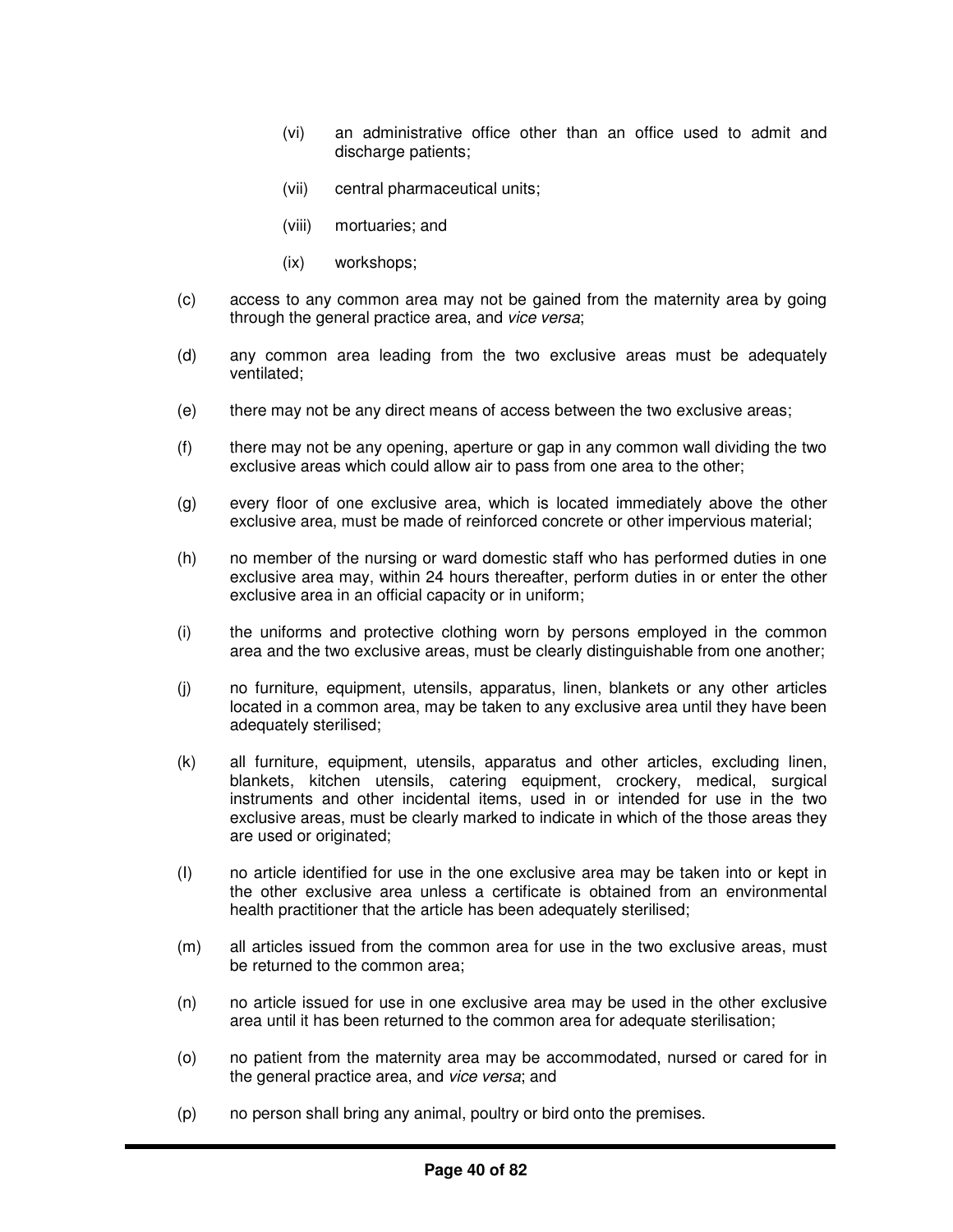- (vi) an administrative office other than an office used to admit and discharge patients;
- (vii) central pharmaceutical units;
- (viii) mortuaries; and
- (ix) workshops;
- (c) access to any common area may not be gained from the maternity area by going through the general practice area, and *vice versa*;
- (d) any common area leading from the two exclusive areas must be adequately ventilated;
- (e) there may not be any direct means of access between the two exclusive areas;
- (f) there may not be any opening, aperture or gap in any common wall dividing the two exclusive areas which could allow air to pass from one area to the other;
- (g) every floor of one exclusive area, which is located immediately above the other exclusive area, must be made of reinforced concrete or other impervious material;
- (h) no member of the nursing or ward domestic staff who has performed duties in one exclusive area may, within 24 hours thereafter, perform duties in or enter the other exclusive area in an official capacity or in uniform;
- (i) the uniforms and protective clothing worn by persons employed in the common area and the two exclusive areas, must be clearly distinguishable from one another;
- (j) no furniture, equipment, utensils, apparatus, linen, blankets or any other articles located in a common area, may be taken to any exclusive area until they have been adequately sterilised;
- (k) all furniture, equipment, utensils, apparatus and other articles, excluding linen, blankets, kitchen utensils, catering equipment, crockery, medical, surgical instruments and other incidental items, used in or intended for use in the two exclusive areas, must be clearly marked to indicate in which of the those areas they are used or originated;
- (I) no article identified for use in the one exclusive area may be taken into or kept in the other exclusive area unless a certificate is obtained from an environmental health practitioner that the article has been adequately sterilised;
- (m) all articles issued from the common area for use in the two exclusive areas, must be returned to the common area;
- (n) no article issued for use in one exclusive area may be used in the other exclusive area until it has been returned to the common area for adequate sterilisation;
- (o) no patient from the maternity area may be accommodated, nursed or cared for in the general practice area, and *vice versa*; and
- (p) no person shall bring any animal, poultry or bird onto the premises.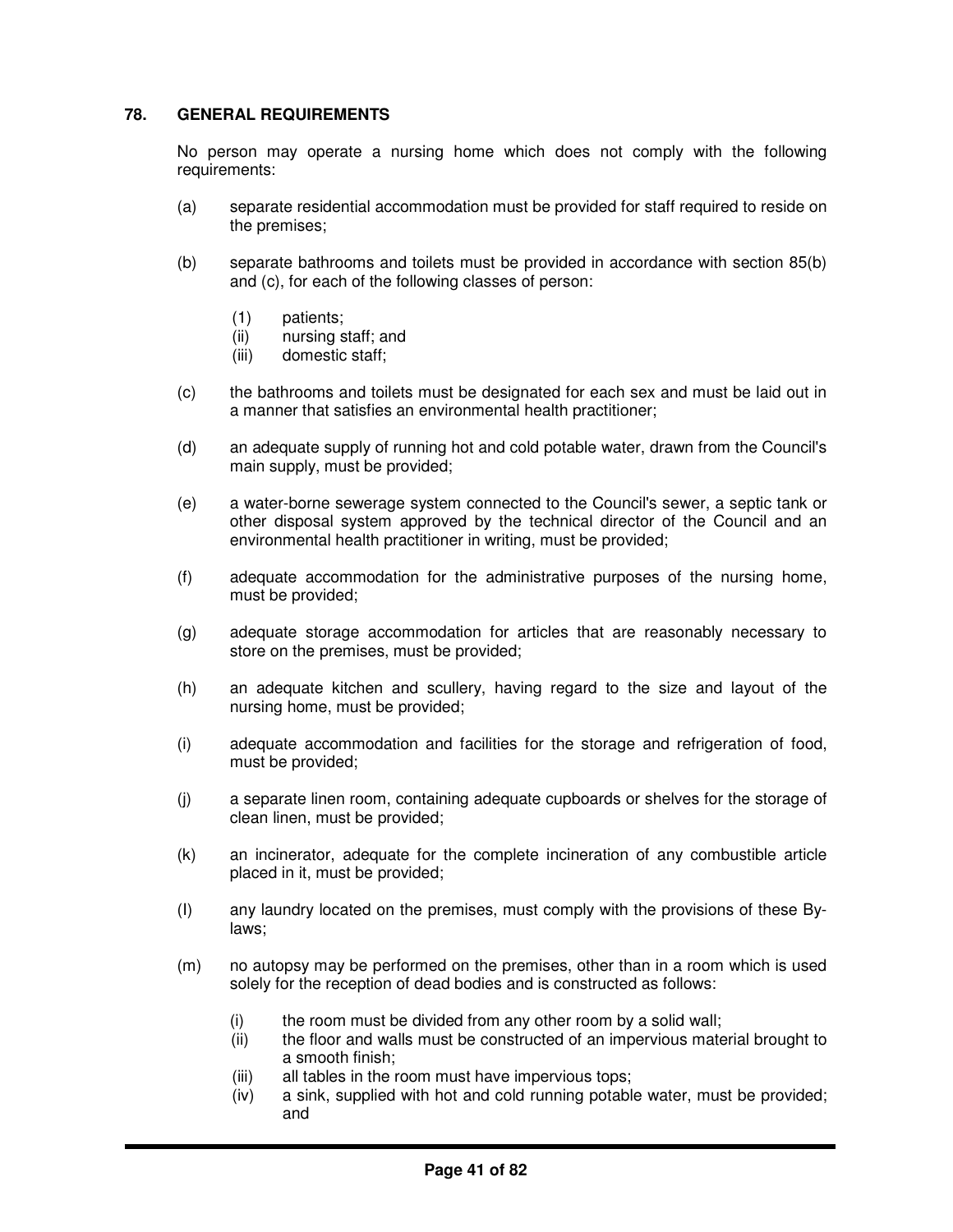# **78. GENERAL REQUIREMENTS**

No person may operate a nursing home which does not comply with the following requirements:

- (a) separate residential accommodation must be provided for staff required to reside on the premises;
- (b) separate bathrooms and toilets must be provided in accordance with section 85(b) and (c), for each of the following classes of person:
	- (1) patients;
	- (ii) nursing staff; and
	- (iii) domestic staff;
- (c) the bathrooms and toilets must be designated for each sex and must be laid out in a manner that satisfies an environmental health practitioner;
- (d) an adequate supply of running hot and cold potable water, drawn from the Council's main supply, must be provided;
- (e) a water-borne sewerage system connected to the Council's sewer, a septic tank or other disposal system approved by the technical director of the Council and an environmental health practitioner in writing, must be provided;
- (f) adequate accommodation for the administrative purposes of the nursing home, must be provided;
- (g) adequate storage accommodation for articles that are reasonably necessary to store on the premises, must be provided;
- (h) an adequate kitchen and scullery, having regard to the size and layout of the nursing home, must be provided;
- (i) adequate accommodation and facilities for the storage and refrigeration of food, must be provided;
- (j) a separate linen room, containing adequate cupboards or shelves for the storage of clean linen, must be provided;
- (k) an incinerator, adequate for the complete incineration of any combustible article placed in it, must be provided;
- (I) any laundry located on the premises, must comply with the provisions of these Bylaws;
- (m) no autopsy may be performed on the premises, other than in a room which is used solely for the reception of dead bodies and is constructed as follows:
	- (i) the room must be divided from any other room by a solid wall;
	- (ii) the floor and walls must be constructed of an impervious material brought to a smooth finish;
	- (iii) all tables in the room must have impervious tops;
	- (iv) a sink, supplied with hot and cold running potable water, must be provided; and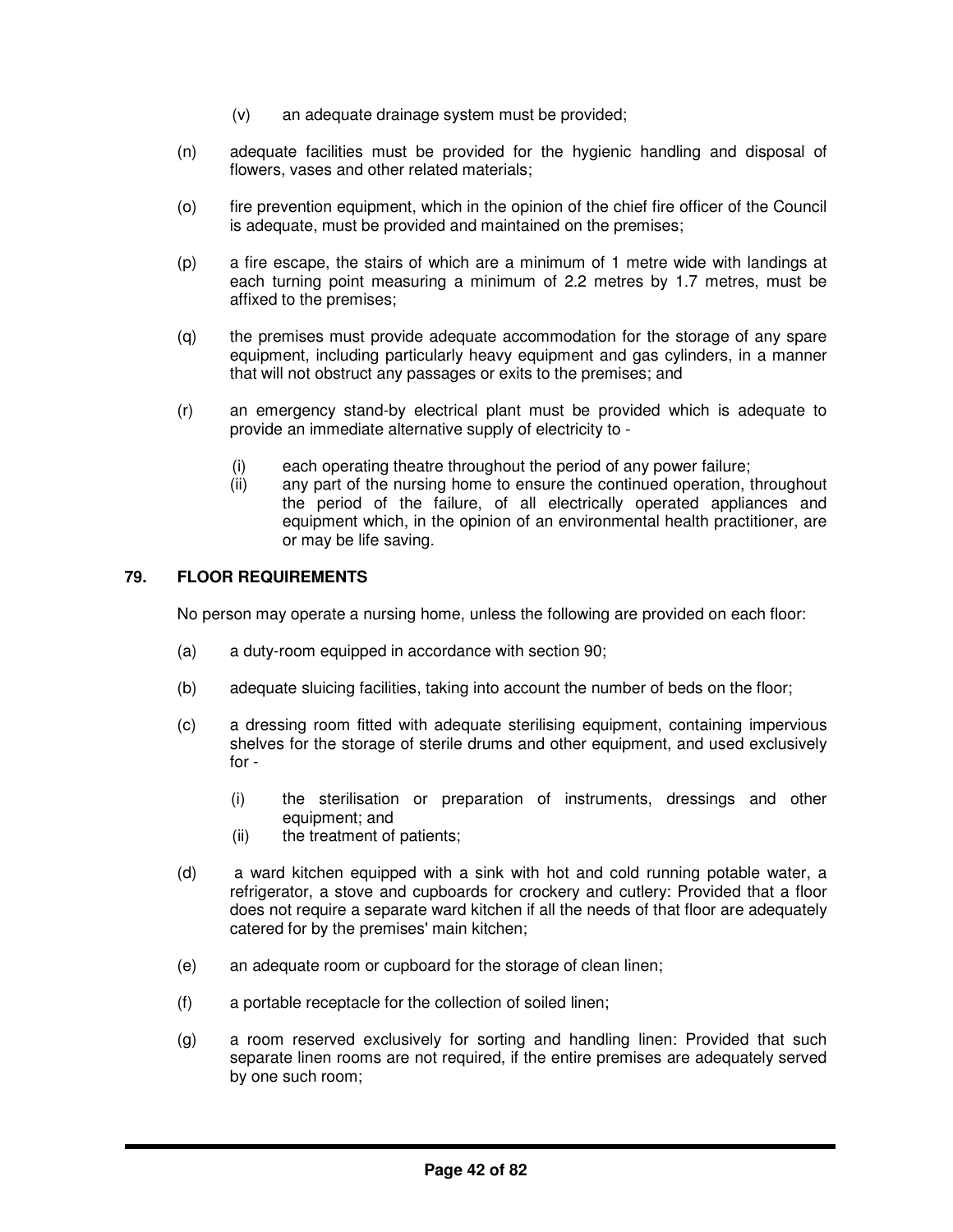- (v) an adequate drainage system must be provided;
- (n) adequate facilities must be provided for the hygienic handling and disposal of flowers, vases and other related materials;
- (o) fire prevention equipment, which in the opinion of the chief fire officer of the Council is adequate, must be provided and maintained on the premises;
- (p) a fire escape, the stairs of which are a minimum of 1 metre wide with landings at each turning point measuring a minimum of 2.2 metres by 1.7 metres, must be affixed to the premises;
- (q) the premises must provide adequate accommodation for the storage of any spare equipment, including particularly heavy equipment and gas cylinders, in a manner that will not obstruct any passages or exits to the premises; and
- (r) an emergency stand-by electrical plant must be provided which is adequate to provide an immediate alternative supply of electricity to -
	- (i) each operating theatre throughout the period of any power failure;
	- (ii) any part of the nursing home to ensure the continued operation, throughout the period of the failure, of all electrically operated appliances and equipment which, in the opinion of an environmental health practitioner, are or may be life saving.

# **79. FLOOR REQUIREMENTS**

No person may operate a nursing home, unless the following are provided on each floor:

- (a) a duty-room equipped in accordance with section 90;
- (b) adequate sluicing facilities, taking into account the number of beds on the floor;
- (c) a dressing room fitted with adequate sterilising equipment, containing impervious shelves for the storage of sterile drums and other equipment, and used exclusively for -
	- (i) the sterilisation or preparation of instruments, dressings and other equipment; and
	- (ii) the treatment of patients;
- (d) a ward kitchen equipped with a sink with hot and cold running potable water, a refrigerator, a stove and cupboards for crockery and cutlery: Provided that a floor does not require a separate ward kitchen if all the needs of that floor are adequately catered for by the premises' main kitchen;
- (e) an adequate room or cupboard for the storage of clean linen;
- (f) a portable receptacle for the collection of soiled linen;
- (g) a room reserved exclusively for sorting and handling linen: Provided that such separate linen rooms are not required, if the entire premises are adequately served by one such room;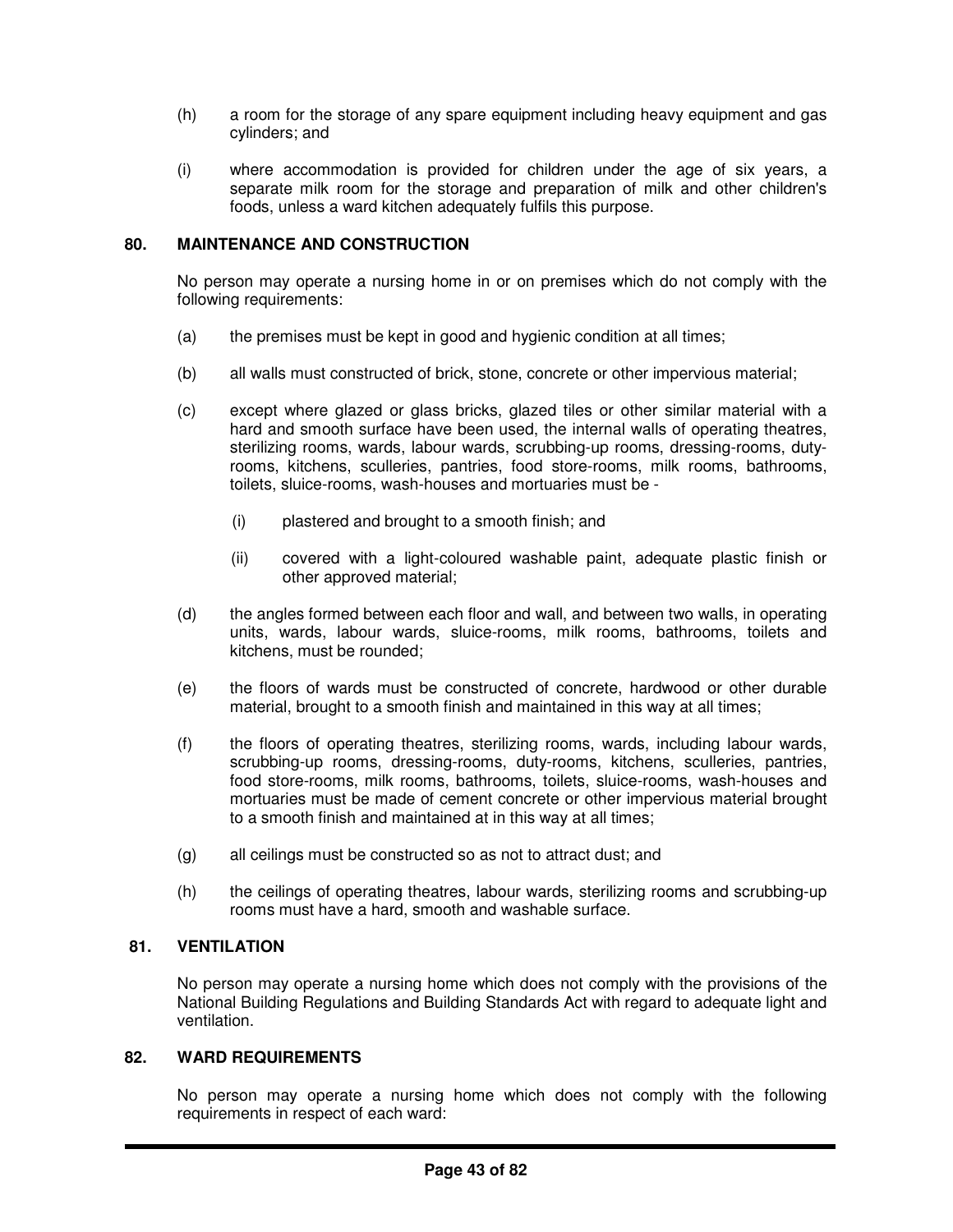- (h) a room for the storage of any spare equipment including heavy equipment and gas cylinders; and
- (i) where accommodation is provided for children under the age of six years, a separate milk room for the storage and preparation of milk and other children's foods, unless a ward kitchen adequately fulfils this purpose.

# **80. MAINTENANCE AND CONSTRUCTION**

No person may operate a nursing home in or on premises which do not comply with the following requirements:

- (a) the premises must be kept in good and hygienic condition at all times;
- (b) all walls must constructed of brick, stone, concrete or other impervious material;
- (c) except where glazed or glass bricks, glazed tiles or other similar material with a hard and smooth surface have been used, the internal walls of operating theatres, sterilizing rooms, wards, labour wards, scrubbing-up rooms, dressing-rooms, dutyrooms, kitchens, sculleries, pantries, food store-rooms, milk rooms, bathrooms, toilets, sluice-rooms, wash-houses and mortuaries must be -
	- (i) plastered and brought to a smooth finish; and
	- (ii) covered with a light-coloured washable paint, adequate plastic finish or other approved material;
- (d) the angles formed between each floor and wall, and between two walls, in operating units, wards, labour wards, sluice-rooms, milk rooms, bathrooms, toilets and kitchens, must be rounded;
- (e) the floors of wards must be constructed of concrete, hardwood or other durable material, brought to a smooth finish and maintained in this way at all times;
- (f) the floors of operating theatres, sterilizing rooms, wards, including labour wards, scrubbing-up rooms, dressing-rooms, duty-rooms, kitchens, sculleries, pantries, food store-rooms, milk rooms, bathrooms, toilets, sluice-rooms, wash-houses and mortuaries must be made of cement concrete or other impervious material brought to a smooth finish and maintained at in this way at all times;
- (g) all ceilings must be constructed so as not to attract dust; and
- (h) the ceilings of operating theatres, labour wards, sterilizing rooms and scrubbing-up rooms must have a hard, smooth and washable surface.

# **81. VENTILATION**

No person may operate a nursing home which does not comply with the provisions of the National Building Regulations and Building Standards Act with regard to adequate light and ventilation.

## **82. WARD REQUIREMENTS**

No person may operate a nursing home which does not comply with the following requirements in respect of each ward: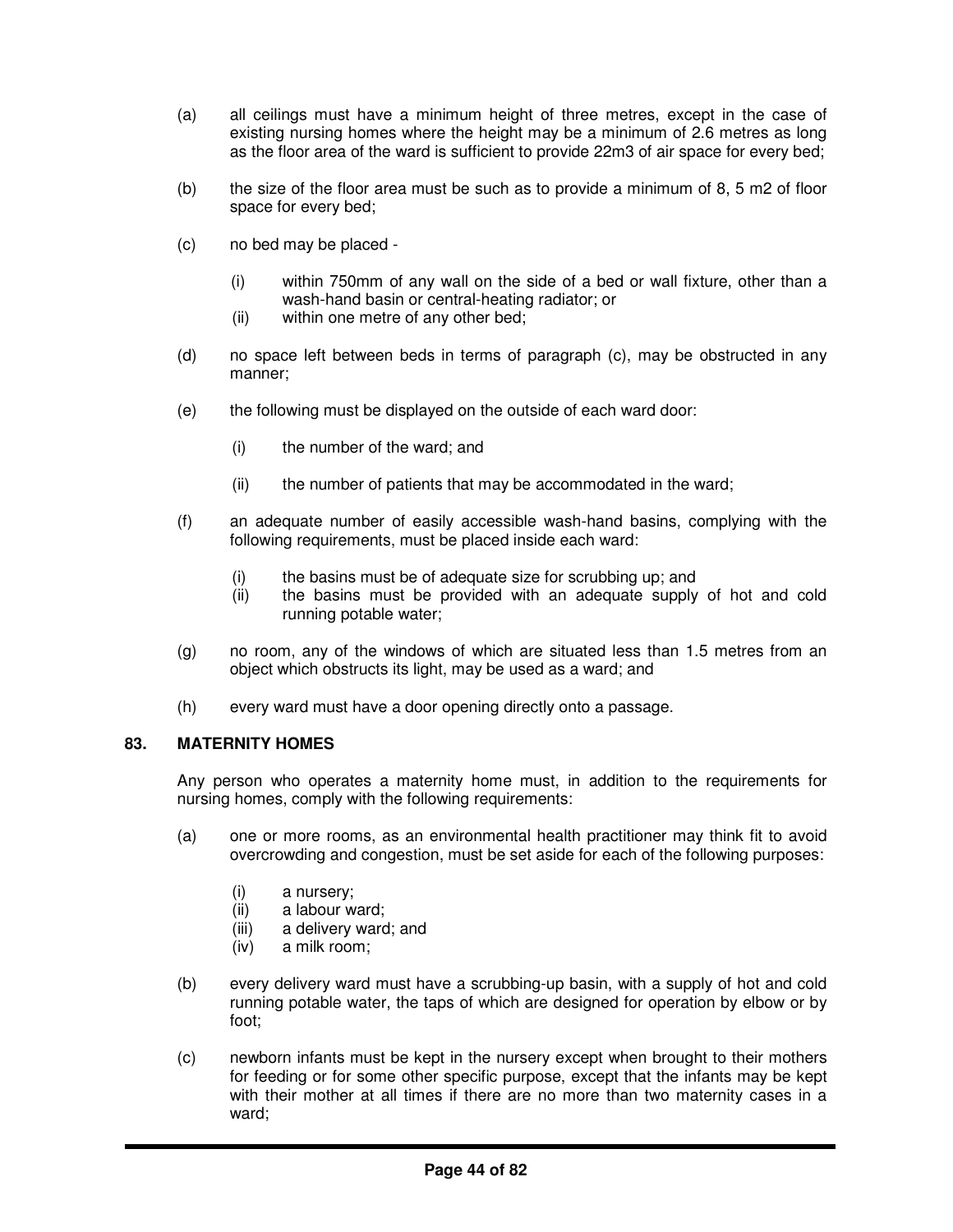- (a) all ceilings must have a minimum height of three metres, except in the case of existing nursing homes where the height may be a minimum of 2.6 metres as long as the floor area of the ward is sufficient to provide 22m3 of air space for every bed;
- (b) the size of the floor area must be such as to provide a minimum of 8, 5 m2 of floor space for every bed;
- (c) no bed may be placed
	- (i) within 750mm of any wall on the side of a bed or wall fixture, other than a wash-hand basin or central-heating radiator; or
	- (ii) within one metre of any other bed;
- (d) no space left between beds in terms of paragraph (c), may be obstructed in any manner;
- (e) the following must be displayed on the outside of each ward door:
	- (i) the number of the ward; and
	- (ii) the number of patients that may be accommodated in the ward;
- (f) an adequate number of easily accessible wash-hand basins, complying with the following requirements, must be placed inside each ward:
	- (i) the basins must be of adequate size for scrubbing up; and
	- (ii) the basins must be provided with an adequate supply of hot and cold running potable water;
- (g) no room, any of the windows of which are situated less than 1.5 metres from an object which obstructs its light, may be used as a ward; and
- (h) every ward must have a door opening directly onto a passage.

#### **83. MATERNITY HOMES**

Any person who operates a maternity home must, in addition to the requirements for nursing homes, comply with the following requirements:

- (a) one or more rooms, as an environmental health practitioner may think fit to avoid overcrowding and congestion, must be set aside for each of the following purposes:
	- (i) a nursery;
	- (ii) a labour ward;
	- (iii) a delivery ward; and
	- (iv) a milk room;
- (b) every delivery ward must have a scrubbing-up basin, with a supply of hot and cold running potable water, the taps of which are designed for operation by elbow or by foot;
- (c) newborn infants must be kept in the nursery except when brought to their mothers for feeding or for some other specific purpose, except that the infants may be kept with their mother at all times if there are no more than two maternity cases in a ward;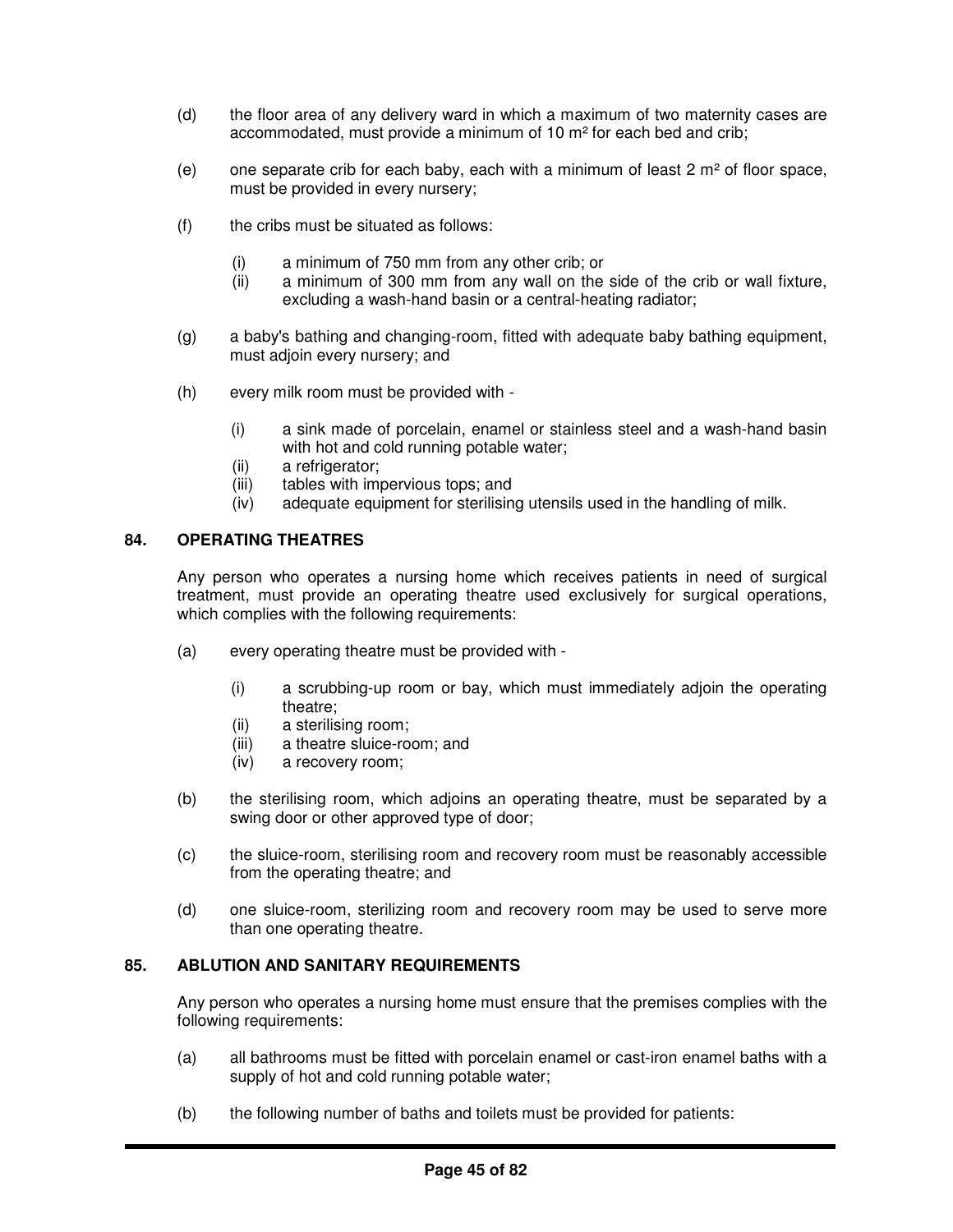- (d) the floor area of any delivery ward in which a maximum of two maternity cases are accommodated, must provide a minimum of 10 m² for each bed and crib;
- (e) one separate crib for each baby, each with a minimum of least  $2 \text{ m}^2$  of floor space, must be provided in every nursery;
- $(f)$  the cribs must be situated as follows:
	- (i) a minimum of 750 mm from any other crib; or
	- (ii) a minimum of 300 mm from any wall on the side of the crib or wall fixture, excluding a wash-hand basin or a central-heating radiator;
- (g) a baby's bathing and changing-room, fitted with adequate baby bathing equipment, must adjoin every nursery; and
- (h) every milk room must be provided with
	- (i) a sink made of porcelain, enamel or stainless steel and a wash-hand basin with hot and cold running potable water:
	- (ii) a refrigerator;
	- (iii) tables with impervious tops; and
	- (iv) adequate equipment for sterilising utensils used in the handling of milk.

# **84. OPERATING THEATRES**

Any person who operates a nursing home which receives patients in need of surgical treatment, must provide an operating theatre used exclusively for surgical operations, which complies with the following requirements:

- (a) every operating theatre must be provided with
	- (i) a scrubbing-up room or bay, which must immediately adjoin the operating theatre;
	- (ii) a sterilising room;
	- (iii) a theatre sluice-room; and
	- (iv) a recovery room;
- (b) the sterilising room, which adjoins an operating theatre, must be separated by a swing door or other approved type of door;
- (c) the sluice-room, sterilising room and recovery room must be reasonably accessible from the operating theatre; and
- (d) one sluice-room, sterilizing room and recovery room may be used to serve more than one operating theatre.

# **85. ABLUTION AND SANITARY REQUIREMENTS**

Any person who operates a nursing home must ensure that the premises complies with the following requirements:

- (a) all bathrooms must be fitted with porcelain enamel or cast-iron enamel baths with a supply of hot and cold running potable water;
- (b) the following number of baths and toilets must be provided for patients: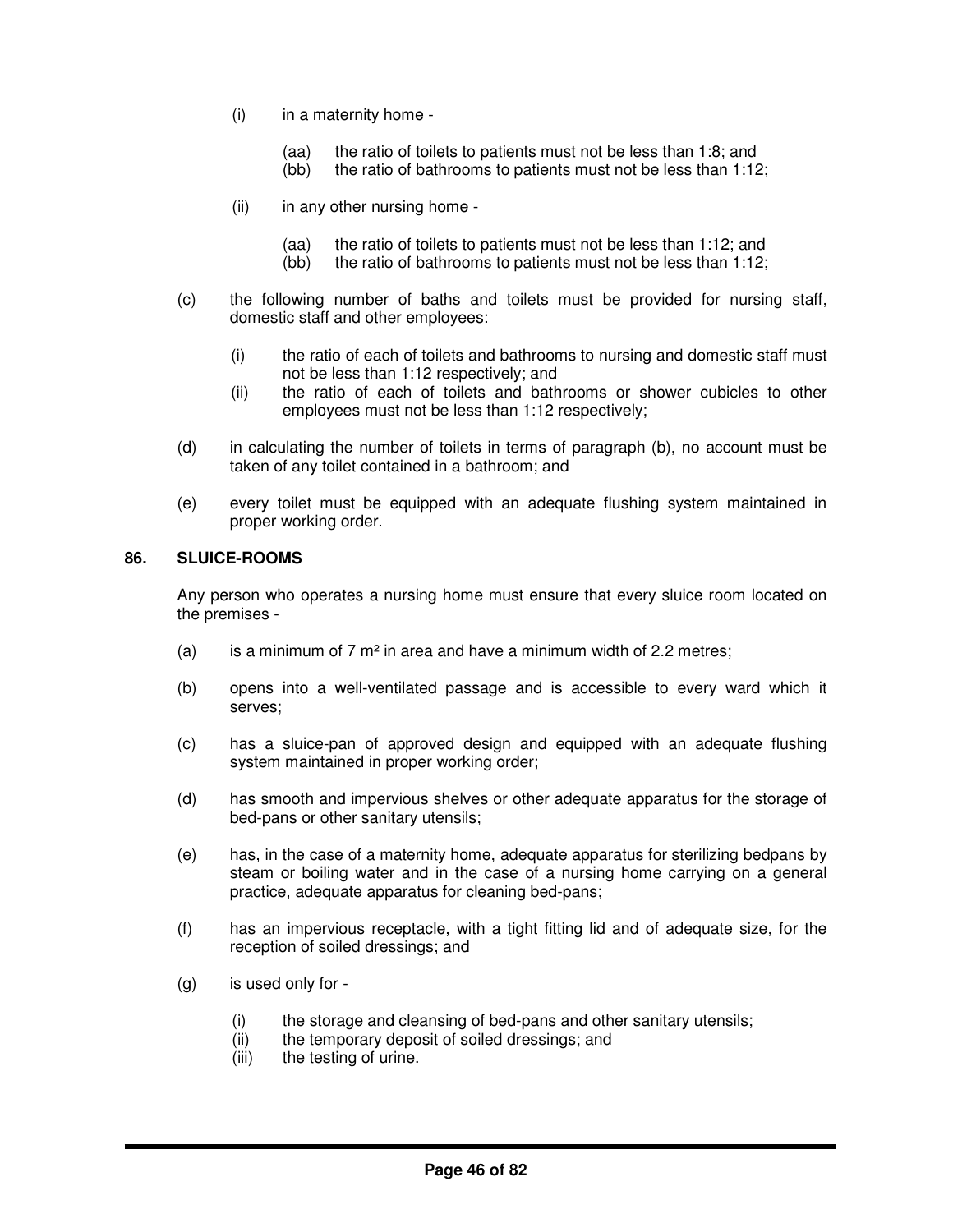- (i) in a maternity home
	- (aa) the ratio of toilets to patients must not be less than 1:8; and
	- (bb) the ratio of bathrooms to patients must not be less than 1:12;
- (ii) in any other nursing home
	- (aa) the ratio of toilets to patients must not be less than 1:12; and
	- (bb) the ratio of bathrooms to patients must not be less than 1:12;
- (c) the following number of baths and toilets must be provided for nursing staff, domestic staff and other employees:
	- (i) the ratio of each of toilets and bathrooms to nursing and domestic staff must not be less than 1:12 respectively; and
	- (ii) the ratio of each of toilets and bathrooms or shower cubicles to other employees must not be less than 1:12 respectively;
- (d) in calculating the number of toilets in terms of paragraph (b), no account must be taken of any toilet contained in a bathroom; and
- (e) every toilet must be equipped with an adequate flushing system maintained in proper working order.

# **86. SLUICE-ROOMS**

Any person who operates a nursing home must ensure that every sluice room located on the premises -

- (a) is a minimum of 7  $m<sup>2</sup>$  in area and have a minimum width of 2.2 metres;
- (b) opens into a well-ventilated passage and is accessible to every ward which it serves;
- (c) has a sluice-pan of approved design and equipped with an adequate flushing system maintained in proper working order;
- (d) has smooth and impervious shelves or other adequate apparatus for the storage of bed-pans or other sanitary utensils;
- (e) has, in the case of a maternity home, adequate apparatus for sterilizing bedpans by steam or boiling water and in the case of a nursing home carrying on a general practice, adequate apparatus for cleaning bed-pans;
- (f) has an impervious receptacle, with a tight fitting lid and of adequate size, for the reception of soiled dressings; and
- (g) is used only for
	- (i) the storage and cleansing of bed-pans and other sanitary utensils;
	- (ii) the temporary deposit of soiled dressings; and
	- (iii) the testing of urine.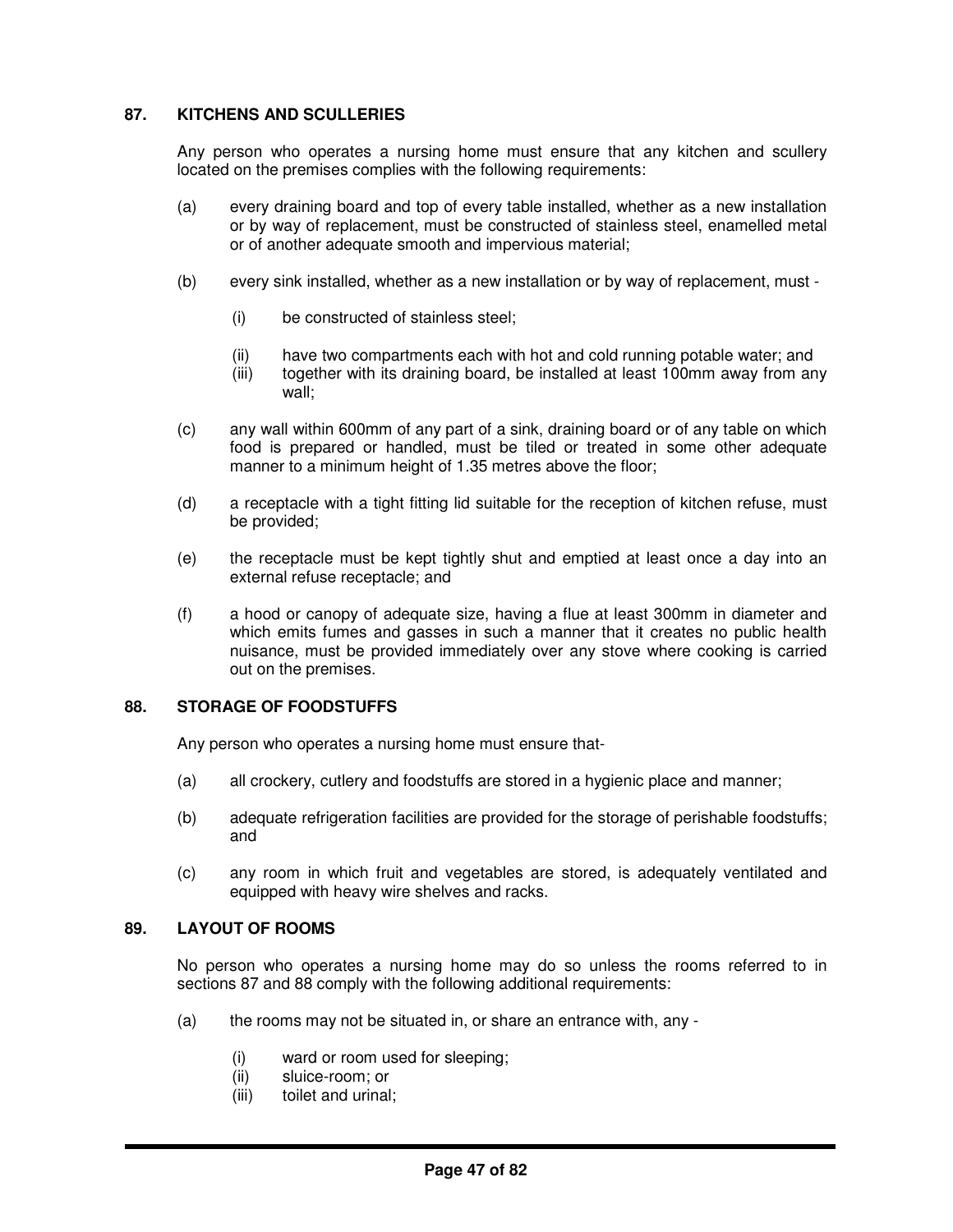# **87. KITCHENS AND SCULLERIES**

Any person who operates a nursing home must ensure that any kitchen and scullery located on the premises complies with the following requirements:

- (a) every draining board and top of every table installed, whether as a new installation or by way of replacement, must be constructed of stainless steel, enamelled metal or of another adequate smooth and impervious material;
- (b) every sink installed, whether as a new installation or by way of replacement, must
	- (i) be constructed of stainless steel;
	- (ii) have two compartments each with hot and cold running potable water; and
	- (iii) together with its draining board, be installed at least 100mm away from any wall;
- (c) any wall within 600mm of any part of a sink, draining board or of any table on which food is prepared or handled, must be tiled or treated in some other adequate manner to a minimum height of 1.35 metres above the floor;
- (d) a receptacle with a tight fitting lid suitable for the reception of kitchen refuse, must be provided;
- (e) the receptacle must be kept tightly shut and emptied at least once a day into an external refuse receptacle; and
- (f) a hood or canopy of adequate size, having a flue at least 300mm in diameter and which emits fumes and gasses in such a manner that it creates no public health nuisance, must be provided immediately over any stove where cooking is carried out on the premises.

#### **88. STORAGE OF FOODSTUFFS**

Any person who operates a nursing home must ensure that-

- (a) all crockery, cutlery and foodstuffs are stored in a hygienic place and manner;
- (b) adequate refrigeration facilities are provided for the storage of perishable foodstuffs; and
- (c) any room in which fruit and vegetables are stored, is adequately ventilated and equipped with heavy wire shelves and racks.

#### **89. LAYOUT OF ROOMS**

No person who operates a nursing home may do so unless the rooms referred to in sections 87 and 88 comply with the following additional requirements:

- (a) the rooms may not be situated in, or share an entrance with, any  $-$ 
	- (i) ward or room used for sleeping;
	- (ii) sluice-room; or
	- (iii) toilet and urinal;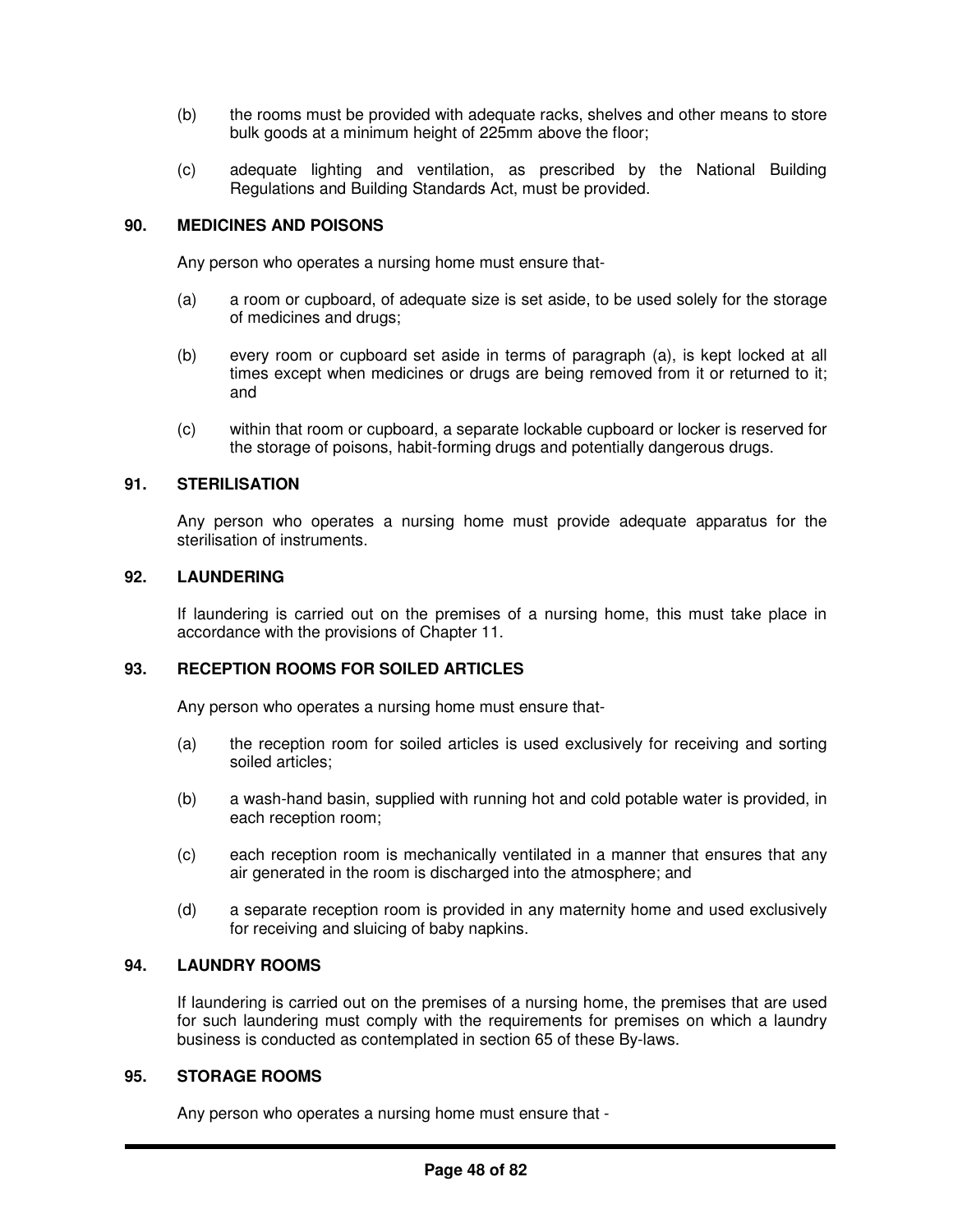- (b) the rooms must be provided with adequate racks, shelves and other means to store bulk goods at a minimum height of 225mm above the floor;
- (c) adequate lighting and ventilation, as prescribed by the National Building Regulations and Building Standards Act, must be provided.

## **90. MEDICINES AND POISONS**

Any person who operates a nursing home must ensure that-

- (a) a room or cupboard, of adequate size is set aside, to be used solely for the storage of medicines and drugs;
- (b) every room or cupboard set aside in terms of paragraph (a), is kept locked at all times except when medicines or drugs are being removed from it or returned to it; and
- (c) within that room or cupboard, a separate lockable cupboard or locker is reserved for the storage of poisons, habit-forming drugs and potentially dangerous drugs.

## **91. STERILISATION**

Any person who operates a nursing home must provide adequate apparatus for the sterilisation of instruments.

## **92. LAUNDERING**

If laundering is carried out on the premises of a nursing home, this must take place in accordance with the provisions of Chapter 11.

#### **93. RECEPTION ROOMS FOR SOILED ARTICLES**

Any person who operates a nursing home must ensure that-

- (a) the reception room for soiled articles is used exclusively for receiving and sorting soiled articles;
- (b) a wash-hand basin, supplied with running hot and cold potable water is provided, in each reception room;
- (c) each reception room is mechanically ventilated in a manner that ensures that any air generated in the room is discharged into the atmosphere; and
- (d) a separate reception room is provided in any maternity home and used exclusively for receiving and sluicing of baby napkins.

#### **94. LAUNDRY ROOMS**

If laundering is carried out on the premises of a nursing home, the premises that are used for such laundering must comply with the requirements for premises on which a laundry business is conducted as contemplated in section 65 of these By-laws.

## **95. STORAGE ROOMS**

Any person who operates a nursing home must ensure that -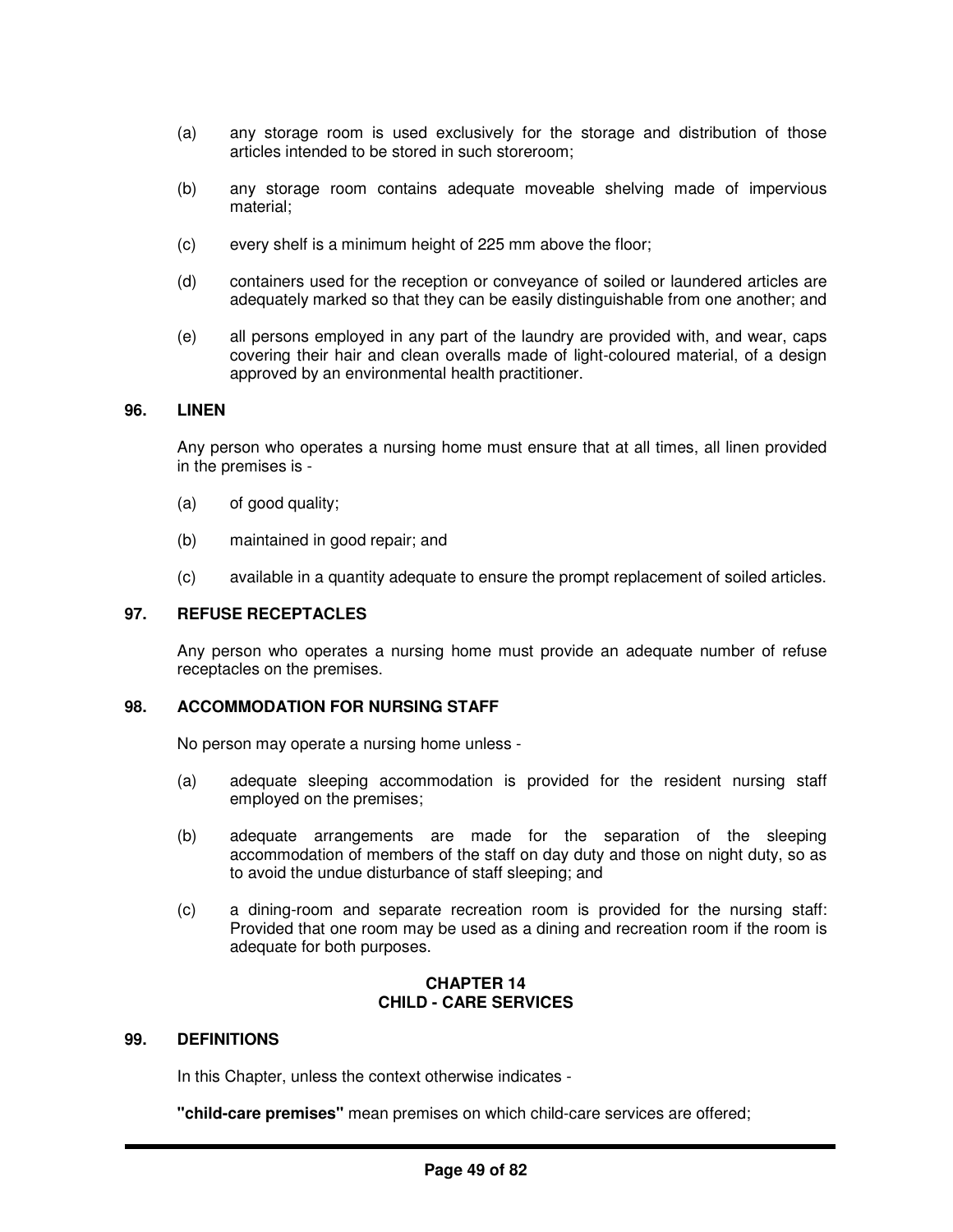- (a) any storage room is used exclusively for the storage and distribution of those articles intended to be stored in such storeroom;
- (b) any storage room contains adequate moveable shelving made of impervious material;
- (c) every shelf is a minimum height of 225 mm above the floor;
- (d) containers used for the reception or conveyance of soiled or laundered articles are adequately marked so that they can be easily distinguishable from one another; and
- (e) all persons employed in any part of the laundry are provided with, and wear, caps covering their hair and clean overalls made of light-coloured material, of a design approved by an environmental health practitioner.

## **96. LINEN**

Any person who operates a nursing home must ensure that at all times, all linen provided in the premises is -

- (a) of good quality;
- (b) maintained in good repair; and
- (c) available in a quantity adequate to ensure the prompt replacement of soiled articles.

#### **97. REFUSE RECEPTACLES**

Any person who operates a nursing home must provide an adequate number of refuse receptacles on the premises.

## **98. ACCOMMODATION FOR NURSING STAFF**

No person may operate a nursing home unless -

- (a) adequate sleeping accommodation is provided for the resident nursing staff employed on the premises;
- (b) adequate arrangements are made for the separation of the sleeping accommodation of members of the staff on day duty and those on night duty, so as to avoid the undue disturbance of staff sleeping; and
- (c) a dining-room and separate recreation room is provided for the nursing staff: Provided that one room may be used as a dining and recreation room if the room is adequate for both purposes.

## **CHAPTER 14 CHILD - CARE SERVICES**

#### **99. DEFINITIONS**

In this Chapter, unless the context otherwise indicates -

**"child-care premises"** mean premises on which child-care services are offered;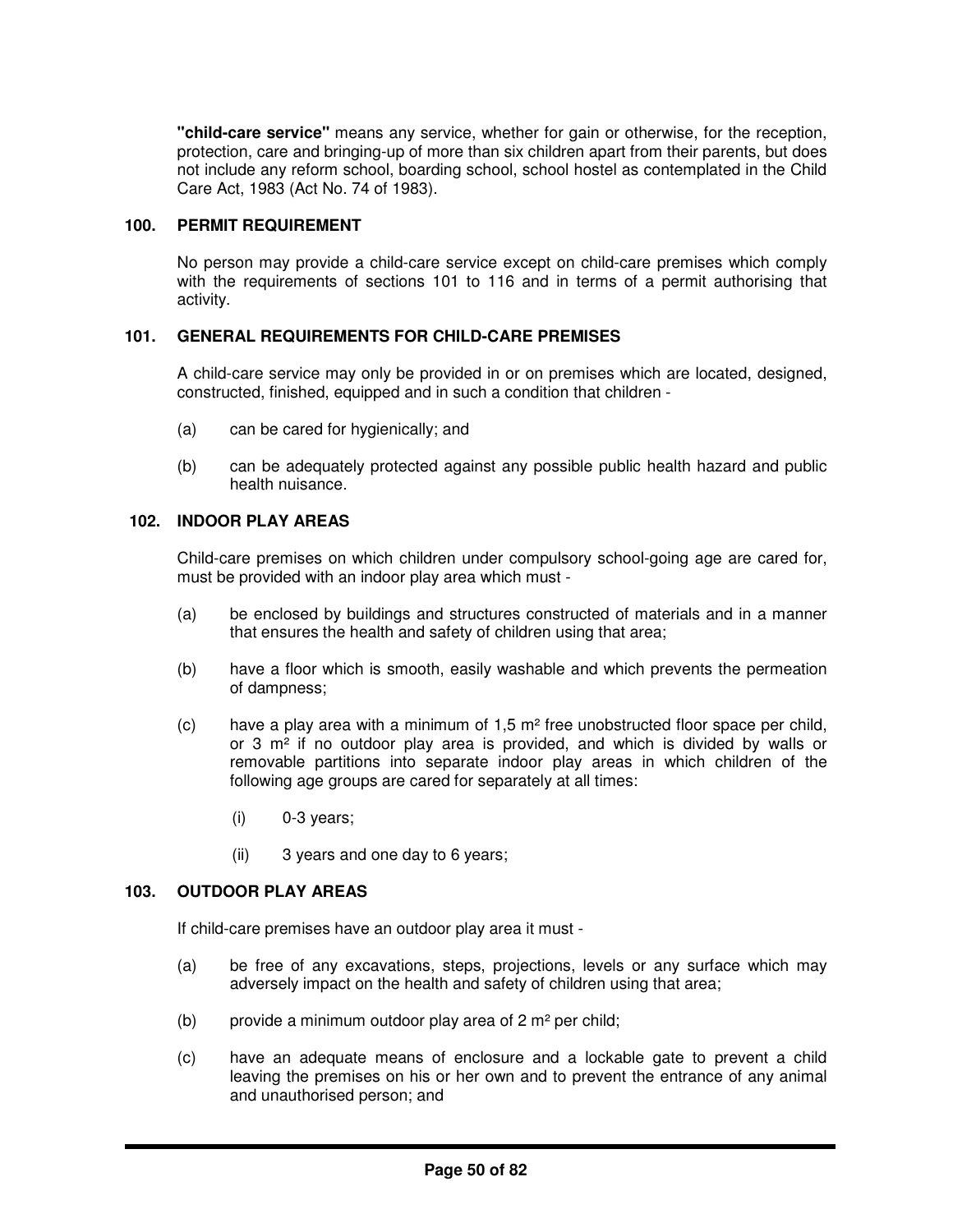**"child-care service"** means any service, whether for gain or otherwise, for the reception, protection, care and bringing-up of more than six children apart from their parents, but does not include any reform school, boarding school, school hostel as contemplated in the Child Care Act, 1983 (Act No. 74 of 1983).

# **100. PERMIT REQUIREMENT**

No person may provide a child-care service except on child-care premises which comply with the requirements of sections 101 to 116 and in terms of a permit authorising that activity.

## **101. GENERAL REQUIREMENTS FOR CHILD-CARE PREMISES**

A child-care service may only be provided in or on premises which are located, designed, constructed, finished, equipped and in such a condition that children -

- (a) can be cared for hygienically; and
- (b) can be adequately protected against any possible public health hazard and public health nuisance.

## **102. INDOOR PLAY AREAS**

Child-care premises on which children under compulsory school-going age are cared for, must be provided with an indoor play area which must -

- (a) be enclosed by buildings and structures constructed of materials and in a manner that ensures the health and safety of children using that area;
- (b) have a floor which is smooth, easily washable and which prevents the permeation of dampness;
- (c) have a play area with a minimum of  $1.5 \text{ m}^2$  free unobstructed floor space per child, or  $3 \text{ m}^2$  if no outdoor play area is provided, and which is divided by walls or removable partitions into separate indoor play areas in which children of the following age groups are cared for separately at all times:
	- $(i)$  0-3 years;
	- (ii) 3 years and one day to 6 years;

## **103. OUTDOOR PLAY AREAS**

If child-care premises have an outdoor play area it must -

- (a) be free of any excavations, steps, projections, levels or any surface which may adversely impact on the health and safety of children using that area;
- (b) provide a minimum outdoor play area of  $2 \text{ m}^2$  per child;
- (c) have an adequate means of enclosure and a lockable gate to prevent a child leaving the premises on his or her own and to prevent the entrance of any animal and unauthorised person; and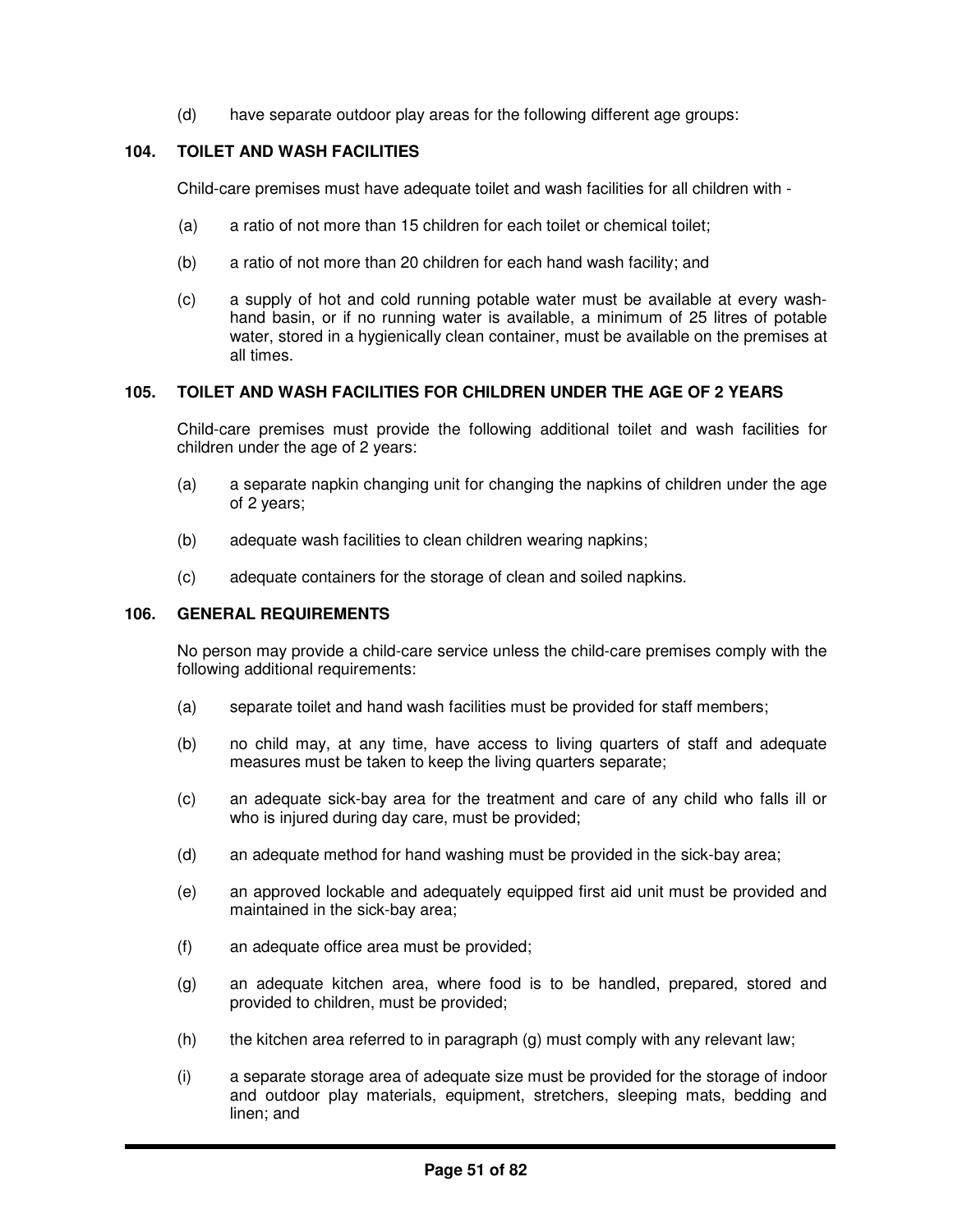(d) have separate outdoor play areas for the following different age groups:

## **104. TOILET AND WASH FACILITIES**

Child-care premises must have adequate toilet and wash facilities for all children with -

- (a) a ratio of not more than 15 children for each toilet or chemical toilet:
- (b) a ratio of not more than 20 children for each hand wash facility; and
- (c) a supply of hot and cold running potable water must be available at every washhand basin, or if no running water is available, a minimum of 25 litres of potable water, stored in a hygienically clean container, must be available on the premises at all times.

## **105. TOILET AND WASH FACILITIES FOR CHILDREN UNDER THE AGE OF 2 YEARS**

Child-care premises must provide the following additional toilet and wash facilities for children under the age of 2 years:

- (a) a separate napkin changing unit for changing the napkins of children under the age of 2 years;
- (b) adequate wash facilities to clean children wearing napkins;
- (c) adequate containers for the storage of clean and soiled napkins.

#### **106. GENERAL REQUIREMENTS**

No person may provide a child-care service unless the child-care premises comply with the following additional requirements:

- (a) separate toilet and hand wash facilities must be provided for staff members;
- (b) no child may, at any time, have access to living quarters of staff and adequate measures must be taken to keep the living quarters separate;
- (c) an adequate sick-bay area for the treatment and care of any child who falls ill or who is injured during day care, must be provided;
- (d) an adequate method for hand washing must be provided in the sick-bay area;
- (e) an approved lockable and adequately equipped first aid unit must be provided and maintained in the sick-bay area;
- (f) an adequate office area must be provided;
- (g) an adequate kitchen area, where food is to be handled, prepared, stored and provided to children, must be provided;
- (h) the kitchen area referred to in paragraph (g) must comply with any relevant law;
- (i) a separate storage area of adequate size must be provided for the storage of indoor and outdoor play materials, equipment, stretchers, sleeping mats, bedding and linen; and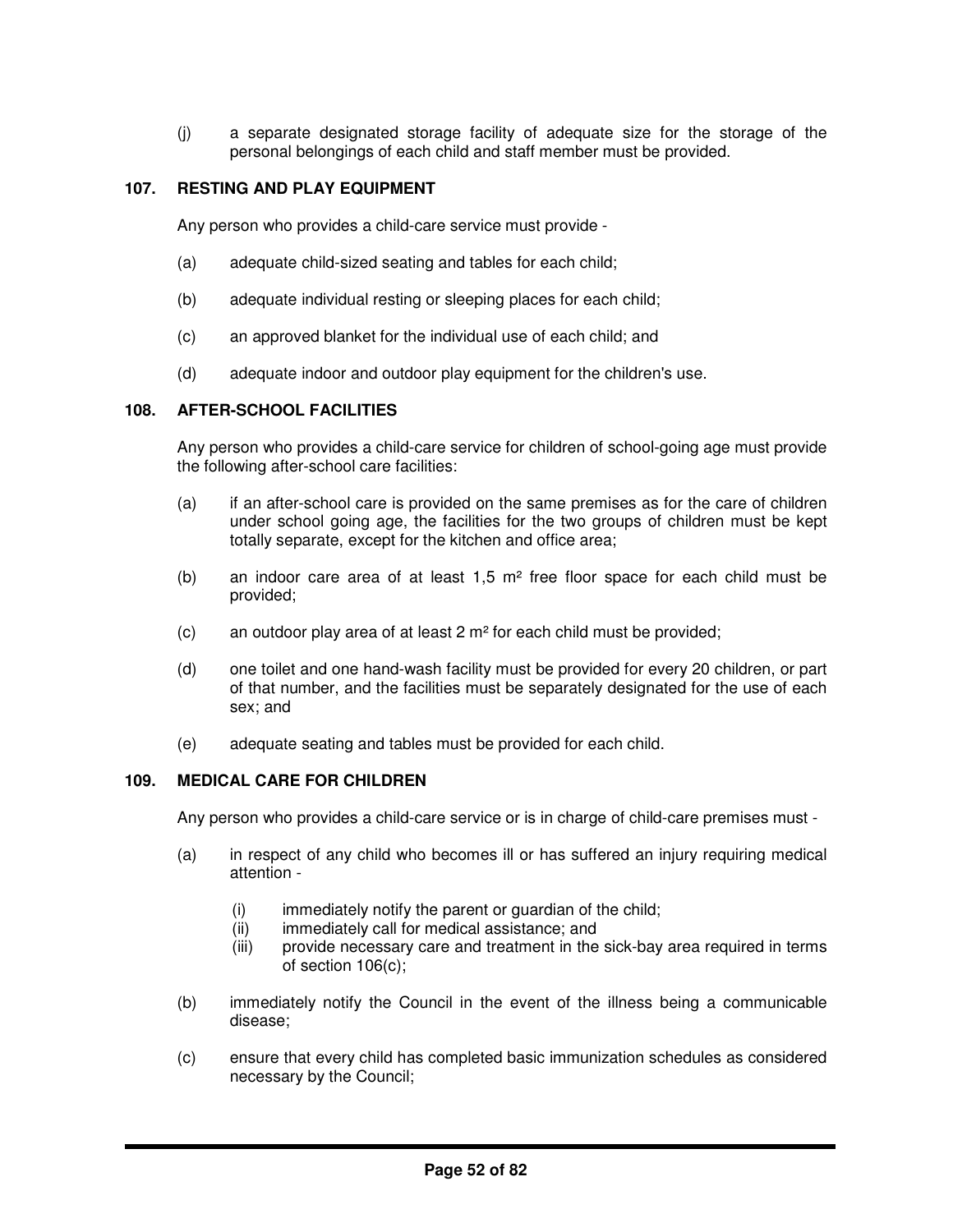(j) a separate designated storage facility of adequate size for the storage of the personal belongings of each child and staff member must be provided.

# **107. RESTING AND PLAY EQUIPMENT**

Any person who provides a child-care service must provide -

- (a) adequate child-sized seating and tables for each child;
- (b) adequate individual resting or sleeping places for each child;
- (c) an approved blanket for the individual use of each child; and
- (d) adequate indoor and outdoor play equipment for the children's use.

## **108. AFTER-SCHOOL FACILITIES**

Any person who provides a child-care service for children of school-going age must provide the following after-school care facilities:

- (a) if an after-school care is provided on the same premises as for the care of children under school going age, the facilities for the two groups of children must be kept totally separate, except for the kitchen and office area;
- (b) an indoor care area of at least  $1.5 \text{ m}^2$  free floor space for each child must be provided;
- (c) an outdoor play area of at least 2 m² for each child must be provided;
- (d) one toilet and one hand-wash facility must be provided for every 20 children, or part of that number, and the facilities must be separately designated for the use of each sex; and
- (e) adequate seating and tables must be provided for each child.

#### **109. MEDICAL CARE FOR CHILDREN**

Any person who provides a child-care service or is in charge of child-care premises must -

- (a) in respect of any child who becomes ill or has suffered an injury requiring medical attention -
	- $(i)$  immediately notify the parent or guardian of the child;
	- (ii) immediately call for medical assistance; and
	- (iii) provide necessary care and treatment in the sick-bay area required in terms of section 106(c);
- (b) immediately notify the Council in the event of the illness being a communicable disease;
- (c) ensure that every child has completed basic immunization schedules as considered necessary by the Council;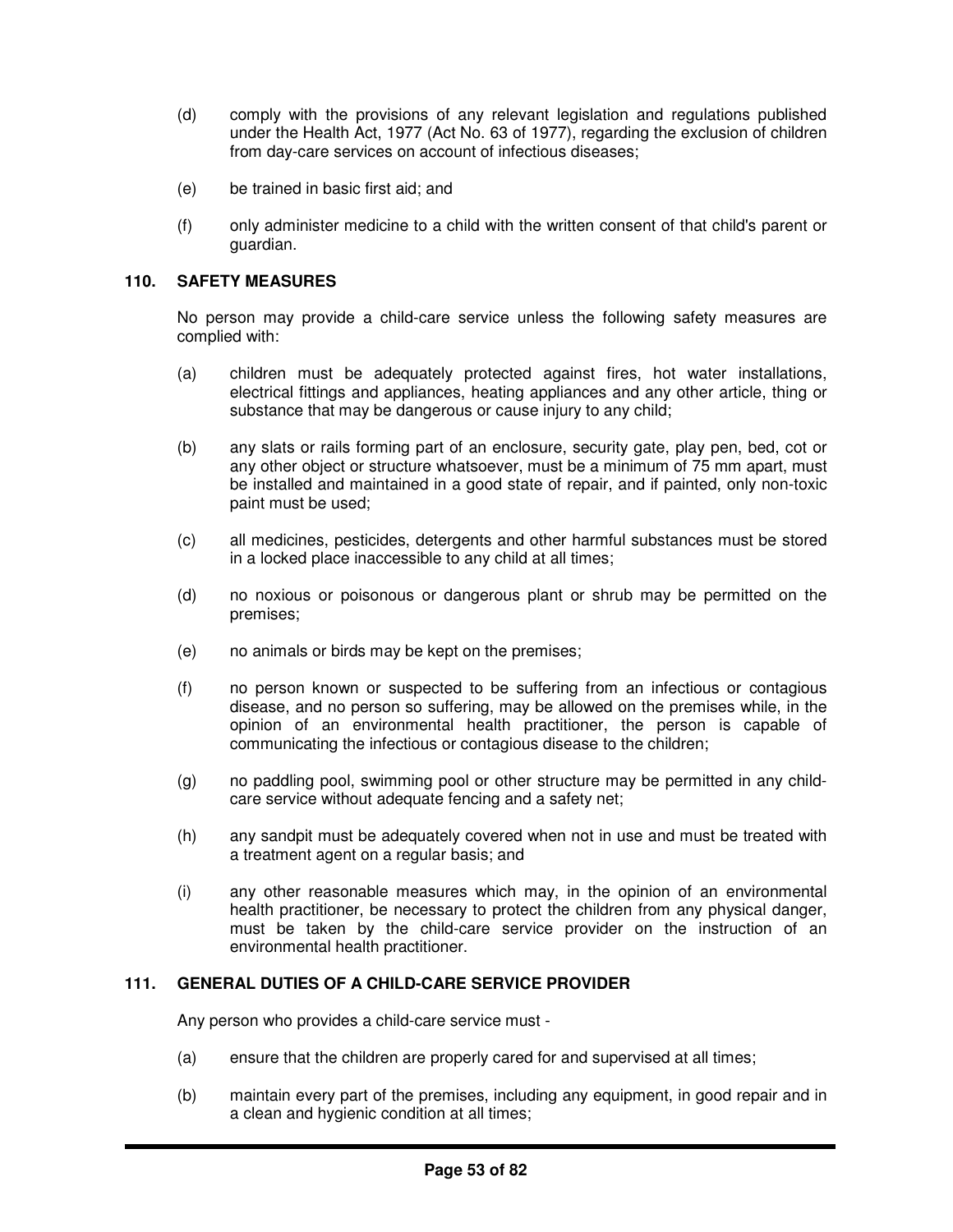- (d) comply with the provisions of any relevant legislation and regulations published under the Health Act, 1977 (Act No. 63 of 1977), regarding the exclusion of children from day-care services on account of infectious diseases;
- (e) be trained in basic first aid; and
- (f) only administer medicine to a child with the written consent of that child's parent or guardian.

## **110. SAFETY MEASURES**

No person may provide a child-care service unless the following safety measures are complied with:

- (a) children must be adequately protected against fires, hot water installations, electrical fittings and appliances, heating appliances and any other article, thing or substance that may be dangerous or cause injury to any child;
- (b) any slats or rails forming part of an enclosure, security gate, play pen, bed, cot or any other object or structure whatsoever, must be a minimum of 75 mm apart, must be installed and maintained in a good state of repair, and if painted, only non-toxic paint must be used;
- (c) all medicines, pesticides, detergents and other harmful substances must be stored in a locked place inaccessible to any child at all times;
- (d) no noxious or poisonous or dangerous plant or shrub may be permitted on the premises;
- (e) no animals or birds may be kept on the premises;
- (f) no person known or suspected to be suffering from an infectious or contagious disease, and no person so suffering, may be allowed on the premises while, in the opinion of an environmental health practitioner, the person is capable of communicating the infectious or contagious disease to the children;
- (g) no paddling pool, swimming pool or other structure may be permitted in any childcare service without adequate fencing and a safety net;
- (h) any sandpit must be adequately covered when not in use and must be treated with a treatment agent on a regular basis; and
- (i) any other reasonable measures which may, in the opinion of an environmental health practitioner, be necessary to protect the children from any physical danger, must be taken by the child-care service provider on the instruction of an environmental health practitioner.

## **111. GENERAL DUTIES OF A CHILD-CARE SERVICE PROVIDER**

Any person who provides a child-care service must -

- (a) ensure that the children are properly cared for and supervised at all times;
- (b) maintain every part of the premises, including any equipment, in good repair and in a clean and hygienic condition at all times;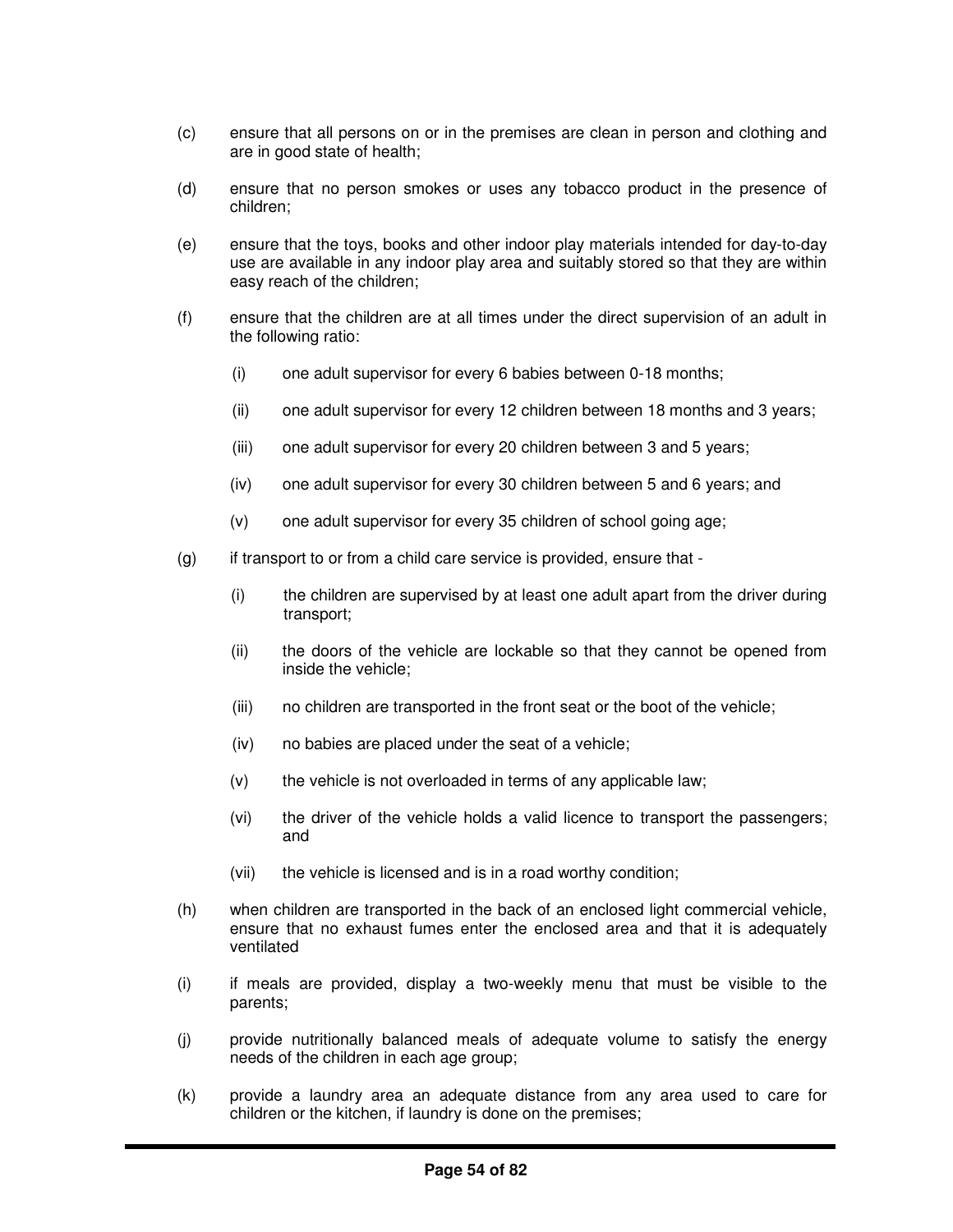- (c) ensure that all persons on or in the premises are clean in person and clothing and are in good state of health;
- (d) ensure that no person smokes or uses any tobacco product in the presence of children;
- (e) ensure that the toys, books and other indoor play materials intended for day-to-day use are available in any indoor play area and suitably stored so that they are within easy reach of the children;
- (f) ensure that the children are at all times under the direct supervision of an adult in the following ratio:
	- (i) one adult supervisor for every 6 babies between 0-18 months;
	- (ii) one adult supervisor for every 12 children between 18 months and 3 years;
	- (iii) one adult supervisor for every 20 children between 3 and 5 years;
	- (iv) one adult supervisor for every 30 children between 5 and 6 years; and
	- (v) one adult supervisor for every 35 children of school going age;
- $(q)$  if transport to or from a child care service is provided, ensure that -
	- (i) the children are supervised by at least one adult apart from the driver during transport;
	- (ii) the doors of the vehicle are lockable so that they cannot be opened from inside the vehicle;
	- (iii) no children are transported in the front seat or the boot of the vehicle;
	- (iv) no babies are placed under the seat of a vehicle;
	- $(v)$  the vehicle is not overloaded in terms of any applicable law;
	- (vi) the driver of the vehicle holds a valid licence to transport the passengers; and
	- (vii) the vehicle is licensed and is in a road worthy condition;
- (h) when children are transported in the back of an enclosed light commercial vehicle, ensure that no exhaust fumes enter the enclosed area and that it is adequately ventilated
- (i) if meals are provided, display a two-weekly menu that must be visible to the parents;
- (j) provide nutritionally balanced meals of adequate volume to satisfy the energy needs of the children in each age group;
- (k) provide a laundry area an adequate distance from any area used to care for children or the kitchen, if laundry is done on the premises;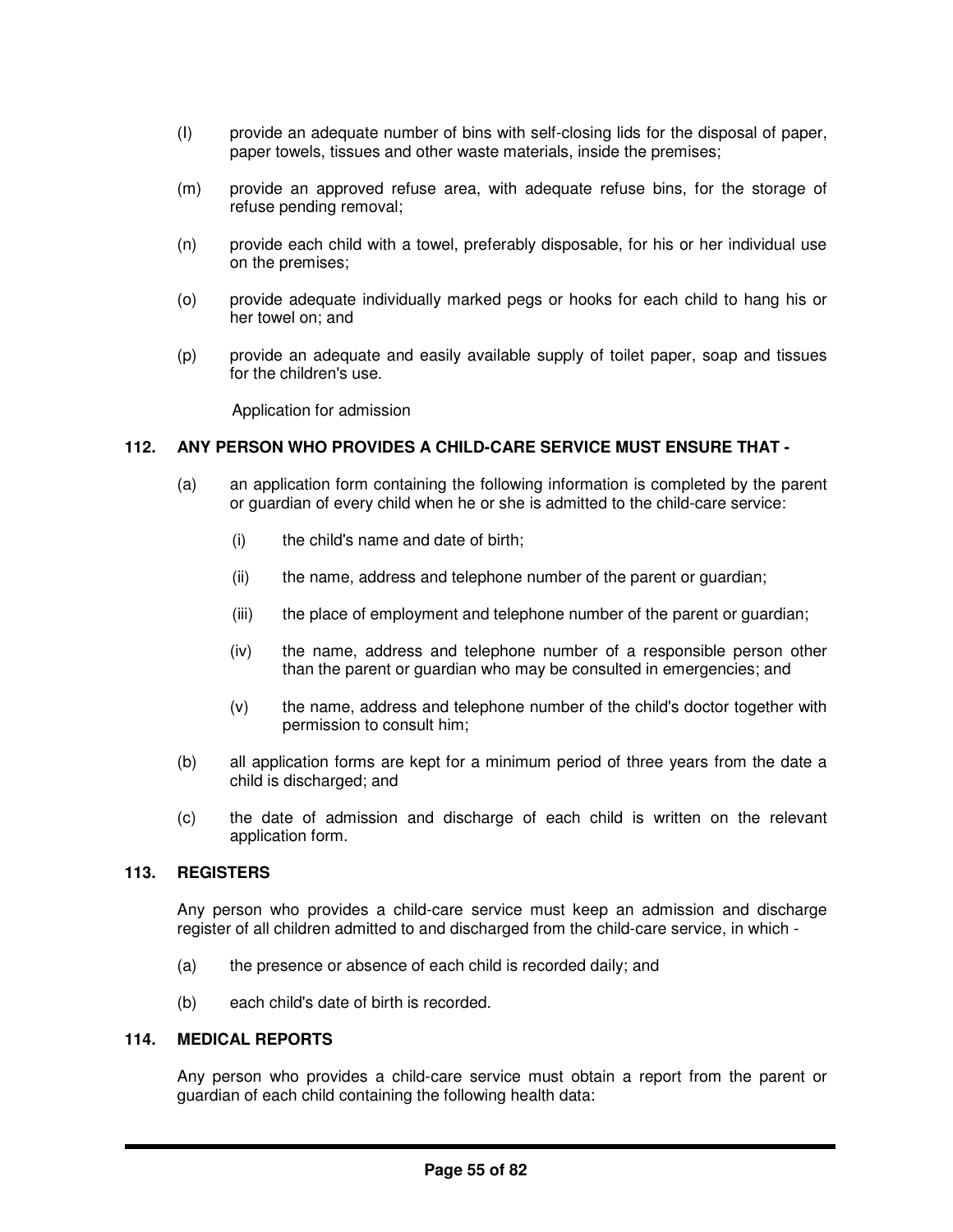- (I) provide an adequate number of bins with self-closing lids for the disposal of paper, paper towels, tissues and other waste materials, inside the premises;
- (m) provide an approved refuse area, with adequate refuse bins, for the storage of refuse pending removal;
- (n) provide each child with a towel, preferably disposable, for his or her individual use on the premises;
- (o) provide adequate individually marked pegs or hooks for each child to hang his or her towel on; and
- (p) provide an adequate and easily available supply of toilet paper, soap and tissues for the children's use.

Application for admission

#### **112. ANY PERSON WHO PROVIDES A CHILD-CARE SERVICE MUST ENSURE THAT -**

- (a) an application form containing the following information is completed by the parent or guardian of every child when he or she is admitted to the child-care service:
	- (i) the child's name and date of birth;
	- (ii) the name, address and telephone number of the parent or guardian;
	- (iii) the place of employment and telephone number of the parent or guardian;
	- (iv) the name, address and telephone number of a responsible person other than the parent or guardian who may be consulted in emergencies; and
	- (v) the name, address and telephone number of the child's doctor together with permission to consult him;
- (b) all application forms are kept for a minimum period of three years from the date a child is discharged; and
- (c) the date of admission and discharge of each child is written on the relevant application form.

## **113. REGISTERS**

Any person who provides a child-care service must keep an admission and discharge register of all children admitted to and discharged from the child-care service, in which -

- (a) the presence or absence of each child is recorded daily; and
- (b) each child's date of birth is recorded.

#### **114. MEDICAL REPORTS**

Any person who provides a child-care service must obtain a report from the parent or guardian of each child containing the following health data: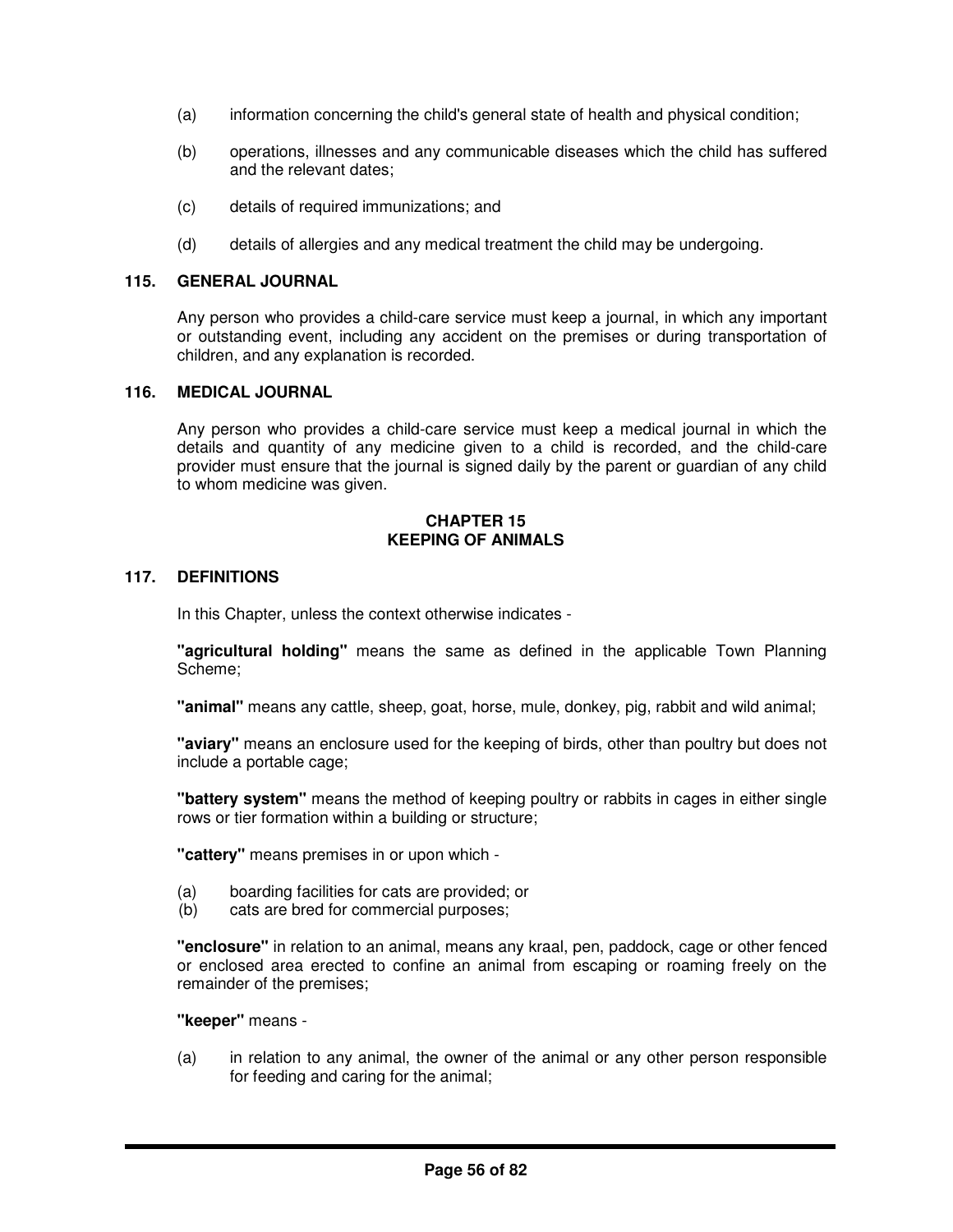- (a) information concerning the child's general state of health and physical condition;
- (b) operations, illnesses and any communicable diseases which the child has suffered and the relevant dates;
- (c) details of required immunizations; and
- (d) details of allergies and any medical treatment the child may be undergoing.

### **115. GENERAL JOURNAL**

Any person who provides a child-care service must keep a journal, in which any important or outstanding event, including any accident on the premises or during transportation of children, and any explanation is recorded.

#### **116. MEDICAL JOURNAL**

Any person who provides a child-care service must keep a medical journal in which the details and quantity of any medicine given to a child is recorded, and the child-care provider must ensure that the journal is signed daily by the parent or guardian of any child to whom medicine was given.

#### **CHAPTER 15 KEEPING OF ANIMALS**

## **117. DEFINITIONS**

In this Chapter, unless the context otherwise indicates -

**"agricultural holding"** means the same as defined in the applicable Town Planning Scheme;

**"animal"** means any cattle, sheep, goat, horse, mule, donkey, pig, rabbit and wild animal;

**"aviary"** means an enclosure used for the keeping of birds, other than poultry but does not include a portable cage;

**"battery system"** means the method of keeping poultry or rabbits in cages in either single rows or tier formation within a building or structure;

**"cattery"** means premises in or upon which -

- (a) boarding facilities for cats are provided; or
- (b) cats are bred for commercial purposes;

**"enclosure"** in relation to an animal, means any kraal, pen, paddock, cage or other fenced or enclosed area erected to confine an animal from escaping or roaming freely on the remainder of the premises;

**"keeper"** means -

(a) in relation to any animal, the owner of the animal or any other person responsible for feeding and caring for the animal;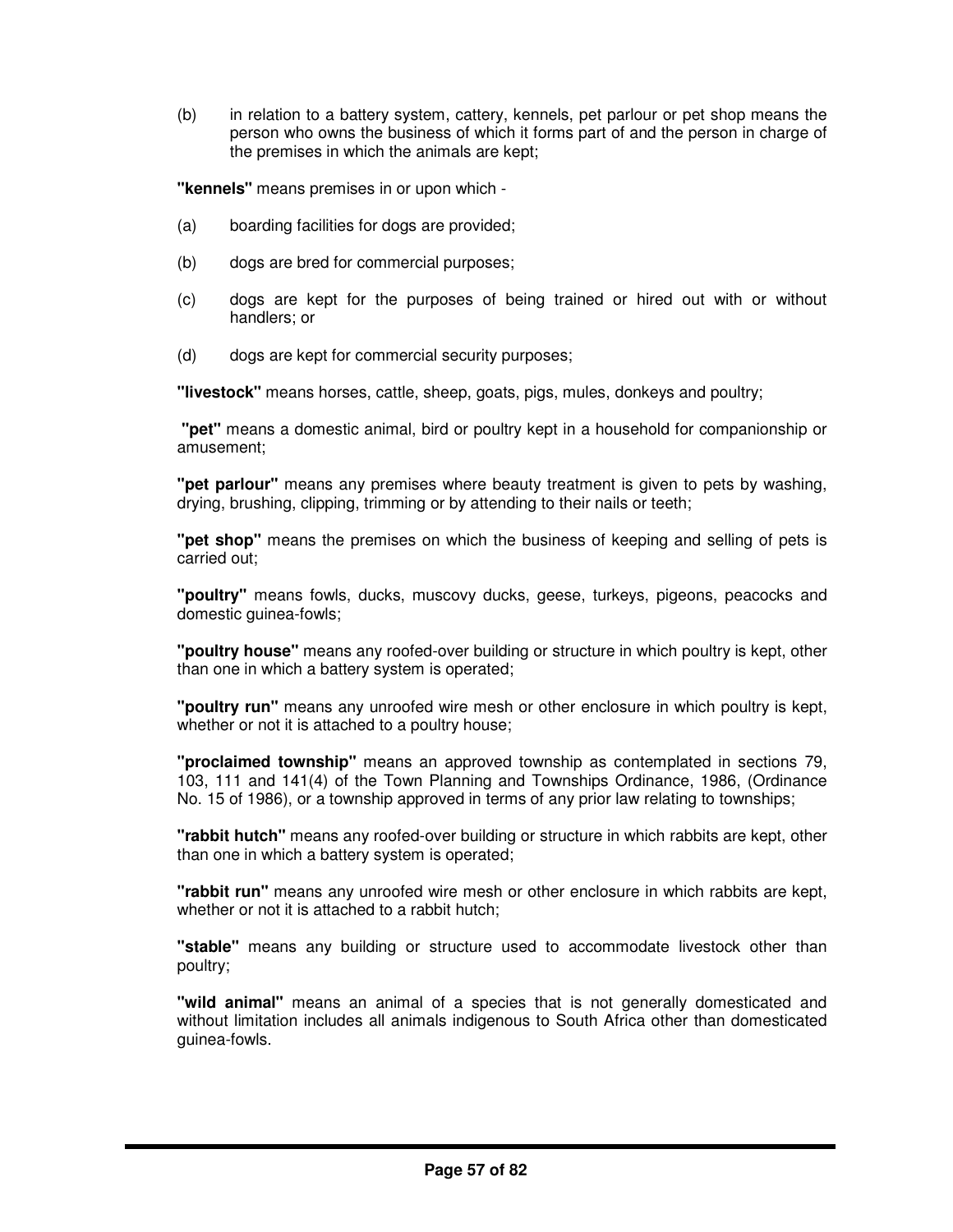(b) in relation to a battery system, cattery, kennels, pet parlour or pet shop means the person who owns the business of which it forms part of and the person in charge of the premises in which the animals are kept;

**"kennels"** means premises in or upon which -

- (a) boarding facilities for dogs are provided;
- (b) dogs are bred for commercial purposes;
- (c) dogs are kept for the purposes of being trained or hired out with or without handlers; or
- (d) dogs are kept for commercial security purposes;

**"livestock"** means horses, cattle, sheep, goats, pigs, mules, donkeys and poultry;

**"pet"** means a domestic animal, bird or poultry kept in a household for companionship or amusement;

**"pet parlour"** means any premises where beauty treatment is given to pets by washing, drying, brushing, clipping, trimming or by attending to their nails or teeth;

**"pet shop"** means the premises on which the business of keeping and selling of pets is carried out;

**"poultry"** means fowls, ducks, muscovy ducks, geese, turkeys, pigeons, peacocks and domestic guinea-fowls;

**"poultry house"** means any roofed-over building or structure in which poultry is kept, other than one in which a battery system is operated;

**"poultry run"** means any unroofed wire mesh or other enclosure in which poultry is kept, whether or not it is attached to a poultry house;

**"proclaimed township"** means an approved township as contemplated in sections 79, 103, 111 and 141(4) of the Town Planning and Townships Ordinance, 1986, (Ordinance No. 15 of 1986), or a township approved in terms of any prior law relating to townships;

**"rabbit hutch"** means any roofed-over building or structure in which rabbits are kept, other than one in which a battery system is operated;

**"rabbit run"** means any unroofed wire mesh or other enclosure in which rabbits are kept, whether or not it is attached to a rabbit hutch:

**"stable"** means any building or structure used to accommodate livestock other than poultry;

**"wild animal"** means an animal of a species that is not generally domesticated and without limitation includes all animals indigenous to South Africa other than domesticated guinea-fowls.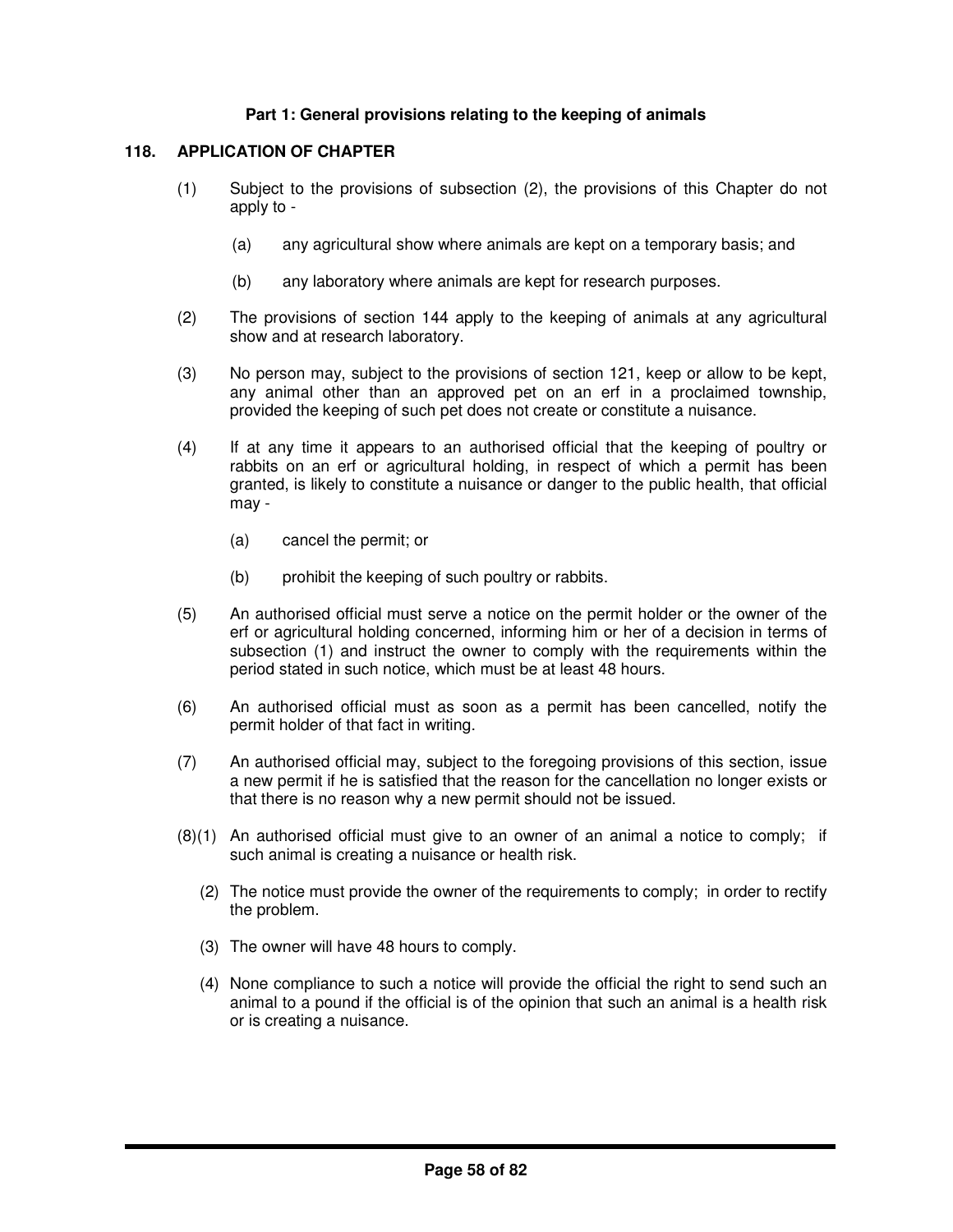# **Part 1: General provisions relating to the keeping of animals**

# **118. APPLICATION OF CHAPTER**

- (1) Subject to the provisions of subsection (2), the provisions of this Chapter do not apply to -
	- (a) any agricultural show where animals are kept on a temporary basis; and
	- (b) any laboratory where animals are kept for research purposes.
- (2) The provisions of section 144 apply to the keeping of animals at any agricultural show and at research laboratory.
- (3) No person may, subject to the provisions of section 121, keep or allow to be kept, any animal other than an approved pet on an erf in a proclaimed township, provided the keeping of such pet does not create or constitute a nuisance.
- (4) If at any time it appears to an authorised official that the keeping of poultry or rabbits on an erf or agricultural holding, in respect of which a permit has been granted, is likely to constitute a nuisance or danger to the public health, that official may -
	- (a) cancel the permit; or
	- (b) prohibit the keeping of such poultry or rabbits.
- (5) An authorised official must serve a notice on the permit holder or the owner of the erf or agricultural holding concerned, informing him or her of a decision in terms of subsection (1) and instruct the owner to comply with the requirements within the period stated in such notice, which must be at least 48 hours.
- (6) An authorised official must as soon as a permit has been cancelled, notify the permit holder of that fact in writing.
- (7) An authorised official may, subject to the foregoing provisions of this section, issue a new permit if he is satisfied that the reason for the cancellation no longer exists or that there is no reason why a new permit should not be issued.
- (8)(1) An authorised official must give to an owner of an animal a notice to comply; if such animal is creating a nuisance or health risk.
	- (2) The notice must provide the owner of the requirements to comply; in order to rectify the problem.
	- (3) The owner will have 48 hours to comply.
	- (4) None compliance to such a notice will provide the official the right to send such an animal to a pound if the official is of the opinion that such an animal is a health risk or is creating a nuisance.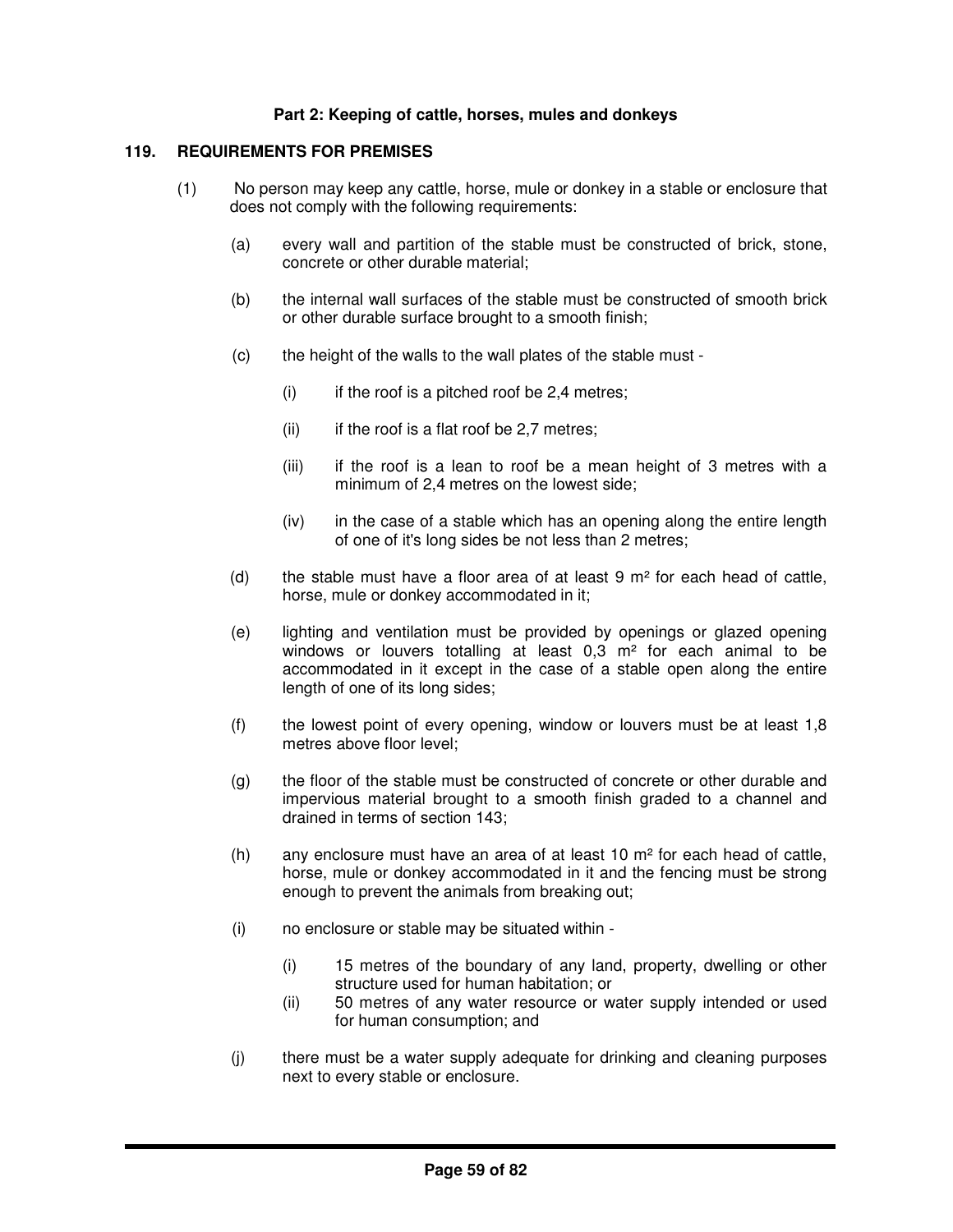## **Part 2: Keeping of cattle, horses, mules and donkeys**

#### **119. REQUIREMENTS FOR PREMISES**

- (1) No person may keep any cattle, horse, mule or donkey in a stable or enclosure that does not comply with the following requirements:
	- (a) every wall and partition of the stable must be constructed of brick, stone, concrete or other durable material;
	- (b) the internal wall surfaces of the stable must be constructed of smooth brick or other durable surface brought to a smooth finish;
	- (c) the height of the walls to the wall plates of the stable must
		- $(i)$  if the roof is a pitched roof be 2,4 metres;
		- $(ii)$  if the roof is a flat roof be 2,7 metres;
		- (iii) if the roof is a lean to roof be a mean height of 3 metres with a minimum of 2,4 metres on the lowest side;
		- (iv) in the case of a stable which has an opening along the entire length of one of it's long sides be not less than 2 metres;
	- (d) the stable must have a floor area of at least  $9 \text{ m}^2$  for each head of cattle, horse, mule or donkey accommodated in it;
	- (e) lighting and ventilation must be provided by openings or glazed opening windows or louvers totalling at least 0,3 m<sup>2</sup> for each animal to be accommodated in it except in the case of a stable open along the entire length of one of its long sides;
	- (f) the lowest point of every opening, window or louvers must be at least 1,8 metres above floor level;
	- (g) the floor of the stable must be constructed of concrete or other durable and impervious material brought to a smooth finish graded to a channel and drained in terms of section 143;
	- (h) any enclosure must have an area of at least 10  $m<sup>2</sup>$  for each head of cattle, horse, mule or donkey accommodated in it and the fencing must be strong enough to prevent the animals from breaking out;
	- (i) no enclosure or stable may be situated within
		- (i) 15 metres of the boundary of any land, property, dwelling or other structure used for human habitation; or
		- (ii) 50 metres of any water resource or water supply intended or used for human consumption; and
	- (j) there must be a water supply adequate for drinking and cleaning purposes next to every stable or enclosure.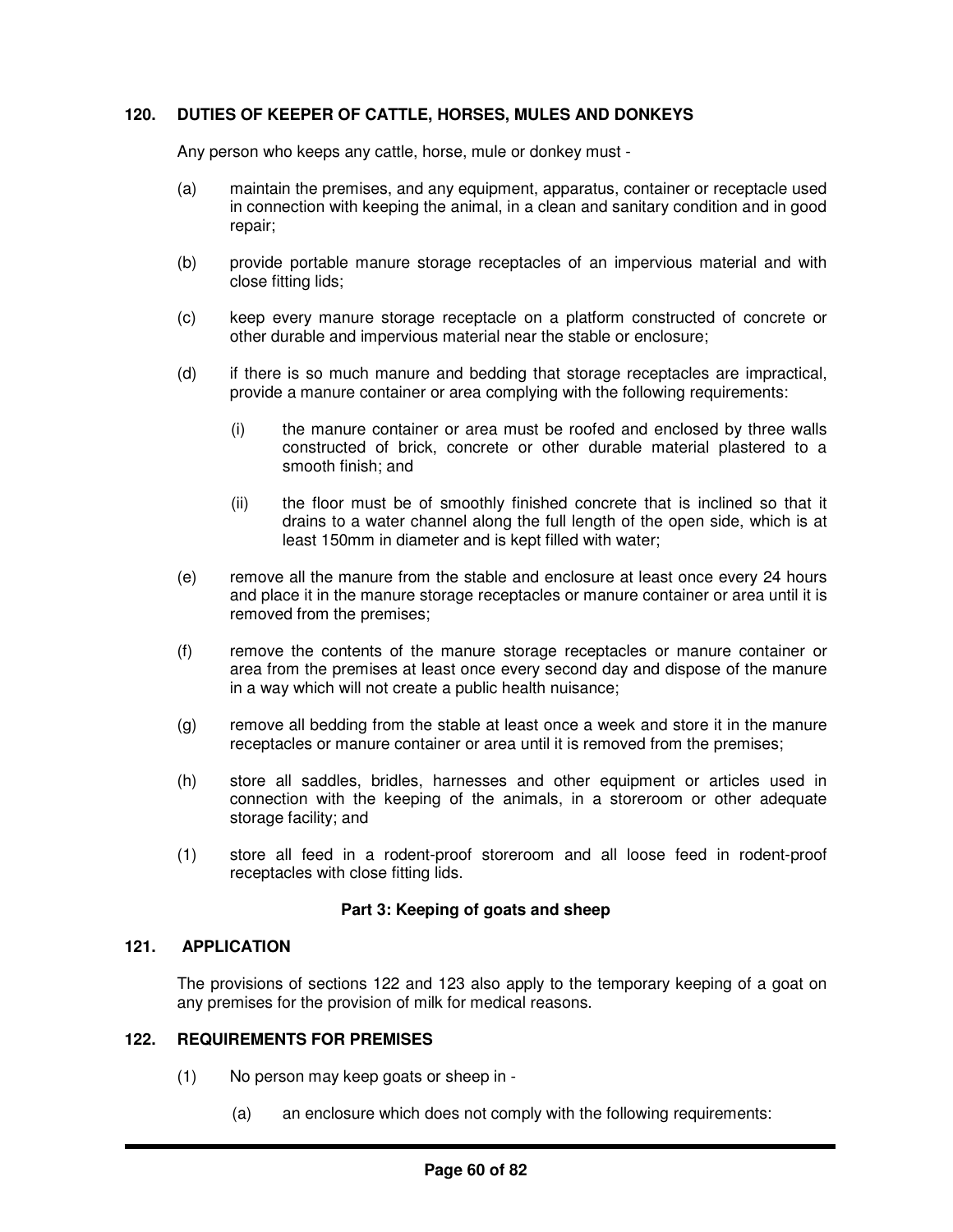# **120. DUTIES OF KEEPER OF CATTLE, HORSES, MULES AND DONKEYS**

Any person who keeps any cattle, horse, mule or donkey must -

- (a) maintain the premises, and any equipment, apparatus, container or receptacle used in connection with keeping the animal, in a clean and sanitary condition and in good repair;
- (b) provide portable manure storage receptacles of an impervious material and with close fitting lids;
- (c) keep every manure storage receptacle on a platform constructed of concrete or other durable and impervious material near the stable or enclosure;
- (d) if there is so much manure and bedding that storage receptacles are impractical, provide a manure container or area complying with the following requirements:
	- (i) the manure container or area must be roofed and enclosed by three walls constructed of brick, concrete or other durable material plastered to a smooth finish; and
	- (ii) the floor must be of smoothly finished concrete that is inclined so that it drains to a water channel along the full length of the open side, which is at least 150mm in diameter and is kept filled with water;
- (e) remove all the manure from the stable and enclosure at least once every 24 hours and place it in the manure storage receptacles or manure container or area until it is removed from the premises;
- (f) remove the contents of the manure storage receptacles or manure container or area from the premises at least once every second day and dispose of the manure in a way which will not create a public health nuisance;
- (g) remove all bedding from the stable at least once a week and store it in the manure receptacles or manure container or area until it is removed from the premises;
- (h) store all saddles, bridles, harnesses and other equipment or articles used in connection with the keeping of the animals, in a storeroom or other adequate storage facility; and
- (1) store all feed in a rodent-proof storeroom and all loose feed in rodent-proof receptacles with close fitting lids.

# **Part 3: Keeping of goats and sheep**

## **121. APPLICATION**

The provisions of sections 122 and 123 also apply to the temporary keeping of a goat on any premises for the provision of milk for medical reasons.

#### **122. REQUIREMENTS FOR PREMISES**

- (1) No person may keep goats or sheep in
	- (a) an enclosure which does not comply with the following requirements: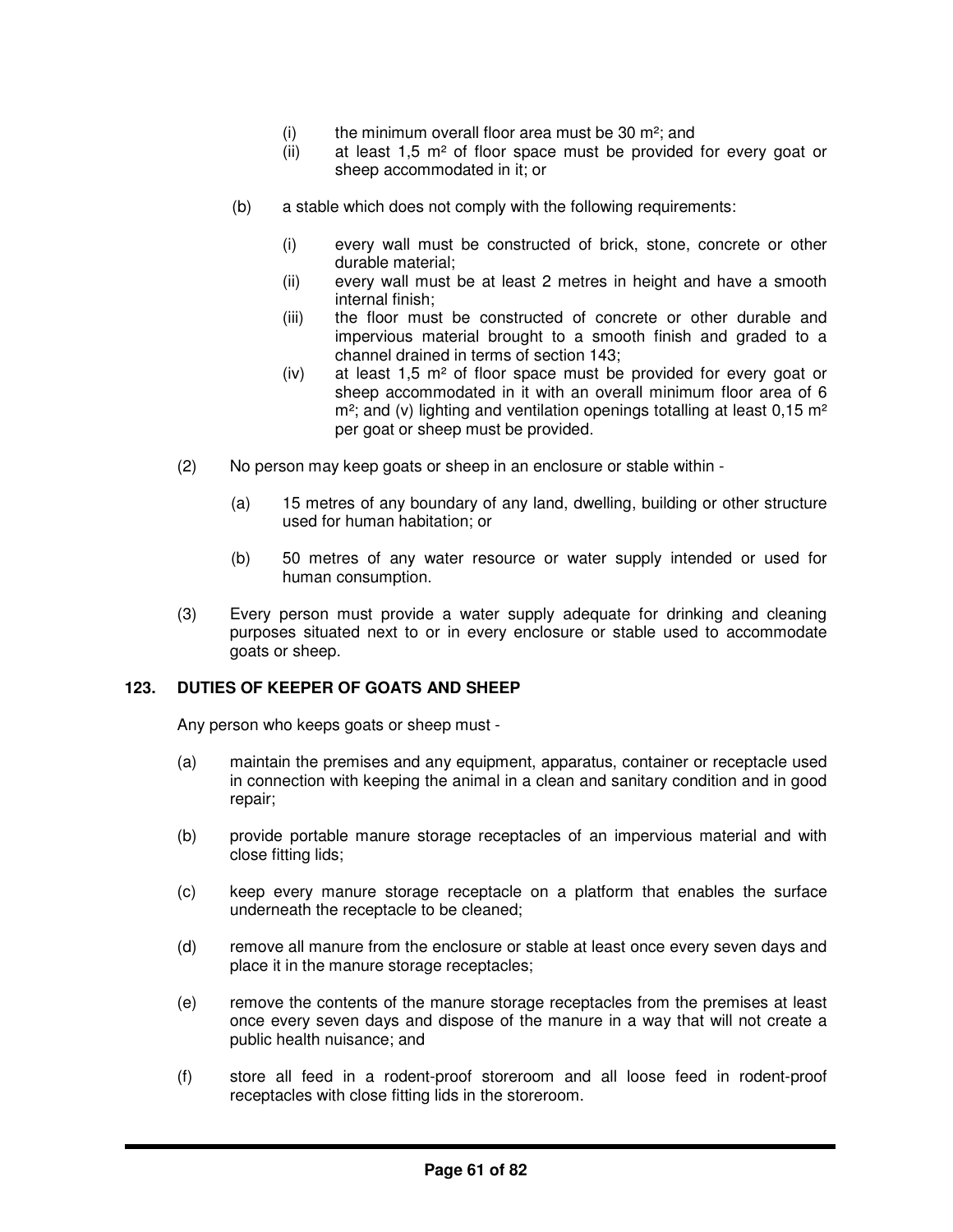- (i) the minimum overall floor area must be 30  $m^2$ ; and
- (ii) at least  $1.5$  m<sup>2</sup> of floor space must be provided for every goat or sheep accommodated in it; or
- (b) a stable which does not comply with the following requirements:
	- (i) every wall must be constructed of brick, stone, concrete or other durable material;
	- (ii) every wall must be at least 2 metres in height and have a smooth internal finish;
	- (iii) the floor must be constructed of concrete or other durable and impervious material brought to a smooth finish and graded to a channel drained in terms of section 143;
	- (iv) at least  $1.5$  m<sup>2</sup> of floor space must be provided for every goat or sheep accommodated in it with an overall minimum floor area of 6  $m<sup>2</sup>$ ; and (v) lighting and ventilation openings totalling at least 0,15 m<sup>2</sup> per goat or sheep must be provided.
- (2) No person may keep goats or sheep in an enclosure or stable within
	- (a) 15 metres of any boundary of any land, dwelling, building or other structure used for human habitation; or
	- (b) 50 metres of any water resource or water supply intended or used for human consumption.
- (3) Every person must provide a water supply adequate for drinking and cleaning purposes situated next to or in every enclosure or stable used to accommodate goats or sheep.

# **123. DUTIES OF KEEPER OF GOATS AND SHEEP**

Any person who keeps goats or sheep must -

- (a) maintain the premises and any equipment, apparatus, container or receptacle used in connection with keeping the animal in a clean and sanitary condition and in good repair;
- (b) provide portable manure storage receptacles of an impervious material and with close fitting lids;
- (c) keep every manure storage receptacle on a platform that enables the surface underneath the receptacle to be cleaned;
- (d) remove all manure from the enclosure or stable at least once every seven days and place it in the manure storage receptacles;
- (e) remove the contents of the manure storage receptacles from the premises at least once every seven days and dispose of the manure in a way that will not create a public health nuisance; and
- (f) store all feed in a rodent-proof storeroom and all loose feed in rodent-proof receptacles with close fitting lids in the storeroom.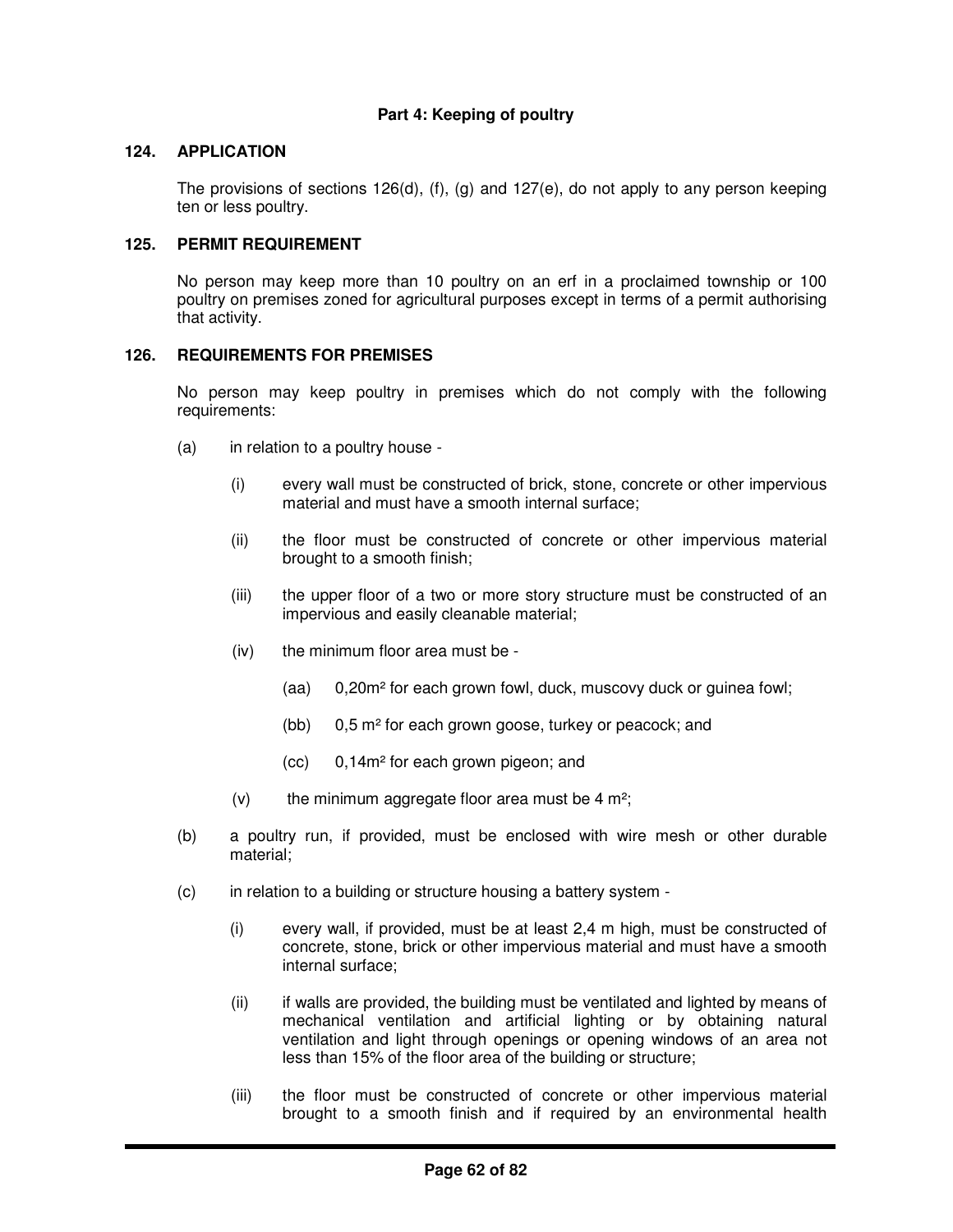# **Part 4: Keeping of poultry**

#### **124. APPLICATION**

The provisions of sections 126(d), (f), (g) and 127(e), do not apply to any person keeping ten or less poultry.

## **125. PERMIT REQUIREMENT**

No person may keep more than 10 poultry on an erf in a proclaimed township or 100 poultry on premises zoned for agricultural purposes except in terms of a permit authorising that activity.

## **126. REQUIREMENTS FOR PREMISES**

No person may keep poultry in premises which do not comply with the following requirements:

- (a) in relation to a poultry house
	- (i) every wall must be constructed of brick, stone, concrete or other impervious material and must have a smooth internal surface;
	- (ii) the floor must be constructed of concrete or other impervious material brought to a smooth finish;
	- (iii) the upper floor of a two or more story structure must be constructed of an impervious and easily cleanable material;
	- (iv) the minimum floor area must be
		- (aa) 0,20m² for each grown fowl, duck, muscovy duck or guinea fowl;
		- (bb)  $0.5$  m<sup>2</sup> for each grown goose, turkey or peacock; and
		- (cc) 0,14m² for each grown pigeon; and
	- (v) the minimum aggregate floor area must be 4 m<sup>2</sup>;
- (b) a poultry run, if provided, must be enclosed with wire mesh or other durable material;
- (c) in relation to a building or structure housing a battery system
	- (i) every wall, if provided, must be at least 2,4 m high, must be constructed of concrete, stone, brick or other impervious material and must have a smooth internal surface;
	- (ii) if walls are provided, the building must be ventilated and lighted by means of mechanical ventilation and artificial lighting or by obtaining natural ventilation and light through openings or opening windows of an area not less than 15% of the floor area of the building or structure;
	- (iii) the floor must be constructed of concrete or other impervious material brought to a smooth finish and if required by an environmental health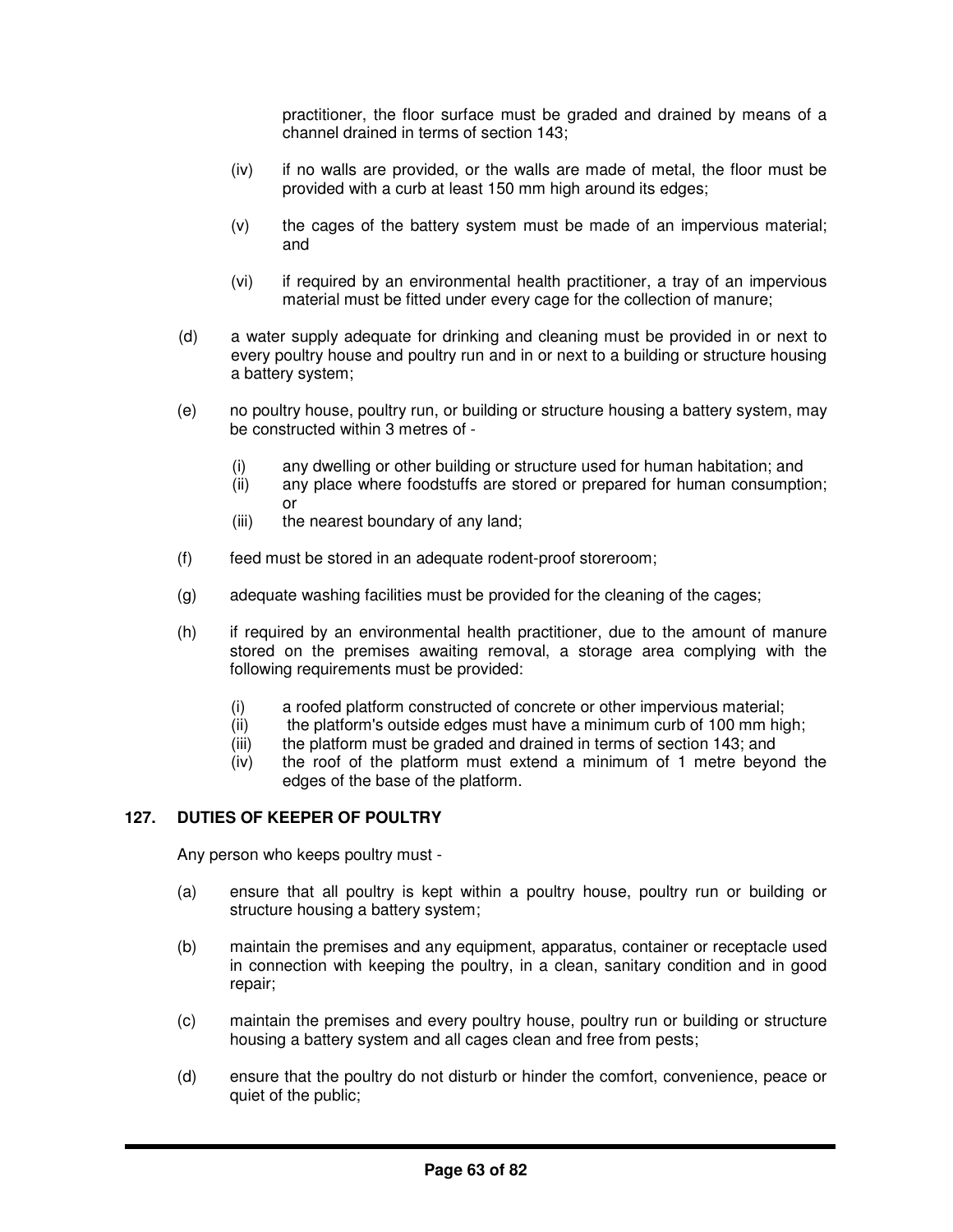practitioner, the floor surface must be graded and drained by means of a channel drained in terms of section 143;

- (iv) if no walls are provided, or the walls are made of metal, the floor must be provided with a curb at least 150 mm high around its edges;
- (v) the cages of the battery system must be made of an impervious material; and
- (vi) if required by an environmental health practitioner, a tray of an impervious material must be fitted under every cage for the collection of manure;
- (d) a water supply adequate for drinking and cleaning must be provided in or next to every poultry house and poultry run and in or next to a building or structure housing a battery system;
- (e) no poultry house, poultry run, or building or structure housing a battery system, may be constructed within 3 metres of -
	- (i) any dwelling or other building or structure used for human habitation; and
	- (ii) any place where foodstuffs are stored or prepared for human consumption; or
	- (iii) the nearest boundary of any land;
- (f) feed must be stored in an adequate rodent-proof storeroom;
- (g) adequate washing facilities must be provided for the cleaning of the cages;
- (h) if required by an environmental health practitioner, due to the amount of manure stored on the premises awaiting removal, a storage area complying with the following requirements must be provided:
	- (i) a roofed platform constructed of concrete or other impervious material;
	- (ii) the platform's outside edges must have a minimum curb of 100 mm high;
	- (iii) the platform must be graded and drained in terms of section 143; and
	- (iv) the roof of the platform must extend a minimum of 1 metre beyond the edges of the base of the platform.

# **127. DUTIES OF KEEPER OF POULTRY**

Any person who keeps poultry must -

- (a) ensure that all poultry is kept within a poultry house, poultry run or building or structure housing a battery system;
- (b) maintain the premises and any equipment, apparatus, container or receptacle used in connection with keeping the poultry, in a clean, sanitary condition and in good repair;
- (c) maintain the premises and every poultry house, poultry run or building or structure housing a battery system and all cages clean and free from pests;
- (d) ensure that the poultry do not disturb or hinder the comfort, convenience, peace or quiet of the public;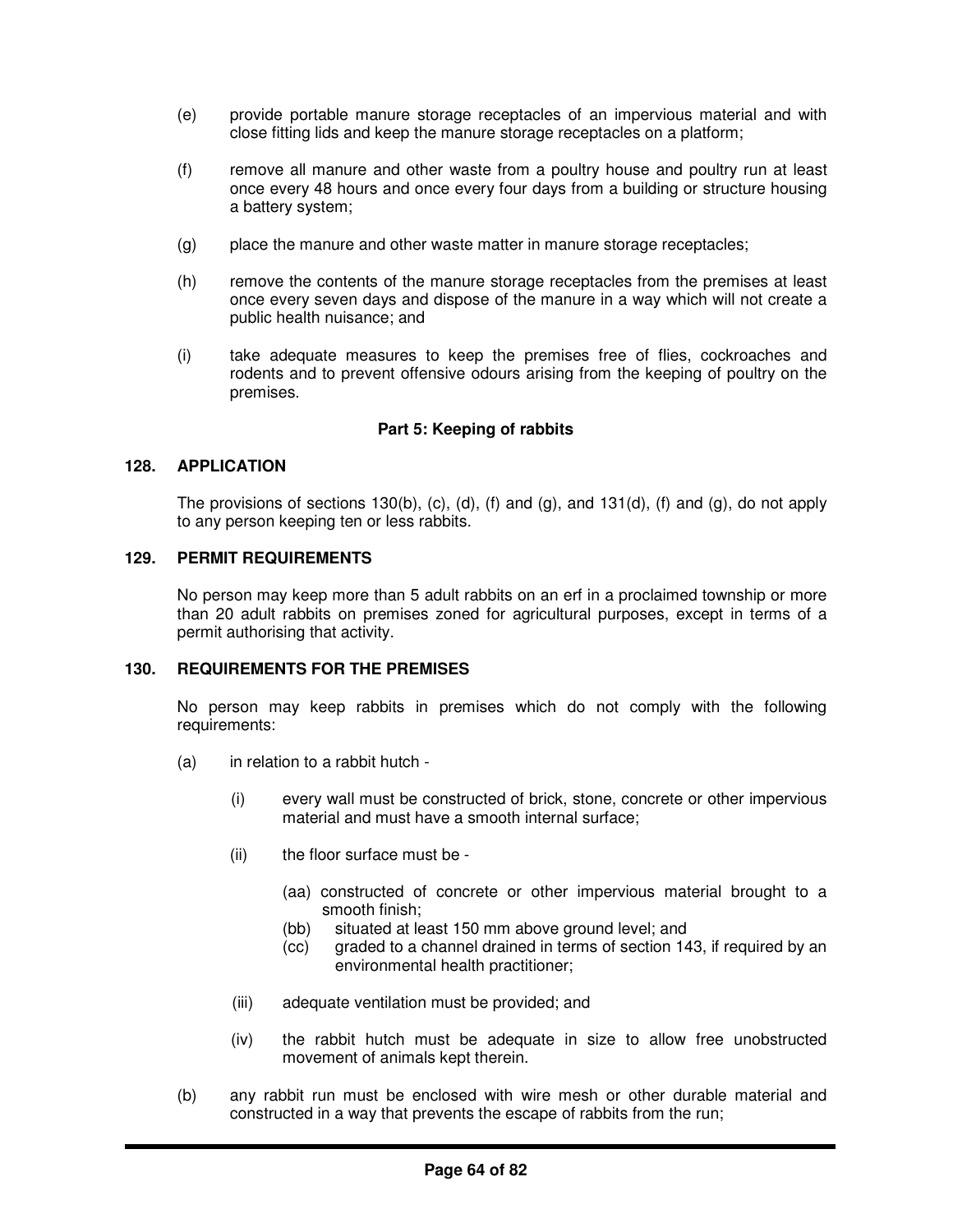- (e) provide portable manure storage receptacles of an impervious material and with close fitting lids and keep the manure storage receptacles on a platform;
- (f) remove all manure and other waste from a poultry house and poultry run at least once every 48 hours and once every four days from a building or structure housing a battery system;
- (g) place the manure and other waste matter in manure storage receptacles;
- (h) remove the contents of the manure storage receptacles from the premises at least once every seven days and dispose of the manure in a way which will not create a public health nuisance; and
- (i) take adequate measures to keep the premises free of flies, cockroaches and rodents and to prevent offensive odours arising from the keeping of poultry on the premises.

# **Part 5: Keeping of rabbits**

# **128. APPLICATION**

The provisions of sections 130(b), (c), (d), (f) and (g), and 131(d), (f) and (g), do not apply to any person keeping ten or less rabbits.

## **129. PERMIT REQUIREMENTS**

No person may keep more than 5 adult rabbits on an erf in a proclaimed township or more than 20 adult rabbits on premises zoned for agricultural purposes, except in terms of a permit authorising that activity.

#### **130. REQUIREMENTS FOR THE PREMISES**

No person may keep rabbits in premises which do not comply with the following requirements:

- (a) in relation to a rabbit hutch
	- (i) every wall must be constructed of brick, stone, concrete or other impervious material and must have a smooth internal surface;
	- (ii) the floor surface must be
		- (aa) constructed of concrete or other impervious material brought to a smooth finish;
		- (bb) situated at least 150 mm above ground level; and
		- (cc) graded to a channel drained in terms of section 143, if required by an environmental health practitioner;
	- (iii) adequate ventilation must be provided; and
	- (iv) the rabbit hutch must be adequate in size to allow free unobstructed movement of animals kept therein.
- (b) any rabbit run must be enclosed with wire mesh or other durable material and constructed in a way that prevents the escape of rabbits from the run;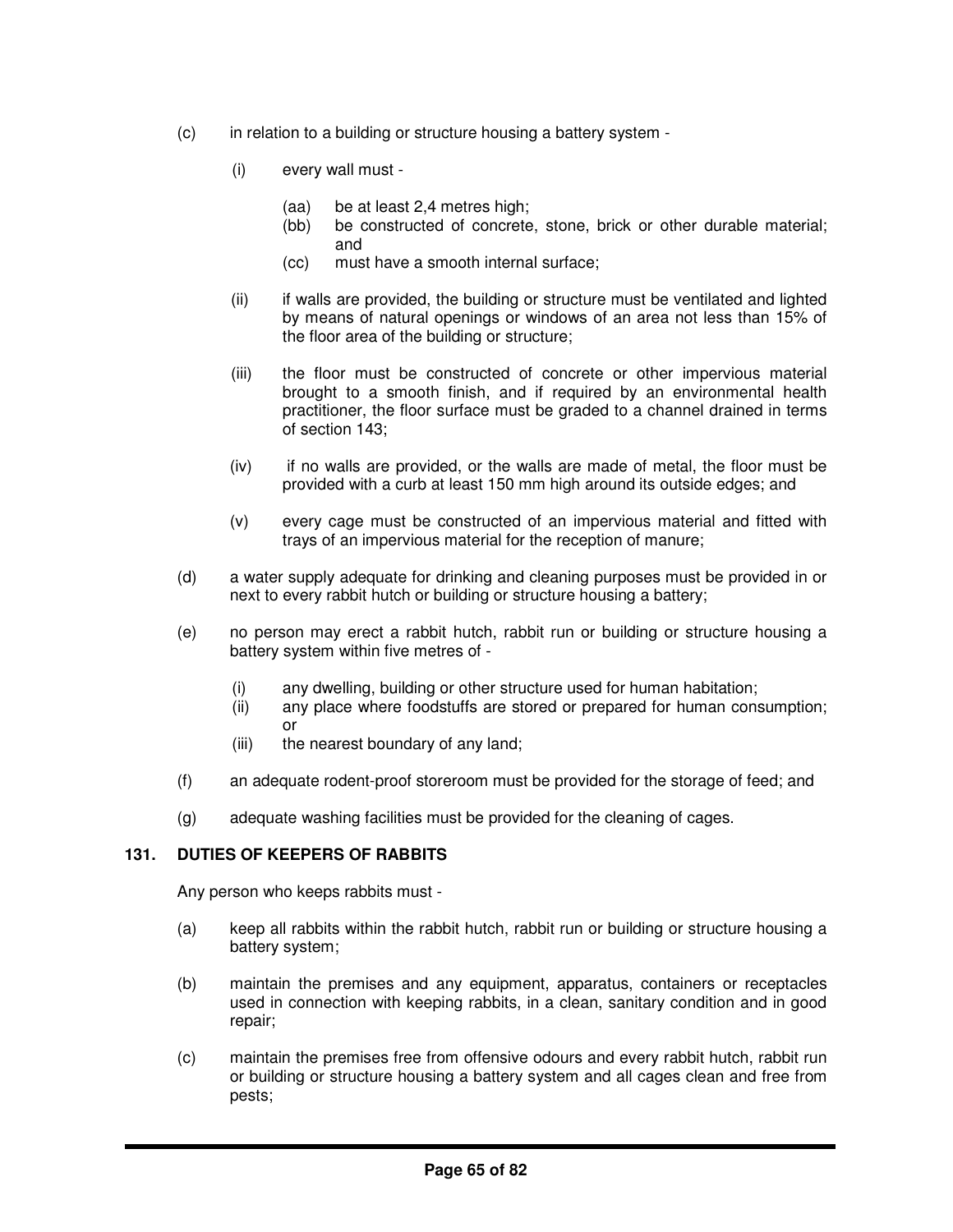- (c) in relation to a building or structure housing a battery system
	- (i) every wall must
		- (aa) be at least 2,4 metres high;
		- (bb) be constructed of concrete, stone, brick or other durable material; and
		- (cc) must have a smooth internal surface;
	- (ii) if walls are provided, the building or structure must be ventilated and lighted by means of natural openings or windows of an area not less than 15% of the floor area of the building or structure;
	- (iii) the floor must be constructed of concrete or other impervious material brought to a smooth finish, and if required by an environmental health practitioner, the floor surface must be graded to a channel drained in terms of section 143;
	- (iv) if no walls are provided, or the walls are made of metal, the floor must be provided with a curb at least 150 mm high around its outside edges; and
	- (v) every cage must be constructed of an impervious material and fitted with trays of an impervious material for the reception of manure;
- (d) a water supply adequate for drinking and cleaning purposes must be provided in or next to every rabbit hutch or building or structure housing a battery;
- (e) no person may erect a rabbit hutch, rabbit run or building or structure housing a battery system within five metres of -
	- (i) any dwelling, building or other structure used for human habitation;
	- (ii) any place where foodstuffs are stored or prepared for human consumption; or
	- (iii) the nearest boundary of any land;
- (f) an adequate rodent-proof storeroom must be provided for the storage of feed; and
- (g) adequate washing facilities must be provided for the cleaning of cages.

# **131. DUTIES OF KEEPERS OF RABBITS**

Any person who keeps rabbits must -

- (a) keep all rabbits within the rabbit hutch, rabbit run or building or structure housing a battery system;
- (b) maintain the premises and any equipment, apparatus, containers or receptacles used in connection with keeping rabbits, in a clean, sanitary condition and in good repair;
- (c) maintain the premises free from offensive odours and every rabbit hutch, rabbit run or building or structure housing a battery system and all cages clean and free from pests;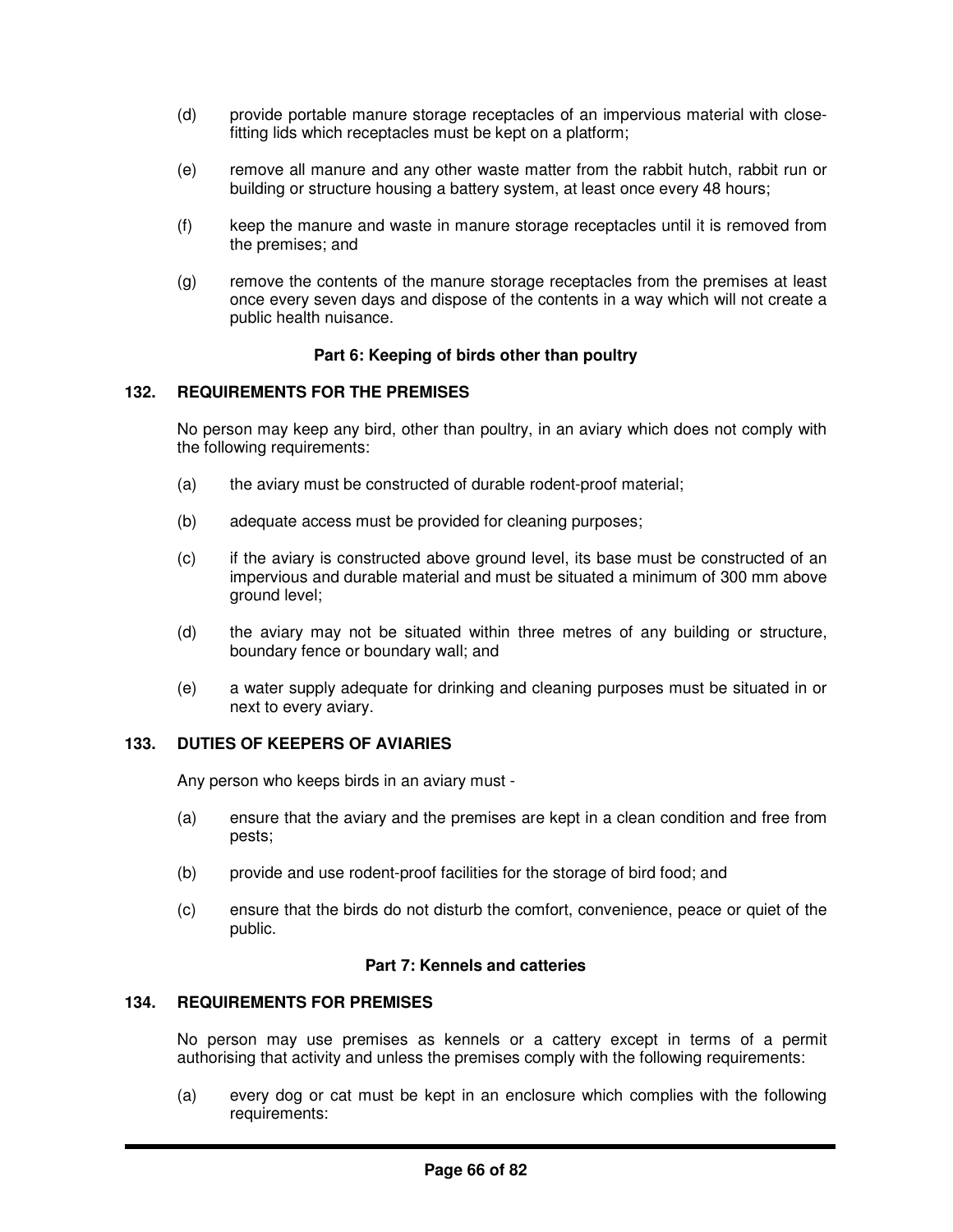- (d) provide portable manure storage receptacles of an impervious material with closefitting lids which receptacles must be kept on a platform;
- (e) remove all manure and any other waste matter from the rabbit hutch, rabbit run or building or structure housing a battery system, at least once every 48 hours;
- (f) keep the manure and waste in manure storage receptacles until it is removed from the premises; and
- (g) remove the contents of the manure storage receptacles from the premises at least once every seven days and dispose of the contents in a way which will not create a public health nuisance.

# **Part 6: Keeping of birds other than poultry**

## **132. REQUIREMENTS FOR THE PREMISES**

No person may keep any bird, other than poultry, in an aviary which does not comply with the following requirements:

- (a) the aviary must be constructed of durable rodent-proof material;
- (b) adequate access must be provided for cleaning purposes;
- (c) if the aviary is constructed above ground level, its base must be constructed of an impervious and durable material and must be situated a minimum of 300 mm above ground level;
- (d) the aviary may not be situated within three metres of any building or structure, boundary fence or boundary wall; and
- (e) a water supply adequate for drinking and cleaning purposes must be situated in or next to every aviary.

## **133. DUTIES OF KEEPERS OF AVIARIES**

Any person who keeps birds in an aviary must -

- (a) ensure that the aviary and the premises are kept in a clean condition and free from pests;
- (b) provide and use rodent-proof facilities for the storage of bird food; and
- (c) ensure that the birds do not disturb the comfort, convenience, peace or quiet of the public.

#### **Part 7: Kennels and catteries**

### **134. REQUIREMENTS FOR PREMISES**

No person may use premises as kennels or a cattery except in terms of a permit authorising that activity and unless the premises comply with the following requirements:

(a) every dog or cat must be kept in an enclosure which complies with the following requirements: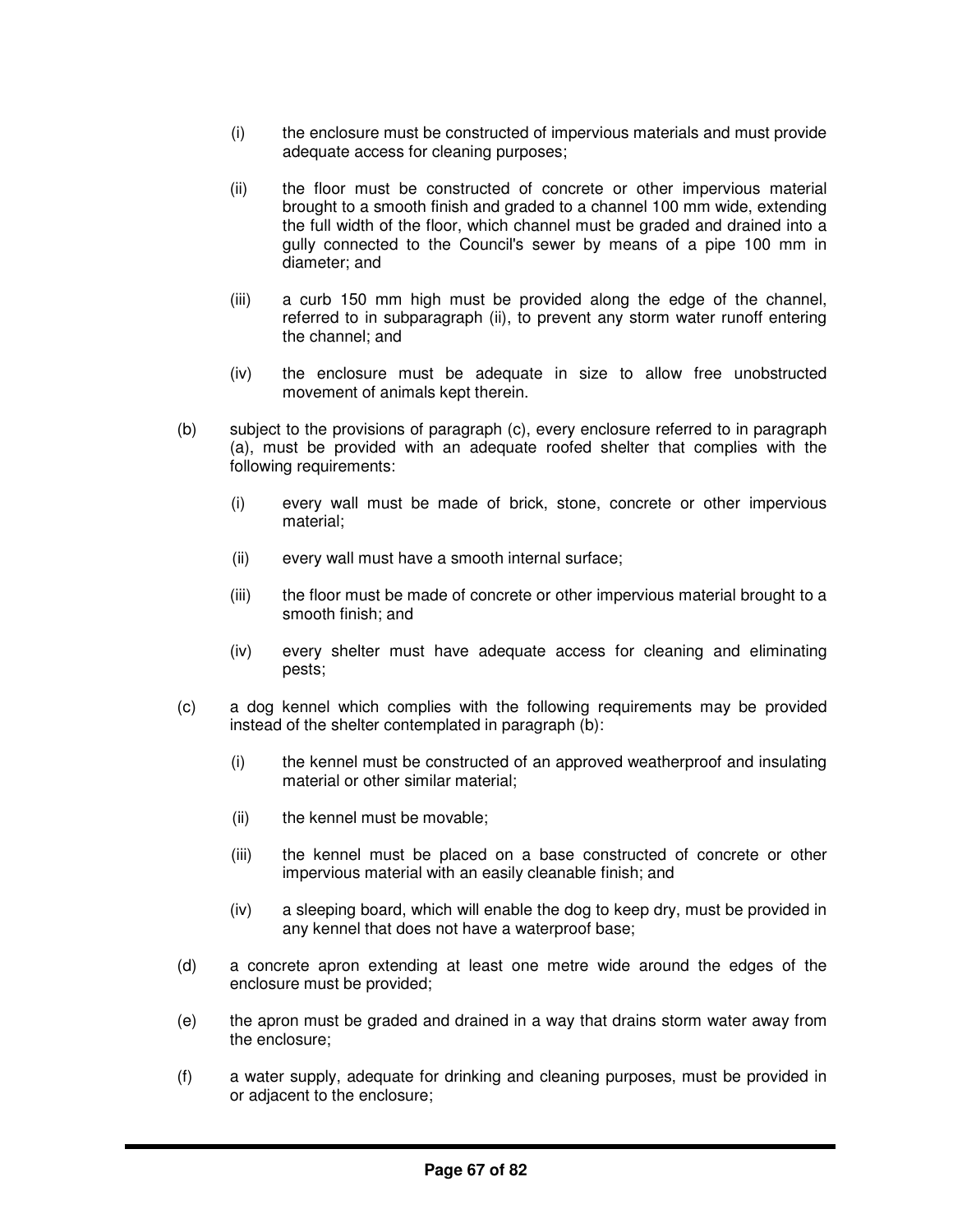- (i) the enclosure must be constructed of impervious materials and must provide adequate access for cleaning purposes;
- (ii) the floor must be constructed of concrete or other impervious material brought to a smooth finish and graded to a channel 100 mm wide, extending the full width of the floor, which channel must be graded and drained into a gully connected to the Council's sewer by means of a pipe 100 mm in diameter; and
- (iii) a curb 150 mm high must be provided along the edge of the channel, referred to in subparagraph (ii), to prevent any storm water runoff entering the channel; and
- (iv) the enclosure must be adequate in size to allow free unobstructed movement of animals kept therein.
- (b) subject to the provisions of paragraph (c), every enclosure referred to in paragraph (a), must be provided with an adequate roofed shelter that complies with the following requirements:
	- (i) every wall must be made of brick, stone, concrete or other impervious material;
	- (ii) every wall must have a smooth internal surface;
	- (iii) the floor must be made of concrete or other impervious material brought to a smooth finish; and
	- (iv) every shelter must have adequate access for cleaning and eliminating pests;
- (c) a dog kennel which complies with the following requirements may be provided instead of the shelter contemplated in paragraph (b):
	- (i) the kennel must be constructed of an approved weatherproof and insulating material or other similar material;
	- (ii) the kennel must be movable;
	- (iii) the kennel must be placed on a base constructed of concrete or other impervious material with an easily cleanable finish; and
	- (iv) a sleeping board, which will enable the dog to keep dry, must be provided in any kennel that does not have a waterproof base;
- (d) a concrete apron extending at least one metre wide around the edges of the enclosure must be provided;
- (e) the apron must be graded and drained in a way that drains storm water away from the enclosure;
- (f) a water supply, adequate for drinking and cleaning purposes, must be provided in or adjacent to the enclosure;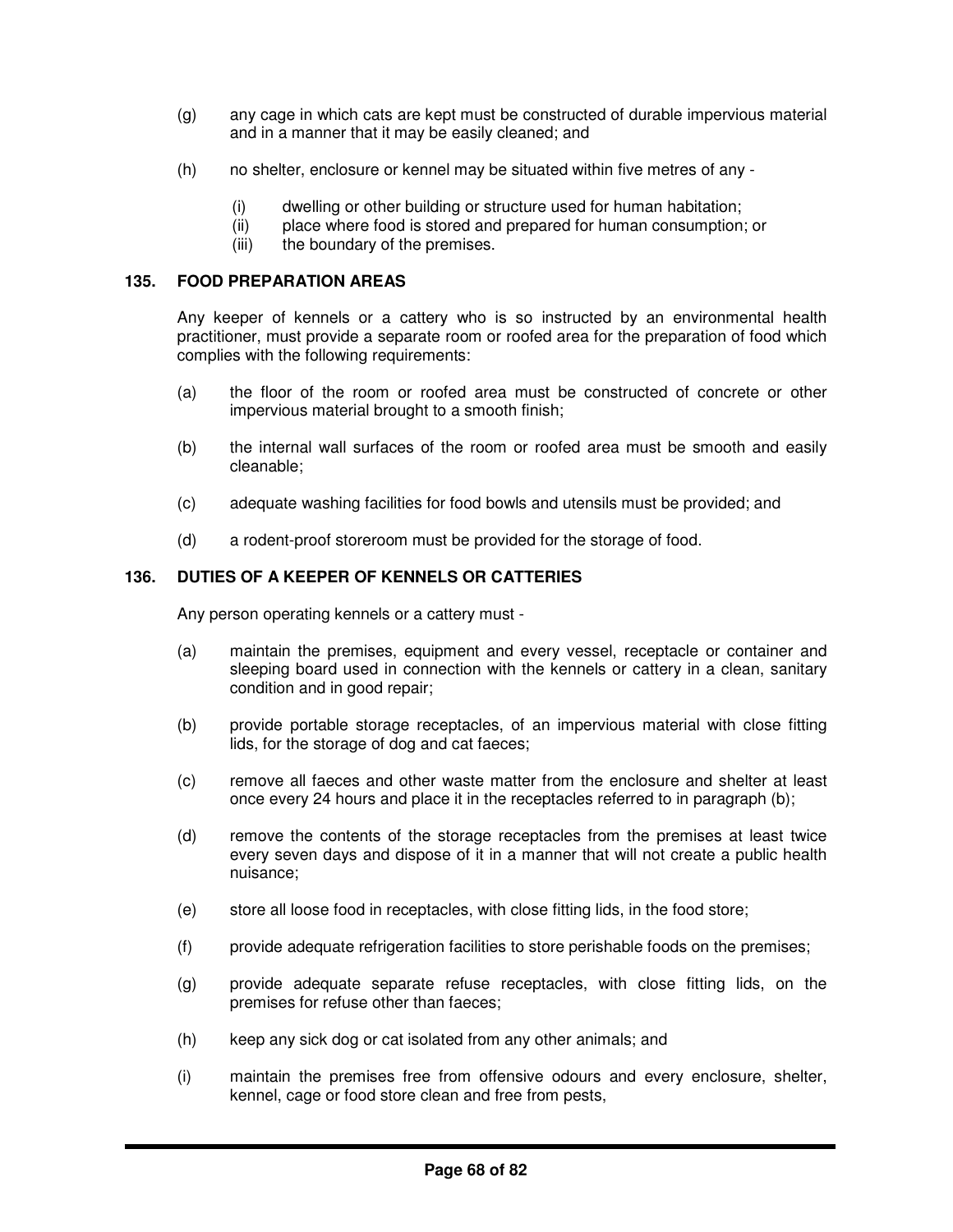- (g) any cage in which cats are kept must be constructed of durable impervious material and in a manner that it may be easily cleaned; and
- (h) no shelter, enclosure or kennel may be situated within five metres of any
	- (i) dwelling or other building or structure used for human habitation;
	- (ii) place where food is stored and prepared for human consumption; or
	- (iii) the boundary of the premises.

# **135. FOOD PREPARATION AREAS**

Any keeper of kennels or a cattery who is so instructed by an environmental health practitioner, must provide a separate room or roofed area for the preparation of food which complies with the following requirements:

- (a) the floor of the room or roofed area must be constructed of concrete or other impervious material brought to a smooth finish;
- (b) the internal wall surfaces of the room or roofed area must be smooth and easily cleanable;
- (c) adequate washing facilities for food bowls and utensils must be provided; and
- (d) a rodent-proof storeroom must be provided for the storage of food.

# **136. DUTIES OF A KEEPER OF KENNELS OR CATTERIES**

Any person operating kennels or a cattery must -

- (a) maintain the premises, equipment and every vessel, receptacle or container and sleeping board used in connection with the kennels or cattery in a clean, sanitary condition and in good repair;
- (b) provide portable storage receptacles, of an impervious material with close fitting lids, for the storage of dog and cat faeces;
- (c) remove all faeces and other waste matter from the enclosure and shelter at least once every 24 hours and place it in the receptacles referred to in paragraph (b);
- (d) remove the contents of the storage receptacles from the premises at least twice every seven days and dispose of it in a manner that will not create a public health nuisance;
- (e) store all loose food in receptacles, with close fitting lids, in the food store;
- (f) provide adequate refrigeration facilities to store perishable foods on the premises;
- (g) provide adequate separate refuse receptacles, with close fitting lids, on the premises for refuse other than faeces;
- (h) keep any sick dog or cat isolated from any other animals; and
- (i) maintain the premises free from offensive odours and every enclosure, shelter, kennel, cage or food store clean and free from pests,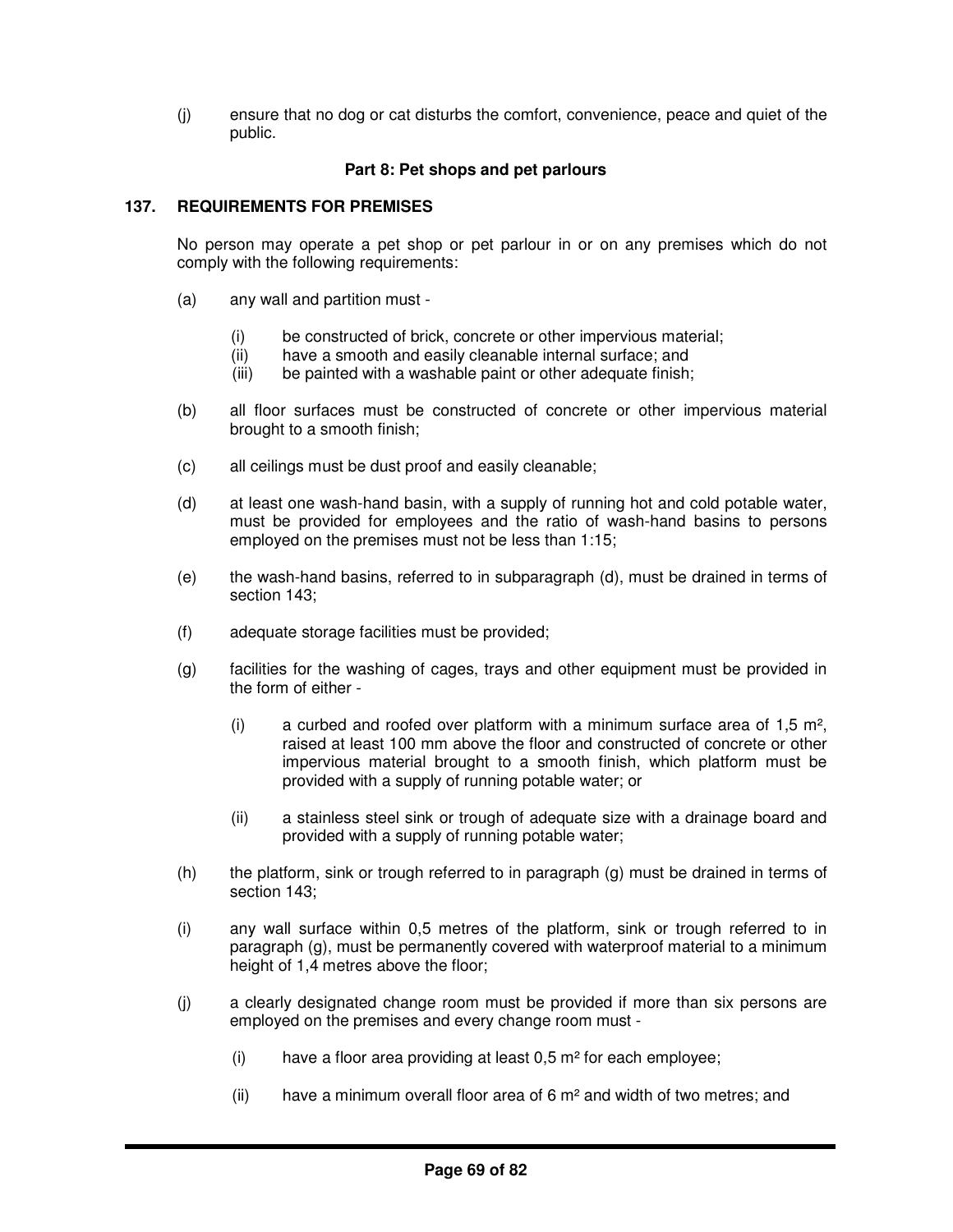(j) ensure that no dog or cat disturbs the comfort, convenience, peace and quiet of the public.

# **Part 8: Pet shops and pet parlours**

# **137. REQUIREMENTS FOR PREMISES**

No person may operate a pet shop or pet parlour in or on any premises which do not comply with the following requirements:

- (a) any wall and partition must
	- (i) be constructed of brick, concrete or other impervious material;
	- (ii) have a smooth and easily cleanable internal surface; and
	- (iii) be painted with a washable paint or other adequate finish;
- (b) all floor surfaces must be constructed of concrete or other impervious material brought to a smooth finish;
- (c) all ceilings must be dust proof and easily cleanable;
- (d) at least one wash-hand basin, with a supply of running hot and cold potable water, must be provided for employees and the ratio of wash-hand basins to persons employed on the premises must not be less than 1:15;
- (e) the wash-hand basins, referred to in subparagraph (d), must be drained in terms of section 143;
- (f) adequate storage facilities must be provided;
- (g) facilities for the washing of cages, trays and other equipment must be provided in the form of either -
	- (i) a curbed and roofed over platform with a minimum surface area of  $1.5 \text{ m}^2$ , raised at least 100 mm above the floor and constructed of concrete or other impervious material brought to a smooth finish, which platform must be provided with a supply of running potable water; or
	- (ii) a stainless steel sink or trough of adequate size with a drainage board and provided with a supply of running potable water;
- (h) the platform, sink or trough referred to in paragraph (g) must be drained in terms of section 143;
- (i) any wall surface within 0,5 metres of the platform, sink or trough referred to in paragraph (g), must be permanently covered with waterproof material to a minimum height of 1,4 metres above the floor;
- (j) a clearly designated change room must be provided if more than six persons are employed on the premises and every change room must -
	- (i) have a floor area providing at least  $0.5$  m<sup>2</sup> for each employee;
	- (ii) have a minimum overall floor area of 6  $m<sup>2</sup>$  and width of two metres; and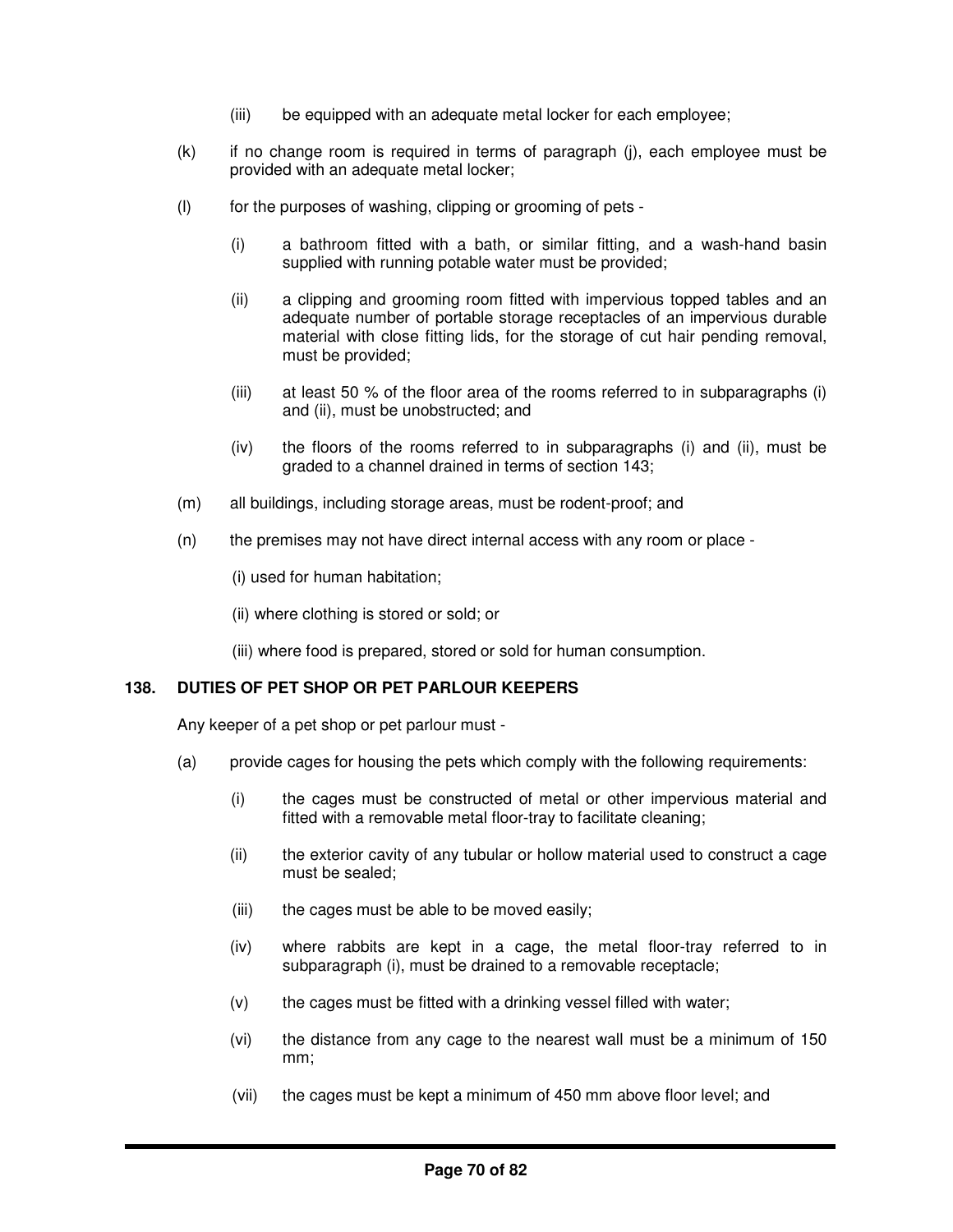- (iii) be equipped with an adequate metal locker for each employee;
- (k) if no change room is required in terms of paragraph (j), each employee must be provided with an adequate metal locker;
- (l) for the purposes of washing, clipping or grooming of pets
	- (i) a bathroom fitted with a bath, or similar fitting, and a wash-hand basin supplied with running potable water must be provided;
	- (ii) a clipping and grooming room fitted with impervious topped tables and an adequate number of portable storage receptacles of an impervious durable material with close fitting lids, for the storage of cut hair pending removal, must be provided;
	- (iii) at least 50 % of the floor area of the rooms referred to in subparagraphs (i) and (ii), must be unobstructed; and
	- (iv) the floors of the rooms referred to in subparagraphs (i) and (ii), must be graded to a channel drained in terms of section 143;
- (m) all buildings, including storage areas, must be rodent-proof; and
- (n) the premises may not have direct internal access with any room or place -

(i) used for human habitation;

(ii) where clothing is stored or sold; or

(iii) where food is prepared, stored or sold for human consumption.

# **138. DUTIES OF PET SHOP OR PET PARLOUR KEEPERS**

Any keeper of a pet shop or pet parlour must -

- (a) provide cages for housing the pets which comply with the following requirements:
	- (i) the cages must be constructed of metal or other impervious material and fitted with a removable metal floor-tray to facilitate cleaning;
	- (ii) the exterior cavity of any tubular or hollow material used to construct a cage must be sealed;
	- (iii) the cages must be able to be moved easily;
	- (iv) where rabbits are kept in a cage, the metal floor-tray referred to in subparagraph (i), must be drained to a removable receptacle;
	- (v) the cages must be fitted with a drinking vessel filled with water;
	- (vi) the distance from any cage to the nearest wall must be a minimum of 150 mm;
	- (vii) the cages must be kept a minimum of 450 mm above floor level; and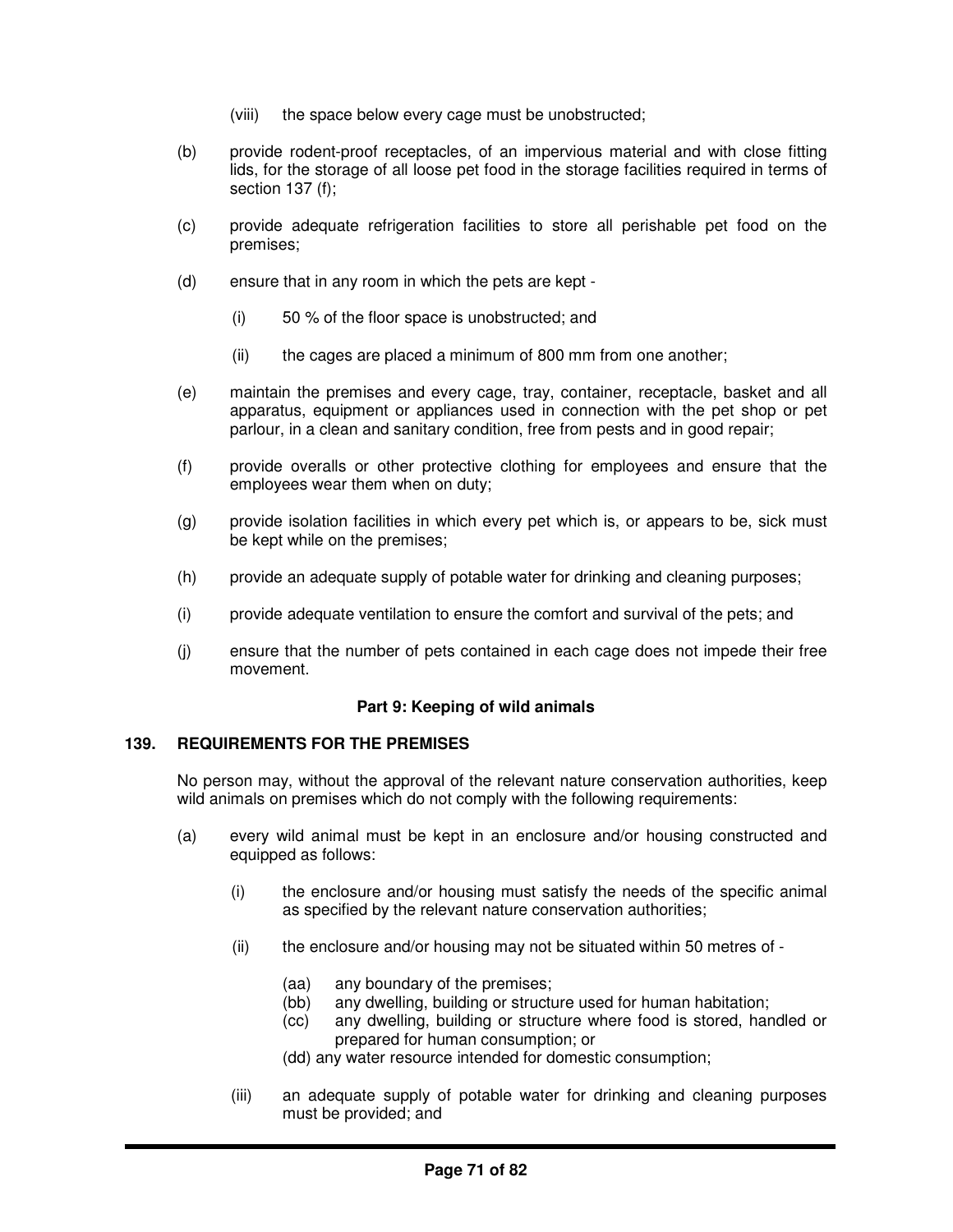- (viii) the space below every cage must be unobstructed;
- (b) provide rodent-proof receptacles, of an impervious material and with close fitting lids, for the storage of all loose pet food in the storage facilities required in terms of section 137 (f);
- (c) provide adequate refrigeration facilities to store all perishable pet food on the premises;
- (d) ensure that in any room in which the pets are kept
	- (i) 50 % of the floor space is unobstructed; and
	- (ii) the cages are placed a minimum of 800 mm from one another;
- (e) maintain the premises and every cage, tray, container, receptacle, basket and all apparatus, equipment or appliances used in connection with the pet shop or pet parlour, in a clean and sanitary condition, free from pests and in good repair;
- (f) provide overalls or other protective clothing for employees and ensure that the employees wear them when on duty;
- (g) provide isolation facilities in which every pet which is, or appears to be, sick must be kept while on the premises;
- (h) provide an adequate supply of potable water for drinking and cleaning purposes;
- (i) provide adequate ventilation to ensure the comfort and survival of the pets; and
- (j) ensure that the number of pets contained in each cage does not impede their free movement.

# **Part 9: Keeping of wild animals**

#### **139. REQUIREMENTS FOR THE PREMISES**

No person may, without the approval of the relevant nature conservation authorities, keep wild animals on premises which do not comply with the following requirements:

- (a) every wild animal must be kept in an enclosure and/or housing constructed and equipped as follows:
	- (i) the enclosure and/or housing must satisfy the needs of the specific animal as specified by the relevant nature conservation authorities;
	- (ii) the enclosure and/or housing may not be situated within 50 metres of
		- (aa) any boundary of the premises;
		- (bb) any dwelling, building or structure used for human habitation;
		- (cc) any dwelling, building or structure where food is stored, handled or prepared for human consumption; or
		- (dd) any water resource intended for domestic consumption;
	- (iii) an adequate supply of potable water for drinking and cleaning purposes must be provided; and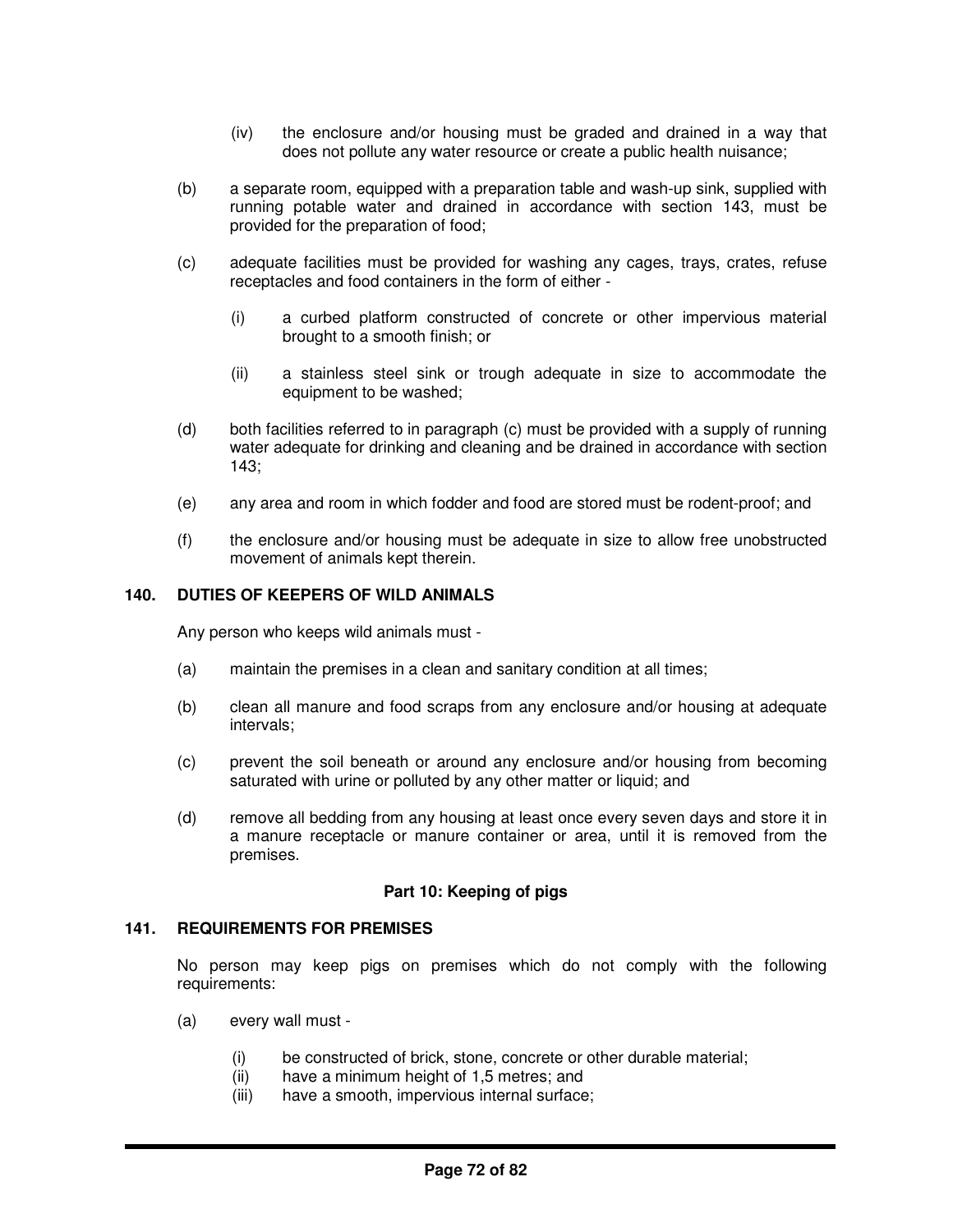- (iv) the enclosure and/or housing must be graded and drained in a way that does not pollute any water resource or create a public health nuisance;
- (b) a separate room, equipped with a preparation table and wash-up sink, supplied with running potable water and drained in accordance with section 143, must be provided for the preparation of food;
- (c) adequate facilities must be provided for washing any cages, trays, crates, refuse receptacles and food containers in the form of either -
	- (i) a curbed platform constructed of concrete or other impervious material brought to a smooth finish; or
	- (ii) a stainless steel sink or trough adequate in size to accommodate the equipment to be washed;
- (d) both facilities referred to in paragraph (c) must be provided with a supply of running water adequate for drinking and cleaning and be drained in accordance with section 143;
- (e) any area and room in which fodder and food are stored must be rodent-proof; and
- (f) the enclosure and/or housing must be adequate in size to allow free unobstructed movement of animals kept therein.

## **140. DUTIES OF KEEPERS OF WILD ANIMALS**

Any person who keeps wild animals must -

- (a) maintain the premises in a clean and sanitary condition at all times;
- (b) clean all manure and food scraps from any enclosure and/or housing at adequate intervals;
- (c) prevent the soil beneath or around any enclosure and/or housing from becoming saturated with urine or polluted by any other matter or liquid; and
- (d) remove all bedding from any housing at least once every seven days and store it in a manure receptacle or manure container or area, until it is removed from the premises.

#### **Part 10: Keeping of pigs**

#### **141. REQUIREMENTS FOR PREMISES**

No person may keep pigs on premises which do not comply with the following requirements:

- (a) every wall must
	- (i) be constructed of brick, stone, concrete or other durable material;
	- (ii) have a minimum height of 1,5 metres; and
	- (iii) have a smooth, impervious internal surface;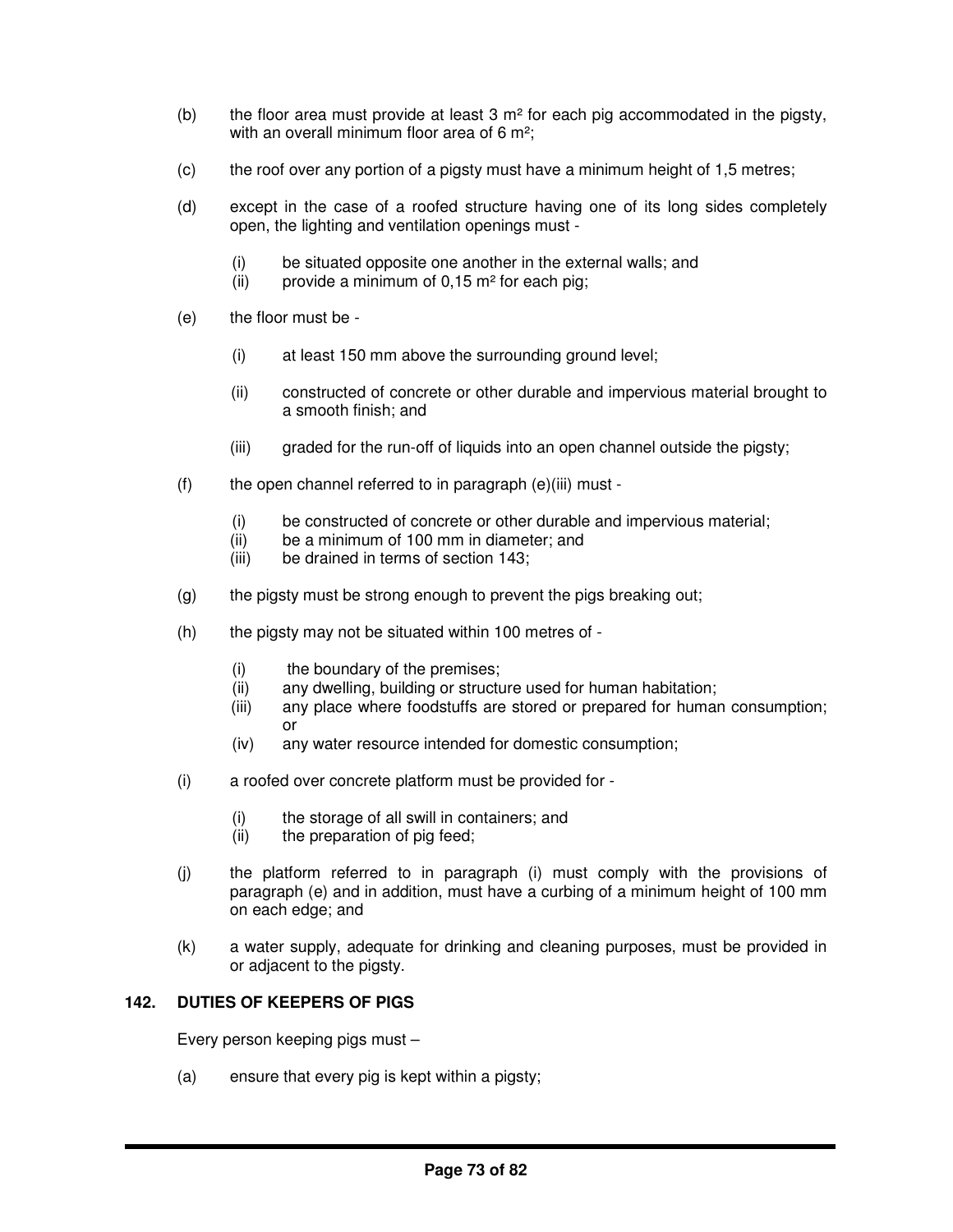- (b) the floor area must provide at least  $3 \text{ m}^2$  for each pig accommodated in the pigsty, with an overall minimum floor area of 6 m<sup>2</sup>:
- (c) the roof over any portion of a pigsty must have a minimum height of 1,5 metres;
- (d) except in the case of a roofed structure having one of its long sides completely open, the lighting and ventilation openings must -
	- (i) be situated opposite one another in the external walls; and
	- (ii) provide a minimum of  $0,15$  m<sup>2</sup> for each pig;
- (e) the floor must be
	- (i) at least 150 mm above the surrounding ground level;
	- (ii) constructed of concrete or other durable and impervious material brought to a smooth finish; and
	- (iii) graded for the run-off of liquids into an open channel outside the pigsty;
- $(f)$  the open channel referred to in paragraph  $(e)(iii)$  must -
	- (i) be constructed of concrete or other durable and impervious material;
	- (ii) be a minimum of 100 mm in diameter; and
	- (iii) be drained in terms of section 143;
- (g) the pigsty must be strong enough to prevent the pigs breaking out;
- (h) the pigsty may not be situated within 100 metres of
	- (i) the boundary of the premises;
	- (ii) any dwelling, building or structure used for human habitation;
	- (iii) any place where foodstuffs are stored or prepared for human consumption; or
	- (iv) any water resource intended for domestic consumption;
- (i) a roofed over concrete platform must be provided for
	- (i) the storage of all swill in containers; and
	- (ii) the preparation of pig feed;
- (j) the platform referred to in paragraph (i) must comply with the provisions of paragraph (e) and in addition, must have a curbing of a minimum height of 100 mm on each edge; and
- (k) a water supply, adequate for drinking and cleaning purposes, must be provided in or adjacent to the pigsty.

# **142. DUTIES OF KEEPERS OF PIGS**

Every person keeping pigs must –

(a) ensure that every pig is kept within a pigsty;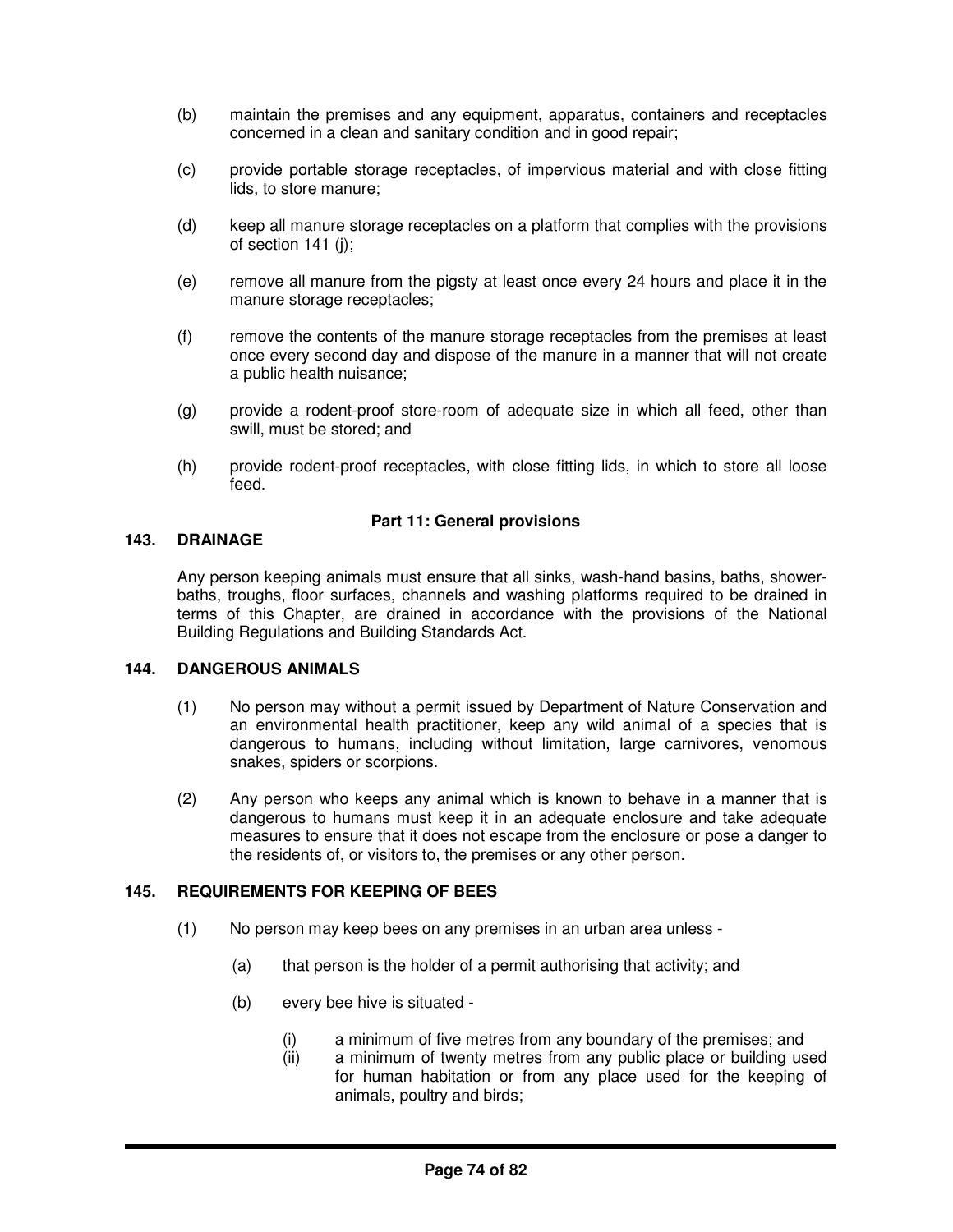- (b) maintain the premises and any equipment, apparatus, containers and receptacles concerned in a clean and sanitary condition and in good repair;
- (c) provide portable storage receptacles, of impervious material and with close fitting lids, to store manure;
- (d) keep all manure storage receptacles on a platform that complies with the provisions of section 141 (j);
- (e) remove all manure from the pigsty at least once every 24 hours and place it in the manure storage receptacles;
- (f) remove the contents of the manure storage receptacles from the premises at least once every second day and dispose of the manure in a manner that will not create a public health nuisance;
- (g) provide a rodent-proof store-room of adequate size in which all feed, other than swill, must be stored; and
- (h) provide rodent-proof receptacles, with close fitting lids, in which to store all loose feed.

### **Part 11: General provisions**

#### **143. DRAINAGE**

Any person keeping animals must ensure that all sinks, wash-hand basins, baths, showerbaths, troughs, floor surfaces, channels and washing platforms required to be drained in terms of this Chapter, are drained in accordance with the provisions of the National Building Regulations and Building Standards Act.

#### **144. DANGEROUS ANIMALS**

- (1) No person may without a permit issued by Department of Nature Conservation and an environmental health practitioner, keep any wild animal of a species that is dangerous to humans, including without limitation, large carnivores, venomous snakes, spiders or scorpions.
- (2) Any person who keeps any animal which is known to behave in a manner that is dangerous to humans must keep it in an adequate enclosure and take adequate measures to ensure that it does not escape from the enclosure or pose a danger to the residents of, or visitors to, the premises or any other person.

### **145. REQUIREMENTS FOR KEEPING OF BEES**

- (1) No person may keep bees on any premises in an urban area unless
	- (a) that person is the holder of a permit authorising that activity; and
	- (b) every bee hive is situated
		- (i) a minimum of five metres from any boundary of the premises; and
		- (ii) a minimum of twenty metres from any public place or building used for human habitation or from any place used for the keeping of animals, poultry and birds;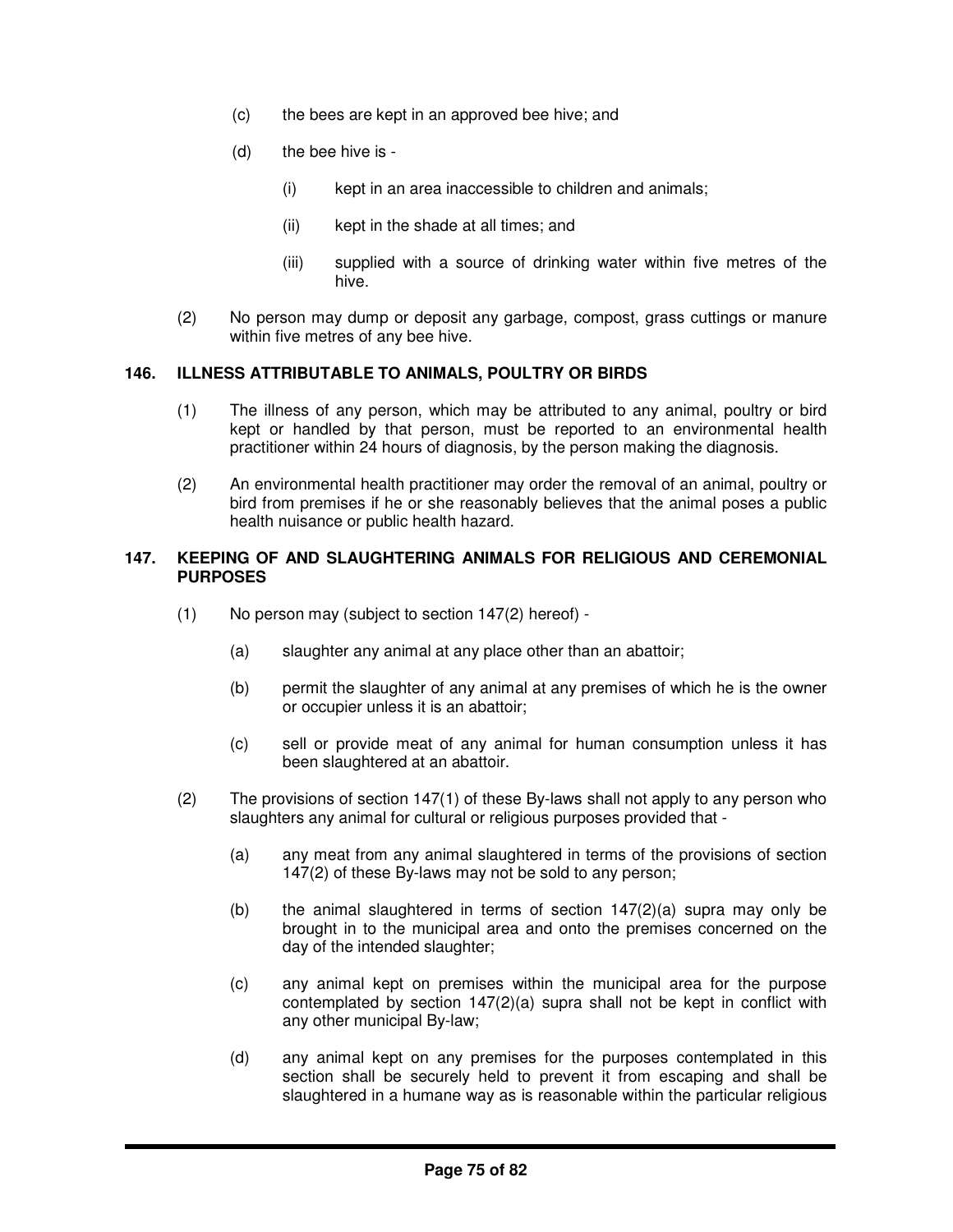- (c) the bees are kept in an approved bee hive; and
- (d) the bee hive is
	- (i) kept in an area inaccessible to children and animals;
	- (ii) kept in the shade at all times; and
	- (iii) supplied with a source of drinking water within five metres of the hive.
- (2) No person may dump or deposit any garbage, compost, grass cuttings or manure within five metres of any bee hive.

### **146. ILLNESS ATTRIBUTABLE TO ANIMALS, POULTRY OR BIRDS**

- (1) The illness of any person, which may be attributed to any animal, poultry or bird kept or handled by that person, must be reported to an environmental health practitioner within 24 hours of diagnosis, by the person making the diagnosis.
- (2) An environmental health practitioner may order the removal of an animal, poultry or bird from premises if he or she reasonably believes that the animal poses a public health nuisance or public health hazard.

#### **147. KEEPING OF AND SLAUGHTERING ANIMALS FOR RELIGIOUS AND CEREMONIAL PURPOSES**

- (1) No person may (subject to section 147(2) hereof)
	- (a) slaughter any animal at any place other than an abattoir;
	- (b) permit the slaughter of any animal at any premises of which he is the owner or occupier unless it is an abattoir;
	- (c) sell or provide meat of any animal for human consumption unless it has been slaughtered at an abattoir.
- (2) The provisions of section 147(1) of these By-laws shall not apply to any person who slaughters any animal for cultural or religious purposes provided that -
	- (a) any meat from any animal slaughtered in terms of the provisions of section 147(2) of these By-laws may not be sold to any person;
	- (b) the animal slaughtered in terms of section  $147(2)(a)$  supra may only be brought in to the municipal area and onto the premises concerned on the day of the intended slaughter;
	- (c) any animal kept on premises within the municipal area for the purpose contemplated by section  $147(2)(a)$  supra shall not be kept in conflict with any other municipal By-law;
	- (d) any animal kept on any premises for the purposes contemplated in this section shall be securely held to prevent it from escaping and shall be slaughtered in a humane way as is reasonable within the particular religious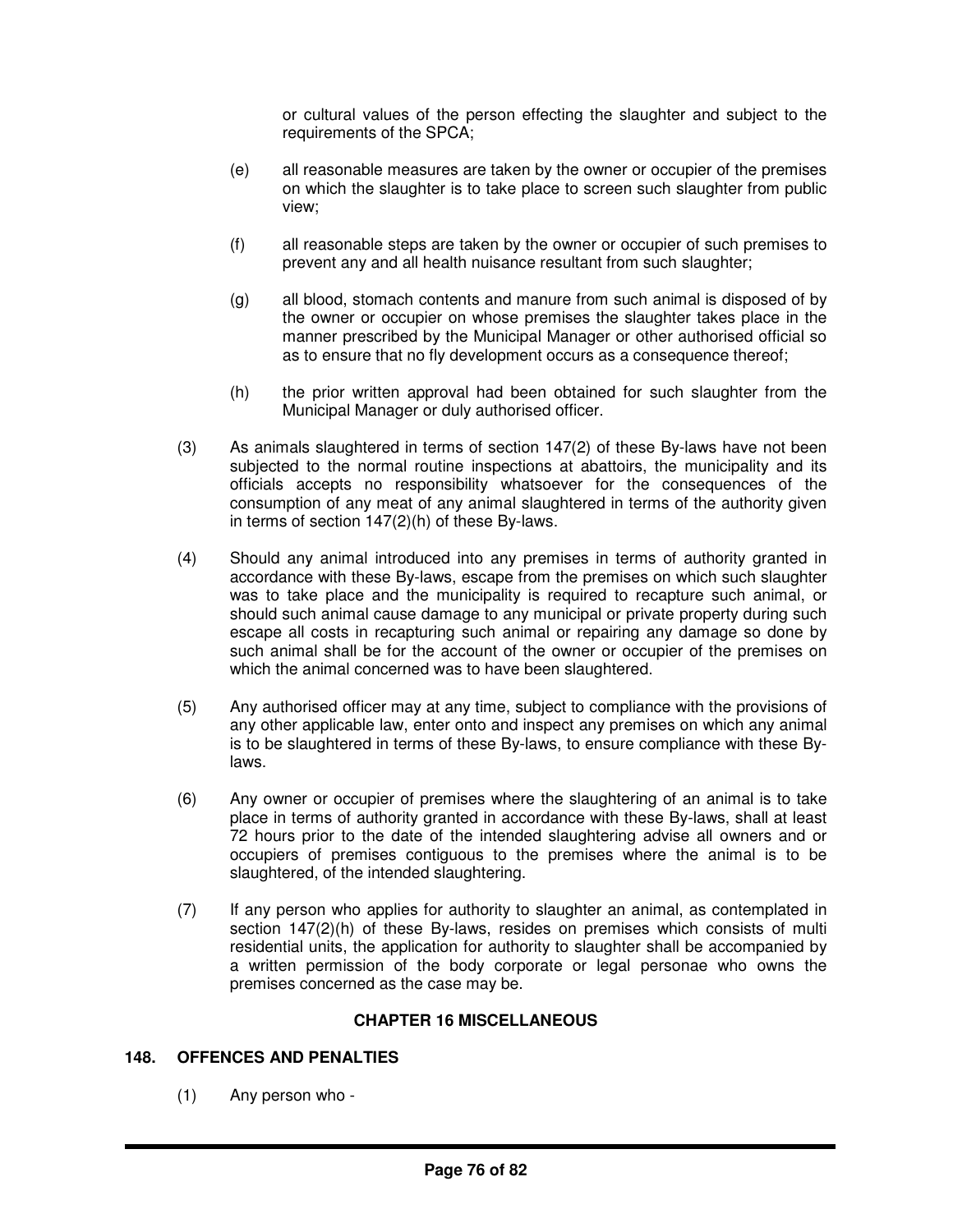or cultural values of the person effecting the slaughter and subject to the requirements of the SPCA;

- (e) all reasonable measures are taken by the owner or occupier of the premises on which the slaughter is to take place to screen such slaughter from public view;
- (f) all reasonable steps are taken by the owner or occupier of such premises to prevent any and all health nuisance resultant from such slaughter;
- (g) all blood, stomach contents and manure from such animal is disposed of by the owner or occupier on whose premises the slaughter takes place in the manner prescribed by the Municipal Manager or other authorised official so as to ensure that no fly development occurs as a consequence thereof;
- (h) the prior written approval had been obtained for such slaughter from the Municipal Manager or duly authorised officer.
- (3) As animals slaughtered in terms of section 147(2) of these By-laws have not been subjected to the normal routine inspections at abattoirs, the municipality and its officials accepts no responsibility whatsoever for the consequences of the consumption of any meat of any animal slaughtered in terms of the authority given in terms of section 147(2)(h) of these By-laws.
- (4) Should any animal introduced into any premises in terms of authority granted in accordance with these By-laws, escape from the premises on which such slaughter was to take place and the municipality is required to recapture such animal, or should such animal cause damage to any municipal or private property during such escape all costs in recapturing such animal or repairing any damage so done by such animal shall be for the account of the owner or occupier of the premises on which the animal concerned was to have been slaughtered.
- (5) Any authorised officer may at any time, subject to compliance with the provisions of any other applicable law, enter onto and inspect any premises on which any animal is to be slaughtered in terms of these By-laws, to ensure compliance with these Bylaws.
- (6) Any owner or occupier of premises where the slaughtering of an animal is to take place in terms of authority granted in accordance with these By-laws, shall at least 72 hours prior to the date of the intended slaughtering advise all owners and or occupiers of premises contiguous to the premises where the animal is to be slaughtered, of the intended slaughtering.
- (7) If any person who applies for authority to slaughter an animal, as contemplated in section 147(2)(h) of these By-laws, resides on premises which consists of multi residential units, the application for authority to slaughter shall be accompanied by a written permission of the body corporate or legal personae who owns the premises concerned as the case may be.

## **CHAPTER 16 MISCELLANEOUS**

# **148. OFFENCES AND PENALTIES**

(1) Any person who -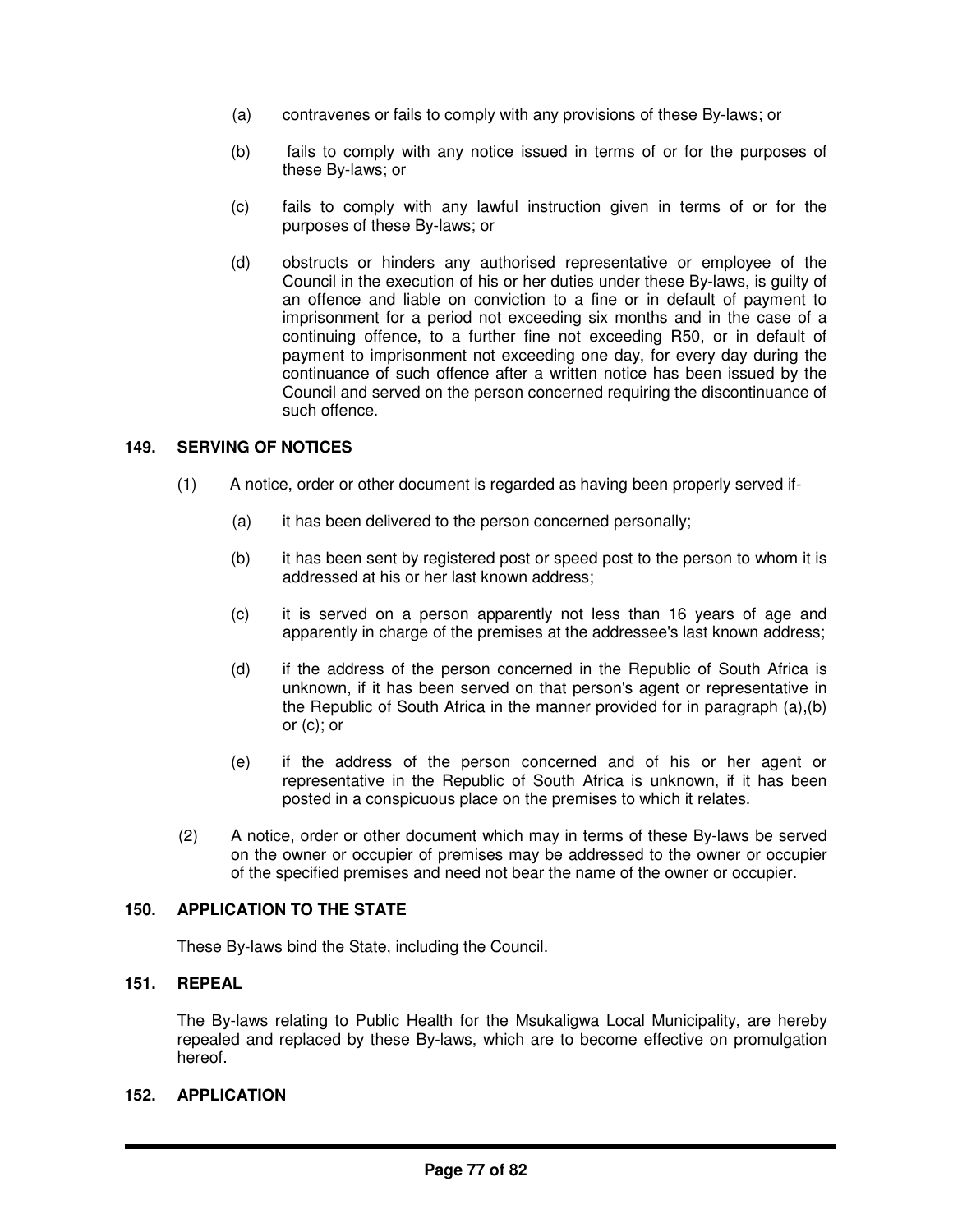- (a) contravenes or fails to comply with any provisions of these By-laws; or
- (b) fails to comply with any notice issued in terms of or for the purposes of these By-laws; or
- (c) fails to comply with any lawful instruction given in terms of or for the purposes of these By-laws; or
- (d) obstructs or hinders any authorised representative or employee of the Council in the execution of his or her duties under these By-laws, is guilty of an offence and liable on conviction to a fine or in default of payment to imprisonment for a period not exceeding six months and in the case of a continuing offence, to a further fine not exceeding R50, or in default of payment to imprisonment not exceeding one day, for every day during the continuance of such offence after a written notice has been issued by the Council and served on the person concerned requiring the discontinuance of such offence.

### **149. SERVING OF NOTICES**

- (1) A notice, order or other document is regarded as having been properly served if-
	- (a) it has been delivered to the person concerned personally;
	- (b) it has been sent by registered post or speed post to the person to whom it is addressed at his or her last known address;
	- (c) it is served on a person apparently not less than 16 years of age and apparently in charge of the premises at the addressee's last known address;
	- (d) if the address of the person concerned in the Republic of South Africa is unknown, if it has been served on that person's agent or representative in the Republic of South Africa in the manner provided for in paragraph (a),(b) or (c); or
	- (e) if the address of the person concerned and of his or her agent or representative in the Republic of South Africa is unknown, if it has been posted in a conspicuous place on the premises to which it relates.
- (2) A notice, order or other document which may in terms of these By-laws be served on the owner or occupier of premises may be addressed to the owner or occupier of the specified premises and need not bear the name of the owner or occupier.

# **150. APPLICATION TO THE STATE**

These By-laws bind the State, including the Council.

# **151. REPEAL**

The By-laws relating to Public Health for the Msukaligwa Local Municipality, are hereby repealed and replaced by these By-laws, which are to become effective on promulgation hereof.

### **152. APPLICATION**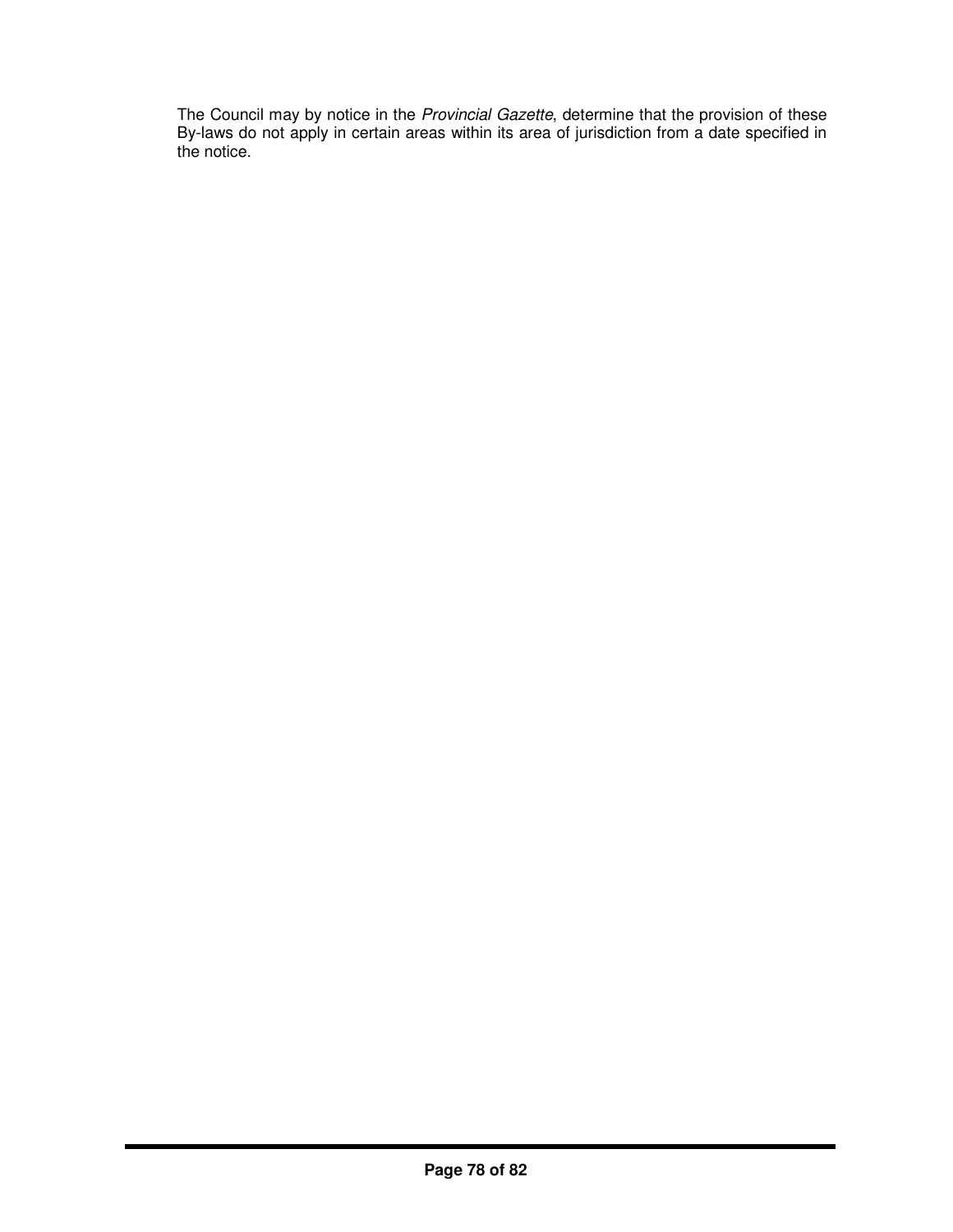The Council may by notice in the *Provincial Gazette*, determine that the provision of these By-laws do not apply in certain areas within its area of jurisdiction from a date specified in the notice.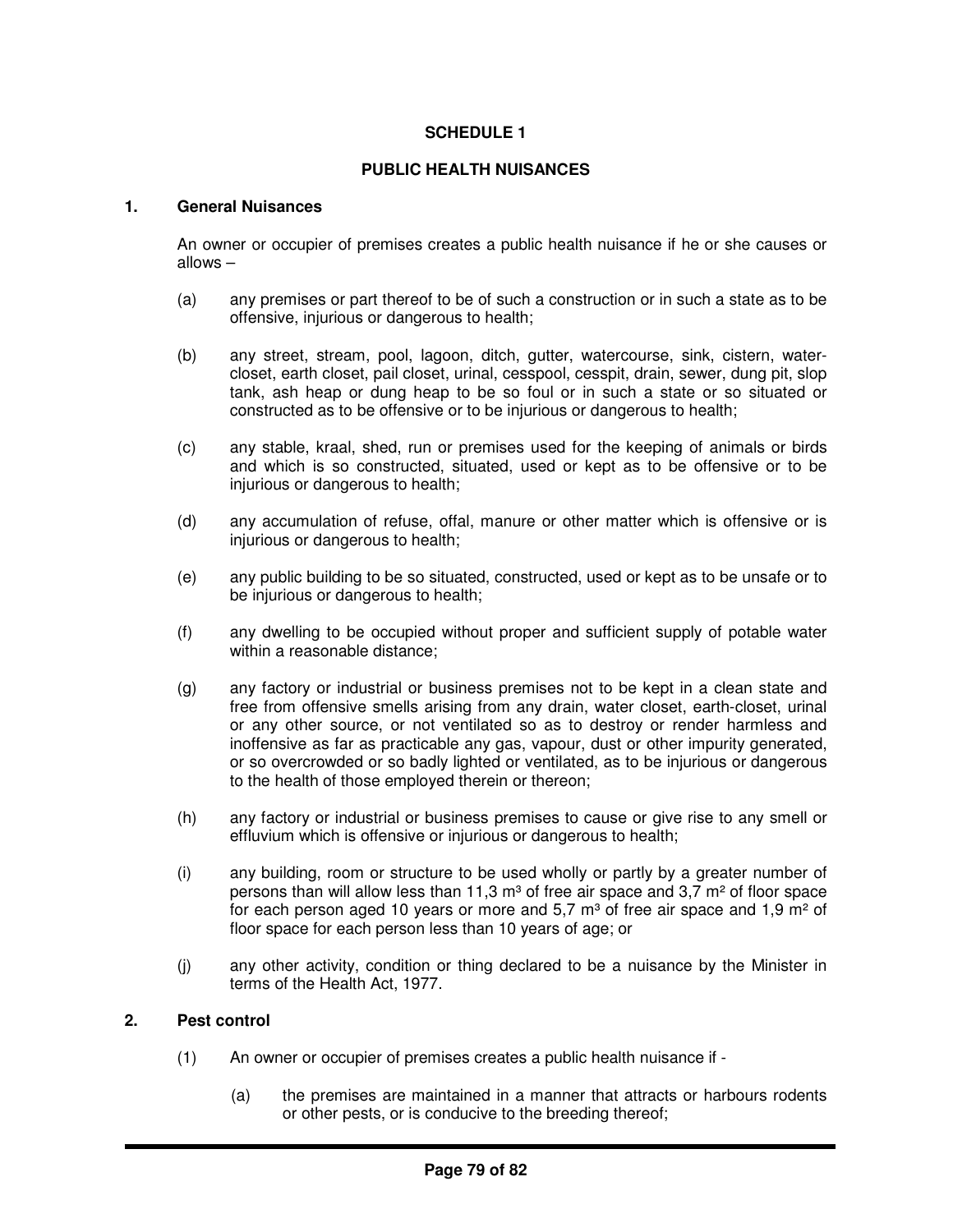# **SCHEDULE 1**

# **PUBLIC HEALTH NUISANCES**

## **1. General Nuisances**

An owner or occupier of premises creates a public health nuisance if he or she causes or allows –

- (a) any premises or part thereof to be of such a construction or in such a state as to be offensive, injurious or dangerous to health;
- (b) any street, stream, pool, lagoon, ditch, gutter, watercourse, sink, cistern, watercloset, earth closet, pail closet, urinal, cesspool, cesspit, drain, sewer, dung pit, slop tank, ash heap or dung heap to be so foul or in such a state or so situated or constructed as to be offensive or to be injurious or dangerous to health;
- (c) any stable, kraal, shed, run or premises used for the keeping of animals or birds and which is so constructed, situated, used or kept as to be offensive or to be injurious or dangerous to health;
- (d) any accumulation of refuse, offal, manure or other matter which is offensive or is injurious or dangerous to health;
- (e) any public building to be so situated, constructed, used or kept as to be unsafe or to be injurious or dangerous to health;
- (f) any dwelling to be occupied without proper and sufficient supply of potable water within a reasonable distance;
- (g) any factory or industrial or business premises not to be kept in a clean state and free from offensive smells arising from any drain, water closet, earth-closet, urinal or any other source, or not ventilated so as to destroy or render harmless and inoffensive as far as practicable any gas, vapour, dust or other impurity generated, or so overcrowded or so badly lighted or ventilated, as to be injurious or dangerous to the health of those employed therein or thereon;
- (h) any factory or industrial or business premises to cause or give rise to any smell or effluvium which is offensive or injurious or dangerous to health;
- (i) any building, room or structure to be used wholly or partly by a greater number of persons than will allow less than 11,3  $\text{m}^3$  of free air space and 3,7  $\text{m}^2$  of floor space for each person aged 10 years or more and 5,7  $m<sup>3</sup>$  of free air space and 1,9  $m<sup>2</sup>$  of floor space for each person less than 10 years of age; or
- (j) any other activity, condition or thing declared to be a nuisance by the Minister in terms of the Health Act, 1977.

#### **2. Pest control**

- (1) An owner or occupier of premises creates a public health nuisance if
	- (a) the premises are maintained in a manner that attracts or harbours rodents or other pests, or is conducive to the breeding thereof;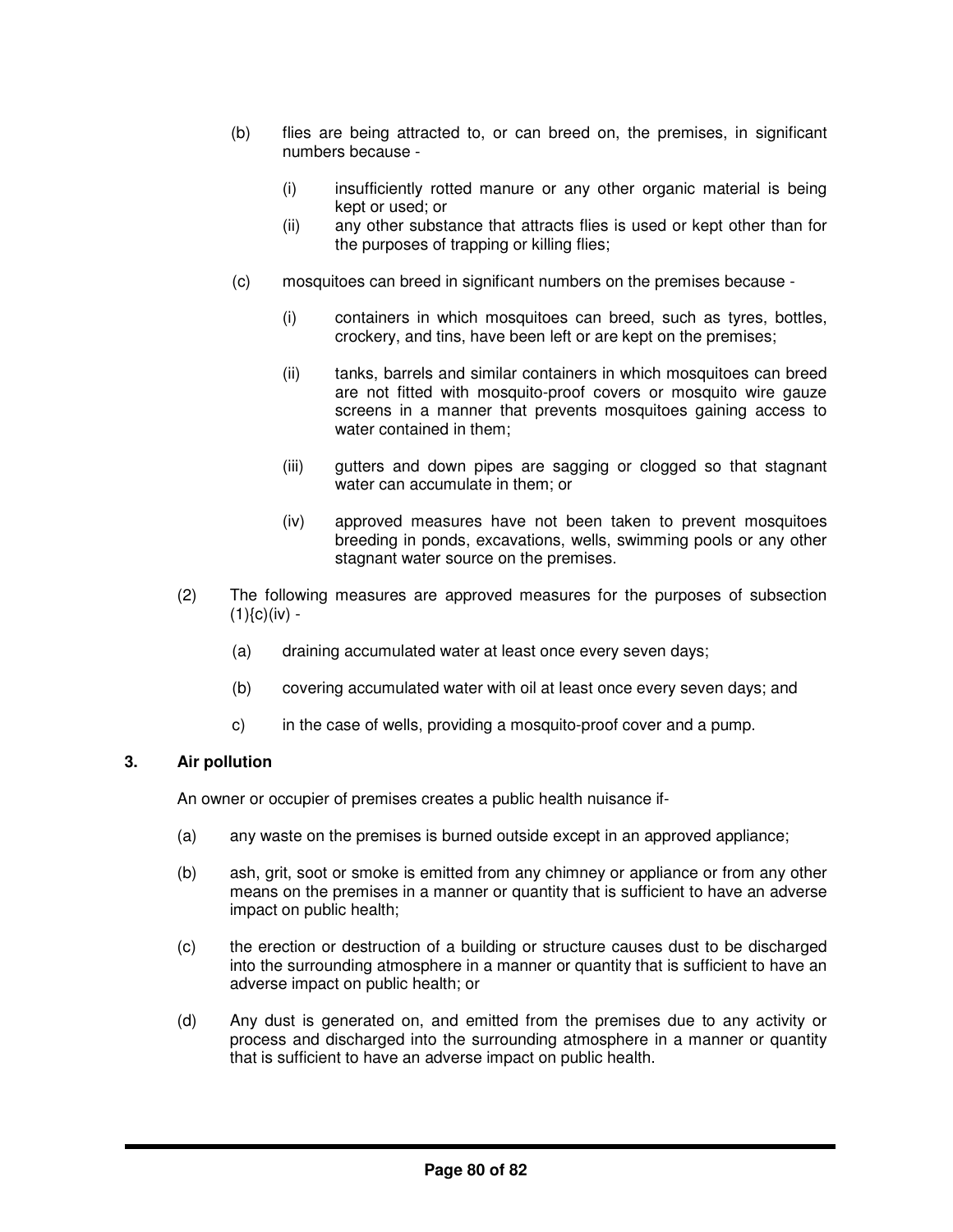- (b) flies are being attracted to, or can breed on, the premises, in significant numbers because -
	- (i) insufficiently rotted manure or any other organic material is being kept or used; or
	- (ii) any other substance that attracts flies is used or kept other than for the purposes of trapping or killing flies;
- (c) mosquitoes can breed in significant numbers on the premises because
	- (i) containers in which mosquitoes can breed, such as tyres, bottles, crockery, and tins, have been left or are kept on the premises;
	- (ii) tanks, barrels and similar containers in which mosquitoes can breed are not fitted with mosquito-proof covers or mosquito wire gauze screens in a manner that prevents mosquitoes gaining access to water contained in them;
	- (iii) gutters and down pipes are sagging or clogged so that stagnant water can accumulate in them; or
	- (iv) approved measures have not been taken to prevent mosquitoes breeding in ponds, excavations, wells, swimming pools or any other stagnant water source on the premises.
- (2) The following measures are approved measures for the purposes of subsection  $(1){c}$  $(iv)$  -
	- (a) draining accumulated water at least once every seven days;
	- (b) covering accumulated water with oil at least once every seven days; and
	- c) in the case of wells, providing a mosquito-proof cover and a pump.

### **3. Air pollution**

An owner or occupier of premises creates a public health nuisance if-

- (a) any waste on the premises is burned outside except in an approved appliance;
- (b) ash, grit, soot or smoke is emitted from any chimney or appliance or from any other means on the premises in a manner or quantity that is sufficient to have an adverse impact on public health;
- (c) the erection or destruction of a building or structure causes dust to be discharged into the surrounding atmosphere in a manner or quantity that is sufficient to have an adverse impact on public health; or
- (d) Any dust is generated on, and emitted from the premises due to any activity or process and discharged into the surrounding atmosphere in a manner or quantity that is sufficient to have an adverse impact on public health.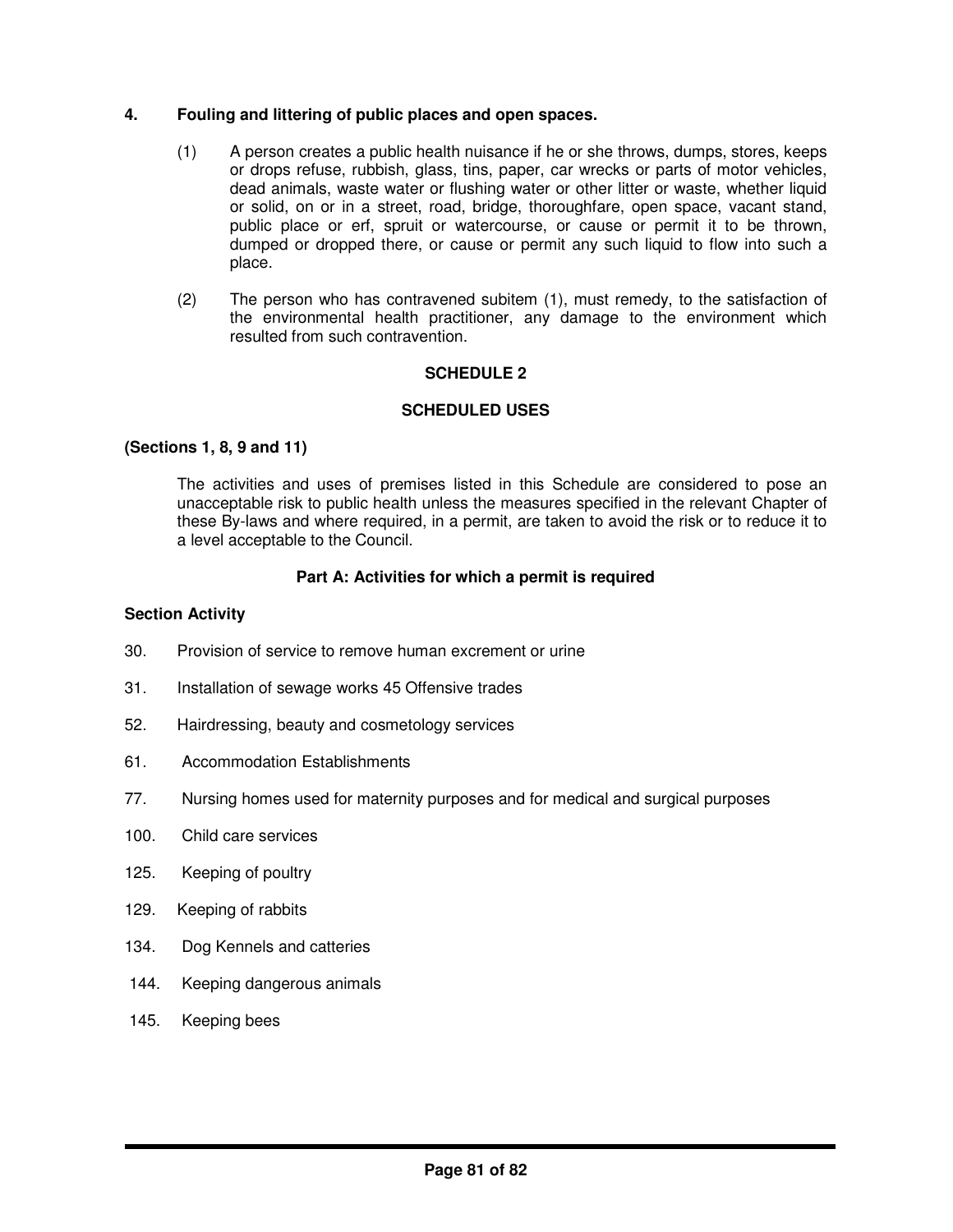## **4. Fouling and littering of public places and open spaces.**

- (1) A person creates a public health nuisance if he or she throws, dumps, stores, keeps or drops refuse, rubbish, glass, tins, paper, car wrecks or parts of motor vehicles, dead animals, waste water or flushing water or other litter or waste, whether liquid or solid, on or in a street, road, bridge, thoroughfare, open space, vacant stand, public place or erf, spruit or watercourse, or cause or permit it to be thrown, dumped or dropped there, or cause or permit any such liquid to flow into such a place.
- (2) The person who has contravened subitem (1), must remedy, to the satisfaction of the environmental health practitioner, any damage to the environment which resulted from such contravention.

## **SCHEDULE 2**

## **SCHEDULED USES**

### **(Sections 1, 8, 9 and 11)**

The activities and uses of premises listed in this Schedule are considered to pose an unacceptable risk to public health unless the measures specified in the relevant Chapter of these By-laws and where required, in a permit, are taken to avoid the risk or to reduce it to a level acceptable to the Council.

### **Part A: Activities for which a permit is required**

#### **Section Activity**

- 30. Provision of service to remove human excrement or urine
- 31. Installation of sewage works 45 Offensive trades
- 52. Hairdressing, beauty and cosmetology services
- 61. Accommodation Establishments
- 77. Nursing homes used for maternity purposes and for medical and surgical purposes
- 100. Child care services
- 125. Keeping of poultry
- 129. Keeping of rabbits
- 134. Dog Kennels and catteries
- 144. Keeping dangerous animals
- 145. Keeping bees